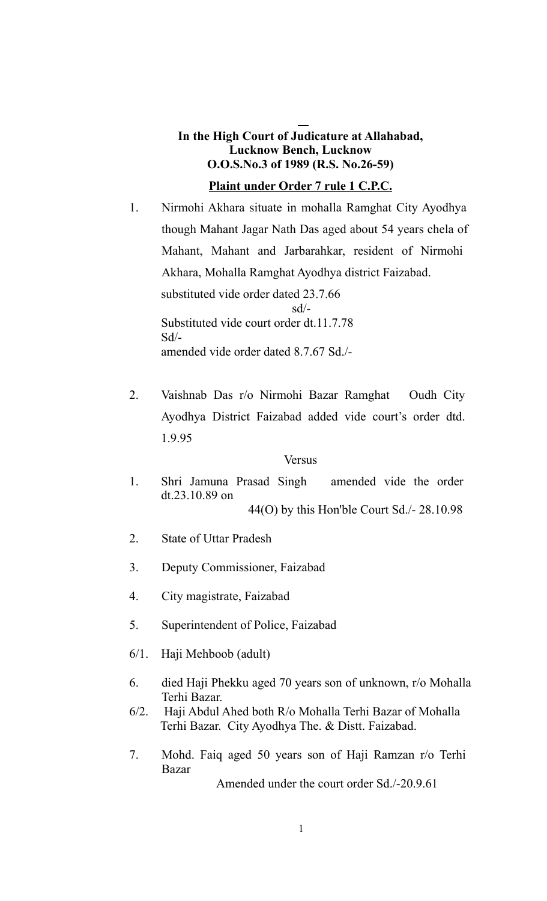# **In the High Court of Judicature at Allahabad, Lucknow Bench, Lucknow O.O.S.No.3 of 1989 (R.S. No.26-59)**

# **Plaint under Order 7 rule 1 C.P.C.**

- 1. Nirmohi Akhara situate in mohalla Ramghat City Ayodhya though Mahant Jagar Nath Das aged about 54 years chela of Mahant, Mahant and Jarbarahkar, resident of Nirmohi Akhara, Mohalla Ramghat Ayodhya district Faizabad. substituted vide order dated 23.7.66 sd/- Substituted vide court order dt.11.7.78  $Sd$ <sup>-</sup> amended vide order dated 8.7.67 Sd./-
- 2. Vaishnab Das r/o Nirmohi Bazar Ramghat Oudh City Ayodhya District Faizabad added vide court's order dtd. 1.9.95

## Versus

- 1. Shri Jamuna Prasad Singh amended vide the order dt.23.10.89 on 44(O) by this Hon'ble Court Sd./- 28.10.98
- 2. State of Uttar Pradesh
- 3. Deputy Commissioner, Faizabad
- 4. City magistrate, Faizabad
- 5. Superintendent of Police, Faizabad
- 6/1. Haji Mehboob (adult)
- 6. died Haji Phekku aged 70 years son of unknown, r/o Mohalla Terhi Bazar.
- 6/2. Haji Abdul Ahed both R/o Mohalla Terhi Bazar of Mohalla Terhi Bazar. City Ayodhya The. & Distt. Faizabad.
- 7. Mohd. Faiq aged 50 years son of Haji Ramzan r/o Terhi Bazar

Amended under the court order Sd./-20.9.61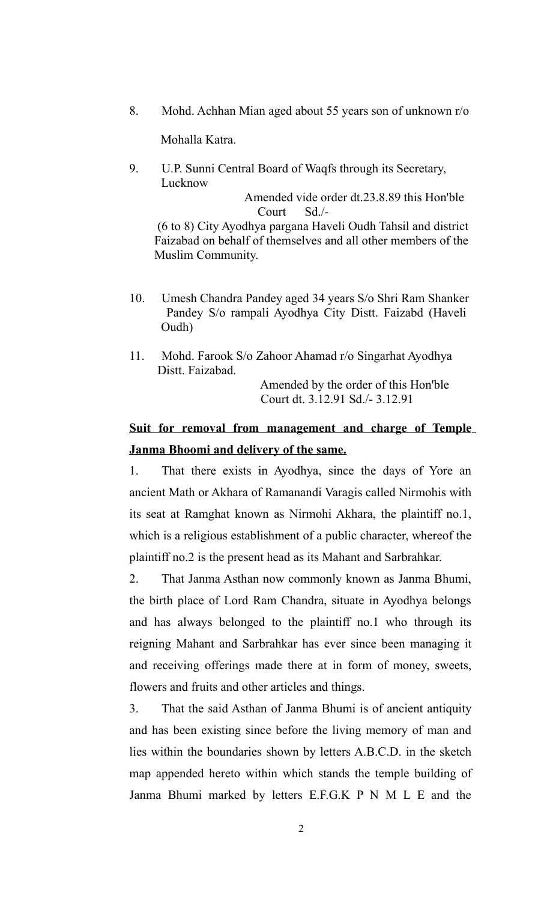8. Mohd. Achhan Mian aged about 55 years son of unknown r/o

Mohalla Katra.

9. U.P. Sunni Central Board of Waqfs through its Secretary, Lucknow

> Amended vide order dt.23.8.89 this Hon'ble Court Sd./-

 (6 to 8) City Ayodhya pargana Haveli Oudh Tahsil and district Faizabad on behalf of themselves and all other members of the Muslim Community.

- 10. Umesh Chandra Pandey aged 34 years S/o Shri Ram Shanker Pandey S/o rampali Ayodhya City Distt. Faizabd (Haveli Oudh)
- 11. Mohd. Farook S/o Zahoor Ahamad r/o Singarhat Ayodhya Distt. Faizabad. Amended by the order of this Hon'ble

Court dt. 3.12.91 Sd./- 3.12.91

# **Suit for removal from management and charge of Temple Janma Bhoomi and delivery of the same.**

1. That there exists in Ayodhya, since the days of Yore an ancient Math or Akhara of Ramanandi Varagis called Nirmohis with its seat at Ramghat known as Nirmohi Akhara, the plaintiff no.1, which is a religious establishment of a public character, whereof the plaintiff no.2 is the present head as its Mahant and Sarbrahkar.

2. That Janma Asthan now commonly known as Janma Bhumi, the birth place of Lord Ram Chandra, situate in Ayodhya belongs and has always belonged to the plaintiff no.1 who through its reigning Mahant and Sarbrahkar has ever since been managing it and receiving offerings made there at in form of money, sweets, flowers and fruits and other articles and things.

3. That the said Asthan of Janma Bhumi is of ancient antiquity and has been existing since before the living memory of man and lies within the boundaries shown by letters A.B.C.D. in the sketch map appended hereto within which stands the temple building of Janma Bhumi marked by letters E.F.G.K P N M L E and the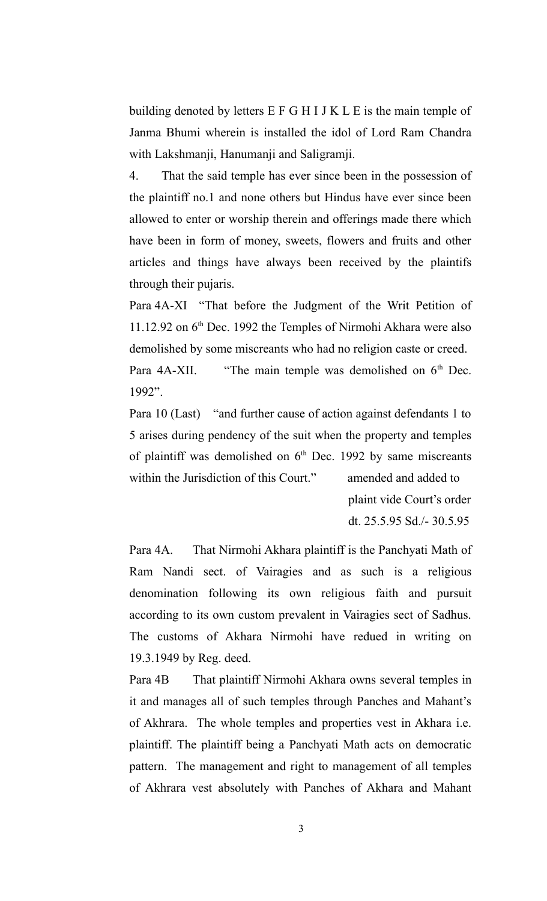building denoted by letters E F G H I J K L E is the main temple of Janma Bhumi wherein is installed the idol of Lord Ram Chandra with Lakshmanji, Hanumanji and Saligramji.

4. That the said temple has ever since been in the possession of the plaintiff no.1 and none others but Hindus have ever since been allowed to enter or worship therein and offerings made there which have been in form of money, sweets, flowers and fruits and other articles and things have always been received by the plaintifs through their pujaris.

Para 4A-XI "That before the Judgment of the Writ Petition of 11.12.92 on  $6<sup>th</sup>$  Dec. 1992 the Temples of Nirmohi Akhara were also demolished by some miscreants who had no religion caste or creed. Para  $4A-XII$ . "The main temple was demolished on  $6<sup>th</sup>$  Dec. 1992".

Para 10 (Last) "and further cause of action against defendants 1 to 5 arises during pendency of the suit when the property and temples of plaintiff was demolished on  $6<sup>th</sup>$  Dec. 1992 by same miscreants within the Jurisdiction of this Court." amended and added to

> plaint vide Court's order dt. 25.5.95 Sd./- 30.5.95

Para 4A. That Nirmohi Akhara plaintiff is the Panchyati Math of Ram Nandi sect. of Vairagies and as such is a religious denomination following its own religious faith and pursuit according to its own custom prevalent in Vairagies sect of Sadhus. The customs of Akhara Nirmohi have redued in writing on 19.3.1949 by Reg. deed.

Para 4B That plaintiff Nirmohi Akhara owns several temples in it and manages all of such temples through Panches and Mahant's of Akhrara. The whole temples and properties vest in Akhara i.e. plaintiff. The plaintiff being a Panchyati Math acts on democratic pattern. The management and right to management of all temples of Akhrara vest absolutely with Panches of Akhara and Mahant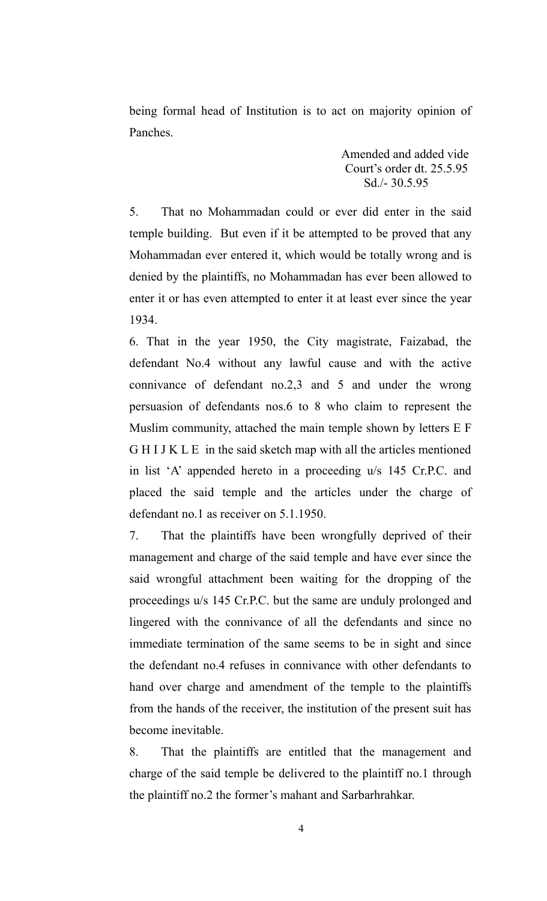being formal head of Institution is to act on majority opinion of Panches.

> Amended and added vide Court's order dt. 25.5.95 Sd./- 30.5.95

5. That no Mohammadan could or ever did enter in the said temple building. But even if it be attempted to be proved that any Mohammadan ever entered it, which would be totally wrong and is denied by the plaintiffs, no Mohammadan has ever been allowed to enter it or has even attempted to enter it at least ever since the year 1934.

6. That in the year 1950, the City magistrate, Faizabad, the defendant No.4 without any lawful cause and with the active connivance of defendant no.2,3 and 5 and under the wrong persuasion of defendants nos.6 to 8 who claim to represent the Muslim community, attached the main temple shown by letters E F G H I J K L E in the said sketch map with all the articles mentioned in list 'A' appended hereto in a proceeding u/s 145 Cr.P.C. and placed the said temple and the articles under the charge of defendant no.1 as receiver on 5.1.1950.

7. That the plaintiffs have been wrongfully deprived of their management and charge of the said temple and have ever since the said wrongful attachment been waiting for the dropping of the proceedings u/s 145 Cr.P.C. but the same are unduly prolonged and lingered with the connivance of all the defendants and since no immediate termination of the same seems to be in sight and since the defendant no.4 refuses in connivance with other defendants to hand over charge and amendment of the temple to the plaintiffs from the hands of the receiver, the institution of the present suit has become inevitable.

8. That the plaintiffs are entitled that the management and charge of the said temple be delivered to the plaintiff no.1 through the plaintiff no.2 the former's mahant and Sarbarhrahkar.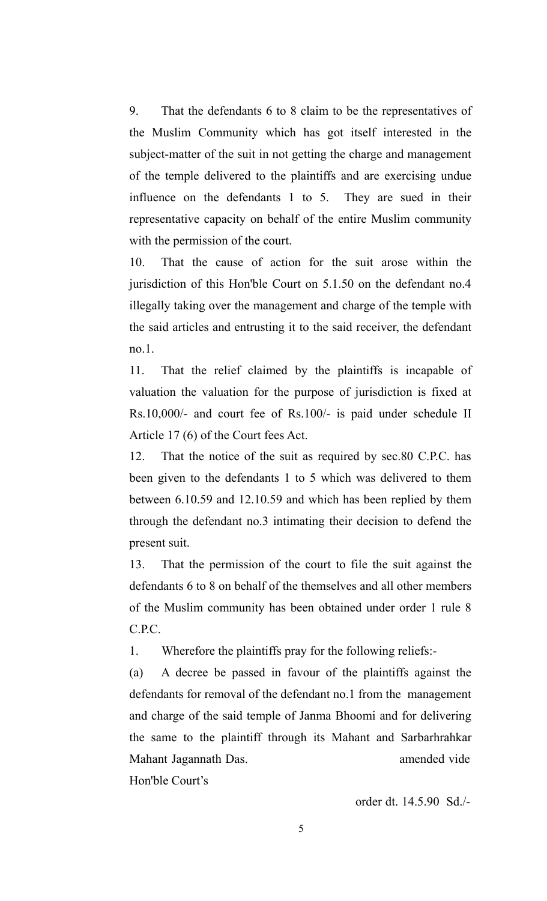9. That the defendants 6 to 8 claim to be the representatives of the Muslim Community which has got itself interested in the subject-matter of the suit in not getting the charge and management of the temple delivered to the plaintiffs and are exercising undue influence on the defendants 1 to 5. They are sued in their representative capacity on behalf of the entire Muslim community with the permission of the court.

10. That the cause of action for the suit arose within the jurisdiction of this Hon'ble Court on 5.1.50 on the defendant no.4 illegally taking over the management and charge of the temple with the said articles and entrusting it to the said receiver, the defendant no.1.

11. That the relief claimed by the plaintiffs is incapable of valuation the valuation for the purpose of jurisdiction is fixed at Rs.10,000/- and court fee of Rs.100/- is paid under schedule II Article 17 (6) of the Court fees Act.

12. That the notice of the suit as required by sec.80 C.P.C. has been given to the defendants 1 to 5 which was delivered to them between 6.10.59 and 12.10.59 and which has been replied by them through the defendant no.3 intimating their decision to defend the present suit.

13. That the permission of the court to file the suit against the defendants 6 to 8 on behalf of the themselves and all other members of the Muslim community has been obtained under order 1 rule 8 C.P.C.

1. Wherefore the plaintiffs pray for the following reliefs:-

(a) A decree be passed in favour of the plaintiffs against the defendants for removal of the defendant no.1 from the management and charge of the said temple of Janma Bhoomi and for delivering the same to the plaintiff through its Mahant and Sarbarhrahkar Mahant Jagannath Das. **amended** vide

Hon'ble Court's

order dt. 14.5.90 Sd./-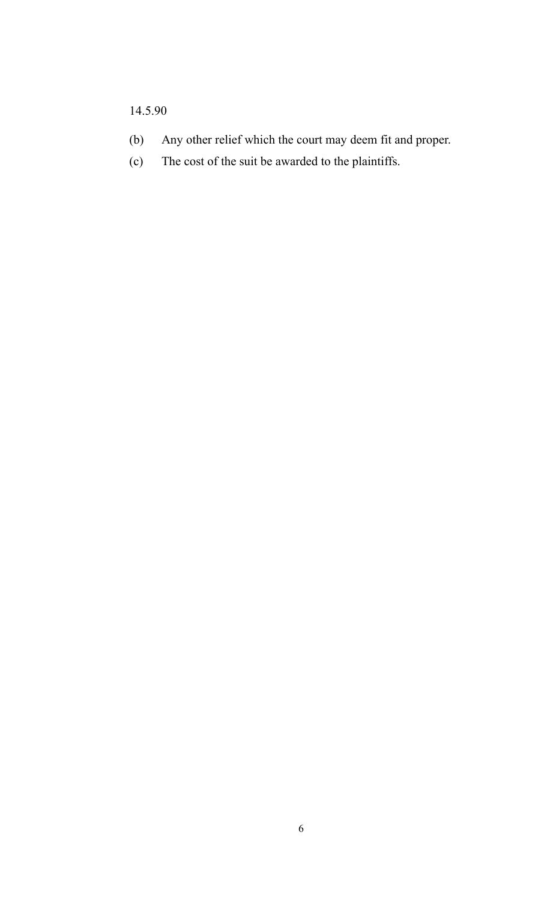# 14.5.90

- (b) Any other relief which the court may deem fit and proper.
- (c) The cost of the suit be awarded to the plaintiffs.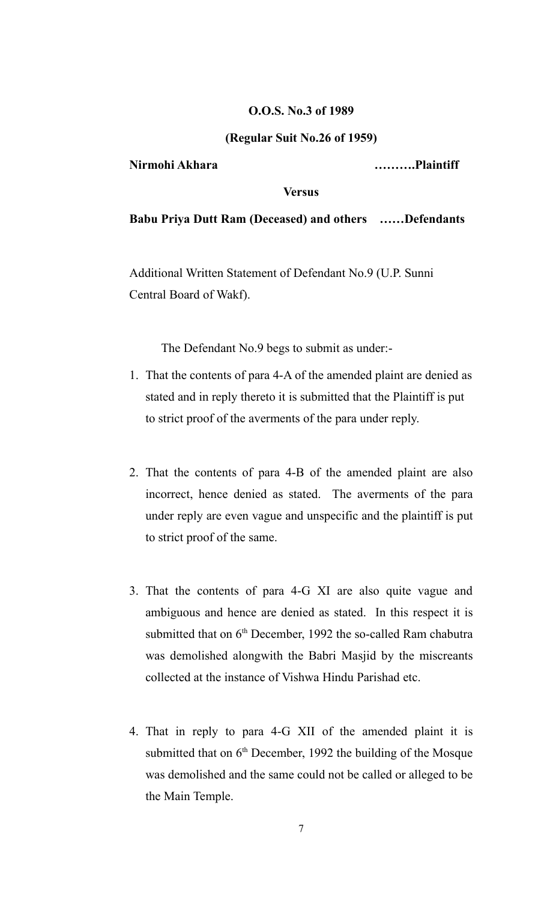#### **O.O.S. No.3 of 1989**

#### **(Regular Suit No.26 of 1959)**

**Nirmohi Akhara ……….Plaintiff**

#### **Versus**

**Babu Priya Dutt Ram (Deceased) and others ……Defendants**

Additional Written Statement of Defendant No.9 (U.P. Sunni Central Board of Wakf).

The Defendant No.9 begs to submit as under:-

- 1. That the contents of para 4-A of the amended plaint are denied as stated and in reply thereto it is submitted that the Plaintiff is put to strict proof of the averments of the para under reply.
- 2. That the contents of para 4-B of the amended plaint are also incorrect, hence denied as stated. The averments of the para under reply are even vague and unspecific and the plaintiff is put to strict proof of the same.
- 3. That the contents of para 4-G XI are also quite vague and ambiguous and hence are denied as stated. In this respect it is submitted that on  $6<sup>th</sup>$  December, 1992 the so-called Ram chabutra was demolished alongwith the Babri Masjid by the miscreants collected at the instance of Vishwa Hindu Parishad etc.
- 4. That in reply to para 4-G XII of the amended plaint it is submitted that on  $6<sup>th</sup>$  December, 1992 the building of the Mosque was demolished and the same could not be called or alleged to be the Main Temple.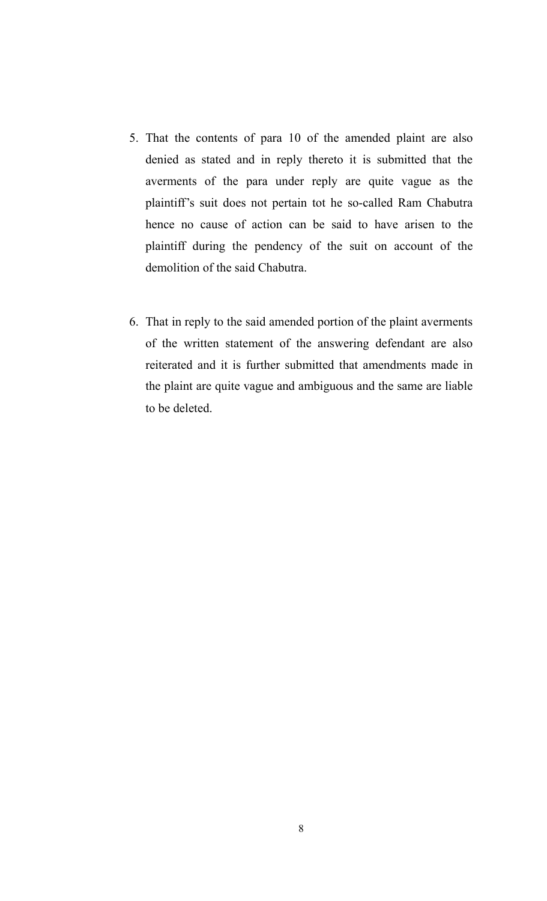- 5. That the contents of para 10 of the amended plaint are also denied as stated and in reply thereto it is submitted that the averments of the para under reply are quite vague as the plaintiff's suit does not pertain tot he so-called Ram Chabutra hence no cause of action can be said to have arisen to the plaintiff during the pendency of the suit on account of the demolition of the said Chabutra.
- 6. That in reply to the said amended portion of the plaint averments of the written statement of the answering defendant are also reiterated and it is further submitted that amendments made in the plaint are quite vague and ambiguous and the same are liable to be deleted.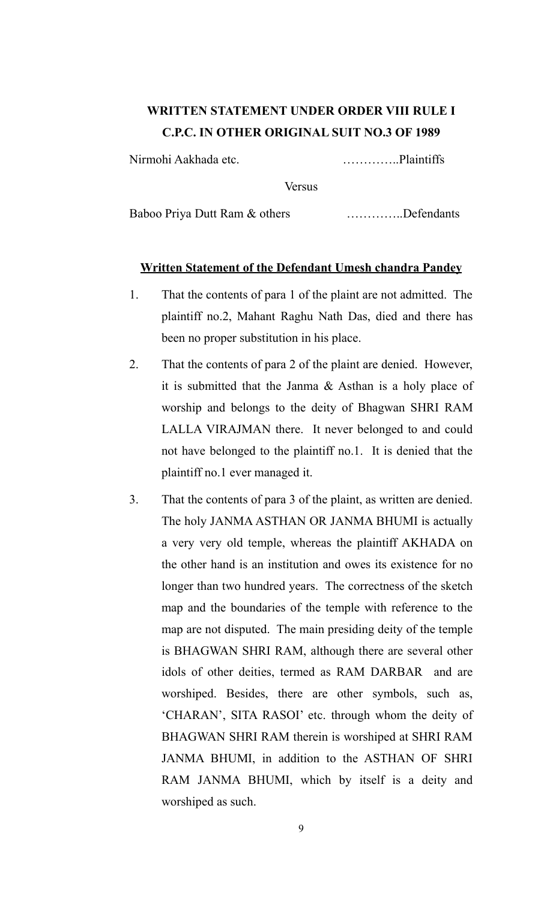# **WRITTEN STATEMENT UNDER ORDER VIII RULE I C.P.C. IN OTHER ORIGINAL SUIT NO.3 OF 1989**

Nirmohi Aakhada etc. …………..Plaintiffs

Versus

Baboo Priya Dutt Ram & others ................Defendants

# **Written Statement of the Defendant Umesh chandra Pandey**

- 1. That the contents of para 1 of the plaint are not admitted. The plaintiff no.2, Mahant Raghu Nath Das, died and there has been no proper substitution in his place.
- 2. That the contents of para 2 of the plaint are denied. However, it is submitted that the Janma & Asthan is a holy place of worship and belongs to the deity of Bhagwan SHRI RAM LALLA VIRAJMAN there. It never belonged to and could not have belonged to the plaintiff no.1. It is denied that the plaintiff no.1 ever managed it.
- 3. That the contents of para 3 of the plaint, as written are denied. The holy JANMA ASTHAN OR JANMA BHUMI is actually a very very old temple, whereas the plaintiff AKHADA on the other hand is an institution and owes its existence for no longer than two hundred years. The correctness of the sketch map and the boundaries of the temple with reference to the map are not disputed. The main presiding deity of the temple is BHAGWAN SHRI RAM, although there are several other idols of other deities, termed as RAM DARBAR and are worshiped. Besides, there are other symbols, such as, 'CHARAN', SITA RASOI' etc. through whom the deity of BHAGWAN SHRI RAM therein is worshiped at SHRI RAM JANMA BHUMI, in addition to the ASTHAN OF SHRI RAM JANMA BHUMI, which by itself is a deity and worshiped as such.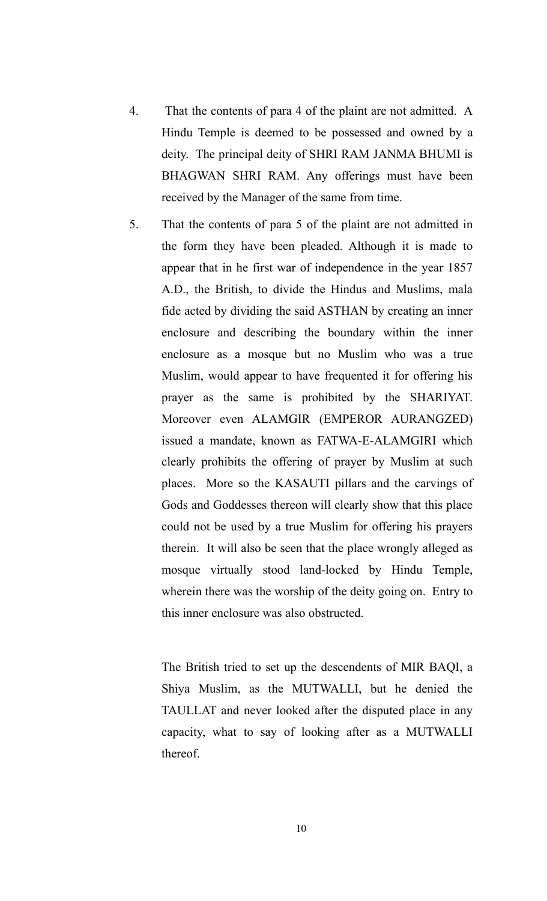- 4. That the contents of para 4 of the plaint are not admitted. A Hindu Temple is deemed to be possessed and owned by a deity. The principal deity of SHRI RAM JANMA BHUMI is BHAGWAN SHRI RAM. Any offerings must have been received by the Manager of the same from time.
- 5. That the contents of para 5 of the plaint are not admitted in the form they have been pleaded. Although it is made to appear that in he first war of independence in the year 1857 A.D., the British, to divide the Hindus and Muslims, mala fide acted by dividing the said ASTHAN by creating an inner enclosure and describing the boundary within the inner enclosure as a mosque but no Muslim who was a true Muslim, would appear to have frequented it for offering his prayer as the same is prohibited by the SHARIYAT. Moreover even ALAMGIR (EMPEROR AURANGZED) issued a mandate, known as FATWA-E-ALAMGIRI which clearly prohibits the offering of prayer by Muslim at such places. More so the KASAUTI pillars and the carvings of Gods and Goddesses thereon will clearly show that this place could not be used by a true Muslim for offering his prayers therein. It will also be seen that the place wrongly alleged as mosque virtually stood land-locked by Hindu Temple, wherein there was the worship of the deity going on. Entry to this inner enclosure was also obstructed.

The British tried to set up the descendents of MIR BAQI, a Shiya Muslim, as the MUTWALLI, but he denied the TAULLAT and never looked after the disputed place in any capacity, what to say of looking after as a MUTWALLI thereof.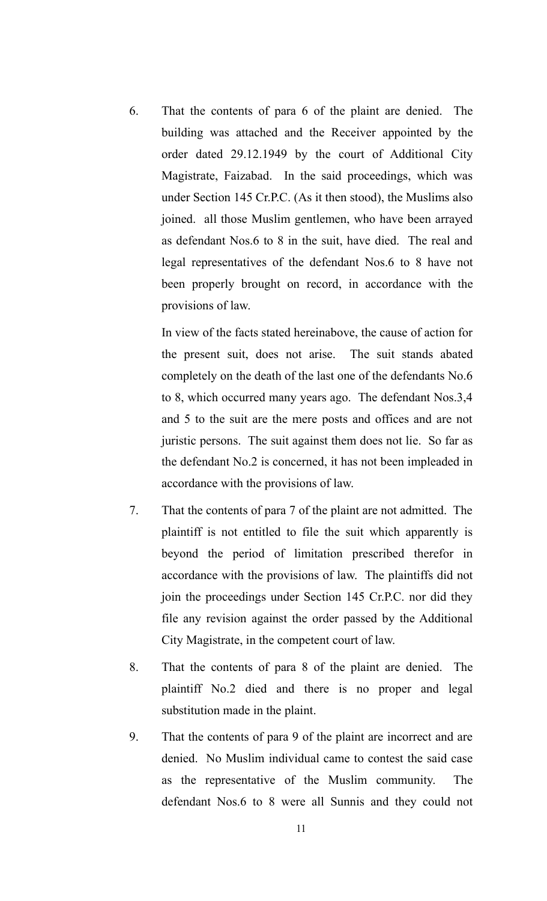6. That the contents of para 6 of the plaint are denied. The building was attached and the Receiver appointed by the order dated 29.12.1949 by the court of Additional City Magistrate, Faizabad. In the said proceedings, which was under Section 145 Cr.P.C. (As it then stood), the Muslims also joined. all those Muslim gentlemen, who have been arrayed as defendant Nos.6 to 8 in the suit, have died. The real and legal representatives of the defendant Nos.6 to 8 have not been properly brought on record, in accordance with the provisions of law.

In view of the facts stated hereinabove, the cause of action for the present suit, does not arise. The suit stands abated completely on the death of the last one of the defendants No.6 to 8, which occurred many years ago. The defendant Nos.3,4 and 5 to the suit are the mere posts and offices and are not juristic persons. The suit against them does not lie. So far as the defendant No.2 is concerned, it has not been impleaded in accordance with the provisions of law.

- 7. That the contents of para 7 of the plaint are not admitted. The plaintiff is not entitled to file the suit which apparently is beyond the period of limitation prescribed therefor in accordance with the provisions of law. The plaintiffs did not join the proceedings under Section 145 Cr.P.C. nor did they file any revision against the order passed by the Additional City Magistrate, in the competent court of law.
- 8. That the contents of para 8 of the plaint are denied. The plaintiff No.2 died and there is no proper and legal substitution made in the plaint.
- 9. That the contents of para 9 of the plaint are incorrect and are denied. No Muslim individual came to contest the said case as the representative of the Muslim community. The defendant Nos.6 to 8 were all Sunnis and they could not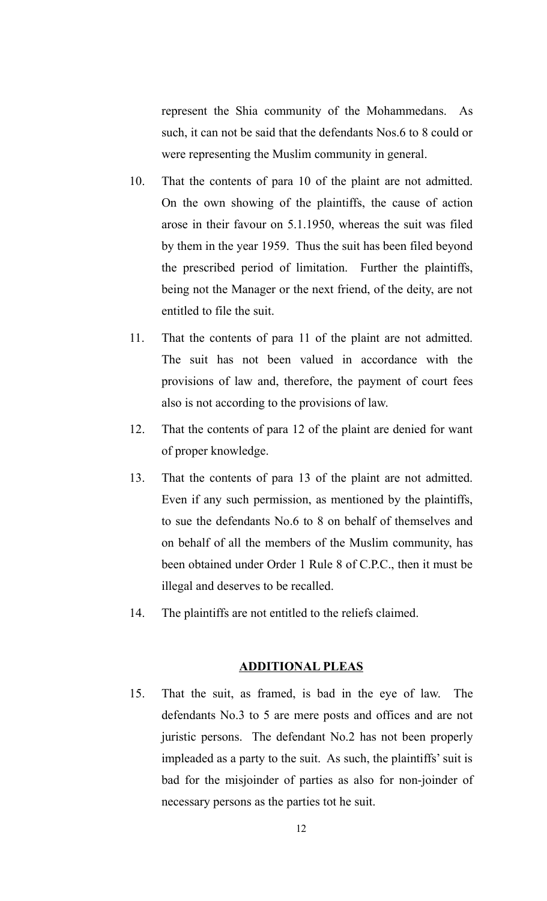represent the Shia community of the Mohammedans. As such, it can not be said that the defendants Nos.6 to 8 could or were representing the Muslim community in general.

- 10. That the contents of para 10 of the plaint are not admitted. On the own showing of the plaintiffs, the cause of action arose in their favour on 5.1.1950, whereas the suit was filed by them in the year 1959. Thus the suit has been filed beyond the prescribed period of limitation. Further the plaintiffs, being not the Manager or the next friend, of the deity, are not entitled to file the suit.
- 11. That the contents of para 11 of the plaint are not admitted. The suit has not been valued in accordance with the provisions of law and, therefore, the payment of court fees also is not according to the provisions of law.
- 12. That the contents of para 12 of the plaint are denied for want of proper knowledge.
- 13. That the contents of para 13 of the plaint are not admitted. Even if any such permission, as mentioned by the plaintiffs, to sue the defendants No.6 to 8 on behalf of themselves and on behalf of all the members of the Muslim community, has been obtained under Order 1 Rule 8 of C.P.C., then it must be illegal and deserves to be recalled.
- 14. The plaintiffs are not entitled to the reliefs claimed.

# **ADDITIONAL PLEAS**

15. That the suit, as framed, is bad in the eye of law. The defendants No.3 to 5 are mere posts and offices and are not juristic persons. The defendant No.2 has not been properly impleaded as a party to the suit. As such, the plaintiffs' suit is bad for the misjoinder of parties as also for non-joinder of necessary persons as the parties tot he suit.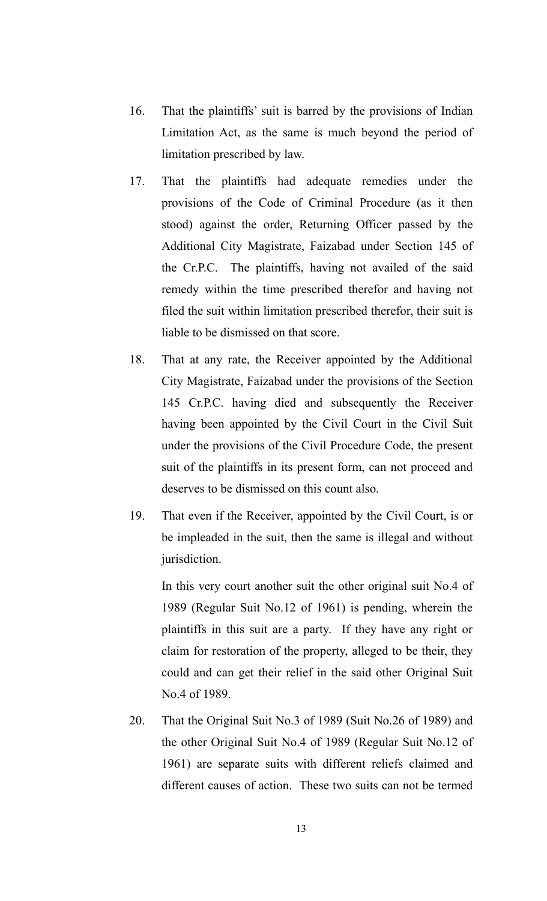- 16. That the plaintiffs' suit is barred by the provisions of Indian Limitation Act, as the same is much beyond the period of limitation prescribed by law.
- 17. That the plaintiffs had adequate remedies under the provisions of the Code of Criminal Procedure (as it then stood) against the order, Returning Officer passed by the Additional City Magistrate, Faizabad under Section 145 of the Cr.P.C. The plaintiffs, having not availed of the said remedy within the time prescribed therefor and having not filed the suit within limitation prescribed therefor, their suit is liable to be dismissed on that score.
- 18. That at any rate, the Receiver appointed by the Additional City Magistrate, Faizabad under the provisions of the Section 145 Cr.P.C. having died and subsequently the Receiver having been appointed by the Civil Court in the Civil Suit under the provisions of the Civil Procedure Code, the present suit of the plaintiffs in its present form, can not proceed and deserves to be dismissed on this count also.
- 19. That even if the Receiver, appointed by the Civil Court, is or be impleaded in the suit, then the same is illegal and without jurisdiction.

In this very court another suit the other original suit No.4 of 1989 (Regular Suit No.12 of 1961) is pending, wherein the plaintiffs in this suit are a party. If they have any right or claim for restoration of the property, alleged to be their, they could and can get their relief in the said other Original Suit No.4 of 1989.

20. That the Original Suit No.3 of 1989 (Suit No.26 of 1989) and the other Original Suit No.4 of 1989 (Regular Suit No.12 of 1961) are separate suits with different reliefs claimed and different causes of action. These two suits can not be termed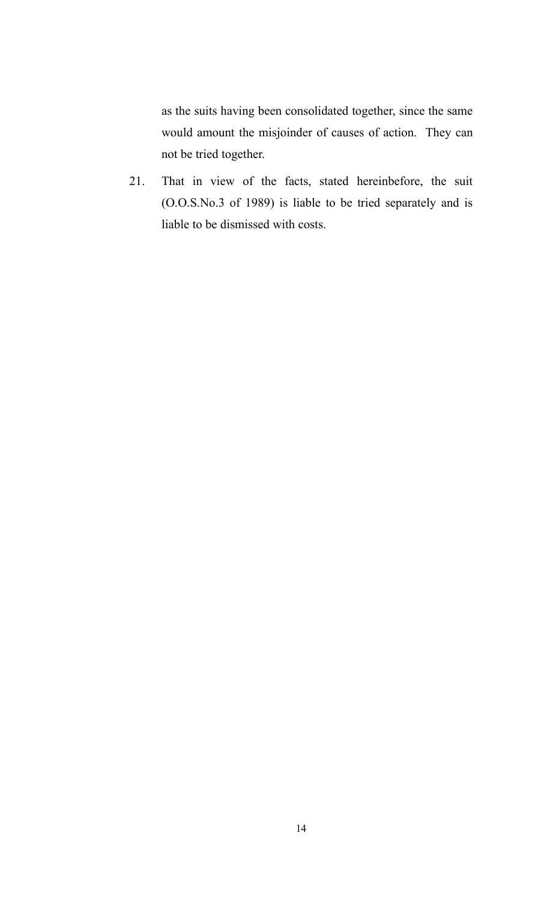as the suits having been consolidated together, since the same would amount the misjoinder of causes of action. They can not be tried together.

21. That in view of the facts, stated hereinbefore, the suit (O.O.S.No.3 of 1989) is liable to be tried separately and is liable to be dismissed with costs.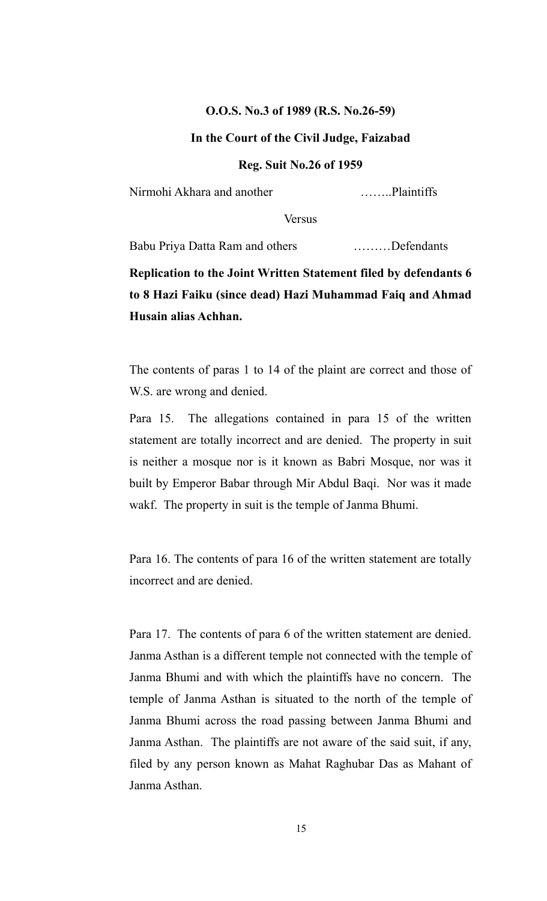#### **O.O.S. No.3 of 1989 (R.S. No.26-59)**

# **In the Court of the Civil Judge, Faizabad**

#### **Reg. Suit No.26 of 1959**

Nirmohi Akhara and another ……..Plaintiffs

Versus

Babu Priya Datta Ram and others ………Defendants

**Replication to the Joint Written Statement filed by defendants 6 to 8 Hazi Faiku (since dead) Hazi Muhammad Faiq and Ahmad Husain alias Achhan.**

The contents of paras 1 to 14 of the plaint are correct and those of W.S. are wrong and denied.

Para 15. The allegations contained in para 15 of the written statement are totally incorrect and are denied. The property in suit is neither a mosque nor is it known as Babri Mosque, nor was it built by Emperor Babar through Mir Abdul Baqi. Nor was it made wakf. The property in suit is the temple of Janma Bhumi.

Para 16. The contents of para 16 of the written statement are totally incorrect and are denied.

Para 17. The contents of para 6 of the written statement are denied. Janma Asthan is a different temple not connected with the temple of Janma Bhumi and with which the plaintiffs have no concern. The temple of Janma Asthan is situated to the north of the temple of Janma Bhumi across the road passing between Janma Bhumi and Janma Asthan. The plaintiffs are not aware of the said suit, if any, filed by any person known as Mahat Raghubar Das as Mahant of Janma Asthan.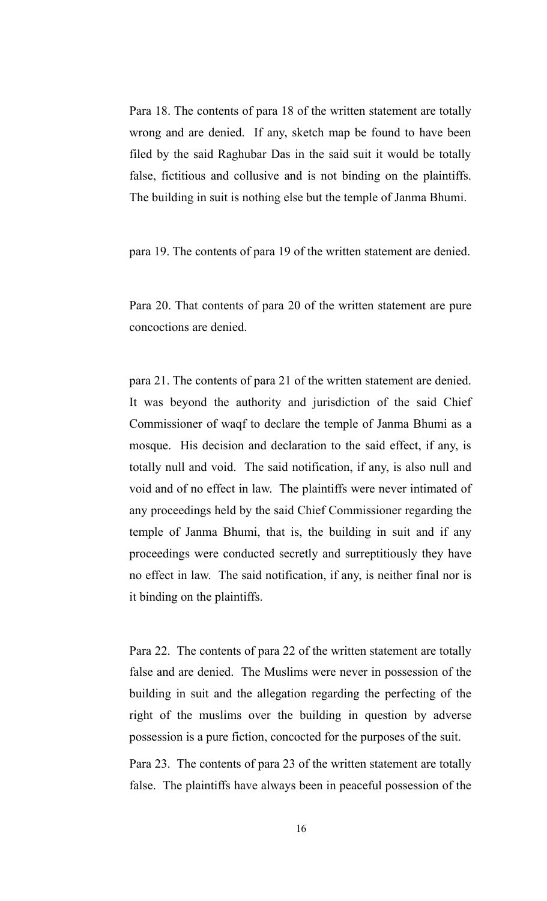Para 18. The contents of para 18 of the written statement are totally wrong and are denied. If any, sketch map be found to have been filed by the said Raghubar Das in the said suit it would be totally false, fictitious and collusive and is not binding on the plaintiffs. The building in suit is nothing else but the temple of Janma Bhumi.

para 19. The contents of para 19 of the written statement are denied.

Para 20. That contents of para 20 of the written statement are pure concoctions are denied.

para 21. The contents of para 21 of the written statement are denied. It was beyond the authority and jurisdiction of the said Chief Commissioner of waqf to declare the temple of Janma Bhumi as a mosque. His decision and declaration to the said effect, if any, is totally null and void. The said notification, if any, is also null and void and of no effect in law. The plaintiffs were never intimated of any proceedings held by the said Chief Commissioner regarding the temple of Janma Bhumi, that is, the building in suit and if any proceedings were conducted secretly and surreptitiously they have no effect in law. The said notification, if any, is neither final nor is it binding on the plaintiffs.

Para 22. The contents of para 22 of the written statement are totally false and are denied. The Muslims were never in possession of the building in suit and the allegation regarding the perfecting of the right of the muslims over the building in question by adverse possession is a pure fiction, concocted for the purposes of the suit.

Para 23. The contents of para 23 of the written statement are totally false. The plaintiffs have always been in peaceful possession of the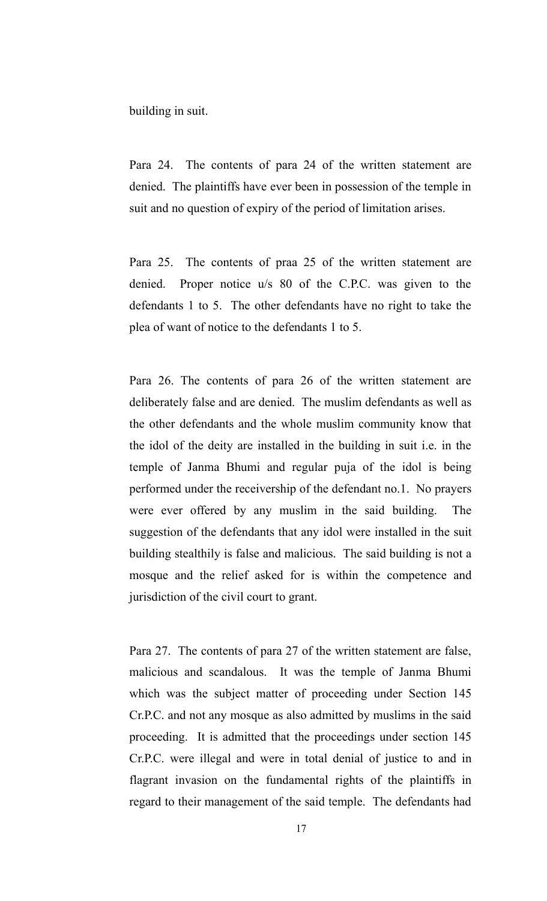building in suit.

Para 24. The contents of para 24 of the written statement are denied. The plaintiffs have ever been in possession of the temple in suit and no question of expiry of the period of limitation arises.

Para 25. The contents of praa 25 of the written statement are denied. Proper notice u/s 80 of the C.P.C. was given to the defendants 1 to 5. The other defendants have no right to take the plea of want of notice to the defendants 1 to 5.

Para 26. The contents of para 26 of the written statement are deliberately false and are denied. The muslim defendants as well as the other defendants and the whole muslim community know that the idol of the deity are installed in the building in suit i.e. in the temple of Janma Bhumi and regular puja of the idol is being performed under the receivership of the defendant no.1. No prayers were ever offered by any muslim in the said building. The suggestion of the defendants that any idol were installed in the suit building stealthily is false and malicious. The said building is not a mosque and the relief asked for is within the competence and jurisdiction of the civil court to grant.

Para 27. The contents of para 27 of the written statement are false, malicious and scandalous. It was the temple of Janma Bhumi which was the subject matter of proceeding under Section 145 Cr.P.C. and not any mosque as also admitted by muslims in the said proceeding. It is admitted that the proceedings under section 145 Cr.P.C. were illegal and were in total denial of justice to and in flagrant invasion on the fundamental rights of the plaintiffs in regard to their management of the said temple. The defendants had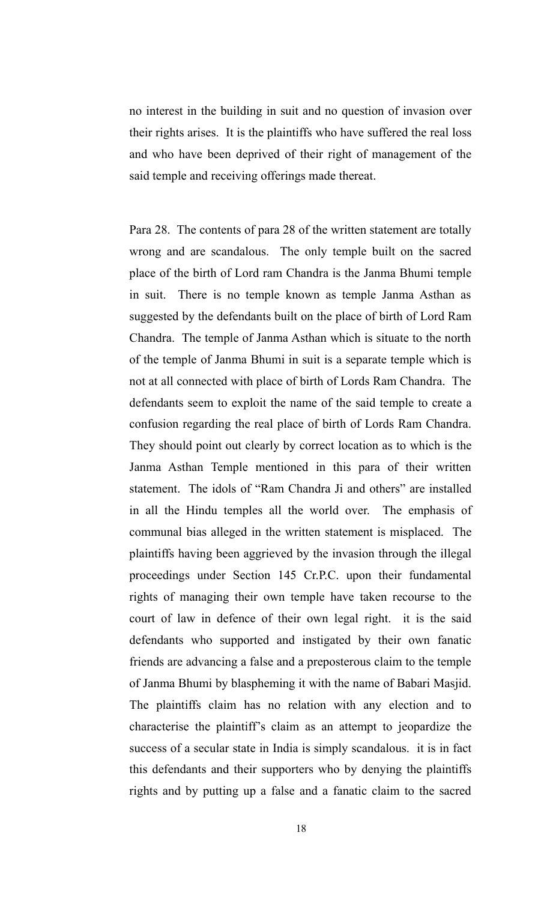no interest in the building in suit and no question of invasion over their rights arises. It is the plaintiffs who have suffered the real loss and who have been deprived of their right of management of the said temple and receiving offerings made thereat.

Para 28. The contents of para 28 of the written statement are totally wrong and are scandalous. The only temple built on the sacred place of the birth of Lord ram Chandra is the Janma Bhumi temple in suit. There is no temple known as temple Janma Asthan as suggested by the defendants built on the place of birth of Lord Ram Chandra. The temple of Janma Asthan which is situate to the north of the temple of Janma Bhumi in suit is a separate temple which is not at all connected with place of birth of Lords Ram Chandra. The defendants seem to exploit the name of the said temple to create a confusion regarding the real place of birth of Lords Ram Chandra. They should point out clearly by correct location as to which is the Janma Asthan Temple mentioned in this para of their written statement. The idols of "Ram Chandra Ji and others" are installed in all the Hindu temples all the world over. The emphasis of communal bias alleged in the written statement is misplaced. The plaintiffs having been aggrieved by the invasion through the illegal proceedings under Section 145 Cr.P.C. upon their fundamental rights of managing their own temple have taken recourse to the court of law in defence of their own legal right. it is the said defendants who supported and instigated by their own fanatic friends are advancing a false and a preposterous claim to the temple of Janma Bhumi by blaspheming it with the name of Babari Masjid. The plaintiffs claim has no relation with any election and to characterise the plaintiff's claim as an attempt to jeopardize the success of a secular state in India is simply scandalous. it is in fact this defendants and their supporters who by denying the plaintiffs rights and by putting up a false and a fanatic claim to the sacred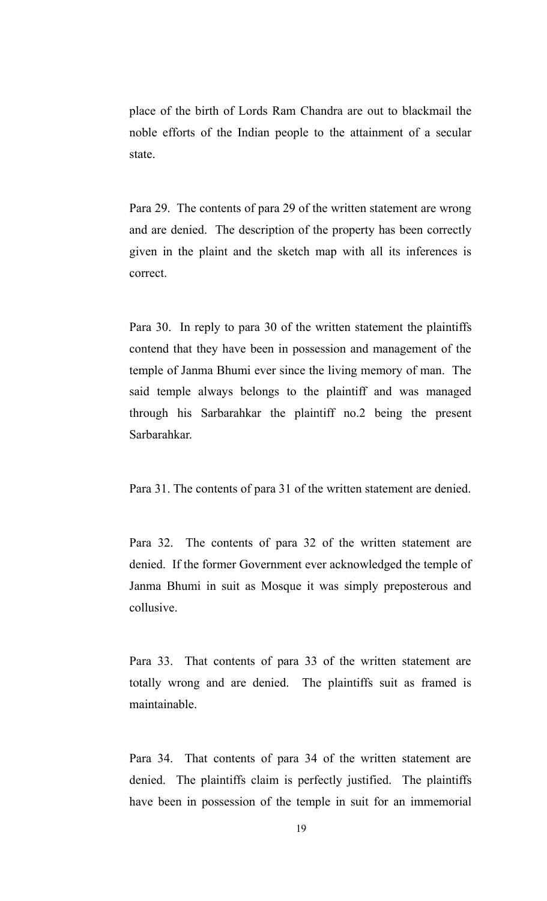place of the birth of Lords Ram Chandra are out to blackmail the noble efforts of the Indian people to the attainment of a secular state.

Para 29. The contents of para 29 of the written statement are wrong and are denied. The description of the property has been correctly given in the plaint and the sketch map with all its inferences is correct.

Para 30. In reply to para 30 of the written statement the plaintiffs contend that they have been in possession and management of the temple of Janma Bhumi ever since the living memory of man. The said temple always belongs to the plaintiff and was managed through his Sarbarahkar the plaintiff no.2 being the present Sarbarahkar.

Para 31. The contents of para 31 of the written statement are denied.

Para 32. The contents of para 32 of the written statement are denied. If the former Government ever acknowledged the temple of Janma Bhumi in suit as Mosque it was simply preposterous and collusive.

Para 33. That contents of para 33 of the written statement are totally wrong and are denied. The plaintiffs suit as framed is maintainable.

Para 34. That contents of para 34 of the written statement are denied. The plaintiffs claim is perfectly justified. The plaintiffs have been in possession of the temple in suit for an immemorial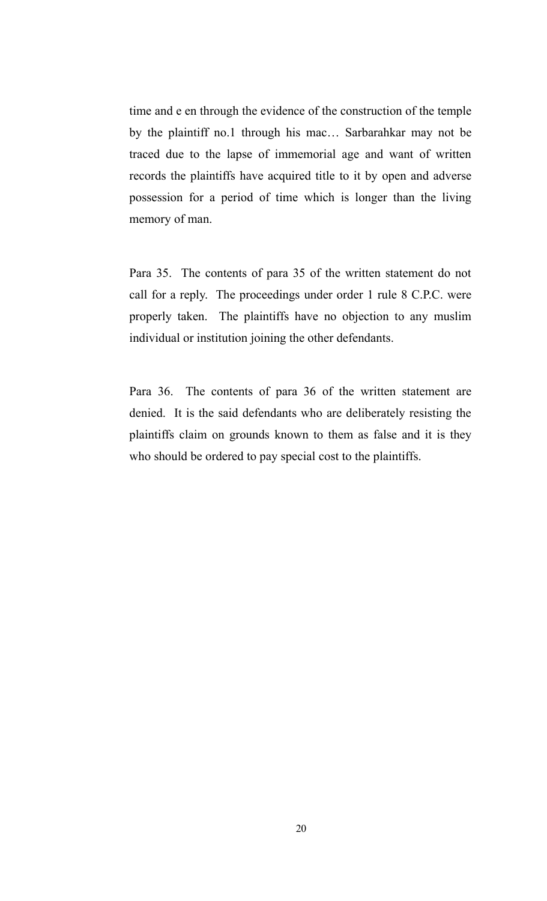time and e en through the evidence of the construction of the temple by the plaintiff no.1 through his mac… Sarbarahkar may not be traced due to the lapse of immemorial age and want of written records the plaintiffs have acquired title to it by open and adverse possession for a period of time which is longer than the living memory of man.

Para 35. The contents of para 35 of the written statement do not call for a reply. The proceedings under order 1 rule 8 C.P.C. were properly taken. The plaintiffs have no objection to any muslim individual or institution joining the other defendants.

Para 36. The contents of para 36 of the written statement are denied. It is the said defendants who are deliberately resisting the plaintiffs claim on grounds known to them as false and it is they who should be ordered to pay special cost to the plaintiffs.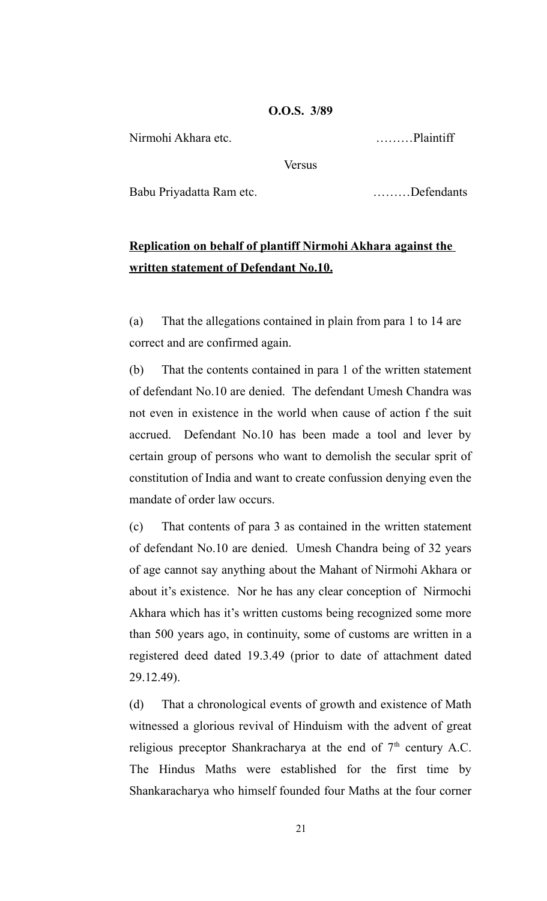# **O.O.S. 3/89**

Nirmohi Akhara etc. ………Plaintiff

**Versus** 

Babu Priyadatta Ram etc. ………Defendants

# **Replication on behalf of plantiff Nirmohi Akhara against the written statement of Defendant No.10.**

(a) That the allegations contained in plain from para 1 to 14 are correct and are confirmed again.

(b) That the contents contained in para 1 of the written statement of defendant No.10 are denied. The defendant Umesh Chandra was not even in existence in the world when cause of action f the suit accrued. Defendant No.10 has been made a tool and lever by certain group of persons who want to demolish the secular sprit of constitution of India and want to create confussion denying even the mandate of order law occurs.

(c) That contents of para 3 as contained in the written statement of defendant No.10 are denied. Umesh Chandra being of 32 years of age cannot say anything about the Mahant of Nirmohi Akhara or about it's existence. Nor he has any clear conception of Nirmochi Akhara which has it's written customs being recognized some more than 500 years ago, in continuity, some of customs are written in a registered deed dated 19.3.49 (prior to date of attachment dated 29.12.49).

(d) That a chronological events of growth and existence of Math witnessed a glorious revival of Hinduism with the advent of great religious preceptor Shankracharya at the end of  $7<sup>th</sup>$  century A.C. The Hindus Maths were established for the first time by Shankaracharya who himself founded four Maths at the four corner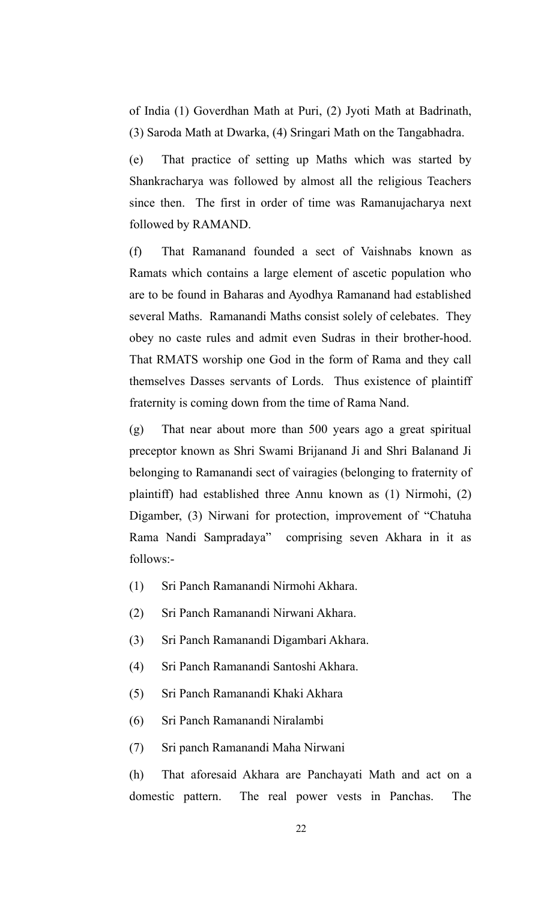of India (1) Goverdhan Math at Puri, (2) Jyoti Math at Badrinath, (3) Saroda Math at Dwarka, (4) Sringari Math on the Tangabhadra.

(e) That practice of setting up Maths which was started by Shankracharya was followed by almost all the religious Teachers since then. The first in order of time was Ramanujacharya next followed by RAMAND.

(f) That Ramanand founded a sect of Vaishnabs known as Ramats which contains a large element of ascetic population who are to be found in Baharas and Ayodhya Ramanand had established several Maths. Ramanandi Maths consist solely of celebates. They obey no caste rules and admit even Sudras in their brother-hood. That RMATS worship one God in the form of Rama and they call themselves Dasses servants of Lords. Thus existence of plaintiff fraternity is coming down from the time of Rama Nand.

(g) That near about more than 500 years ago a great spiritual preceptor known as Shri Swami Brijanand Ji and Shri Balanand Ji belonging to Ramanandi sect of vairagies (belonging to fraternity of plaintiff) had established three Annu known as (1) Nirmohi, (2) Digamber, (3) Nirwani for protection, improvement of "Chatuha Rama Nandi Sampradaya" comprising seven Akhara in it as follows:-

- (1) Sri Panch Ramanandi Nirmohi Akhara.
- (2) Sri Panch Ramanandi Nirwani Akhara.
- (3) Sri Panch Ramanandi Digambari Akhara.
- (4) Sri Panch Ramanandi Santoshi Akhara.
- (5) Sri Panch Ramanandi Khaki Akhara
- (6) Sri Panch Ramanandi Niralambi
- (7) Sri panch Ramanandi Maha Nirwani

(h) That aforesaid Akhara are Panchayati Math and act on a domestic pattern. The real power vests in Panchas. The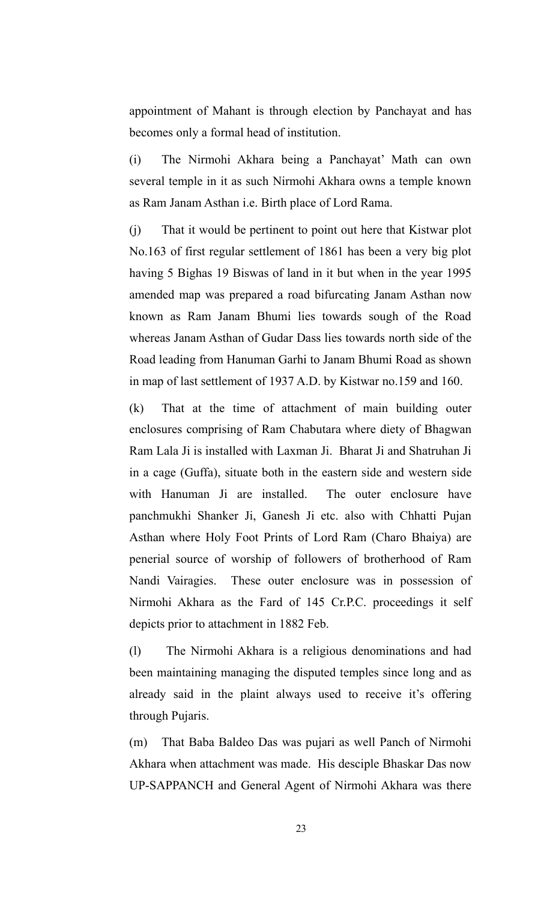appointment of Mahant is through election by Panchayat and has becomes only a formal head of institution.

(i) The Nirmohi Akhara being a Panchayat' Math can own several temple in it as such Nirmohi Akhara owns a temple known as Ram Janam Asthan i.e. Birth place of Lord Rama.

(j) That it would be pertinent to point out here that Kistwar plot No.163 of first regular settlement of 1861 has been a very big plot having 5 Bighas 19 Biswas of land in it but when in the year 1995 amended map was prepared a road bifurcating Janam Asthan now known as Ram Janam Bhumi lies towards sough of the Road whereas Janam Asthan of Gudar Dass lies towards north side of the Road leading from Hanuman Garhi to Janam Bhumi Road as shown in map of last settlement of 1937 A.D. by Kistwar no.159 and 160.

(k) That at the time of attachment of main building outer enclosures comprising of Ram Chabutara where diety of Bhagwan Ram Lala Ji is installed with Laxman Ji. Bharat Ji and Shatruhan Ji in a cage (Guffa), situate both in the eastern side and western side with Hanuman Ji are installed. The outer enclosure have panchmukhi Shanker Ji, Ganesh Ji etc. also with Chhatti Pujan Asthan where Holy Foot Prints of Lord Ram (Charo Bhaiya) are penerial source of worship of followers of brotherhood of Ram Nandi Vairagies. These outer enclosure was in possession of Nirmohi Akhara as the Fard of 145 Cr.P.C. proceedings it self depicts prior to attachment in 1882 Feb.

(l) The Nirmohi Akhara is a religious denominations and had been maintaining managing the disputed temples since long and as already said in the plaint always used to receive it's offering through Pujaris.

(m) That Baba Baldeo Das was pujari as well Panch of Nirmohi Akhara when attachment was made. His desciple Bhaskar Das now UP-SAPPANCH and General Agent of Nirmohi Akhara was there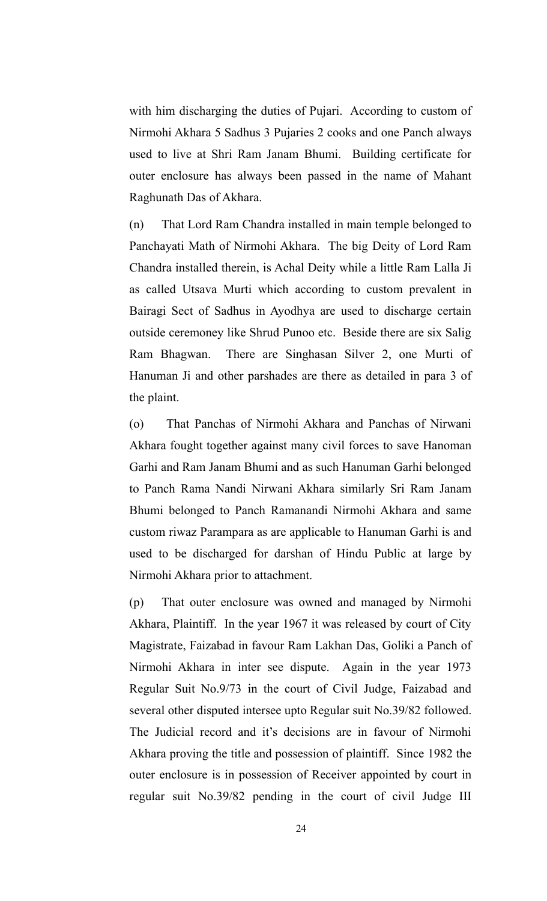with him discharging the duties of Pujari. According to custom of Nirmohi Akhara 5 Sadhus 3 Pujaries 2 cooks and one Panch always used to live at Shri Ram Janam Bhumi. Building certificate for outer enclosure has always been passed in the name of Mahant Raghunath Das of Akhara.

(n) That Lord Ram Chandra installed in main temple belonged to Panchayati Math of Nirmohi Akhara. The big Deity of Lord Ram Chandra installed therein, is Achal Deity while a little Ram Lalla Ji as called Utsava Murti which according to custom prevalent in Bairagi Sect of Sadhus in Ayodhya are used to discharge certain outside ceremoney like Shrud Punoo etc. Beside there are six Salig Ram Bhagwan. There are Singhasan Silver 2, one Murti of Hanuman Ji and other parshades are there as detailed in para 3 of the plaint.

(o) That Panchas of Nirmohi Akhara and Panchas of Nirwani Akhara fought together against many civil forces to save Hanoman Garhi and Ram Janam Bhumi and as such Hanuman Garhi belonged to Panch Rama Nandi Nirwani Akhara similarly Sri Ram Janam Bhumi belonged to Panch Ramanandi Nirmohi Akhara and same custom riwaz Parampara as are applicable to Hanuman Garhi is and used to be discharged for darshan of Hindu Public at large by Nirmohi Akhara prior to attachment.

(p) That outer enclosure was owned and managed by Nirmohi Akhara, Plaintiff. In the year 1967 it was released by court of City Magistrate, Faizabad in favour Ram Lakhan Das, Goliki a Panch of Nirmohi Akhara in inter see dispute. Again in the year 1973 Regular Suit No.9/73 in the court of Civil Judge, Faizabad and several other disputed intersee upto Regular suit No.39/82 followed. The Judicial record and it's decisions are in favour of Nirmohi Akhara proving the title and possession of plaintiff. Since 1982 the outer enclosure is in possession of Receiver appointed by court in regular suit No.39/82 pending in the court of civil Judge III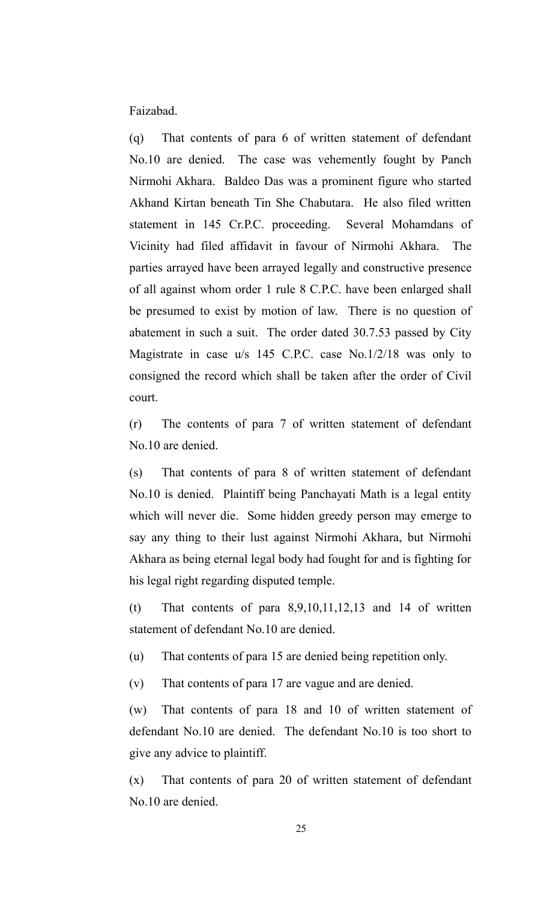Faizabad.

(q) That contents of para 6 of written statement of defendant No.10 are denied. The case was vehemently fought by Panch Nirmohi Akhara. Baldeo Das was a prominent figure who started Akhand Kirtan beneath Tin She Chabutara. He also filed written statement in 145 Cr.P.C. proceeding. Several Mohamdans of Vicinity had filed affidavit in favour of Nirmohi Akhara. The parties arrayed have been arrayed legally and constructive presence of all against whom order 1 rule 8 C.P.C. have been enlarged shall be presumed to exist by motion of law. There is no question of abatement in such a suit. The order dated 30.7.53 passed by City Magistrate in case u/s 145 C.P.C. case No.1/2/18 was only to consigned the record which shall be taken after the order of Civil court.

(r) The contents of para 7 of written statement of defendant No.10 are denied.

(s) That contents of para 8 of written statement of defendant No.10 is denied. Plaintiff being Panchayati Math is a legal entity which will never die. Some hidden greedy person may emerge to say any thing to their lust against Nirmohi Akhara, but Nirmohi Akhara as being eternal legal body had fought for and is fighting for his legal right regarding disputed temple.

(t) That contents of para  $8,9,10,11,12,13$  and 14 of written statement of defendant No.10 are denied.

(u) That contents of para 15 are denied being repetition only.

(v) That contents of para 17 are vague and are denied.

(w) That contents of para 18 and 10 of written statement of defendant No.10 are denied. The defendant No.10 is too short to give any advice to plaintiff.

(x) That contents of para 20 of written statement of defendant No.10 are denied.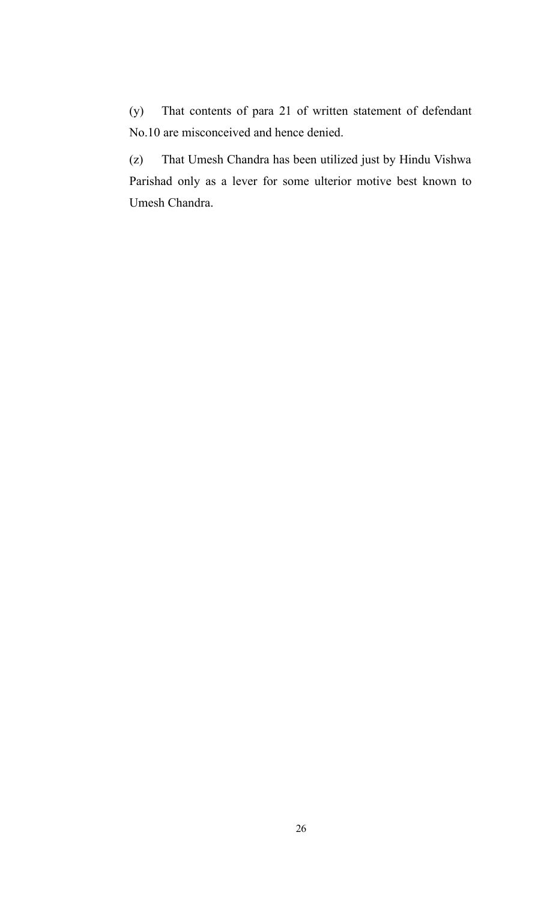(y) That contents of para 21 of written statement of defendant No.10 are misconceived and hence denied.

(z) That Umesh Chandra has been utilized just by Hindu Vishwa Parishad only as a lever for some ulterior motive best known to Umesh Chandra.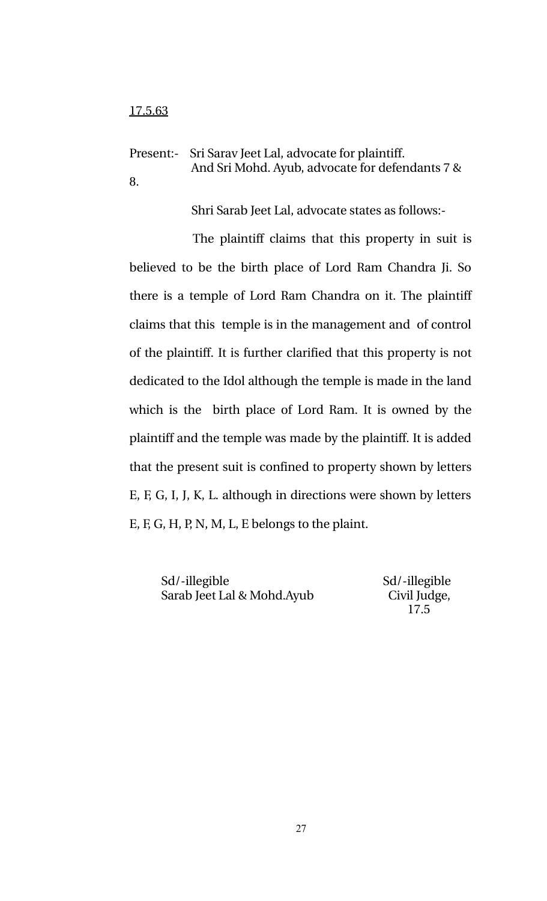Present:- Sri Sarav Jeet Lal, advocate for plaintiff. And Sri Mohd. Ayub, advocate for defendants 7 & 8.

Shri Sarab Jeet Lal, advocate states as follows:

The plaintiff claims that this property in suit is believed to be the birth place of Lord Ram Chandra Ji. So there is a temple of Lord Ram Chandra on it. The plaintiff claims that this temple is in the management and of control of the plaintiff. It is further clarified that this property is not dedicated to the Idol although the temple is made in the land which is the birth place of Lord Ram. It is owned by the plaintiff and the temple was made by the plaintiff. It is added that the present suit is confined to property shown by letters E, F, G, I, J, K, L. although in directions were shown by letters E, F, G, H, P, N, M, L, E belongs to the plaint.

Sd/-illegible Sd/-illegible Sarab Jeet Lal & Mohd.Ayub Civil Judge,

17.5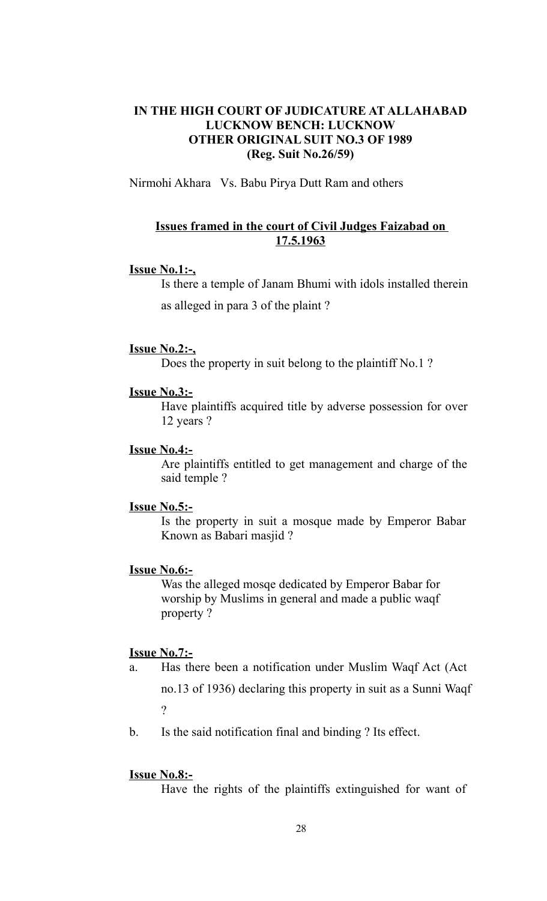# **IN THE HIGH COURT OF JUDICATURE AT ALLAHABAD LUCKNOW BENCH: LUCKNOW OTHER ORIGINAL SUIT NO.3 OF 1989 (Reg. Suit No.26/59)**

Nirmohi Akhara Vs. Babu Pirya Dutt Ram and others

# **Issues framed in the court of Civil Judges Faizabad on 17.5.1963**

# **Issue No.1:-,**

Is there a temple of Janam Bhumi with idols installed therein as alleged in para 3 of the plaint ?

#### **Issue No.2:-,**

Does the property in suit belong to the plaintiff No.1 ?

# **Issue No.3:-**

Have plaintiffs acquired title by adverse possession for over 12 years ?

# **Issue No.4:-**

Are plaintiffs entitled to get management and charge of the said temple ?

# **Issue No.5:-**

Is the property in suit a mosque made by Emperor Babar Known as Babari masjid ?

## **Issue No.6:-**

Was the alleged mosqe dedicated by Emperor Babar for worship by Muslims in general and made a public waqf property ?

# **Issue No.7:-**

- a. Has there been a notification under Muslim Waqf Act (Act no.13 of 1936) declaring this property in suit as a Sunni Waqf ?
- b. Is the said notification final and binding ? Its effect.

## **Issue No.8:-**

Have the rights of the plaintiffs extinguished for want of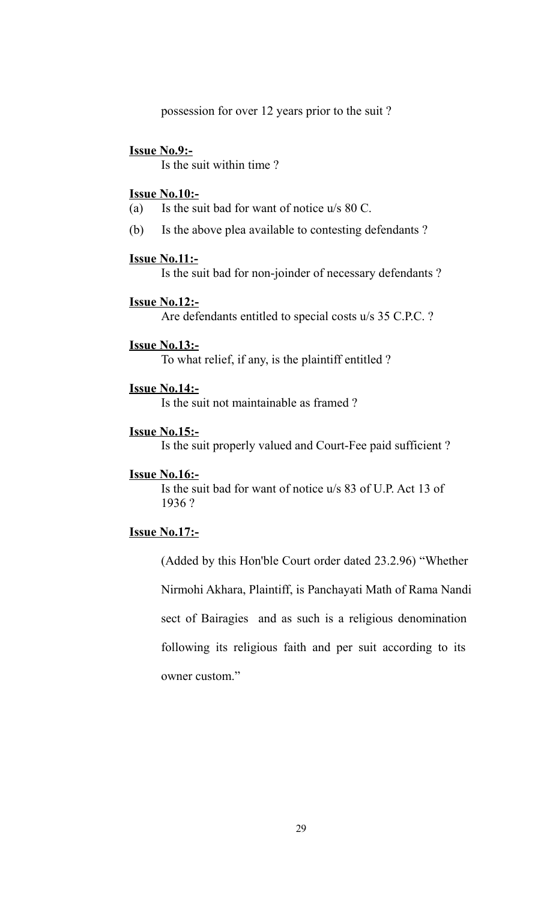possession for over 12 years prior to the suit ?

#### **Issue No.9:-**

Is the suit within time ?

# **Issue No.10:-**

- (a) Is the suit bad for want of notice u/s 80 C.
- (b) Is the above plea available to contesting defendants ?

#### **Issue No.11:-**

Is the suit bad for non-joinder of necessary defendants ?

# **Issue No.12:-**

Are defendants entitled to special costs u/s 35 C.P.C. ?

#### **Issue No.13:-**

To what relief, if any, is the plaintiff entitled ?

## **Issue No.14:-**

Is the suit not maintainable as framed ?

#### **Issue No.15:-**

Is the suit properly valued and Court-Fee paid sufficient ?

#### **Issue No.16:-**

Is the suit bad for want of notice u/s 83 of U.P. Act 13 of 1936 ?

# **Issue No.17:-**

(Added by this Hon'ble Court order dated 23.2.96) "Whether

Nirmohi Akhara, Plaintiff, is Panchayati Math of Rama Nandi sect of Bairagies and as such is a religious denomination following its religious faith and per suit according to its

owner custom."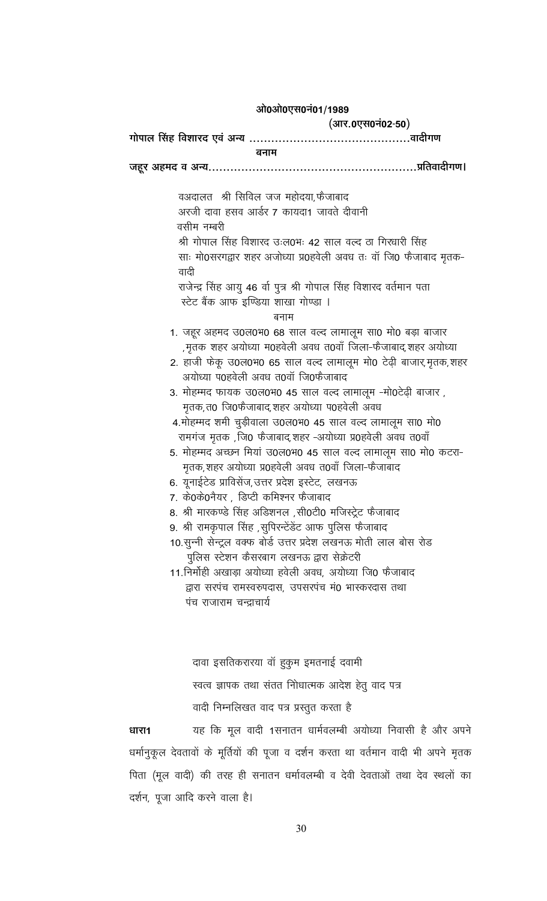#### ओ0ओ0एस0नं01/1989

(आर.0एस0नं02-50)

बनाम

वअदालत श्री सिविल जज महोदया,फैजाबाद अरजी दावा हसव आर्डर 7 कायदा1 जावते दीवानी वसीम नम्बरी श्री गोपाल सिंह विशारद उःल0भः 42 साल वल्द ठा गिरधारी सिंह साः मो0सरगद्वार शहर अजोध्या प्र0हवेली अवध तः वॉ जि0 फैजाबाद मृतक-वादी राजेन्द्र सिंह आयु 46 र्वा पुत्र श्री गोपाल सिंह विशारद वर्तमान पता स्टेट बैंक आफ इण्डिया शाखा गोण्डा । बनाम 1. जहूर अहमद उ0ल0भ0 68 साल वर्ल्द लामालूम सा0 मो0 बड़ा बाजार ,मृतक शहर अयोध्या म0हवेली अवध त0वाँ जिला-फैजाबाद,शहर अयोध्या 2. हाजी फेकू उ0ल0भ0 65 साल वर्ल्द लामालूम मो0 टेढ़ी बाजार,मृतक,शहर अयोध्या प0हवेली अवध त0वॉ जि0फैजाबाद 3. मोहम्मद फायक उ0ल0भ0 45 साल वर्ल्द लामालूम -मो0टेढ़ी बाजार, मृतक,त0 जि0फैजाबाद,शहर अयोध्या प0हवेली अवध 4.मोहम्मद शमी चुड़ीवाला उ0ल0भ0 45 साल वर्ल्द लामालूम सा0 मो0 रामगंज मृतक ,जि0 फैजाबाद,शहर -अयोध्या प्र0हवेली अवध त0वाँ 5. मोहम्मद अच्छन मियां उ0ल0भ0 45 साल वल्द लामालूम सा0 मो0 कटरा-मृतक,शहर अयोध्या प्र0हवेली अवध त0वाँ जिला-फैजाबाद 6. यूनाईटेड प्राविसेंज,उत्तर प्रदेश इस्टेट, लखनऊ 7. के0के0नैयर, डिप्टी कमिश्नर फैजाबाद 8. श्री मारकण्डे सिंह अडिशनल ,सी0टी0 मजिस्ट्रेट फैजाबाद 9. श्री रामकृपाल सिंह ,सुपिरन्टेंडेंट आफ पुलिस फैजाबाद 10.सुन्नी सेन्ट्रल वक्फ बोर्ड उत्तर प्रदेश लखनऊ मोती लाल बोस रोड पुलिस स्टेशन कैसरबाग लखनऊ द्वारा सेक्रेटरी 11. निर्मोही अखाड़ा अयोध्या हवेली अवध, अयोध्या जि0 फैजाबाद द्वारा सरपंच रामस्वरुपदास, उपसरपंच मं0 भास्करदास तथा पंच राजाराम चन्द्राचार्य दावा इसतिकरारया वॉ हुकुम इमतनाई दवामी स्वत्व ज्ञापक तथा संतत नोिधात्मक आदेश हेतु वाद पत्र वादी निम्नलिखत वाद पत्र प्रस्तुत करता है

यह कि मूल वादी 1सनातन धार्मवलम्बी अयोध्या निवासी है और अपने धारा1 धर्मानुकूल देवतावों के मूर्तियों की पूजा व दर्शन करता था वर्तमान वादी भी अपने मृतक पिता (मूल वादी) की तरह ही सनातन धर्मावलम्बी व देवी देवताओं तथा देव स्थलों का दर्शन, पूजा आदि करने वाला है।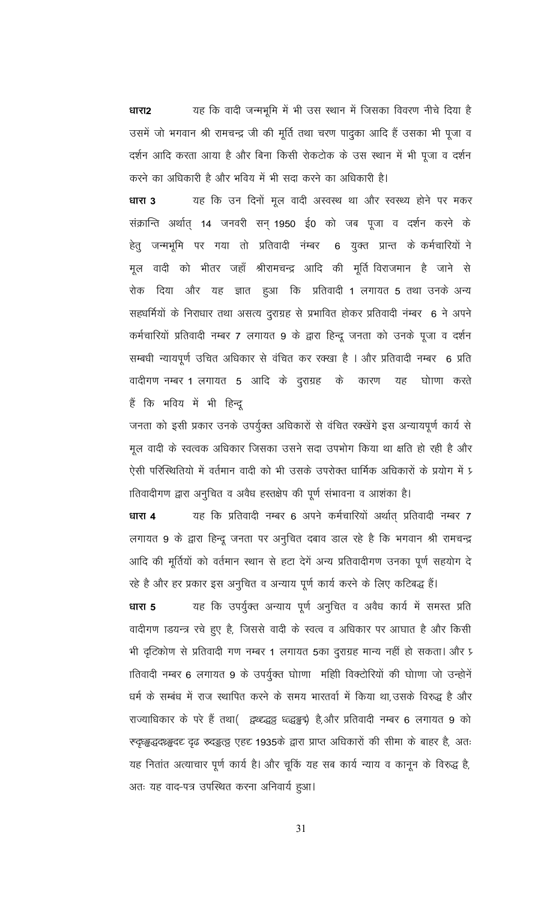यह कि वादी जन्मभूमि में भी उस स्थान में जिसका विवरण नीचे दिया है धारा2 उसमें जो भगवान श्री रामचन्द्र जी की मूर्ति तथा चरण पादुका आदि हैं उसका भी पूजा व दर्शन आदि करता आया है और बिना किसी रोकटोक के उस स्थान में भी पूजा व दर्शन करने का अधिकारी है और भविय में भी सदा करने का अधिकारी है।

यह कि उन दिनों मूल वादी अस्वस्थ था और स्वस्थ्य होने पर मकर धारा 3 संक्रान्ति अर्थात् 14 जनवरी सन् 1950 ई0 को जब पूजा व दर्शन करने के हेतु जन्मभूमि पर गया तो प्रतिवादी नंम्बर 6 युक्त प्रान्त के कर्मचारियों ने मूल वादी को भीतर जहाँ श्रीरामचन्द्र आदि की मूर्ति विराजमान है जाने से रोक दिया और यह ज्ञात हुआ कि प्रतिवादी 1 लगायत 5 तथा उनके अन्य सहधर्मियों के निराधार तथा असत्य दुराग्रह से प्रभावित होकर प्रतिवादी नंम्बर 6 ने अपने कर्मचारियों प्रतिवादी नम्बर 7 लगायत 9 के द्वारा हिन्दू जनता को उनके पूजा व दर्शन सम्बधी न्यायपूर्ण उचित अधिकार से वंचित कर रक्खा है । और प्रतिवादी नम्बर 6 प्रति वादीगण नम्बर 1 लगायत 5 आदि के दुराग्रह के कारण यह घोाणा करते हैं कि भविय में भी हिन्दू

जनता को इसी प्रकार उनके उपर्युक्त अधिकारों से वंचित रक्खेंगे इस अन्यायपूर्ण कार्य से मूल वादी के स्वत्वक अधिकार जिसका उसने सदा उपभोग किया था क्षति हो रही है और ऐसी परिस्थितियो में वर्तमान वादी को भी उसके उपरोक्त धार्मिक अधिकारों के प्रयोग में प्र ातिवादीगण द्वारा अनुचित व अवैध हस्तक्षेप की पूर्ण संभावना व आशंका है।

यह कि प्रतिवादी नम्बर 6 अपने कर्मचारियों अर्थात प्रतिवादी नम्बर 7 धारा 4 लगायत 9 के द्वारा हिन्दू जनता पर अनुचित दबाव डाल रहे है कि भगवान श्री रामचन्द्र आदि की मूर्तियों को वर्तमान स्थान से हटा देगें अन्य प्रतिवादीगण उनका पूर्ण सहयोग दे

रहे है और हर प्रकार इस अनुचित व अन्याय पूर्ण कार्य करने के लिए कटिबद्ध हैं। यह कि उपर्युक्त अन्याय पूर्ण अनुचित व अवैध कार्य में समस्त प्रति धारा 5 वादीगण ाडयन्त्र रचे हुए है, जिससे वादी के स्वत्व व अधिकार पर आघात है और किसी भी दृटिकोण से प्रतिवादी गण नम्बर 1 लगायत 5का दुराग्रह मान्य नहीं हो सकता। और प्र ातिवादी नम्बर 6 लगायत 9 के उपर्युक्त घोाणा महिी विक्टोरियों की घोाणा जो उन्होनें धर्म के सम्बंध में राज स्थापित करने के समय भारतर्वा में किया था, उसके विरुद्ध है और राज्याधिकार के परे हैं तथा() द्वथ्द्द्धञ्च ध्त्द्धङ्कई है,और प्रतिवादी नम्बर 6 लगायत 9 को स्ट्रिड्ड्स्द्व्य्ड्ड्ड्व्ह् ट्रूढ स्र्व्ह्ड्ह्ड् एहट 1935के द्वारा प्राप्त अधिकारों की सीमा के बाहर है, अतः यह नितांत अत्याचार पूर्ण कार्य है। और चूकिं यह सब कार्य न्याय व कानून के विरुद्ध है, अतः यह वाद-पत्र उपस्थित करना अनिवार्य हुआ।

31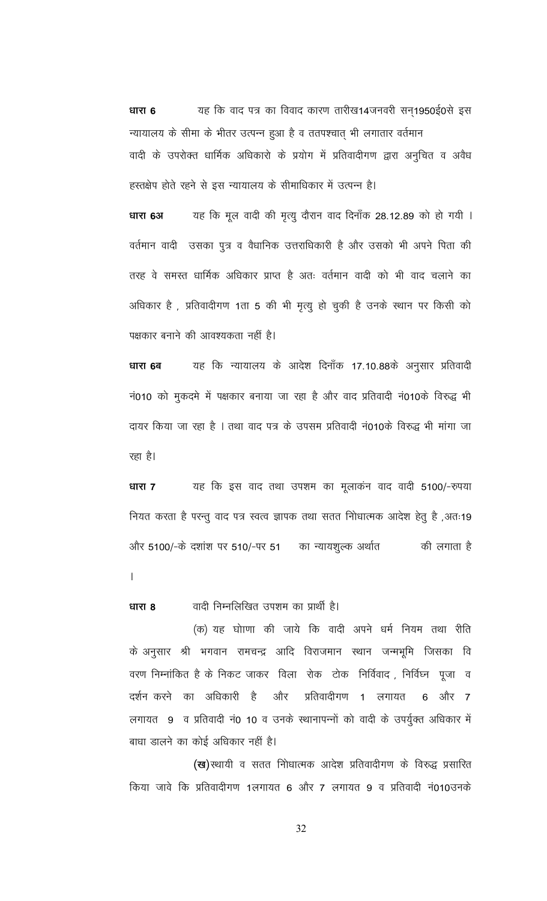यह कि वाद पत्र का विवाद कारण तारीख14जनवरी सन्1950ई0से इस धारा 6 न्यायालय के सीमा के भीतर उत्पन्न हुआ है व ततपश्चात् भी लगातार वर्तमान वादी के उपरोक्त धार्मिक अधिकारो के प्रयोग में प्रतिवादीगण द्वारा अनुचित व अवैध हस्तक्षेप होते रहने से इस न्यायालय के सीमाधिकार में उत्पन्न है।

धारा 6अ यह कि मूल वादी की मृत्यु दौरान वाद दिनाँक 28.12.89 को हो गयी । वर्तमान वादी उसका पुत्र व वैधानिक उत्तराधिकारी है और उसको भी अपने पिता की तरह वे समस्त धार्मिक अधिकार प्राप्त है अतः वर्तमान वादी को भी वाद चलाने का अधिकार है, प्रतिवादीगण 1ता 5 की भी मृत्यु हो चुकी है उनके स्थान पर किसी को पक्षकार बनाने की आवश्यकता नहीं है।

यह कि न्यायालय के आदेश दिनाँक 17.10.88के अनुसार प्रतिवादी धारा 6ब नं010 को मुकदमे में पक्षकार बनाया जा रहा है और वाद प्रतिवादी नं010के विरुद्ध भी दायर किया जा रहा है । तथा वाद पत्र के उपसम प्रतिवादी नं010के विरुद्ध भी मांगा जा रहा है।

यह कि इस वाद तथा उपशम का मूलाकंन वाद वादी 5100/-रुपया धारा 7 नियत करता है परन्तु वाद पत्र स्वत्व ज्ञापक तथा सतत नोिधात्मक आदेश हेतु है ,अतः19 और 5100/-के दशांश पर 510/-पर 51 का न्यायशुल्क अर्थात की लगाता है  $\mathsf{L}$ 

वादी निम्नलिखित उपशम का प्रार्थी है। धारा 8

(क) यह घोाणा की जाये कि वादी अपने धर्म नियम तथा रीति के अनुसार श्री भगवान रामचन्द्र आदि विराजमान स्थान जन्मभूमि जिसका वि वरण निम्नांकित है के निकट जाकर विला रोक टोक निर्विवाद , निर्विघ्न पूजा व दर्शन करने का अधिकारी है और प्रतिवादीगण 1 लगायत 6 और 7 लगायत 9 व प्रतिवादी नं0 10 व उनके स्थानापन्नों को वादी के उपर्युक्त अधिकार में बाधा डालने का कोई अधिकार नहीं है।

(ख) स्थायी व सतत नोिधात्मक आदेश प्रतिवादीगण के विरुद्ध प्रसारित किया जावे कि प्रतिवादीगण 1लगायत 6 और 7 लगायत 9 व प्रतिवादी नं010उनके

32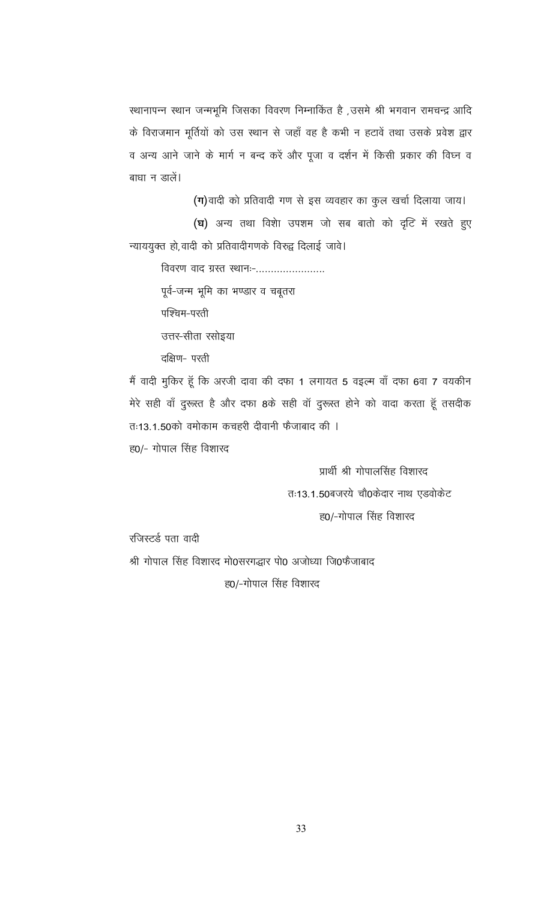स्थानापन्न स्थान जन्मभूमि जिसका विवरण निम्नाकिंत है ,उसमे श्री भगवान रामचन्द्र आदि के विराजमान मूर्तियों को उस स्थान से जहाँ वह है कभी न हटावें तथा उसके प्रवेश द्वार व अन्य आने जाने के मार्ग न बन्द करें और पूजा व दर्शन में किसी प्रकार की विघ्न व बाधा न डालें।

(ग) वादी को प्रतिवादी गण से इस व्यवहार का कुल खर्चा दिलाया जाय। (घ) अन्य तथा विशेा उपशम जो सब बातो को दृटि में रखते हुए न्याययुक्त हो, वादी को प्रतिवादीगणके विरुद्व दिलाई जावे।

विवरण वाद ग्रस्त स्थानः-.......................

पूर्व-जन्म भूमि का भण्डार व चबूतरा

पश्चिम-परती

उत्तर-सीता रसोइया

दक्षिण- परती

मैं वादी मुकिर हूँ कि अरजी दावा की दफा 1 लगायत 5 वइल्म वाँ दफा 6वा 7 वयकीन मेरे सही वाँ दुरूस्त है और दफा 8के सही वाँ दुरूस्त होने को वादा करता हूँ तसदीक तः13.1.50को वमोकाम कचहरी दीवानी फैजाबाद की ।

ह0/- गोपाल सिंह विशारद

प्रार्थी श्री गोपालसिंह विशारद तः13.1.50बजरये चौ0केदार नाथ एडवोकेट ह0/-गोपाल सिंह विशारद

रजिस्टर्ड पता वादी

श्री गोपाल सिंह विशारद मो0सरगद्धार पो0 अजोध्या जि0फैजाबाद

ह0/-गोपाल सिंह विशारद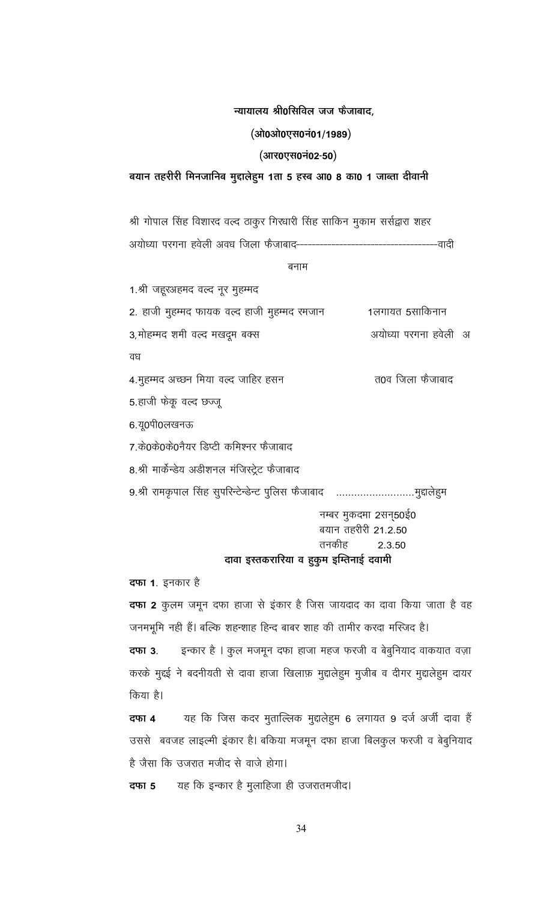#### न्यायालय श्री0सिविल जज फैजाबाद,

#### (ओ0ओ0एस0नं01/1989)

(आर0एस0नं02-50)

#### बयान तहरीरी मिनजानिब मुद्दालेहुम 1ता 5 हस्ब आ0 8 का0 1 जाब्ता दीवानी

श्री गोपाल सिंह विशारद वल्द ठाकुर गिरधारी सिंह साकिन मुकाम सर्सद्वारा शहर अयोध्या परगना हवेली अवध जिला फैजाबाद-----वादी

बनाम

1.श्री जहूरअहमद वल्द नूर मुहम्मद 1लगायत 5साकिनान 2. हाजी मुहम्मद फायक वल्द हाजी मुहम्मद रमजान 3,मोहम्मद शमी वर्ल्द मखदूम बक्स अयोध्या परगना हवेली अ वध 4.मुहम्मद अच्छन मिया वल्द जाहिर हसन त0व जिला फैजाबाद 5.हाजी फेकू वल्द छज्जू 6.यू0पी0लखनऊ 7.के0के0के0नैयर डिप्टी कमिश्नर फैजाबाद 8.श्री मार्केन्डेय अडीशनल मंजिस्ट्रेट फैजाबाद 9.श्री रामकृपाल सिंह सुपरिन्टेन्डेन्ट पुलिस फैजाबाद ...........................मुद्दालेहुम नम्बर मुकदमा 2सन्50ई0 बयान तहरीरी 21.2.50 तनकीह 2.3.50 दावा इस्तकरारिया व हुकुम इम्तिनाई दवामी

# **दफा 1**. इनकार है

**दफा 2** कुलम जमून दफा हाजा से इंकार है जिस जायदाद का दावा किया जाता है वह जनमभूमि नही हैं। बल्कि शहन्शाह हिन्द बाबर शाह की तामीर करदा मस्जिद है।

इन्कार है । कुल मजमून दफा हाजा महज फरजी व बेबुनियाद वाकयात वज़ा दफा 3. करके मुद्दई ने बदनीयती से दावा हाजा खिलाफ़ मुद्दालेहुम मुजीब व दीगर मुद्दालेहुम दायर किया है।

यह कि जिस कदर मुताल्लिक मुद्दालेहुम 6 लगायत 9 दर्ज अर्जी दावा हैं दफा 4 उससे बवजह लाइल्मी इंकार है। बकिया मजमून दफा हाजा बिलकुल फरजी व बेबुनियाद है जैसा कि उजरात मजीद से वाजे होगा।

यह कि इन्कार है मुलाहिजा ही उजरातमजीद। दफा 5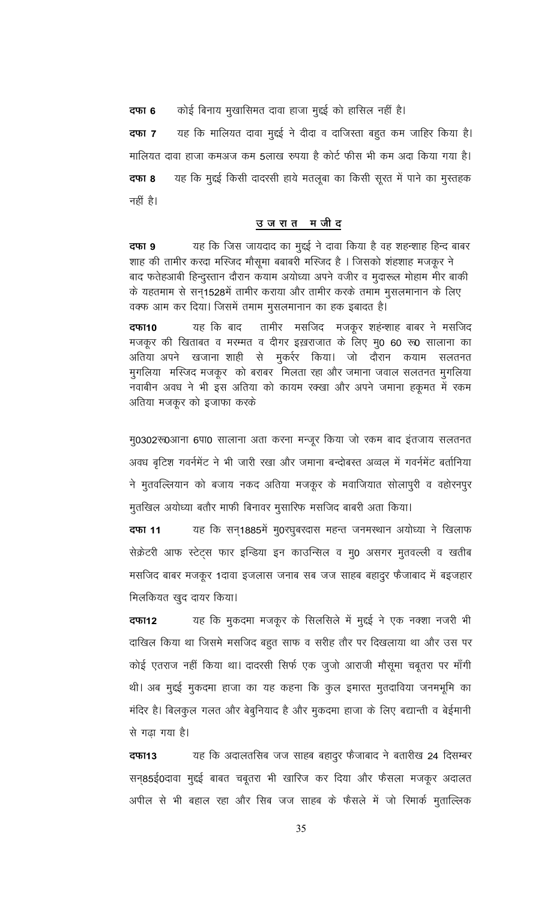कोई बिनाय मुखासिमत दावा हाजा मुद्दई को हासिल नहीं है। दफा 6

यह कि मालियत दावा मुद्दई ने दीदा व दाजिस्ता बहुत कम जाहिर किया है। दफा 7 मालियत दावा हाजा कमअज कम 5लाख रुपया है कोर्ट फीस भी कम अदा किया गया है। दफा 8 यह कि मुद्दई किसी दादरसी हाये मतलूबा का किसी सूरत में पाने का मुस्तहक नहीं है।

#### उजरातमजीद

यह कि जिस जायदाद का मुद्दई ने दावा किया है वह शहन्शाह हिन्द बाबर दफा 9 शाह की तामीर करदा मस्जिद मौसूमा बबाबरी मस्जिद है । जिसको शंहशाह मजकूर ने बाद फतेहआबी हिन्दुस्तान दौरान कयाम अयोध्या अपने वजीर व मुदारूल मोहाम मीर बाकी के यहतमाम से सन्1528में तामीर कराया और तामीर करके तमाम मुसलमानान के लिए वक्फ आम कर दिया। जिसमें तमाम मुसलमानान का हक इबादत है।

दफा10 यह कि बाद तामीर मसजिद मजकूर शहंन्शाह बाबर ने मसजिद मजकूर की खिताबत व मरम्मत व दीगर इख़राजात के लिए मु0 60 रु0 सालाना का अतिया अपने खजाना शाही से मुकर्रर किया। जो दौरान कयाम सलतनत मुगलिया मस्जिद मजकूर को बराबर मिलता रहा और जमाना जवाल सलतनत मुगलिया नवाबीन अवध ने भी इस अतिया को कायम रक्खा और अपने जमाना हकूमत में रकम अतिया मजकूर को इजाफा करके

मु0302रू0आना 6पा0 सालाना अता करना मन्जूर किया जो रकम बाद इंतजाय सलतनत अवध बृटिश गवर्नमेंट ने भी जारी रखा और जमाना बन्दोबस्त अव्वल में गवर्नमेंट बर्तानिया ने मुतवल्लियान को बजाय नकद अतिया मजकूर के मवाजियात सोलापुरी व वहोरनपुर मुतखिल अयोध्या बतौर माफी बिनावर मुसारिफ मसजिद बाबरी अता किया।

यह कि सन्1885में मु0रघुबरदास महन्त जनमस्थान अयोध्या ने खिलाफ दफा 11 सेक्रेटरी आफ स्टेट्स फार इन्डिया इन काउन्सिल व मु0 असगर मुतवल्ली व खतीब मसजिद बाबर मजकूर 1दावा इजलास जनाब सब जज साहब बहादुर फैजाबाद में बइजहार मिलकियत खुद दायर किया।

यह कि मुकदमा मजकूर के सिलसिले में मुद्दई ने एक नक्शा नजरी भी दफा12 दाखिल किया था जिसमे मसजिद बहुत साफ व सरीह तौर पर दिखलाया था और उस पर कोई एतराज नहीं किया था। दादरसी सिर्फ एक जुजो आराजी मौसूमा चबूतरा पर माँगी थी। अब मुद्दई मुकदमा हाजा का यह कहना कि कुल इमारत मुतदाविया जनमभूमि का मंदिर है। बिलकुल गलत और बेबुनियाद है और मुकदमा हाजा के लिए बद्यान्ती व बेईमानी से गढा गया है।

यह कि अदालतसिब जज साहब बहादुर फैजाबाद ने बतारीख 24 दिसम्बर दफा13 सन्85ई0दावा मुर्द्द्ध बाबत चबूतरा भी खारिज कर दिया और फैसला मजकूर अदालत अपील से भी बहाल रहा और सिब जज साहब के फैसले में जो रिमार्क मुताल्लिक

35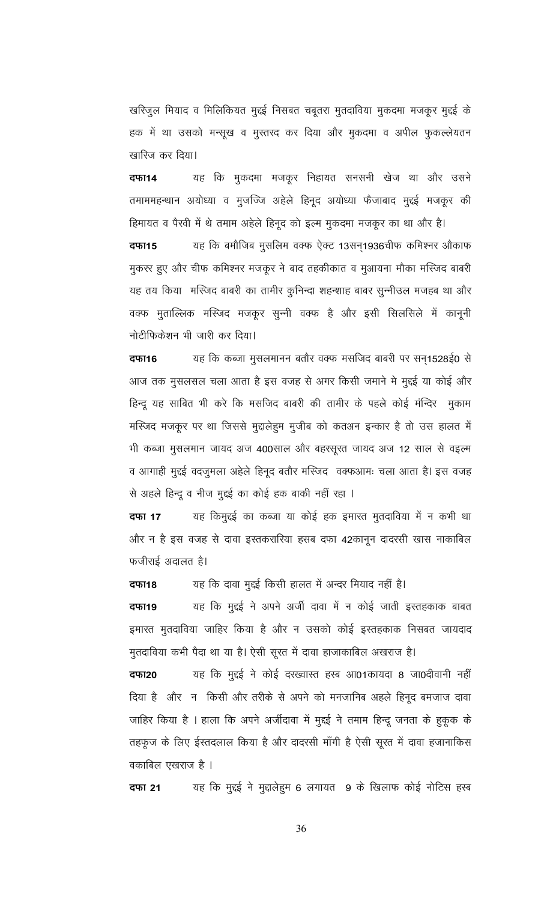खरिजुल मियाद व मिलिकियत मुद्दई निसबत चबूतरा मुतदाविया मुकदमा मजकूर मुद्दई के हक में था उसको मन्सूख व मुस्तरद कर दिया और मुकदमा व अपील फुकल्लेयतन खारिज कर दिया।

यह कि मुकदमा मजकूर निहायत सनसनी खेज था और उसने दफा14 तमाममहन्थान अयोध्या व मुजज्जि अहेले हिनूद अयोध्या फैजाबाद मुद्दई मजकूर की हिमायत व पैरवी में थे तमाम अहेले हिनूद को इल्म मुकदमा मजकूर का था और है।

यह कि बमौजिब मुसलिम वक्फ ऐक्ट 13सन्1936चीफ कमिश्नर औकाफ दफा15 मुकरर हुए और चीफ कमिश्नर मजकूर ने बाद तहकीकात व मुआयना मौका मस्जिद बाबरी यह तय किया) मस्जिद बाबरी का तामीर कुनिन्दा शहन्शाह बाबर सुन्नीउल मजहब था और वक्फ मुताल्लिक मस्जिद मजकूर सुन्नी वक्फ है और इसी सिलसिले में कानूनी नोटीफिकेशन भी जारी कर दिया।

यह कि कब्जा मुसलमानन बतौर वक्फ मसजिद बाबरी पर सन्1528ई0 से दफा16 आज तक मुसलसल चला आता है इस वजह से अगर किसी जमाने मे मुद्दई या कोई और हिन्दू यह साबित भी करे कि मसजिद बाबरी की तामीर के पहले कोई मंन्दिर) मुकाम मस्जिद मजकूर पर था जिससे मुद्दालेहुम मुजीब को कतअन इन्कार है तो उस हालत में भी कब्जा मुसलमान जायद अज 400साल और बहरसूरत जायद अज 12 साल से वइत्म व आगाही मुद्दई वदजुमला अहेले हिनूद बतौर मस्जिद वक्फआमः चला आता है। इस वजह से अहले हिन्दू व नीज मुद्दई का कोई हक बाकी नहीं रहा ।

यह किमुद्दई का कब्जा या कोई हक इमारत मुतदाविया में न कभी था दफा 17 और न है इस वजह से दावा इस्तकरारिया हसब दफा 42कानून दादरसी खास नाकाबिल फजीराई अदालत है।

यह कि दावा मुद्दई किसी हालत में अन्दर मियाद नहीं है। दफा18

यह कि मुद्दई ने अपने अर्जी दावा में न कोई जाती इस्तहकाक बाबत दफा19 इमारत मुतदाविया जाहिर किया है और न उसको कोई इस्तहकाक निसबत जायदाद

मुतदाविया कभी पैदा था या है। ऐसी सूरत में दावा हाजाकाबिल अखराज है। यह कि मुद्दई ने कोई दरख्वास्त हस्ब आ01कायदा 8 जा0दीवानी नहीं दफा20 दिया है) और न किसी और तरीके से अपने को मनजानिब अहले हिनूद बमजाज दावा जाहिर किया है । हाला कि अपने अर्जीदावा में मुद्दई ने तमाम हिन्दू जनता के हुकूक के तहफूज के लिए ईस्तदलाल किया है और दादरसी माँगी है ऐसी सूरत में दावा हजानाकिस वकाबिल एखराज है ।

यह कि मुद्दई ने मुद्दालेहुम 6 लगायत) 9 के खिलाफ कोई नोटिस हस्ब दफा 21

36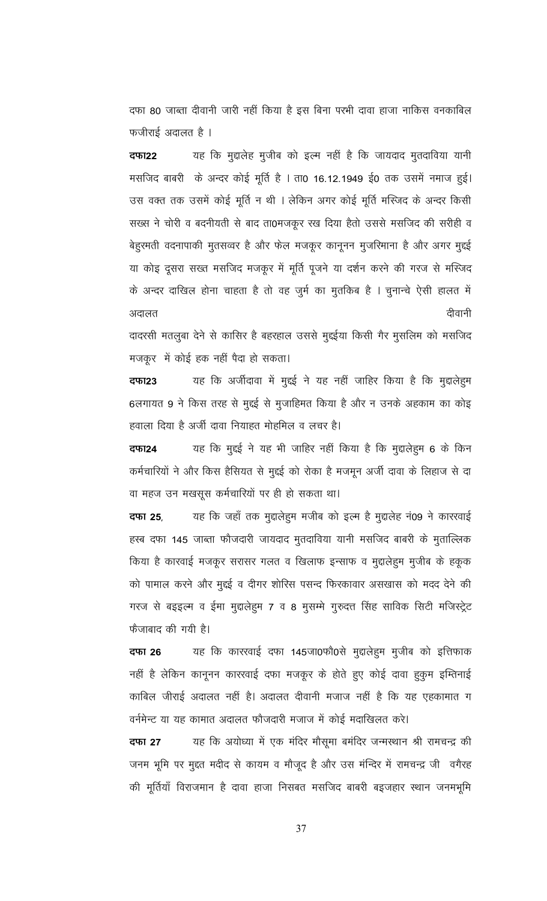दफा 80 जाब्ता दीवानी जारी नहीं किया है इस बिना परभी दावा हाजा नाकिस वनकाबिल फजीराई अदालत है ।

यह कि मुद्दालेह मुजीब को इल्म नहीं है कि जायदाद मुतदाविया यानी दफा22 मसजिद बाबरी के अन्दर कोई मूर्ति है । ता0 16.12.1949 ई0 तक उसमें नमाज हुई। उस वक्त तक उसमें कोई मूर्ति न थी । लेकिन अगर कोई मूर्ति मस्जिद के अन्दर किसी सख्स ने चोरी व बदनीयती से बाद ता0मजकूर रख दिया हैतो उससे मसजिद की सरीही व बेहुरमती वदनापाकी मुतसव्वर है और फेल मजकूर कानूनन मुजरिमाना है और अगर मुद्दई या कोइ दूसरा सख्त मसजिद मजकूर में मूर्ति पूजने या दर्शन करने की गरज से मस्जिद के अन्दर दाखिल होना चाहता है तो वह जुर्म का मुतकिब है । चुनान्चे ऐसी हालत में दीवानी अदालत

दादरसी मतलुबा देने से कासिर है बहरहाल उससे मुद्दईया किसी गैर मुसलिम को मसजिद मजकूर में कोई हक नहीं पैदा हो सकता।

यह कि अर्जीदावा में मुद्दई ने यह नहीं जाहिर किया है कि मुद्दालेह्म दफा23 6लगायत 9 ने किस तरह से मुद्दई से मुजाहिमत किया है और न उनके अहकाम का कोइ हवाला दिया है अर्जी दावा नियाहत मोहमिल व लचर है।

यह कि मुद्दई ने यह भी जाहिर नहीं किया है कि मुद्दालेहूम 6 के किन दफा24 कर्मचारियों ने और किस हैसियत से मुद्दई को रोका है मजमून अर्जी दावा के लिहाज से दा वा महज उन मखसूस कर्मचारियों पर ही हो सकता था।

यह कि जहाँ तक मुद्दालेहुम मजीब को इत्म है मुद्दालेह नं09 ने कारखाई दफा 25, हस्ब दफा 145 जाब्ता फौजदारी जायदाद मुतदाविया यानी मसजिद बाबरी के मुताल्लिक किया है कारवाई मजकूर सरासर गलत व खिलाफ इन्साफ व मुद्दालेहुम मुजीब के हकूक को पामाल करने और मुद्दई व दीगर शोरिस पसन्द फिरकावार असखास को मदद देने की गरज से बइइल्म व ईमा मुद्दालेहुम 7 व 8 मुसम्मे गुरुदत्त सिंह साविक सिटी मजिस्ट्रेट फैजाबाद की गयी है।

यह कि कारखाई दफा 145जा0फौ0से मुद्दालेहुम मुजीब को इत्तिफाक दफा 26 नहीं है लेकिन कानूनन कारखाई दफा मजकूर के होते हुए कोई दावा हुकुम इम्तिनाई काबिल जीराई अदालत नहीं है। अदालत दीवानी मजाज नहीं है कि यह एहकामात ग वर्नमेन्ट या यह कामात अदालत फौजदारी मजाज में कोई मदाखिलत करे।

यह कि अयोध्या में एक मंदिर मौसूमा बमंदिर जन्मस्थान श्री रामचन्द्र की दफा 27 जनम भूमि पर मुद्दत मदीद से कायम व मौजूद है और उस मंन्दिर में रामचन्द्र जी वगैरह की मूर्तियाँ विराजमान है दावा हाजा निसबत मसजिद बाबरी बइजहार स्थान जनमभूमि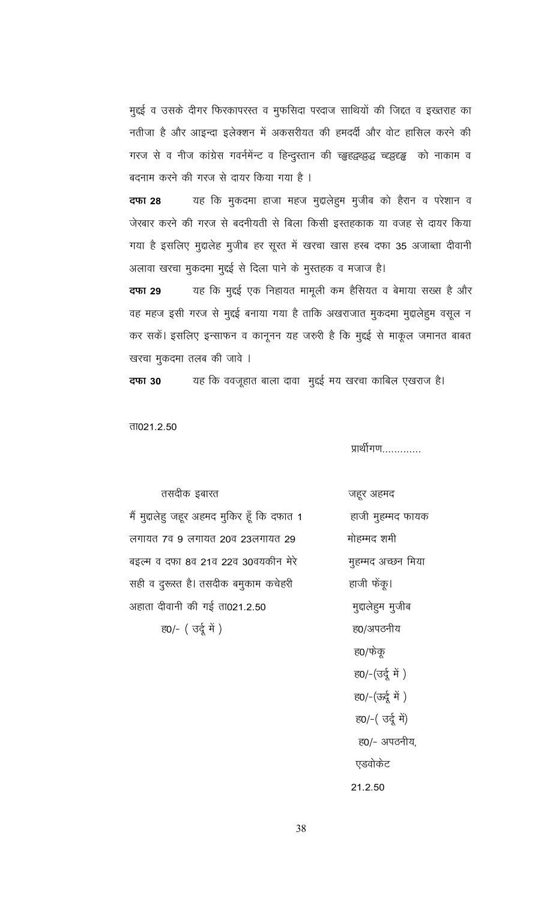मुद्दई व उसके दीगर फिरकापरस्त व मुफसिदा परदाज साथियों की जिद्दत व इख्तराह का नतीजा है और आइन्दा इलेक्शन में अकसरीयत की हमदर्दी और वोट हासिल करने की गरज से व नीज कांग्रेस गवर्नमेंन्ट व हिन्दुस्तान की च्ड्वहद्वथ्ड्वद्ध च्ह्ड्ह्ड्ड् को नाकाम व बदनाम करने की गरज से दायर किया गया है ।

यह कि मुकदमा हाजा महज मुद्दालेहुम मुजीब को हैरान व परेशान व दफा 28 जेखार करने की गरज से बदनीयती से बिला किसी इस्तहकाक या वजह से दायर किया गया है इसलिए मुद्दालेह मुजीब हर सूरत में खरचा खास हस्ब दफा 35 अजाब्ता दीवानी अलावा खरचा मुकदमा मुद्दई से दिला पाने के मुस्तहक व मजाज है।

यह कि मुद्दई एक निहायत मामूली कम हैसियत व बेमाया सख्स है और दफा 29 वह महज इसी गरज से मुद्दई बनाया गया है ताकि अखराजात मुकदमा मुद्दालेहुम वसूल न कर सकें। इसलिए इन्साफन व कानूनन यह जरुरी है कि मुद्दई से माकूल जमानत बाबत खरचा मुकदमा तलब की जावे ।

यह कि ववजूहात बाला दावा मुद्दई मय खरचा काबिल एखराज है। दफा 30

ता021.2.50

प्रार्थीगण............

तसदीक इबारत मैं मुद्दालेहु जहूर अहमद मुकिर हूँ कि दफात 1 लगायत 7व 9 लगायत 20व 23लगायत 29 बइल्म व दफा 8व 21व 22व 30वयकीन मेरे सही व दुरूस्त है। तसदीक बमुकाम कचेहरी अहाता दीवानी की गई ता021.2.50 ह0/- (उर्दू में)

जहूर अहमद हाजी मुहम्मद फायक मोहम्मद शमी मुहम्मद अच्छन मिया हाजी फेंकू। मुद्दालेहुम मुजीब ह0/अपठनीय ह0/फेकू ह0/-(उर्दू में) ह0/-(ऊर्दू में ) ह0/-( उर्दू में) ह0/- अपठनीय, एडवोकेट 21.2.50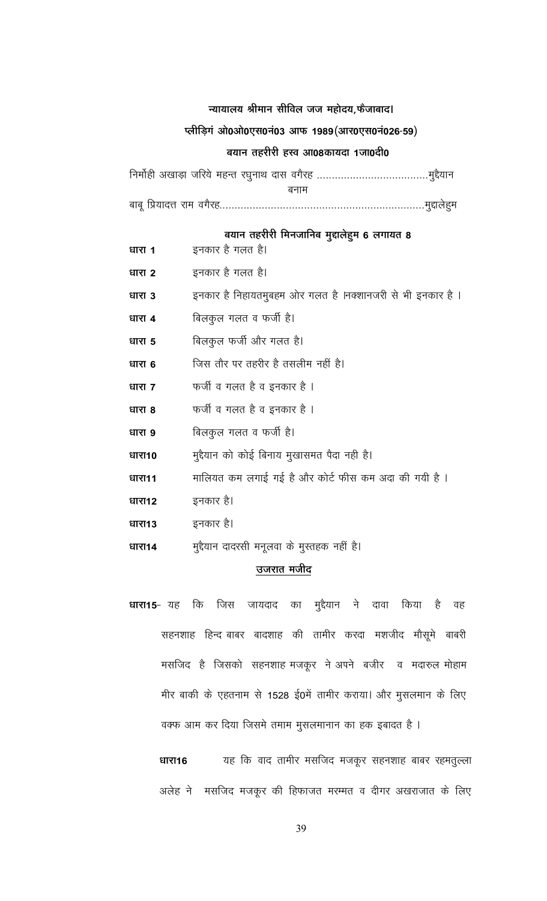#### न्यायालय श्रीमान सीविल जज महोदय,फैजाबाद।

#### प्लीड़िगं ओ0ओ0एस0नं03 आफ 1989 (आर0एस0नं026-59)

#### बयान तहरीरी हस्व आ08कायदा 1जा0दी0

बनाम 

बयान तहरीरी मिनजानिब मुद्दालेहुम 6 लगायत 8

- इनकार है गलत है। धारा 1 इनकार है गलत है। धारा 2 इनकार है निहायतमुबहम ओर गलत है ।नक्शानजरी से भी इनकार है । धारा 3 बिलकुल गलत व फर्जी है। धारा 4 बिलकुल फर्जी और गलत है। धारा 5 जिस तौर पर तहरीर है तसलीम नहीं है। धारा 6 फर्जी व गलत है व इनकार है । धारा 7 फर्जी व गलत है व इनकार है । धारा 8 बिलकुल गलत व फर्जी है। धारा 9 मुद्दैयान को कोई बिनाय मुखासमत पैदा नही है। धारा10 मालियत कम लगाई गई है और कोर्ट फीस कम अदा की गयी है । धारा11 इनकार है। धारा12 धारा13 इनकार है। मुद्दैयान दादरसी मनूलवा के मुस्तहक नहीं है। धारा14 उजरात मजीद
- धारा15-यह कि जिस जायदाद का मुद्दैयान ने दावा किया है वह सहनशाह हिन्द बाबर बादशाह की तामीर करदा मशजीद मौसूमे बाबरी मसजिद है जिसको सहनशाह मजकूर ने अपने बजीर व मदारुल मोहाम मीर बाकी के एहतनाम से 1528 ई0में तामीर कराया। और मुसलमान के लिए वक्फ आम कर दिया जिसमे तमाम मुसलमानान का हक इबादत है ।

यह कि वाद तामीर मसजिद मजकूर सहनशाह बाबर रहमतुल्ला धारा16 अलेह ने मसजिद मजकूर की हिफाजत मरम्मत व दीगर अखराजात के लिए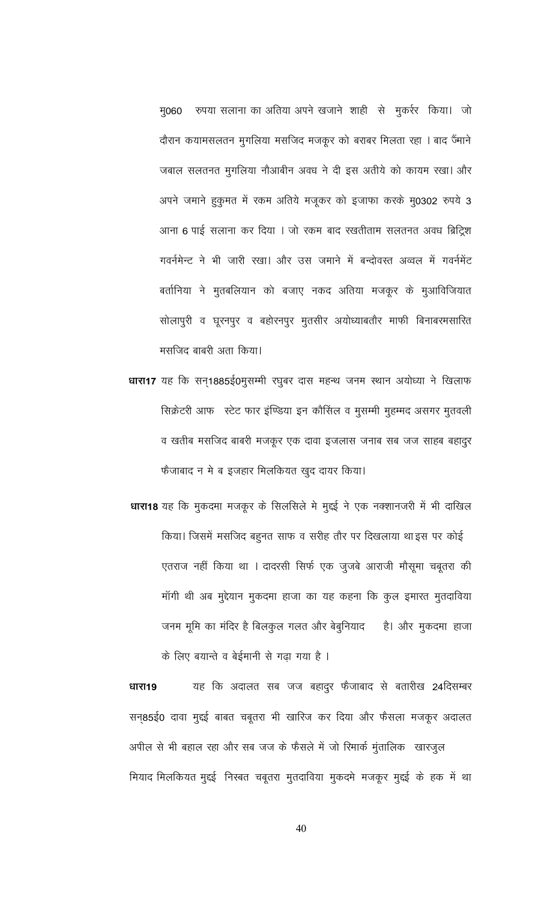मु060 रुपया सलाना का अतिया अपने खजाने शाही से मुकर्रर किया। जो दौरान कयामसलतन मुगलिया मसजिद मजकूर को बराबर मिलता रहा । बाद जैंमाने जबाल सलतनत मुगलिया नौआबीन अवध ने दी इस अतीये को कायम रखा। और अपने जमाने हुकुमत में रकम अतिये मजूकर को इजाफा करके मु0302 रुपये 3 आना 6 पाई सलाना कर दिया । जो रकम बाद रखतीताम सलतनत अवध ब्रिट्रिश गवर्नमेन्ट ने भी जारी रखा। और उस जमाने में बन्दोवस्त अव्वल में गवर्नमेंट बर्तानिया ने मुतबलियान को बजाए नकद अतिया मजकूर के मुआविजियात सोलापुरी व घूरनपुर व बहोरनपुर मुतसीर अयोध्याबतौर माफी बिनाबरमसारित मसजिद बाबरी अता किया।

- धारा17 यह कि सन्1885ई0मुसम्मी रघुबर दास महन्थ जनम स्थान अयोध्या ने खिलाफ सिक्रेटरी आफ स्टेट फार इंण्डिया इन कौसिल व मुसम्मी मुहम्मद असगर मुतवली व खतीब मसजिद बाबरी मजकूर एक दावा इजलास जनाब सब जज साहब बहादुर फैजाबाद न मे ब इजहार मिलकियत खुद दायर किया।
- धारा18 यह कि मुकदमा मजकूर के सिलसिले मे मुद्दई ने एक नक्शानजरी में भी दाखिल किया। जिसमें मसजिद बहुनत साफ व सरीह तौर पर दिखलाया था इस पर कोई एतराज नहीं किया था । दादरसी सिर्फ एक जुजबे आराजी मौसूमा चबूतरा की मॉगी थी अब मुद्देयान मुकदमा हाजा का यह कहना कि कुल इमारत मुतदाविया जनम मूमि का मंदिर है बिलकुल गलत और बेबुनियाद है। और मुकदमा हाजा के लिए बयान्ते व बेईमानी से गढा गया है ।

यह कि अदालत सब जज बहादुर फैजाबाद से बतारीख 24दिसम्बर धारा19 सन्85ई0 दावा मुद्दई बाबत चबूतरा भी खारिज कर दिया और फैसला मजकूर अदालत अपील से भी बहाल रहा और सब जज के फैसले में जो रिमार्क मुंतालिक खारजुल मियाद मिलकियत मुद्दई निस्बत चबूतरा मुतदाविया मुकदमे मजकूर मुद्दई के हक में था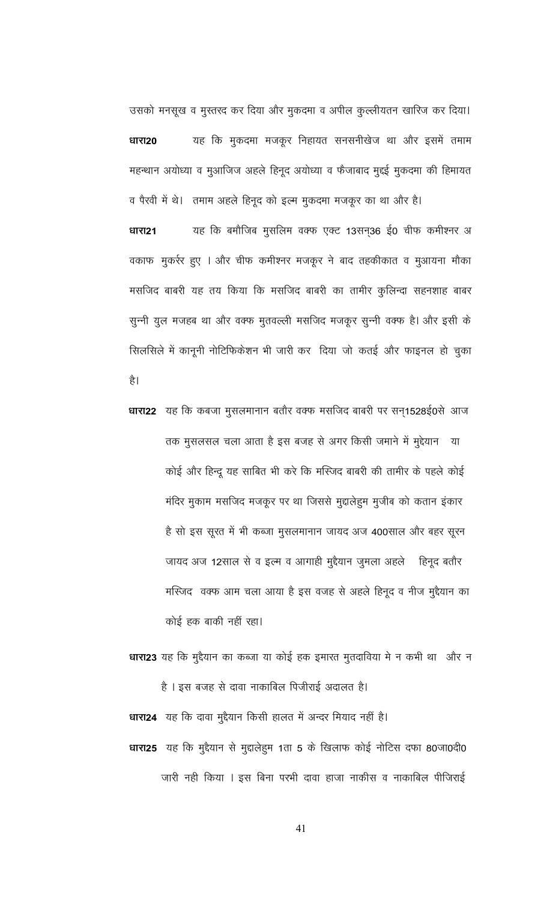उसको मनसूख व मुस्तरद कर दिया और मुकदमा व अपील कुल्लीयतन खारिज कर दिया। यह कि मुकदमा मजकूर निहायत सनसनीखेज था और इसमें तमाम धारा20 महन्थान अयोध्या व मुआजिज अहले हिनूद अयोध्या व फैजाबाद मुद्दई मुकदमा की हिमायत

व पैरवी में थे। तमाम अहले हिनूद को इत्म मुकदमा मजकूर का था और है। यह कि बमौजिब मुसलिम वक्फ एक्ट 13सन्36 ई0 चीफ कमीश्नर अ धारा21 वकाफ मुकर्रर हुए । और चीफ कमीश्नर मजकूर ने बाद तहकीकात व मुआयना मौका मसजिद बाबरी यह तय किया कि मसजिद बाबरी का तामीर कुलिन्दा सहनशाह बाबर सुन्नी युल मजहब था और वक्फ मुतवल्ली मसजिद मजकूर सुन्नी वक्फ है। और इसी के सिलसिले में कानूनी नोटिफिकेशन भी जारी कर दिया जो कतई और फाइनल हो चुका

है।

धारा22 यह कि कबजा मुसलमानान बतौर वक्फ मसजिद बाबरी पर सन्1528ई0से आज तक मुसलसल चला आता है इस बजह से अगर किसी जमाने में मुद्देयान या कोई और हिन्दू यह साबित भी करे कि मस्जिद बाबरी की तामीर के पहले कोई मंदिर मुकाम मसजिद मजकूर पर था जिससे मुद्दालेहुम मुजीब को कतान इंकार है सो इस सूरत में भी कब्जा मुसलमानान जायद अज 400साल और बहर सूरन जायद अज 12साल से व इत्म व आगाही मुद्दैयान जुमला अहले हिनूद बतौर मस्जिद) वक्फ आम चला आया है इस वजह से अहले हिनूद व नीज मुद्दैयान का कोई हक बाकी नहीं रहा।

धारा23 यह कि मुद्दैयान का कब्जा या कोई हक इमारत मुतदाविया मे न कभी था) और न है । इस बजह से दावा नाकाबिल पिजीराई अदालत है।

धारा24 यह कि दावा मुद्दैयान किसी हालत में अन्दर मियाद नहीं है। धारा25 यह कि मुद्दैयान से मुद्दालेहुम 1ता 5 के खिलाफ कोई नोटिस दफा 80जा0दी0 जारी नही किया । इस बिना परभी दावा हाजा नाकीस व नाकाबिल पीजिराई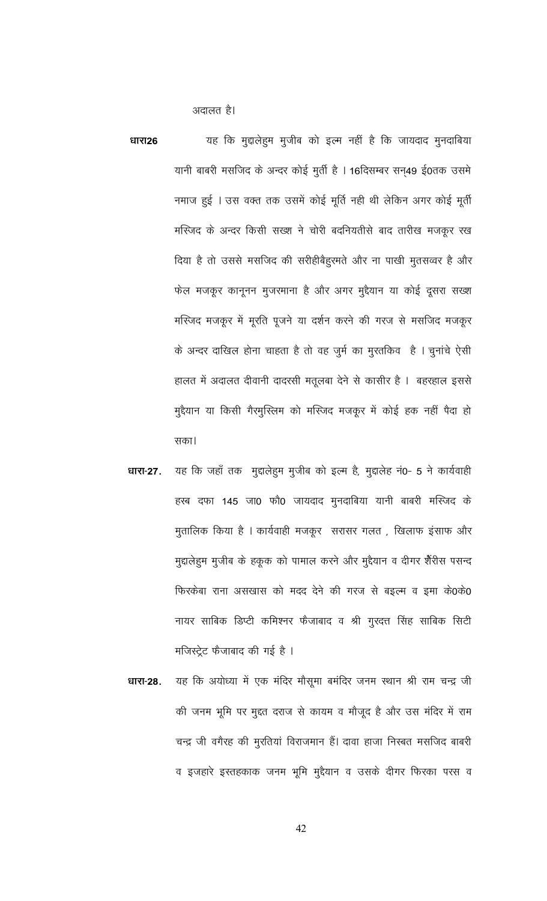अदालत है।

यह कि मुद्दालेहुम मुजीब को इल्म नहीं है कि जायदाद मुनदाबिया धारा26 यानी बाबरी मसजिद के अन्दर कोई मुर्ती है । 16दिसम्बर सन्49 ई0तक उसमे नमाज हुई । उस वक्त तक उसमें कोई मूर्ति नही थी लेकिन अगर कोई मूर्ती मस्जिद के अन्दर किसी सख्श ने चोरी बदनियतीसे बाद तारीख मजकूर रख दिया है तो उससे मसजिद की सरीहीबैह्र्सते और ना पाखी मुतसव्वर है और फेल मजकूर कानूनन मुजरमाना है और अगर मुद्दैयान या कोई दूसरा सख्श मस्जिद मजकूर में मूरति पूजने या दर्शन करने की गरज से मसजिद मजकूर के अन्दर दाखिल होना चाहता है तो वह जुर्म का मुरतकिव है। चुनांचे ऐसी हालत में अदालत दीवानी दादरसी मतूलबा देने से कासीर है । बहरहाल इससे मुद्दैयान या किसी गैरमुस्लिम को मस्जिद मजकूर में कोई हक नहीं पैदा हो सका।

- यह कि जहाँ तक मुद्दालेहुम मुजीब को इल्म है, मुद्दालेह नं0- 5 ने कार्यवाही धारा-27. हस्ब दफा 145 जा0 फौ0 जायदाद मुनदाबिया यानी बाबरी मस्जिद के मुतालिक किया है । कार्यवाही मजकूर सरासर गलत , खिलाफ इंसाफ और मुद्दालेहुम मुजीब के हकूक को पामाल करने और मुद्दैयान व दीगर शैरीस पसन्द फिरकेबा राना असखास को मदद देने की गरज से बइत्म व इमा के0के0 नायर साबिक डिप्टी कमिश्नर फैजाबाद व श्री गुरदत्त सिंह साबिक सिटी मजिस्ट्रेट फैजाबाद की गई है ।
- यह कि अयोध्या में एक मंदिर मौसूमा बमंदिर जनम स्थान श्री राम चन्द्र जी धारा-28. की जनम भूमि पर मुद्दत दराज से कायम व मौजूद है और उस मंदिर में राम चन्द्र जी वगैरह की मुरतियां विराजमान हैं। दावा हाजा निस्बत मसजिद बाबरी व इजहारे इस्तहकाक जनम भूमि मुद्दैयान व उसके दीगर फिरका परस व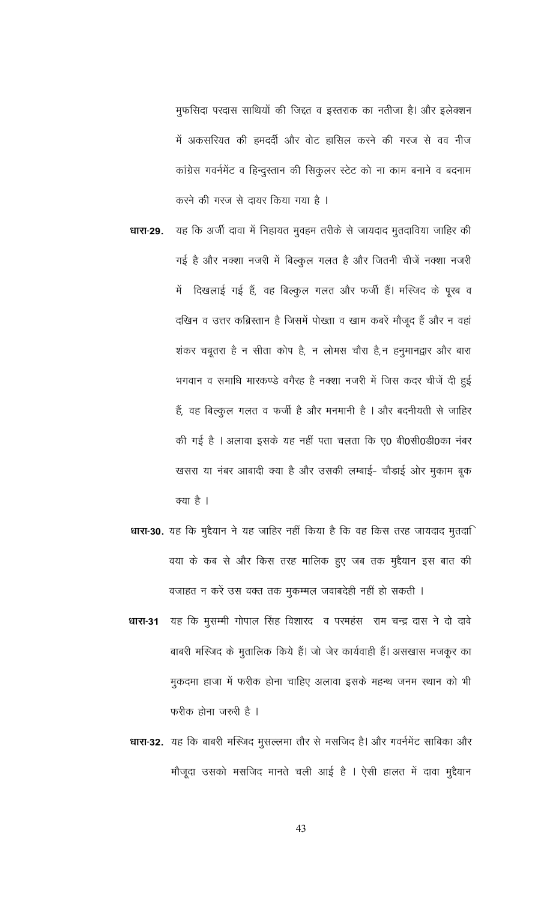मुफसिदा परदास साथियों की जिद्दत व इस्तराक का नतीजा है। और इलेक्शन में अकसरियत की हमदर्दी और वोट हासिल करने की गरज से वव नीज कांग्रेस गवर्नमेंट व हिन्दुस्तान की सिकुलर स्टेट को ना काम बनाने व बदनाम करने की गरज से दायर किया गया है ।

यह कि अर्जी दावा में निहायत मुवहम तरीके से जायदाद मुतदाविया जाहिर की धारा-29. गई है और नक्शा नजरी में बिल्कुल गलत है और जितनी चीजें नक्शा नजरी में दिखलाई गई हैं, वह बिल्कुल गलत और फर्जी हैं। मस्जिद के पूरब व दखिन व उत्तर कब्रिस्तान है जिसमें पोख्ता व खाम कबरें मौजूद हैं और न वहां शंकर चबूतरा है न सीता कोप है, न लोमस चौरा है,न हनुमानद्वार और बारा भगवान व समाधि मारकण्डे वगैरह है नक्शा नजरी में जिस कदर चीजें दी हुई हैं, वह बिल्कुल गलत व फर्जी है और मनमानी है । और बदनीयती से जाहिर की गई है । अलावा इसके यह नहीं पता चलता कि ए0 बी0सी0डी0का नंबर खसरा या नंबर आबादी क्या है और उसकी लम्बाई- चौड़ाई ओर मुकाम बूक क्या है ।

धारा-30. यह कि मुद्दैयान ने यह जाहिर नहीं किया है कि वह किस तरह जायदाद मुतदा वया के कब से और किस तरह मालिक हुए जब तक मुद्दैयान इस बात की

वजाहत न करें उस वक्त तक मुकम्मल जवाबदेही नहीं हो सकती । यह कि मुसम्मी गोपाल सिंह विशारद व परमहंस राम चन्द्र दास ने दो दावे धारा-31 बाबरी मस्जिद के मुतालिक किये हैं। जो जेर कार्यवाही हैं। असखास मजकूर का मुकदमा हाजा में फरीक होना चाहिए अलावा इसके महन्थ जनम स्थान को भी फरीक होना जरुरी है ।

धारा-32. यह कि बाबरी मस्जिद मुसल्लमा तौर से मसजिद है। और गवर्नमेंट साबिका और मौजूदा उसको मसजिद मानते चली आई है । ऐसी हालत में दावा मुद्दैयान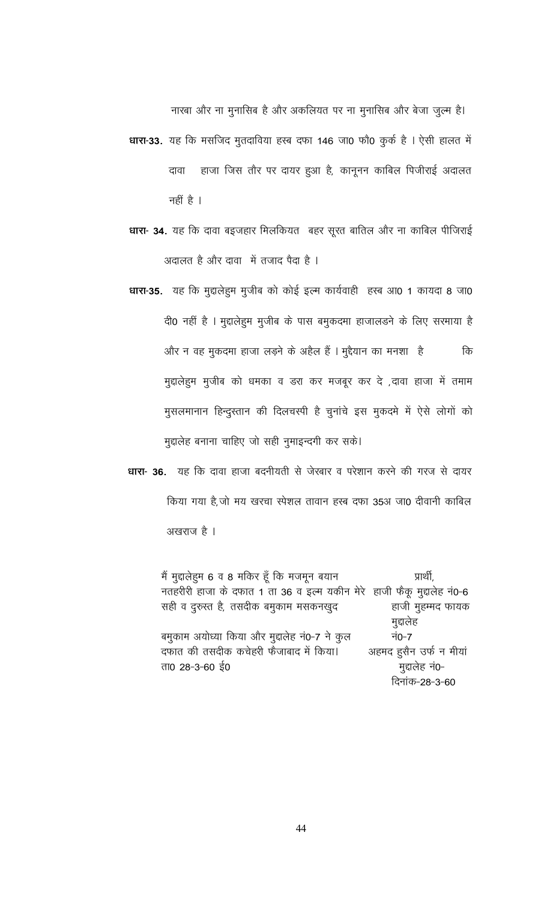नारबा और ना मुनासिब है और अकलियत पर ना मुनासिब और बेजा जुल्म है।

- धारा-33. यह कि मसजिद मुतदाविया हस्ब दफा 146 जा0 फौ0 कुर्क है । ऐसी हालत में हाजा जिस तौर पर दायर हुआ है, कानूनन काबिल पिजीराई अदालत दावा नहीं है ।
- धारा- 34. यह कि दावा बइ़जहार मिलकियत बहर सूरत बातिल और ना काबिल पीजिराई अदालत है और दावा में तजाद पैदा है ।
- धारा-35. यह कि मुद्दालेहूम मुजीब को कोई इल्म कार्यवाही हस्ब आ0 1 कायदा 8 जा0 दी0 नहीं है । मुद्दालेहुम मुजीब के पास बमुकदमा हाजालड़ने के लिए सरमाया है और न वह मुकदमा हाजा लड़ने के अहैल हैं । मुद्दैयान का मनशा है कि मुद्दालेहुम मुजीब को धमका व डरा कर मजबूर कर दे ,दावा हाजा में तमाम मुसलमानान हिन्दुस्तान की दिलचस्पी है चुनांचे इस मुकदमे में ऐसे लोगों को मुद्दालेह बनाना चाहिए जो सही नुमाइन्दगी कर सके।
- धारा- 36. यह कि दावा हाजा बदनीयती से जेखार व परेशान करने की गरज से दायर किया गया है, जो मय खरचा स्पेशल तावान हस्ब दफा 35अ जा0 दीवानी काबिल

अखराज है ।

मैं मुद्दालेहुम 6 व 8 मकिर हूँ कि मजमून बयान प्रार्थी. नतहरीरी हाजा के दफात 1 ता 36 व इल्म यकीन मेरे हाजी फैकू मुद्दालेह नं0-6 सही व दुरुस्त है, तसदीक बमुकाम मसकनखुद हाजी मुहम्मद फायक मुद्दालेह बमुकाम अयोध्या किया और मुद्दालेह नं0-7 ने कुल नं0-7 दफात की तसदीक कचेहरी फैजाबाद में किया। अहमद हुसैन उर्फ न मीयां ता0 28-3-60 ई0 मुद्दालेह नं0-दिनांक-28-3-60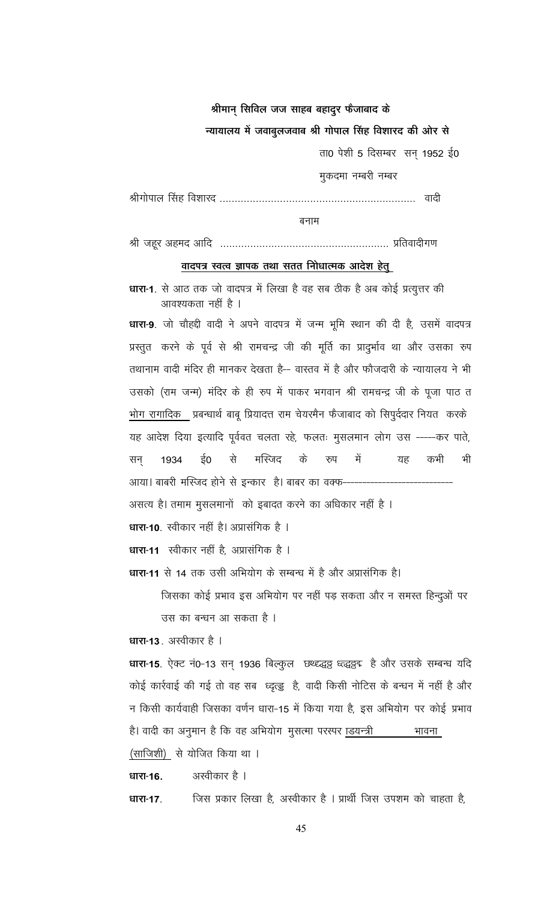#### श्रीमान सिविल जज साहब बहादूर फैजाबाद के

#### न्यायालय में जवाबूलजवाब श्री गोपाल सिंह विशारद की ओर से

ता0 पेशी 5 दिसम्बर सन् 1952 ई0

मुकदमा नम्बरी नम्बर

बनाम

# <u>वादपत्र स्वत्व ज्ञापक तथा सतत निोधात्मक आदेश हेतु</u>

**धारा-1**. से आठ तक जो वादपत्र में लिखा है वह सब ठीक है अब कोई प्रत्युत्तर की आवश्यकता नहीं है ।

धारा-9. जो चौहद्दी वादी ने अपने वादपत्र में जन्म भूमि स्थान की दी है, उसमें वादपत्र प्रस्तुत करने के पूर्व से श्री रामचन्द्र जी की मूर्ति का प्रादुर्भाव था और उसका रुप तथानाम वादी मंदिर ही मानकर देखता है-- वास्तव में है और फौजदारी के न्यायालय ने भी उसको (राम जन्म) मंदिर के ही रुप में पाकर भगवान श्री रामचन्द्र जी के पूजा पाठ त <u>भोग रागादिक प्र</u>बन्धार्थ बाबू प्रियादत्त राम चेयरमैन फैजाबाद को सिपुर्ददार नियत करके यह आदेश दिया इत्यादि पूर्ववत चलता रहे, फलतः मुसलमान लोग उस -----कर पाते, से मस्जिद के में भी सन् 1934 ई0 रुप यह कभी आया। बाबरी मस्जिद होने से इन्कार है। बाबर का वक्फ--असत्य है। तमाम मुसलमानों को इबादत करने का अधिकार नहीं है । धारा-10 स्वीकार नहीं है। अप्रासंगिक है । **धारा-11** स्वीकार नहीं है, अप्रासंगिक है । धारा-11 से 14 तक उसी अभियोग के सम्बन्ध में है और अप्रासंगिक है।

जिसका कोई प्रभाव इस अभियोग पर नहीं पड़ सकता और न समस्त हिन्दुओं पर

उस का बन्धन आ सकता है।

धारा-13. अस्वीकार है ।

धारा-15. ऐक्ट नं0-13 सन् 1936 बिल्कुल छ्थ्द्द्धड्ड ध्त्द्धड्डइ है और उसके सम्बन्ध यदि कोई कार्रवाई की गई तो वह सब ध्द्रत्डु है, वादी किसी नोटिस के बन्धन में नहीं है और न किसी कार्यवाही जिसका वर्णन धारा-15 में किया गया है, इस अभियोग पर कोई प्रभाव है। वादी का अनुमान है कि वह अभियोग मुसत्मा परस्पर ाडयन्त्री भावना (साजिशी) से योजित किया था ।

धारा-16.

धारा-17.

अस्वीकार है ।

जिस प्रकार लिखा है, अस्वीकार है । प्रार्थी जिस उपशम को चाहता है,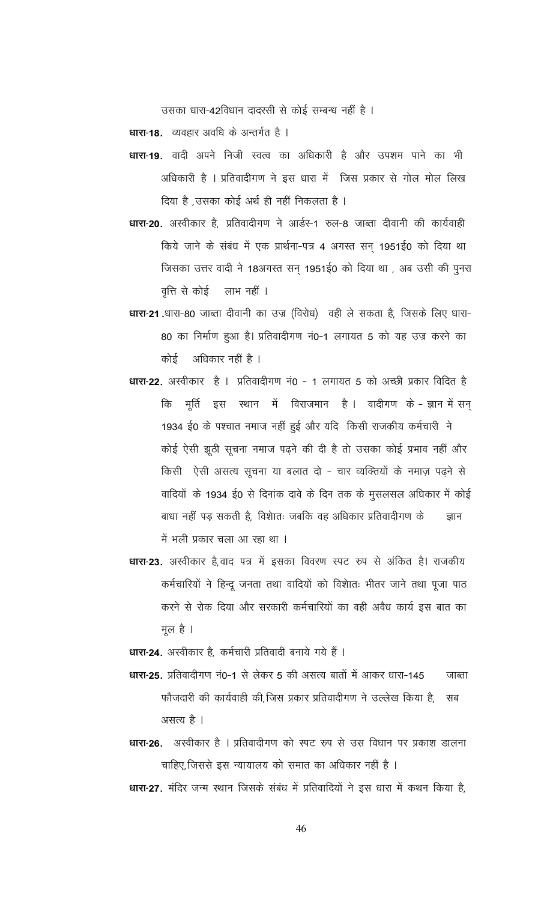उसका धारा-42विधान दादरसी से कोई सम्बन्ध नहीं है ।

धारा-18. व्यवहार अवधि के अन्तर्गत है ।

- धारा-19. वादी अपने निजी स्वत्व का अधिकारी है और उपशम पाने का भी अधिकारी है । प्रतिवादीगण ने इस धारा में जिस प्रकार से गोल मोल लिख दिया है, उसका कोई अर्थ ही नहीं निकलता है ।
- धारा-20. अस्वीकार है, प्रतिवादीगण ने आर्डर-1 रुल-8 जाब्ता दीवानी की कार्यवाही किये जाने के संबंध में एक प्रार्थना-पत्र 4 अगस्त सन् 1951ई0 को दिया था जिसका उत्तर वादी ने 18अगस्त सन् 1951ई0 को दिया था , अब उसी की पुनरा वृत्ति से कोई लाभ नहीं ।
- धारा-21.धारा-80 जाब्ता दीवानी का उज्र (विरोध) वही ले सकता है, जिसके लिए धारा-80 का निर्माण हुआ है। प्रतिवादीगण नं0-1 लगायत 5 को यह उज्र करने का कोई अधिकार नहीं है ।
- धारा-22. अस्वीकार है । प्रतिवादीगण नं0 1 लगायत 5 को अच्छी प्रकार विदित है मूर्ति इस स्थान में विराजमान है। वादीगण के-ज्ञान में सन् कि 1934 ई0 के पश्चात नमाज नहीं हुई और यदि किसी राजकीय कर्मचारी ने कोई ऐसी झूठी सूचना नमाज पढ़ने की दी है तो उसका कोई प्रभाव नहीं और किसी ऐसी असत्य सूचना या बलात दो - चार व्यक्तियों के नमाज़ पढ़ने से वादियों के 1934 ई0 से दिनांक दावे के दिन तक के मुसलसल अधिकार में कोई बाधा नहीं पड़ सकती है, विशातः जबकि वह अधिकार प्रतिवादीगण के ज्ञान में भली प्रकार चला आ रहा था ।
- धारा-23. अस्वीकार है,वाद पत्र में इसका विवरण स्पट रुप से अंकित है। राजकीय कर्मचारियों ने हिन्दू जनता तथा वादियों को विशातः भीतर जाने तथा पूजा पाठ करने से रोक दिया और सरकारी कर्मचारियों का वही अवैध कार्य इस बात का मूल है ।

धारा-24. अस्वीकार है, कर्मचारी प्रतिवादी बनाये गये हैं ।

- धारा-25. प्रतिवादीगण नं0-1 से लेकर 5 की असत्य बातों में आकर धारा-145 जाब्ता फौजदारी की कार्यवाही की,जिस प्रकार प्रतिवादीगण ने उल्लेख किया है, सब असत्य है ।
- धारा-26. अस्वीकार है । प्रतिवादीगण को स्पट रुप से उस विधान पर प्रकाश डालना चाहिए, जिससे इस न्यायालय को समात का अधिकार नहीं है ।

धारा-27. मंदिर जन्म स्थान जिसके संबंध में प्रतिवादियों ने इस धारा में कथन किया है,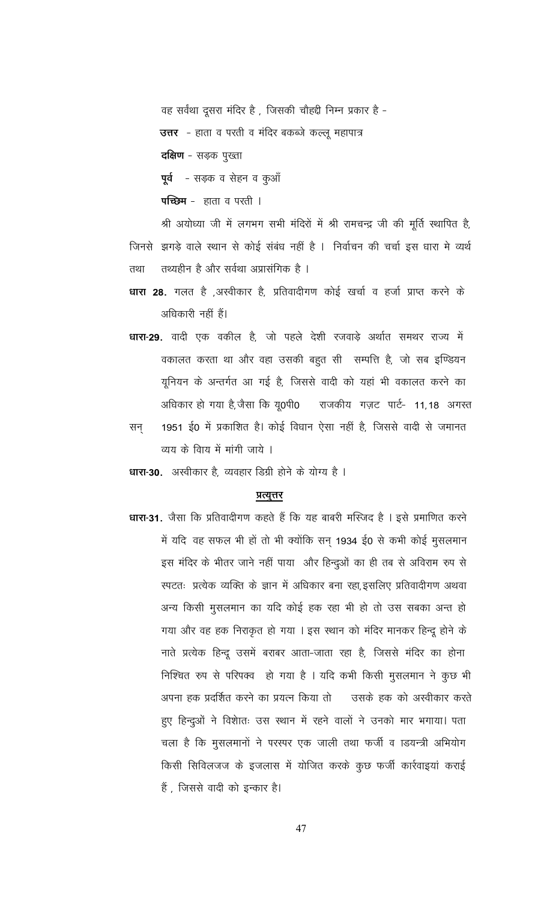वह सर्वथा दूसरा मंदिर है, जिसकी चौहद्दी निम्न प्रकार है -

उत्तर - हाता व परती व मंदिर बकब्जे कल्लू महापात्र

**दक्षिण** - सड़क पुख्ता

पूर्व - सड़क व सेहन व कुआँ

पच्छिम - हाता व परती ।

श्री अयोध्या जी में लगभग सभी मंदिरों में श्री रामचन्द्र जी की मूर्ति स्थापित है, जिनसे झगड़े वाले स्थान से कोई संबंध नहीं है । निर्वाचन की चर्चा इस धारा मे व्यर्थ तथ्यहीन है और सर्वथा अप्रासंगिक है । तथा

- धारा 28. गलत है ,अस्वीकार है, प्रतिवादीगण कोई खर्चा व हर्जा प्राप्त करने के अधिकारी नहीं हैं।
- धारा-29. वादी एक वकील है, जो पहले देशी रजवाड़े अर्थात समथर राज्य में वकालत करता था और वहा उसकी बहुत सी सम्पत्ति है, जो सब इण्डियन यूनियन के अन्तर्गत आ गई है, जिससे वादी को यहां भी वकालत करने का अधिकार हो गया है,जैसा कि यू0पी0 राजकीय गज़ट पार्ट- 11,18 अगस्त
- 1951 ई0 में प्रकाशित है। कोई विधान ऐसा नहीं है, जिससे वादी से जमानत सन् व्यय के विाय में मांगी जाये ।

धारा-30. अस्वीकार है, व्यवहार डिग्री होने के योग्य है ।

#### प्रत्युत्तर

धारा-31. जैसा कि प्रतिवादीगण कहते हैं कि यह बाबरी मस्जिद है । इसे प्रमाणित करने में यदि वह सफल भी हों तो भी क्योंकि सन् 1934 ई0 से कभी कोई मुसलमान इस मंदिर के भीतर जाने नहीं पाया और हिन्दुओं का ही तब से अविराम रुप से स्पटतः प्रत्येक व्यक्ति के ज्ञान में अधिकार बना रहा,इसलिए प्रतिवादीगण अथवा अन्य किसी मुसलमान का यदि कोई हक रहा भी हो तो उस सबका अन्त हो गया और वह हक निराकृत हो गया । इस स्थान को मंदिर मानकर हिन्दू होने के नाते प्रत्येक हिन्दू उसमें बराबर आता-जाता रहा है, जिससे मंदिर का होना निश्चित रुप से परिपक्व हो गया है । यदि कभी किसी मुसलमान ने कुछ भी अपना हक प्रदर्शित करने का प्रयत्न किया तो उसके हक को अस्वीकार करते हुए हिन्दुओं ने विशातः उस स्थान में रहने वालों ने उनको मार भगाया। पता चला है कि मुसलमानों ने परस्पर एक जाली तथा फर्जी व ाडयन्त्री अभियोग किसी सिविलजज के इजलास में योजित करके कुछ फर्जी कार्रवाइयां कराई हैं , जिससे वादी को इन्कार है।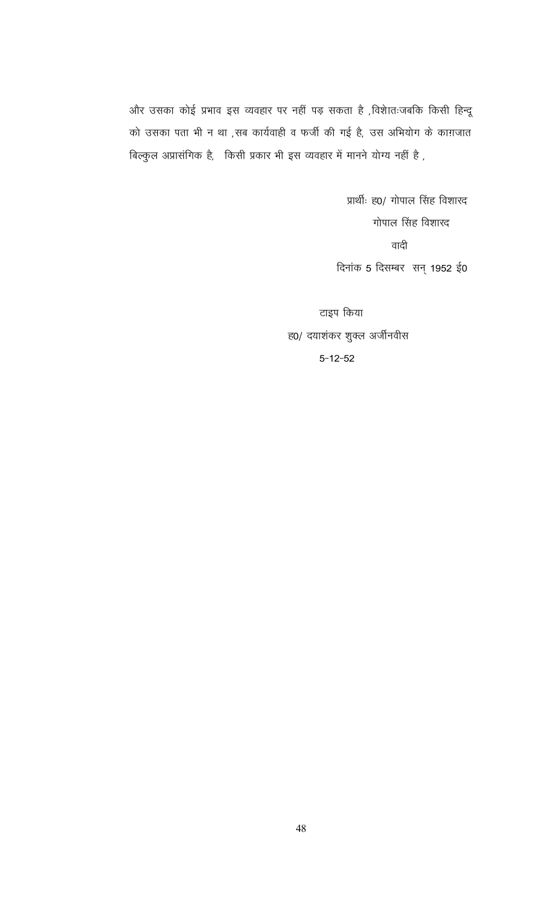और उसका कोई प्रभाव इस व्यवहार पर नहीं पड़ सकता है ,विशेातःजबकि किसी हिन्दू को उसका पता भी न था ,सब कार्यवाही व फर्जी की गई है, उस अभियोग के काग़जात बिल्कुल अप्रासंगिक है, किसी प्रकार भी इस व्यवहार में मानने योग्य नहीं है ,

> प्रार्थीः ह0/ गोपाल सिंह विशारद गोपाल सिंह विशारद वादी दिनांक 5 दिसम्बर सन् 1952 ई0

टाइप किया ह0/ दयाशंकर शुक्ल अर्जीनवीस  $5 - 12 - 52$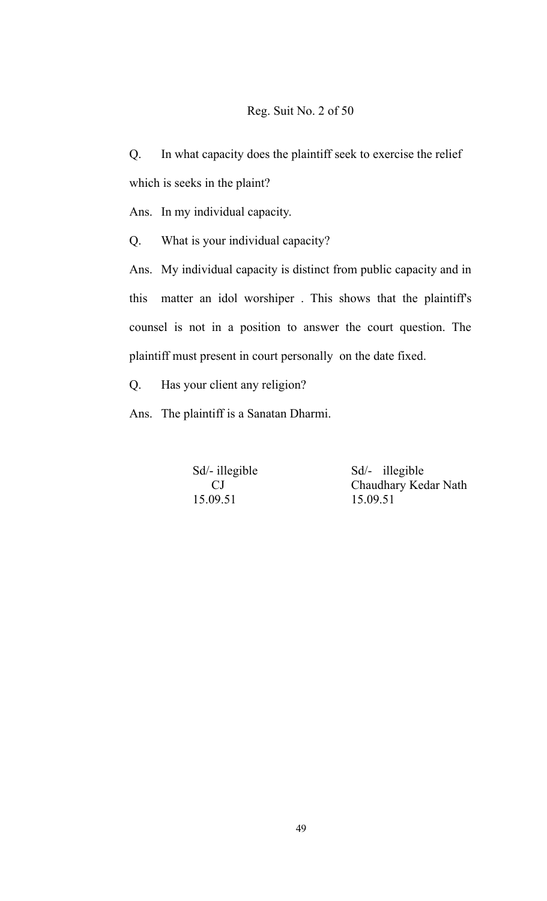### Reg. Suit No. 2 of 50

Q. In what capacity does the plaintiff seek to exercise the relief which is seeks in the plaint?

Ans. In my individual capacity.

Q. What is your individual capacity?

Ans. My individual capacity is distinct from public capacity and in this matter an idol worshiper . This shows that the plaintiff's counsel is not in a position to answer the court question. The plaintiff must present in court personally on the date fixed.

Q. Has your client any religion?

Ans. The plaintiff is a Sanatan Dharmi.

15.09.51 15.09.51

Sd<sup> $\frac{1}{2}$ </sup> illegible Sd<sup> $\frac{1}{2}$ </sup> illegible CJ Chaudhary Kedar Nath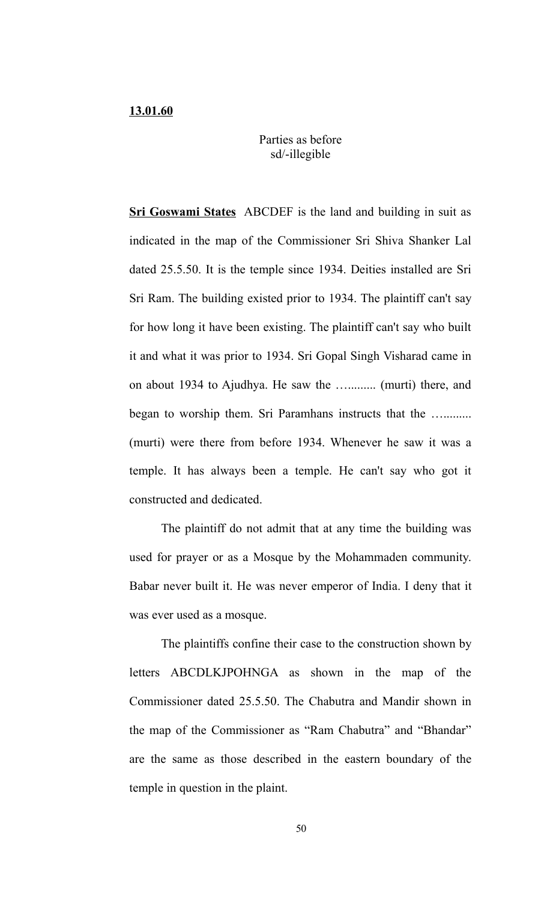## Parties as before sd/-illegible

**Sri Goswami States** ABCDEF is the land and building in suit as indicated in the map of the Commissioner Sri Shiva Shanker Lal dated 25.5.50. It is the temple since 1934. Deities installed are Sri Sri Ram. The building existed prior to 1934. The plaintiff can't say for how long it have been existing. The plaintiff can't say who built it and what it was prior to 1934. Sri Gopal Singh Visharad came in on about 1934 to Ajudhya. He saw the …......... (murti) there, and began to worship them. Sri Paramhans instructs that the …......... (murti) were there from before 1934. Whenever he saw it was a temple. It has always been a temple. He can't say who got it constructed and dedicated.

The plaintiff do not admit that at any time the building was used for prayer or as a Mosque by the Mohammaden community. Babar never built it. He was never emperor of India. I deny that it was ever used as a mosque.

The plaintiffs confine their case to the construction shown by letters ABCDLKJPOHNGA as shown in the map of the Commissioner dated 25.5.50. The Chabutra and Mandir shown in the map of the Commissioner as "Ram Chabutra" and "Bhandar" are the same as those described in the eastern boundary of the temple in question in the plaint.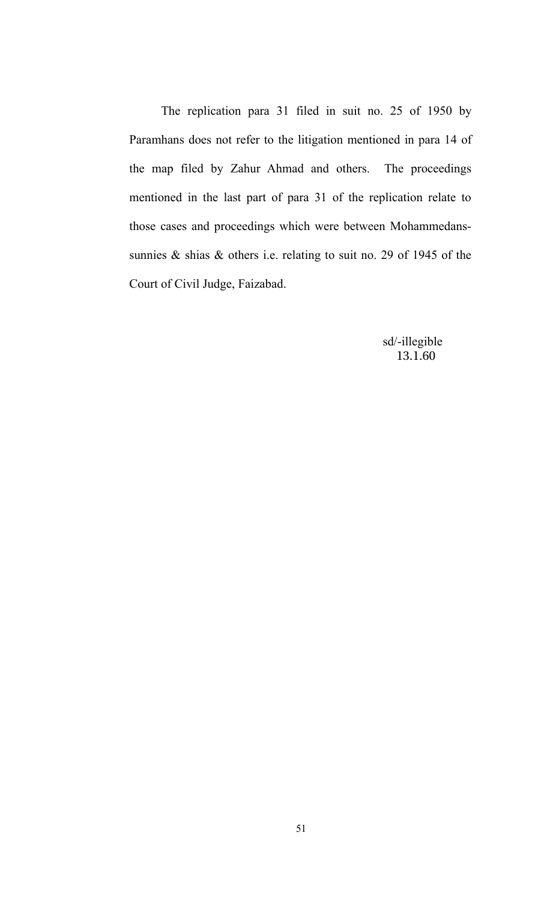The replication para 31 filed in suit no. 25 of 1950 by Paramhans does not refer to the litigation mentioned in para 14 of the map filed by Zahur Ahmad and others. The proceedings mentioned in the last part of para 31 of the replication relate to those cases and proceedings which were between Mohammedanssunnies & shias & others i.e. relating to suit no. 29 of 1945 of the Court of Civil Judge, Faizabad.

> sd/-illegible 13.1.60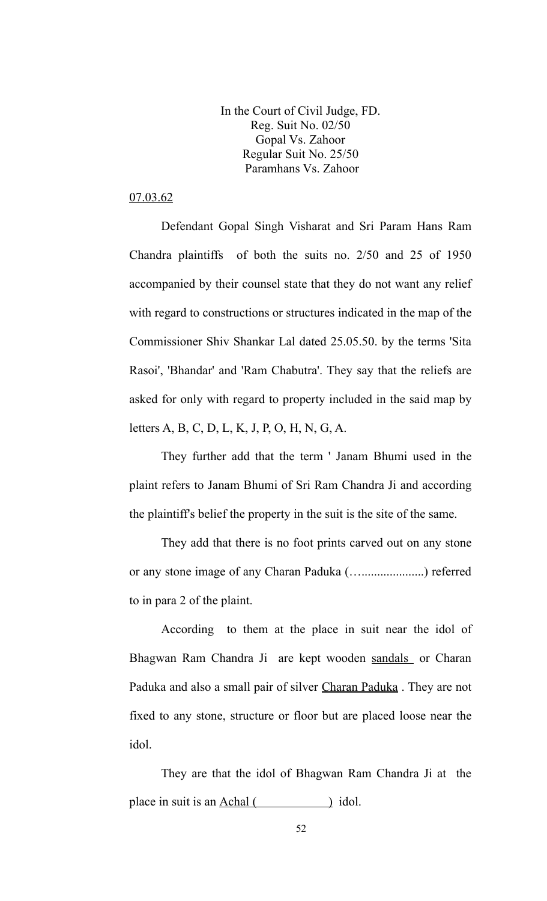In the Court of Civil Judge, FD. Reg. Suit No. 02/50 Gopal Vs. Zahoor Regular Suit No. 25/50 Paramhans Vs. Zahoor

## 07.03.62

Defendant Gopal Singh Visharat and Sri Param Hans Ram Chandra plaintiffs of both the suits no. 2/50 and 25 of 1950 accompanied by their counsel state that they do not want any relief with regard to constructions or structures indicated in the map of the Commissioner Shiv Shankar Lal dated 25.05.50. by the terms 'Sita Rasoi', 'Bhandar' and 'Ram Chabutra'. They say that the reliefs are asked for only with regard to property included in the said map by letters A, B, C, D, L, K, J, P, O, H, N, G, A.

They further add that the term ' Janam Bhumi used in the plaint refers to Janam Bhumi of Sri Ram Chandra Ji and according the plaintiff's belief the property in the suit is the site of the same.

They add that there is no foot prints carved out on any stone or any stone image of any Charan Paduka (…....................) referred to in para 2 of the plaint.

According to them at the place in suit near the idol of Bhagwan Ram Chandra Ji are kept wooden sandals or Charan Paduka and also a small pair of silver Charan Paduka . They are not fixed to any stone, structure or floor but are placed loose near the idol.

They are that the idol of Bhagwan Ram Chandra Ji at the place in suit is an Achal ( ) idol.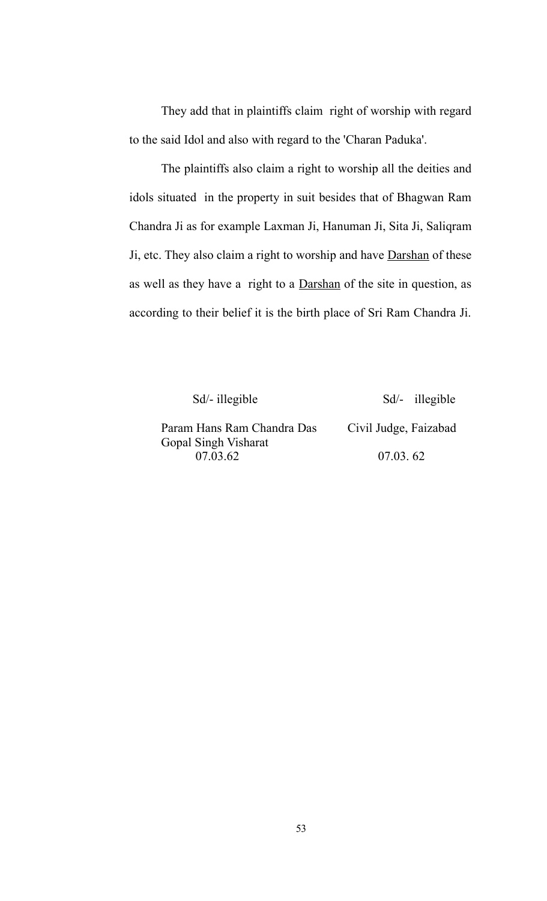They add that in plaintiffs claim right of worship with regard to the said Idol and also with regard to the 'Charan Paduka'.

The plaintiffs also claim a right to worship all the deities and idols situated in the property in suit besides that of Bhagwan Ram Chandra Ji as for example Laxman Ji, Hanuman Ji, Sita Ji, Saliqram Ji, etc. They also claim a right to worship and have Darshan of these as well as they have a right to a Darshan of the site in question, as according to their belief it is the birth place of Sri Ram Chandra Ji.

Sd/- illegible Sd/- illegible

Param Hans Ram Chandra Das Civil Judge, Faizabad Gopal Singh Visharat 07.03.62 07.03. 62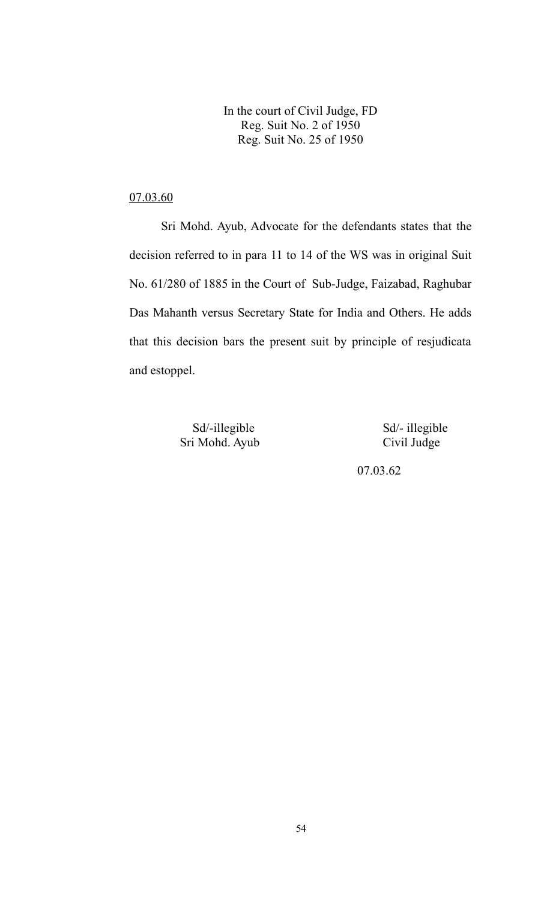In the court of Civil Judge, FD Reg. Suit No. 2 of 1950 Reg. Suit No. 25 of 1950

## 07.03.60

Sri Mohd. Ayub, Advocate for the defendants states that the decision referred to in para 11 to 14 of the WS was in original Suit No. 61/280 of 1885 in the Court of Sub-Judge, Faizabad, Raghubar Das Mahanth versus Secretary State for India and Others. He adds that this decision bars the present suit by principle of resjudicata and estoppel.

> Sd/-illegible Sd/- illegible Sri Mohd. Ayub Civil Judge

07.03.62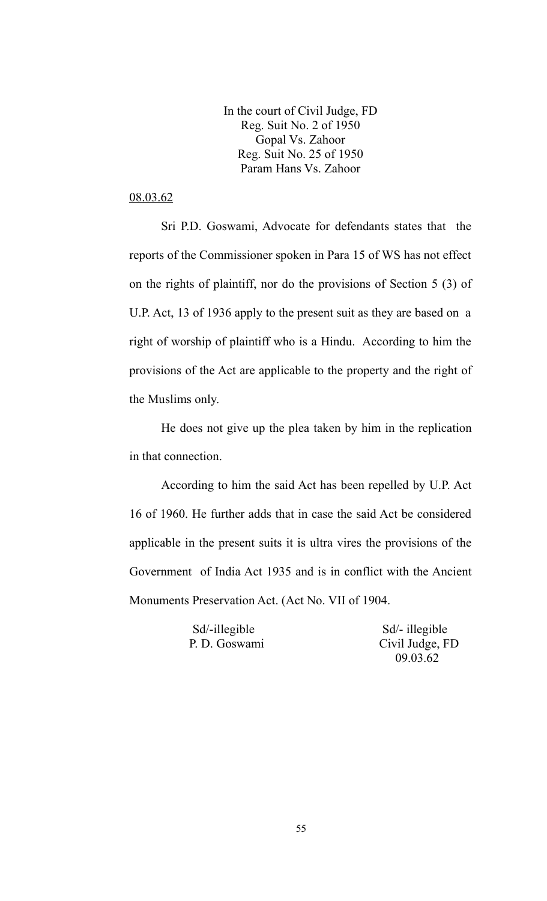In the court of Civil Judge, FD Reg. Suit No. 2 of 1950 Gopal Vs. Zahoor Reg. Suit No. 25 of 1950 Param Hans Vs. Zahoor

## 08.03.62

Sri P.D. Goswami, Advocate for defendants states that the reports of the Commissioner spoken in Para 15 of WS has not effect on the rights of plaintiff, nor do the provisions of Section 5 (3) of U.P. Act, 13 of 1936 apply to the present suit as they are based on a right of worship of plaintiff who is a Hindu. According to him the provisions of the Act are applicable to the property and the right of the Muslims only.

He does not give up the plea taken by him in the replication in that connection.

According to him the said Act has been repelled by U.P. Act 16 of 1960. He further adds that in case the said Act be considered applicable in the present suits it is ultra vires the provisions of the Government of India Act 1935 and is in conflict with the Ancient Monuments Preservation Act. (Act No. VII of 1904.

Sd/-illegible Sd/- illegible

 P. D. Goswami Civil Judge, FD 09.03.62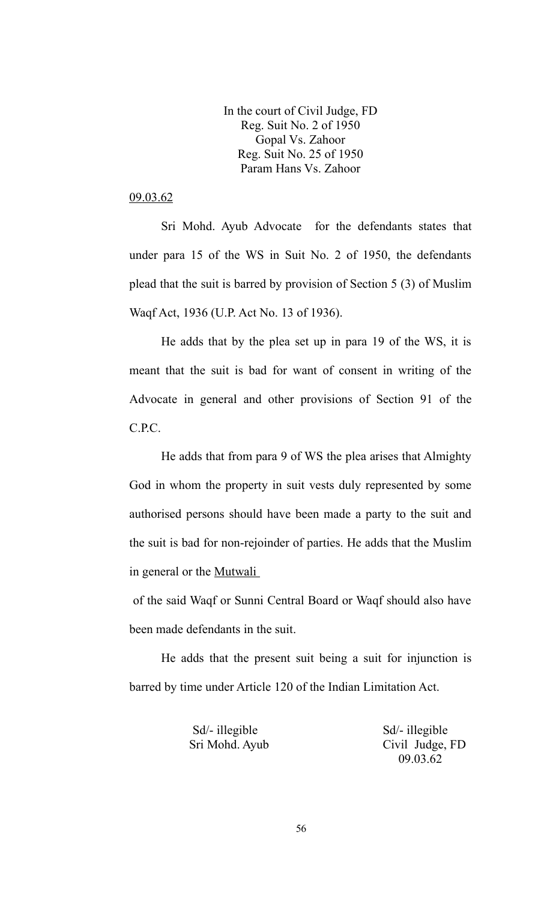In the court of Civil Judge, FD Reg. Suit No. 2 of 1950 Gopal Vs. Zahoor Reg. Suit No. 25 of 1950 Param Hans Vs. Zahoor

## 09.03.62

Sri Mohd. Ayub Advocate for the defendants states that under para 15 of the WS in Suit No. 2 of 1950, the defendants plead that the suit is barred by provision of Section 5 (3) of Muslim Waqf Act, 1936 (U.P. Act No. 13 of 1936).

He adds that by the plea set up in para 19 of the WS, it is meant that the suit is bad for want of consent in writing of the Advocate in general and other provisions of Section 91 of the C.P.C.

He adds that from para 9 of WS the plea arises that Almighty God in whom the property in suit vests duly represented by some authorised persons should have been made a party to the suit and the suit is bad for non-rejoinder of parties. He adds that the Muslim in general or the Mutwali

 of the said Waqf or Sunni Central Board or Waqf should also have been made defendants in the suit.

He adds that the present suit being a suit for injunction is barred by time under Article 120 of the Indian Limitation Act.

Sd/- illegible Sd/- illegible

 Sri Mohd. Ayub Civil Judge, FD 09.03.62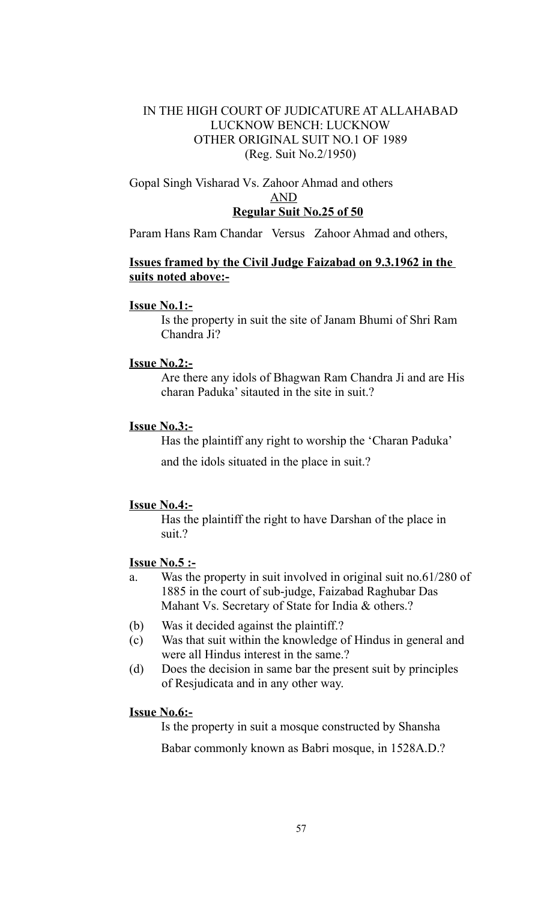## IN THE HIGH COURT OF JUDICATURE AT ALLAHABAD LUCKNOW BENCH: LUCKNOW OTHER ORIGINAL SUIT NO.1 OF 1989 (Reg. Suit No.2/1950)

## Gopal Singh Visharad Vs. Zahoor Ahmad and others AND  **Regular Suit No.25 of 50**

Param Hans Ram Chandar Versus Zahoor Ahmad and others,

## **Issues framed by the Civil Judge Faizabad on 9.3.1962 in the suits noted above:-**

#### **Issue No.1:-**

Is the property in suit the site of Janam Bhumi of Shri Ram Chandra Ji?

#### **Issue No.2:-**

Are there any idols of Bhagwan Ram Chandra Ji and are His charan Paduka' sitauted in the site in suit.?

### **Issue No.3:-**

Has the plaintiff any right to worship the 'Charan Paduka' and the idols situated in the place in suit.?

### **Issue No.4:-**

Has the plaintiff the right to have Darshan of the place in suit.?

## **Issue No.5 :-**

- a. Was the property in suit involved in original suit no.61/280 of 1885 in the court of sub-judge, Faizabad Raghubar Das Mahant Vs. Secretary of State for India & others.?
- (b) Was it decided against the plaintiff.?
- (c) Was that suit within the knowledge of Hindus in general and were all Hindus interest in the same.?
- (d) Does the decision in same bar the present suit by principles of Resjudicata and in any other way.

### **Issue No.6:-**

Is the property in suit a mosque constructed by Shansha

Babar commonly known as Babri mosque, in 1528A.D.?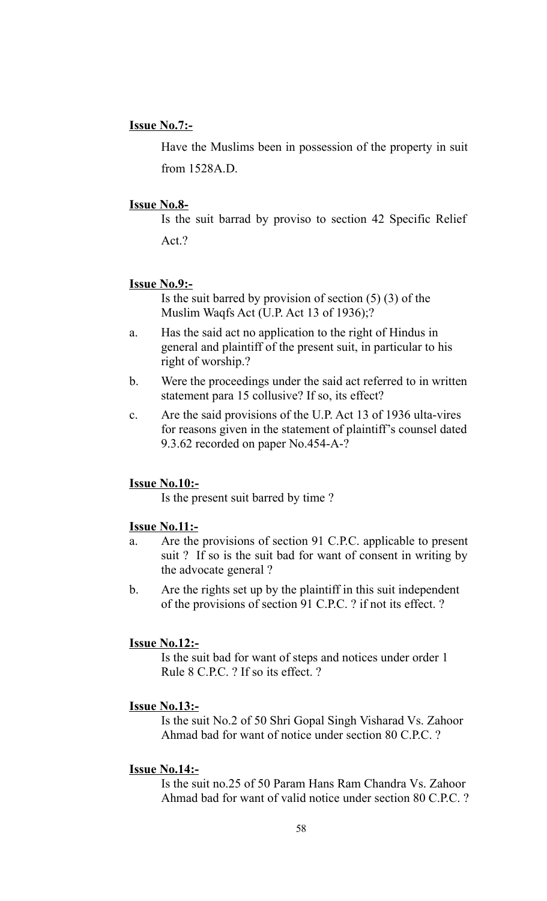### **Issue No.7:-**

Have the Muslims been in possession of the property in suit from 1528A.D.

#### **Issue No.8-**

Is the suit barrad by proviso to section 42 Specific Relief Act.?

#### **Issue No.9:-**

Is the suit barred by provision of section  $(5)$   $(3)$  of the Muslim Waqfs Act (U.P. Act 13 of 1936);?

- a. Has the said act no application to the right of Hindus in general and plaintiff of the present suit, in particular to his right of worship.?
- b. Were the proceedings under the said act referred to in written statement para 15 collusive? If so, its effect?
- c. Are the said provisions of the U.P. Act 13 of 1936 ulta-vires for reasons given in the statement of plaintiff's counsel dated 9.3.62 recorded on paper No.454-A-?

#### **Issue No.10:-**

Is the present suit barred by time ?

## **Issue No.11:-**

- a. Are the provisions of section 91 C.P.C. applicable to present suit ? If so is the suit bad for want of consent in writing by the advocate general ?
- b. Are the rights set up by the plaintiff in this suit independent of the provisions of section 91 C.P.C. ? if not its effect. ?

#### **Issue No.12:-**

Is the suit bad for want of steps and notices under order 1 Rule 8 C.P.C. ? If so its effect. ?

#### **Issue No.13:-**

Is the suit No.2 of 50 Shri Gopal Singh Visharad Vs. Zahoor Ahmad bad for want of notice under section 80 C.P.C. ?

#### **Issue No.14:-**

Is the suit no.25 of 50 Param Hans Ram Chandra Vs. Zahoor Ahmad bad for want of valid notice under section 80 C.P.C. ?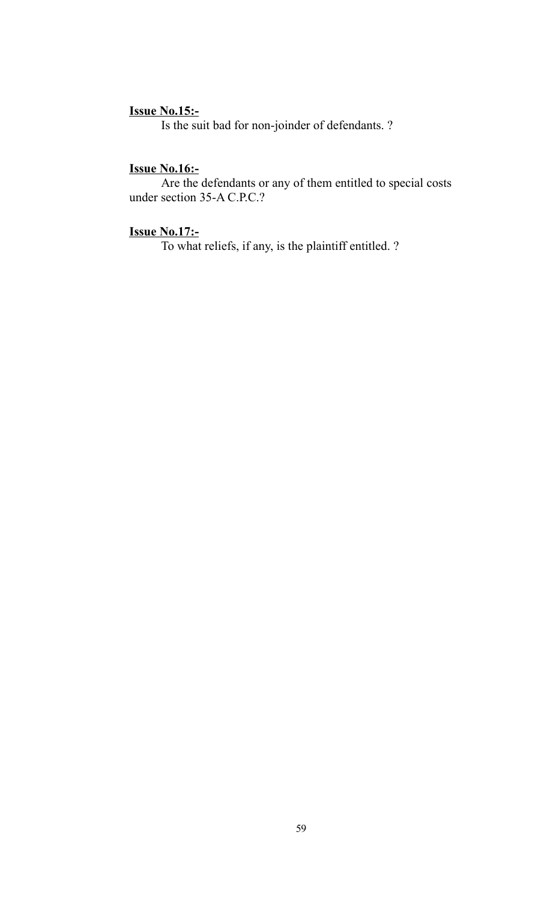## **Issue No.15:-**

Is the suit bad for non-joinder of defendants. ?

## **Issue No.16:-**

Are the defendants or any of them entitled to special costs under section 35-A C.P.C.?

## **Issue No.17:-**

To what reliefs, if any, is the plaintiff entitled. ?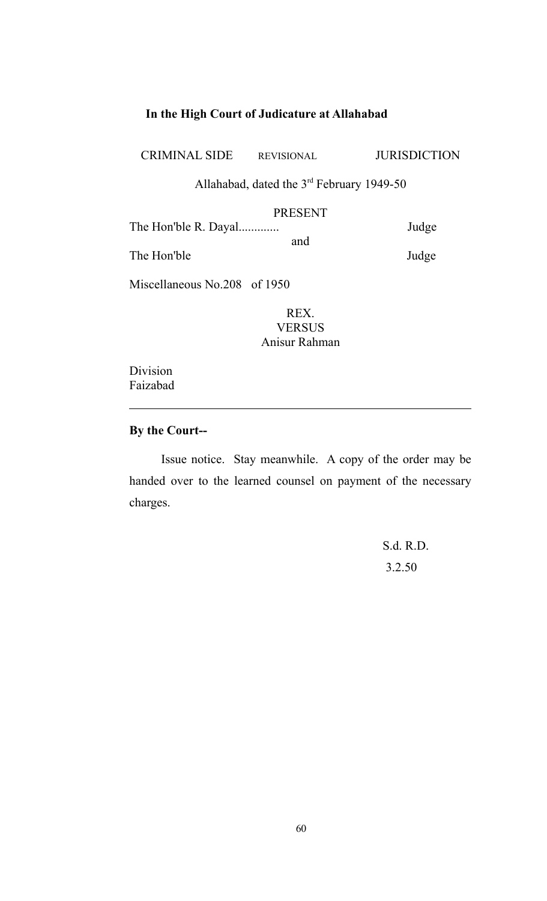# **In the High Court of Judicature at Allahabad**

CRIMINAL SIDE REVISIONAL JURISDICTION

Allahabad, dated the 3rd February 1949-50

# PRESENT

| The Hon'ble R. Dayal |     | Judge |
|----------------------|-----|-------|
|                      | and |       |
| The Hon'ble          |     | Judge |

Miscellaneous No.208 of 1950

REX. **VERSUS** Anisur Rahman

Division Faizabad

## **By the Court--**

Issue notice. Stay meanwhile. A copy of the order may be handed over to the learned counsel on payment of the necessary charges.

 S.d. R.D. 3.2.50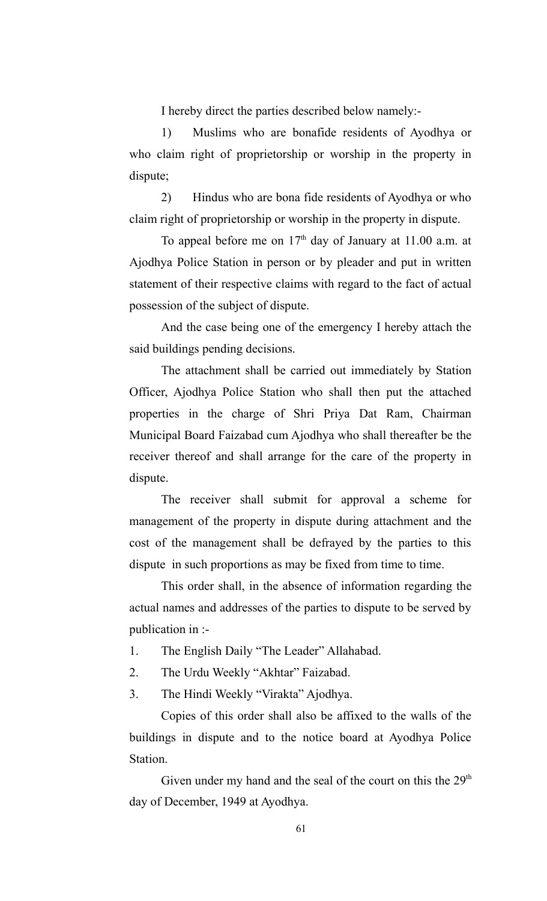I hereby direct the parties described below namely:-

1) Muslims who are bonafide residents of Ayodhya or who claim right of proprietorship or worship in the property in dispute;

2) Hindus who are bona fide residents of Ayodhya or who claim right of proprietorship or worship in the property in dispute.

To appeal before me on  $17<sup>th</sup>$  day of January at 11.00 a.m. at Ajodhya Police Station in person or by pleader and put in written statement of their respective claims with regard to the fact of actual possession of the subject of dispute.

And the case being one of the emergency I hereby attach the said buildings pending decisions.

The attachment shall be carried out immediately by Station Officer, Ajodhya Police Station who shall then put the attached properties in the charge of Shri Priya Dat Ram, Chairman Municipal Board Faizabad cum Ajodhya who shall thereafter be the receiver thereof and shall arrange for the care of the property in dispute.

The receiver shall submit for approval a scheme for management of the property in dispute during attachment and the cost of the management shall be defrayed by the parties to this dispute in such proportions as may be fixed from time to time.

This order shall, in the absence of information regarding the actual names and addresses of the parties to dispute to be served by publication in :-

- 1. The English Daily "The Leader" Allahabad.
- 2. The Urdu Weekly "Akhtar" Faizabad.
- 3. The Hindi Weekly "Virakta" Ajodhya.

Copies of this order shall also be affixed to the walls of the buildings in dispute and to the notice board at Ayodhya Police Station.

Given under my hand and the seal of the court on this the  $29<sup>th</sup>$ day of December, 1949 at Ayodhya.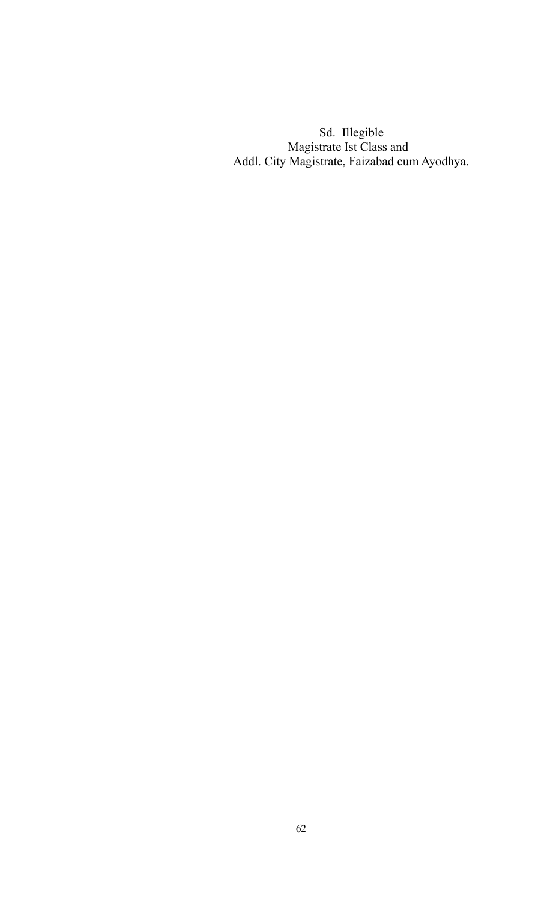Sd. Illegible Magistrate Ist Class and Addl. City Magistrate, Faizabad cum Ayodhya.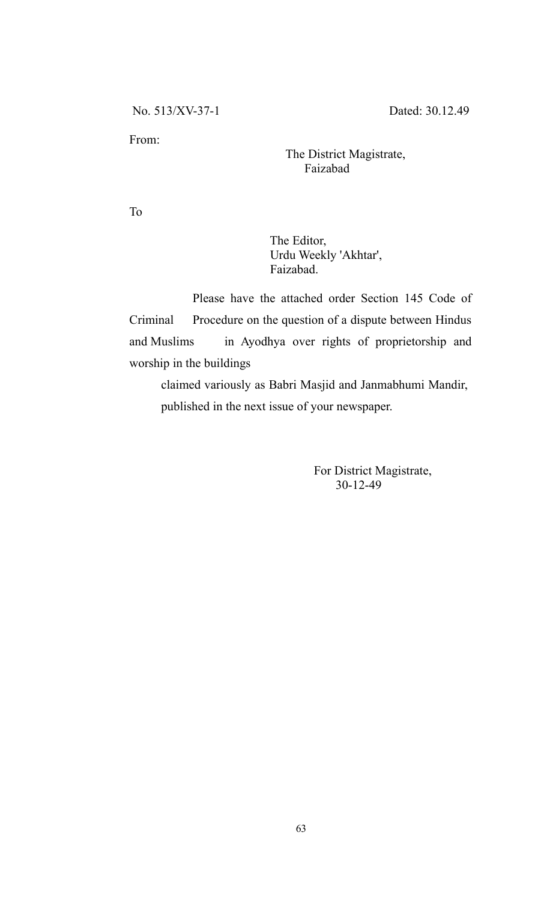From:

 The District Magistrate, Faizabad

To

 The Editor, Urdu Weekly 'Akhtar', Faizabad.

Please have the attached order Section 145 Code of Criminal Procedure on the question of a dispute between Hindus and Muslims in Ayodhya over rights of proprietorship and worship in the buildings

claimed variously as Babri Masjid and Janmabhumi Mandir, published in the next issue of your newspaper.

> For District Magistrate, 30-12-49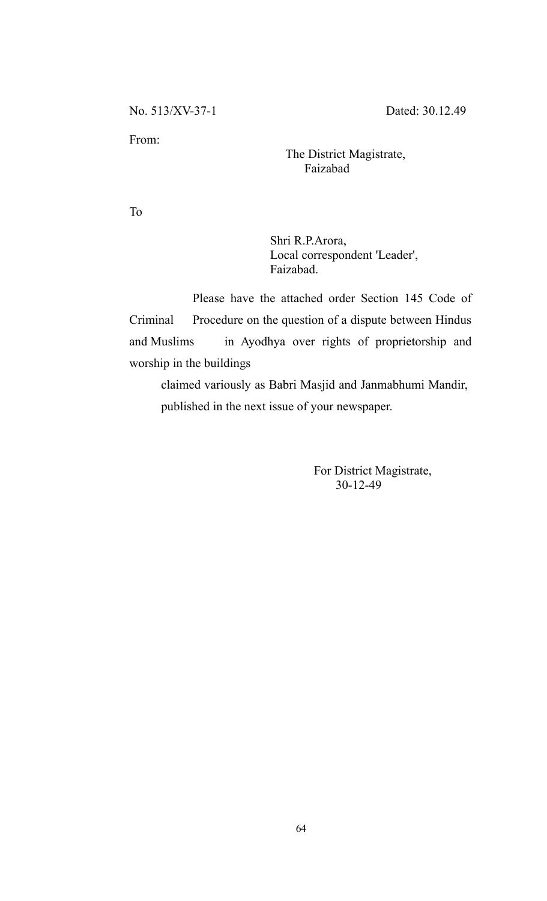From:

 The District Magistrate, Faizabad

To

 Shri R.P.Arora, Local correspondent 'Leader', Faizabad.

Please have the attached order Section 145 Code of Criminal Procedure on the question of a dispute between Hindus and Muslims in Ayodhya over rights of proprietorship and worship in the buildings

claimed variously as Babri Masjid and Janmabhumi Mandir, published in the next issue of your newspaper.

> For District Magistrate, 30-12-49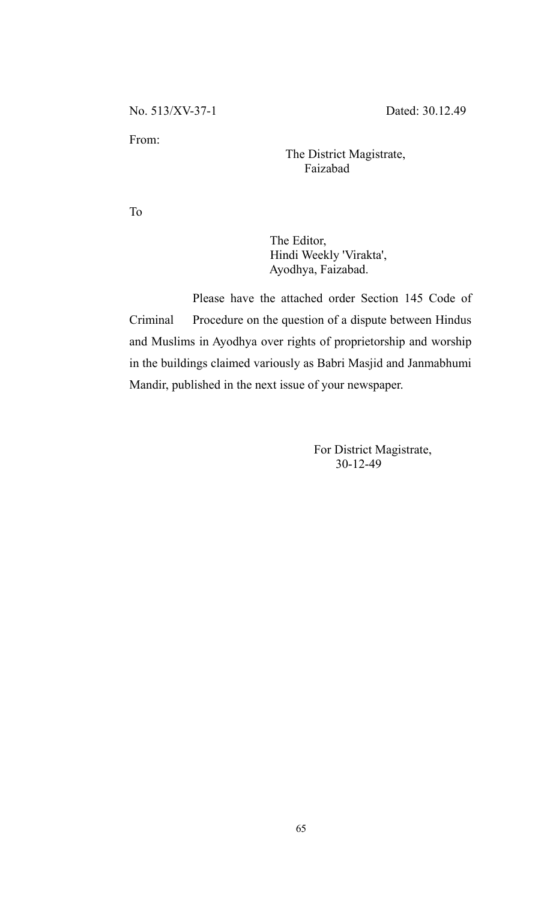From:

 The District Magistrate, Faizabad

To

 The Editor, Hindi Weekly 'Virakta', Ayodhya, Faizabad.

Please have the attached order Section 145 Code of Criminal Procedure on the question of a dispute between Hindus and Muslims in Ayodhya over rights of proprietorship and worship in the buildings claimed variously as Babri Masjid and Janmabhumi Mandir, published in the next issue of your newspaper.

> For District Magistrate, 30-12-49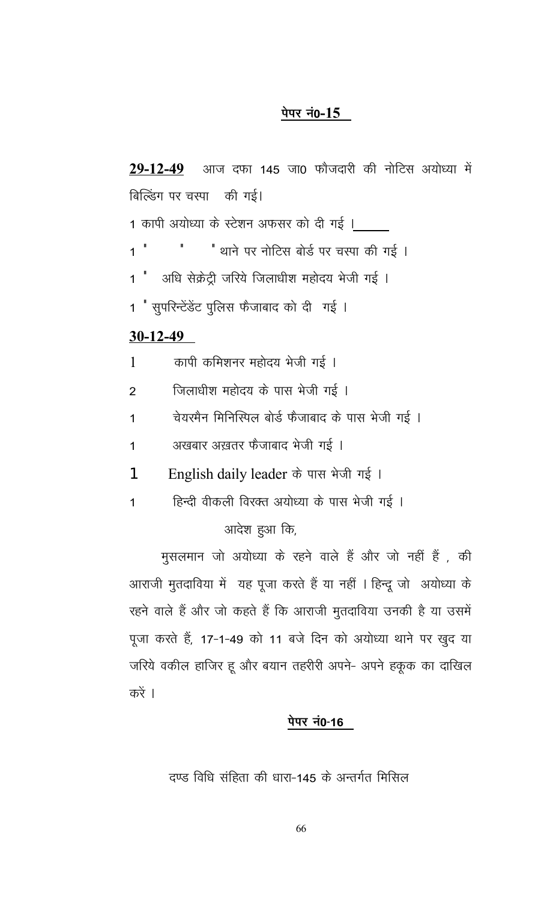# पेपर नं0-15

आज दफा 145 जा0 फौजदारी की नोटिस अयोध्या में  $29 - 12 - 49$ बिल्डिंग पर चस्पा की गई। 1 कापी अयोध्या के स्टेशन अफसर को दी गई । " थाने पर नोटिस बोर्ड पर चस्पा की गई ।  $1$ अधि सेक्रेट्री जरिये जिलाधीश महोदय भेजी गई ।  $1$   $^{\prime}$ 1 " सुपरिन्टेंडेंट पुलिस फैजाबाद को दी गई ।  $30-12-49$ कापी कमिशनर महोदय भेजी गई ।  $\mathbf{1}$ जिलाधीश महोदय के पास भेजी गई ।  $\overline{2}$ चेयरमैन मिनिस्पिल बोर्ड फैजाबाद के पास भेजी गई ।  $\mathbf{1}$ अखबार अख़तर फैजाबाद भेजी गई ।  $\mathbf{1}$ English daily leader के पास भेजी गई। 1 हिन्दी वीकली विरक्त अयोध्या के पास भेजी गई ।  $\overline{1}$ आदेश हुआ कि, मुसलमान जो अयोध्या के रहने वाले हैं और जो नहीं हैं, की आराजी मुतदाविया में यह पूजा करते हैं या नहीं । हिन्दू जो अयोध्या के

रहने वाले हैं और जो कहते हैं कि आराजी मुतदाविया उनकी है या उसमें पूजा करते हैं, 17-1-49 को 11 बजे दिन को अयोध्या थाने पर खुद या जरिये वकील हाजिर हू और बयान तहरीरी अपने- अपने हकूक का दाखिल करें ।

# पेपर नं0-16

दण्ड विधि संहिता की धारा-145 के अन्तर्गत मिसिल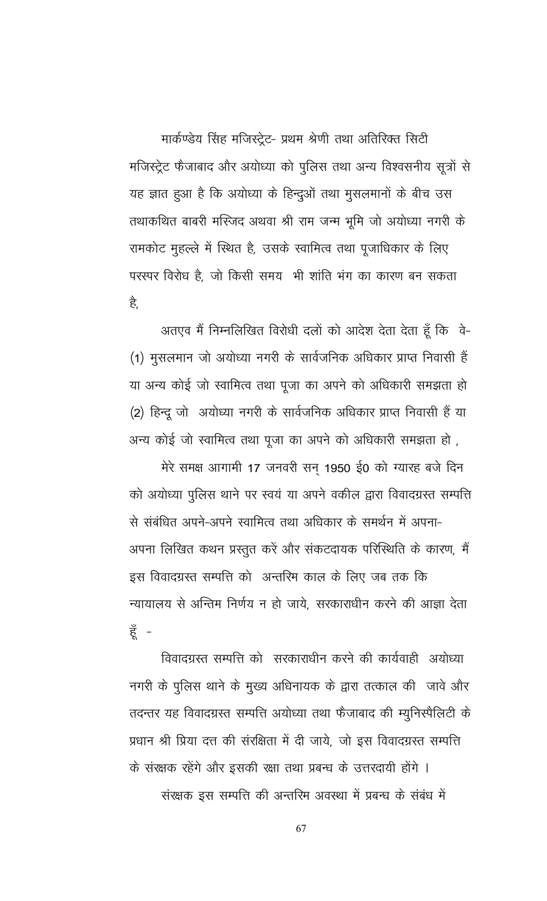मार्कण्डेय सिंह मजिस्ट्रेट- प्रथम श्रेणी तथा अतिरिक्त सिटी मजिस्ट्रेट फैजाबाद और अयोध्या को पुलिस तथा अन्य विश्वसनीय सूत्रों से यह ज्ञात हुआ है कि अयोध्या के हिन्दुओं तथा मुसलमानों के बीच उस तथाकथित बाबरी मस्जिद अथवा श्री राम जन्म भूमि जो अयोध्या नगरी के रामकोट मुहल्ले में स्थित है, उसके स्वामित्व तथा पूजाधिकार के लिए परस्पर विरोध है, जो किसी समय भी शांति भंग का कारण बन सकता है,

अतएव मैं निम्नलिखित विरोधी दलों को आदेश देता देता हूँ कि वे-(1) मुसलमान जो अयोध्या नगरी के सार्वजनिक अधिकार प्राप्त निवासी हैं या अन्य कोई जो स्वामित्व तथा पूजा का अपने को अधिकारी समझता हो (2) हिन्दू जो अयोध्या नगरी के सार्वजनिक अधिकार प्राप्त निवासी हैं या अन्य कोई जो स्वामित्व तथा पूजा का अपने को अधिकारी समझता हो ,

मेरे समक्ष आगामी 17 जनवरी सन 1950 ई0 को ग्यारह बजे दिन को अयोध्या पुलिस थाने पर स्वयं या अपने वकील द्वारा विवादग्रस्त सम्पत्ति से संबंधित अपने-अपने स्वामित्व तथा अधिकार के समर्थन में अपना-अपना लिखित कथन प्रस्तुत करें और संकटदायक परिस्थिति के कारण, मैं इस विवादग्रस्त सम्पत्ति को अन्तरिम काल के लिए जब तक कि न्यायालय से अन्तिम निर्णय न हो जाये, सरकाराधीन करने की आज्ञा देता हूँ -

विवादग्रस्त सम्पत्ति को सरकाराधीन करने की कार्यवाही अयोध्या नगरी के पुलिस थाने के मुख्य अधिनायक के द्वारा तत्काल की जावे और तदन्तर यह विवादग्रस्त सम्पत्ति अयोध्या तथा फैजाबाद की म्युनिस्पैलिटी के प्रधान श्री प्रिया दत्त की संरक्षिता में दी जाये, जो इस विवादग्रस्त सम्पत्ति के संरक्षक रहेंगे और इसकी रक्षा तथा प्रबन्ध के उत्तरदायी होंगे ।

संरक्षक इस सम्पत्ति की अन्तरिम अवस्था में प्रबन्ध के संबंध में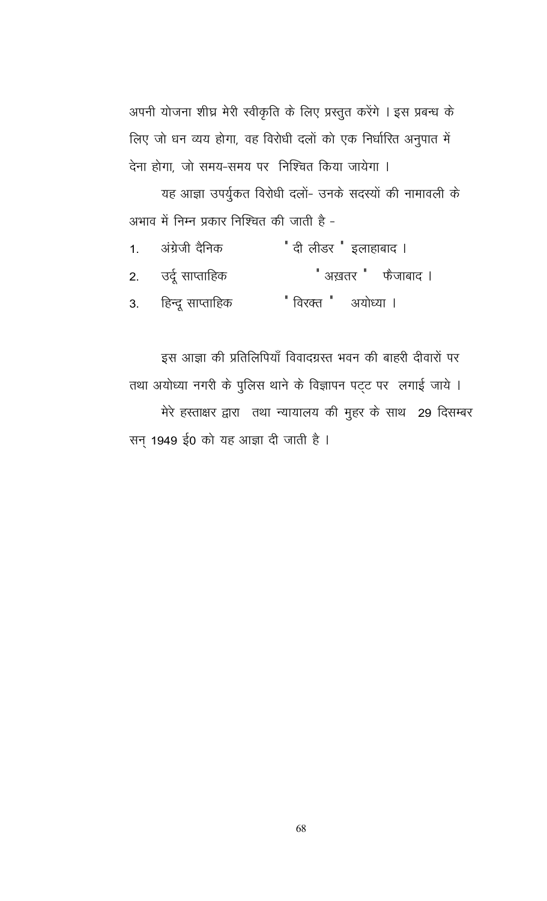अपनी योजना शीघ्र मेरी स्वीकृति के लिए प्रस्तुत करेंगे । इस प्रबन्ध के लिए जो धन व्यय होगा, वह विरोधी दलों को एक निर्धारित अनुपात में देना होगा, जो समय-समय पर निश्चित किया जायेगा ।

यह आज्ञा उपर्युकत विरोधी दलों- उनके सदस्यों की नामावली के अभाव में निम्न प्रकार निश्चित की जाती है -

| 1. अंग्रेजी दैनिक   | <sup>"</sup> दी लीडर <sup>"</sup> इलाहाबाद । |
|---------------------|----------------------------------------------|
| 2. उर्दू साप्ताहिक  | <sup>"</sup> अख़तर <sup>"</sup> फैजाबाद ।    |
| 3. हिन्दू साप्ताहिक | " विरक्त " अयोध्या ।                         |

इस आज्ञा की प्रतिलिपियाँ विवादग्रस्त भवन की बाहरी दीवारों पर तथा अयोध्या नगरी के पुलिस थाने के विज्ञापन पट्ट पर लगाई जाये । मेरे हस्ताक्षर द्वारा तथा न्यायालय की मुहर के साथ 29 दिसम्बर सन् 1949 ई0 को यह आज्ञा दी जाती है ।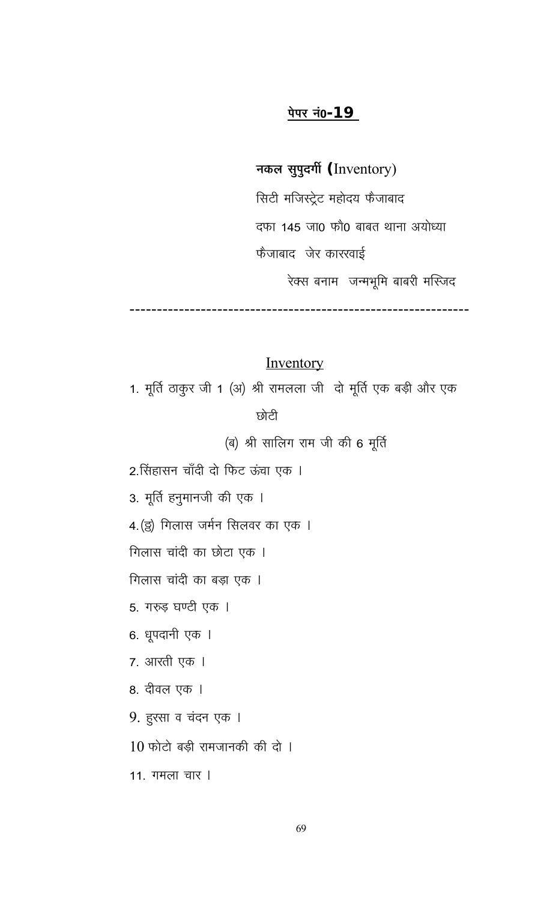# पेपर नं0-**19**

नकल सुपुदर्गी (Inventory)

सिटी मजिस्ट्रेट महोदय फैजाबाद दफा 145 जा0 फौ0 बाबत थाना अयोध्या फैजाबाद जेर काररवाई

रेक्स बनाम जन्मभूमि बाबरी मस्जिद

# Inventory

1. मूर्ति ठाकुर जी 1 (अ) श्री रामलला जी दो मूर्ति एक बड़ी और एक

छोटी

(ब) श्री सालिग राम जी की 6 मूर्ति

2.सिंहासन चाँदी दो फिट ऊंचा एक ।

3. मूर्ति हनुमानजी की एक ।

4. (ड्) गिलास जर्मन सिलवर का एक ।

गिलास चांदी का छोटा एक ।

गिलास चांदी का बड़ा एक ।

5. गरुड़ घण्टी एक ।

6. धूपदानी एक ।

7. आरती एक ।

8. दीवल एक ।

9. हुरसा व चंदन एक ।

 $10$  फोटो बड़ी रामजानकी की दो ।

11. गमला चार ।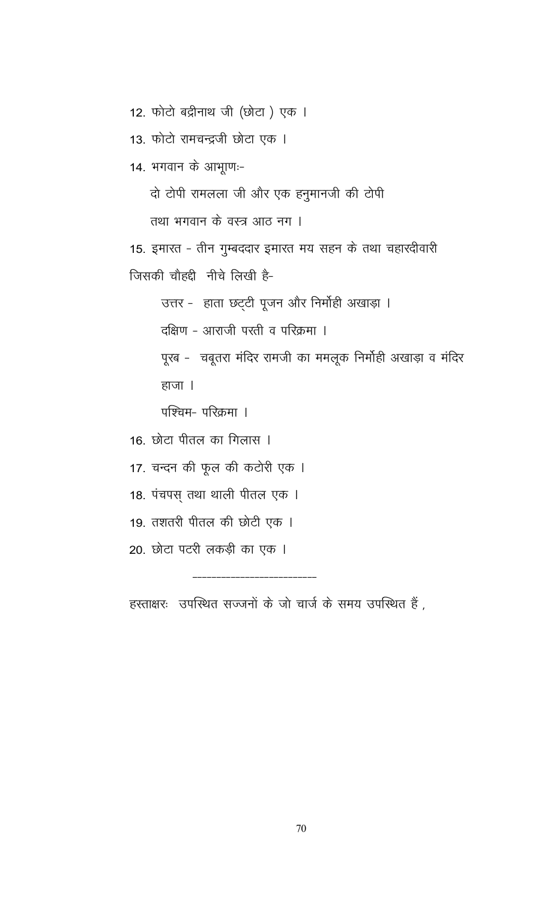12. फोटो बद्रीनाथ जी (छोटा) एक ।

13. फोटो रामचन्द्रजी छोटा एक ।

14. भगवान के आभूाणः-

दो टोपी रामलला जी और एक हनुमानजी की टोपी

तथा भगवान के वस्त्र आठ नग ।

15. इमारत - तीन गुम्बददार इमारत मय सहन के तथा चहारदीवारी जिसकी चौहद्दी नीचे लिखी है-

उत्तर - हाता छट्टी पूजन और निर्मोही अखाड़ा ।

दक्षिण - आराजी परती व परिक्रमा ।

पूरब - चबूतरा मंदिर रामजी का ममलूक निर्मोही अखाड़ा व मंदिर हाजा ।

पश्चिम- परिक्रमा ।

16. छोटा पीतल का गिलास ।

17. चन्दन की फूल की कटोरी एक ।

18. पंचपस् तथा थाली पीतल एक ।

19. तशतरी पीतल की छोटी एक ।

20. छोटा पटरी लकड़ी का एक ।

हस्ताक्षरः उपस्थित सज्जनों के जो चार्ज के समय उपस्थित हैं,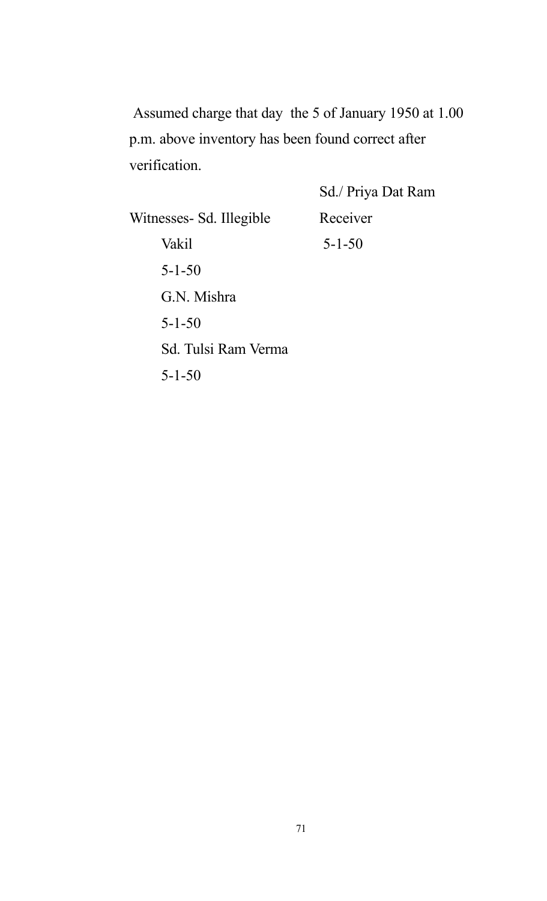Assumed charge that day the 5 of January 1950 at 1.00 p.m. above inventory has been found correct after verification.

Sd./ Priya Dat Ram Witnesses- Sd. Illegible Receiver Vakil 5-1-50 5-1-50 G.N. Mishra 5-1-50 Sd. Tulsi Ram Verma 5-1-50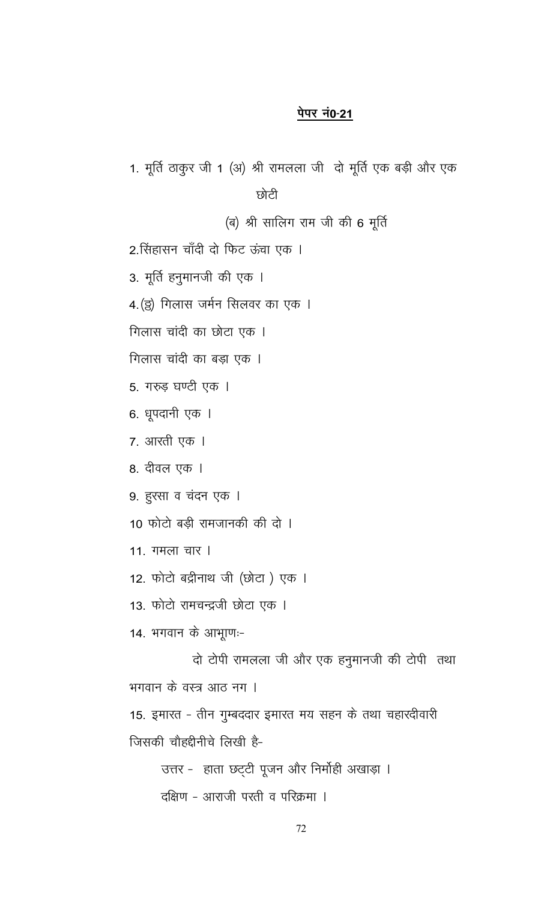## पेपर नं0-21

1. मूर्ति ठाकुर जी 1 (अ) श्री रामलला जी दो मूर्ति एक बड़ी और एक छोटी (ब) श्री सालिग राम जी की 6 मूर्ति 2.सिंहासन चाँदी दो फिट ऊंचा एक । 3. मूर्ति हनुमानजी की एक । 4. (इ) गिलास जर्मन सिलवर का एक । गिलास चांदी का छोटा एक । गिलास चांदी का बड़ा एक । 5. गरुड़ घण्टी एक । 6. धूपदानी एक । 7. आरती एक । 8. दीवल एक । 9. हुरसा व चंदन एक । 10 फोटो बड़ी रामजानकी की दो । 11. गमला चार । 12. फोटो बद्रीनाथ जी (छोटा) एक । 13. फोटो रामचन्द्रजी छोटा एक । 14. भगवान के आभूाण:-दो टोपी रामलला जी और एक हनुमानजी की टोपी तथा भगवान के वस्त्र आठ नग । 15. इमारत - तीन गुम्बददार इमारत मय सहन के तथा चहारदीवारी जिसकी चौहद्दीनीचे लिखी है-

> उत्तर - हाता छट्टी पूजन और निर्मोही अखाड़ा । दक्षिण - आराजी परती व परिक्रमा ।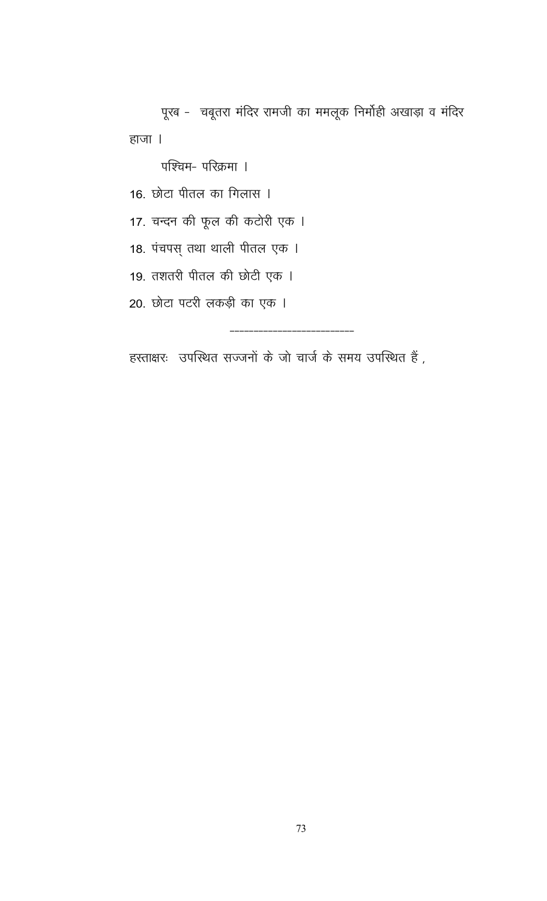पूरब - चबूतरा मंदिर रामजी का ममलूक निर्मोही अखाड़ा व मंदिर हाजा ।

पश्चिम- परिक्रमा ।

16. छोटा पीतल का गिलास ।

17. चन्दन की फूल की कटोरी एक ।

18. पंचपस् तथा थाली पीतल एक ।

19. तशतरी पीतल की छोटी एक ।

20. छोटा पटरी लकड़ी का एक ।

हस्ताक्षरः उपस्थित सज्जनों के जो चार्ज के समय उपस्थित हैं,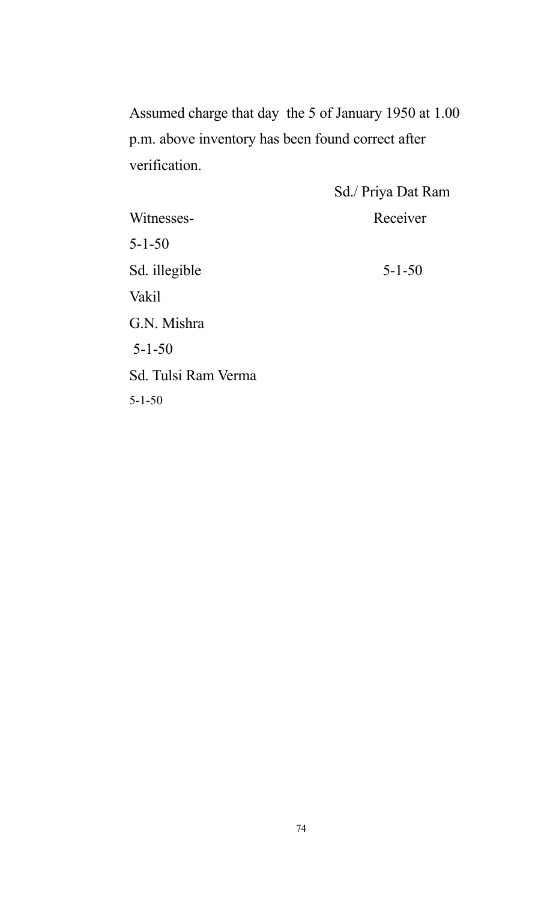Assumed charge that day the 5 of January 1950 at 1.00 p.m. above inventory has been found correct after verification.

|                     | Sd./ Priya Dat Ram |
|---------------------|--------------------|
| Witnesses-          | Receiver           |
| $5 - 1 - 50$        |                    |
| Sd. illegible       | $5 - 1 - 50$       |
| Vakil               |                    |
| G.N. Mishra         |                    |
| $5 - 1 - 50$        |                    |
| Sd. Tulsi Ram Verma |                    |
| $5 - 1 - 50$        |                    |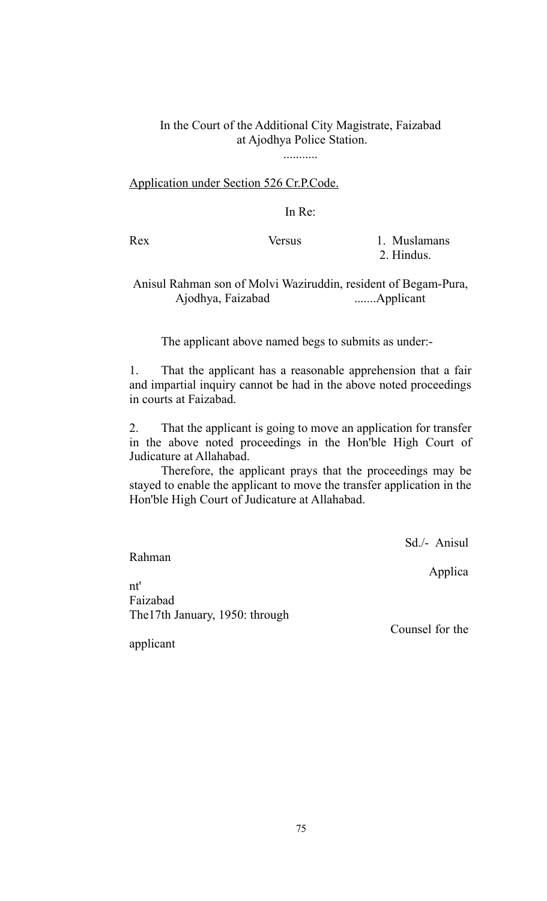# In the Court of the Additional City Magistrate, Faizabad at Ajodhya Police Station.

...........

## Application under Section 526 Cr.P.Code.

In Re:

Rex Versus 1. Muslamans 2. Hindus.

# Anisul Rahman son of Molvi Waziruddin, resident of Begam-Pura, Ajodhya, Faizabad .......Applicant

The applicant above named begs to submits as under:-

1. That the applicant has a reasonable apprehension that a fair and impartial inquiry cannot be had in the above noted proceedings in courts at Faizabad.

2. That the applicant is going to move an application for transfer in the above noted proceedings in the Hon'ble High Court of Judicature at Allahabad.

Therefore, the applicant prays that the proceedings may be stayed to enable the applicant to move the transfer application in the Hon'ble High Court of Judicature at Allahabad.

Sd./- Anisul

Rahman

Applica

nt' Faizabad The17th January, 1950: through

Counsel for the

applicant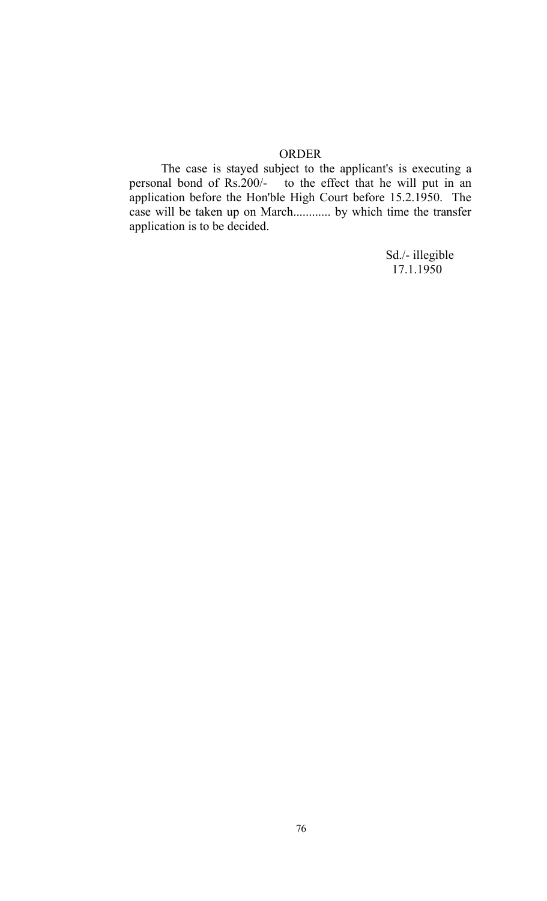#### ORDER

The case is stayed subject to the applicant's is executing a personal bond of Rs.200/- to the effect that he will put in an application before the Hon'ble High Court before 15.2.1950. The case will be taken up on March............ by which time the transfer application is to be decided.

> Sd./- illegible 17.1.1950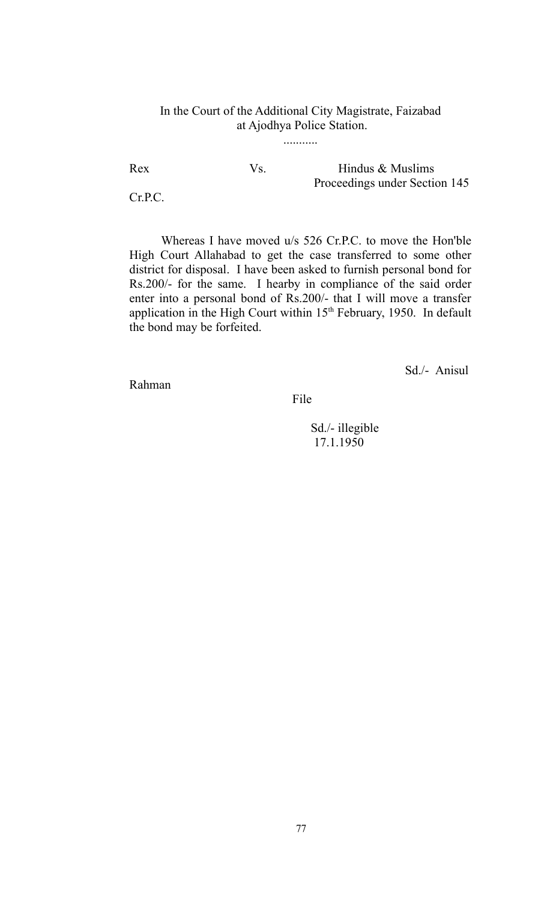# In the Court of the Additional City Magistrate, Faizabad at Ajodhya Police Station.

...........

Rex Vs. Hindus & Muslims Proceedings under Section 145

Cr.P.C.

Whereas I have moved u/s 526 Cr.P.C. to move the Hon'ble High Court Allahabad to get the case transferred to some other district for disposal. I have been asked to furnish personal bond for Rs.200/- for the same. I hearby in compliance of the said order enter into a personal bond of Rs.200/- that I will move a transfer application in the High Court within 15<sup>th</sup> February, 1950. In default the bond may be forfeited.

Sd./- Anisul

Rahman

File

 Sd./- illegible 17.1.1950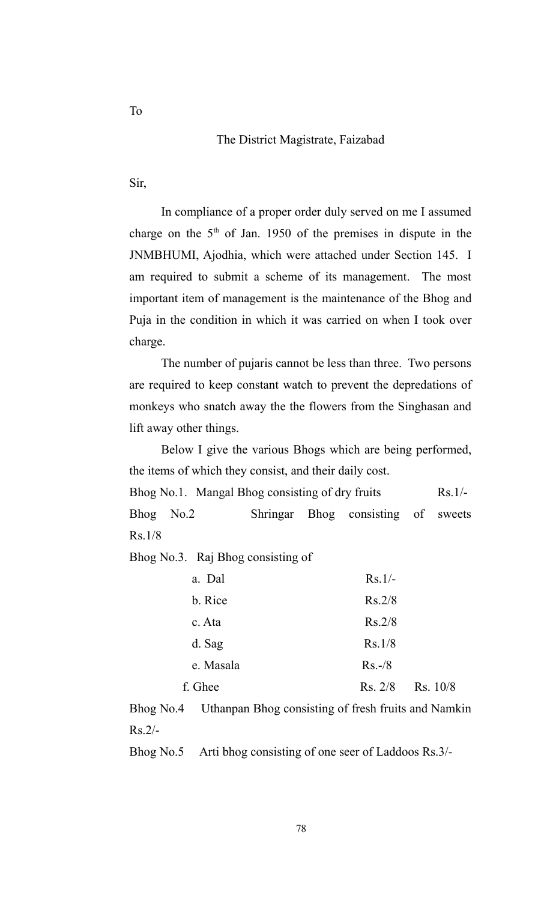#### The District Magistrate, Faizabad

Sir,

In compliance of a proper order duly served on me I assumed charge on the  $5<sup>th</sup>$  of Jan. 1950 of the premises in dispute in the JNMBHUMI, Ajodhia, which were attached under Section 145. I am required to submit a scheme of its management. The most important item of management is the maintenance of the Bhog and Puja in the condition in which it was carried on when I took over charge.

The number of pujaris cannot be less than three. Two persons are required to keep constant watch to prevent the depredations of monkeys who snatch away the the flowers from the Singhasan and lift away other things.

Below I give the various Bhogs which are being performed, the items of which they consist, and their daily cost.

| Bhog No.1. Mangal Bhog consisting of dry fruits | $Rs.1/-$ |
|-------------------------------------------------|----------|
|-------------------------------------------------|----------|

Bhog No.2 Shringar Bhog consisting of sweets Rs.1/8

Bhog No.3. Raj Bhog consisting of

| a. Dal    | $Rs.1/-$            |
|-----------|---------------------|
| b. Rice   | Rs.2/8              |
| c. Ata    | Rs.2/8              |
| d. Sag    | Rs.1/8              |
| e. Masala | $Rs.-/8$            |
| f. Ghee   | Rs. 10/8<br>Rs. 2/8 |

Bhog No.4 Uthanpan Bhog consisting of fresh fruits and Namkin  $Rs.2/-$ 

Bhog No.5 Arti bhog consisting of one seer of Laddoos Rs.3/-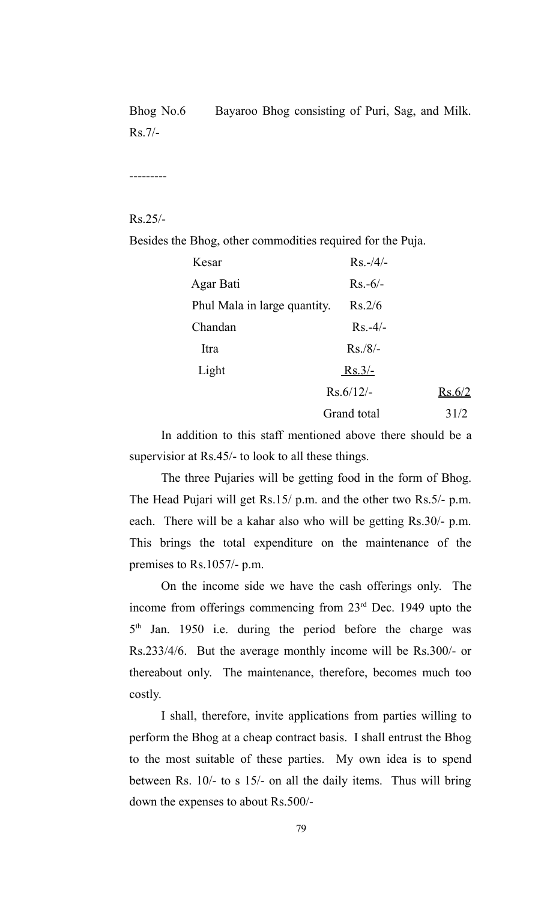Bhog No.6 Bayaroo Bhog consisting of Puri, Sag, and Milk. Rs.7/-

---------

# Rs.25/-

Besides the Bhog, other commodities required for the Puja.

| Kesar                        | $Rs. -/4/-$ |        |
|------------------------------|-------------|--------|
| Agar Bati                    | $Rs.-6/-$   |        |
| Phul Mala in large quantity. | Rs.2/6      |        |
| Chandan                      | $Rs. -4/-$  |        |
| Itra                         | $Rs./8/-$   |        |
| Light                        | $Rs.3/-$    |        |
|                              | $Rs.6/12/-$ | Rs.6/2 |
|                              | Grand total | 31/2   |

In addition to this staff mentioned above there should be a supervisior at Rs.45/- to look to all these things.

The three Pujaries will be getting food in the form of Bhog. The Head Pujari will get Rs.15/ p.m. and the other two Rs.5/- p.m. each. There will be a kahar also who will be getting Rs.30/- p.m. This brings the total expenditure on the maintenance of the premises to Rs.1057/- p.m.

On the income side we have the cash offerings only. The income from offerings commencing from 23<sup>rd</sup> Dec. 1949 upto the 5<sup>th</sup> Jan. 1950 i.e. during the period before the charge was Rs.233/4/6. But the average monthly income will be Rs.300/- or thereabout only. The maintenance, therefore, becomes much too costly.

I shall, therefore, invite applications from parties willing to perform the Bhog at a cheap contract basis. I shall entrust the Bhog to the most suitable of these parties. My own idea is to spend between Rs. 10/- to s 15/- on all the daily items. Thus will bring down the expenses to about Rs.500/-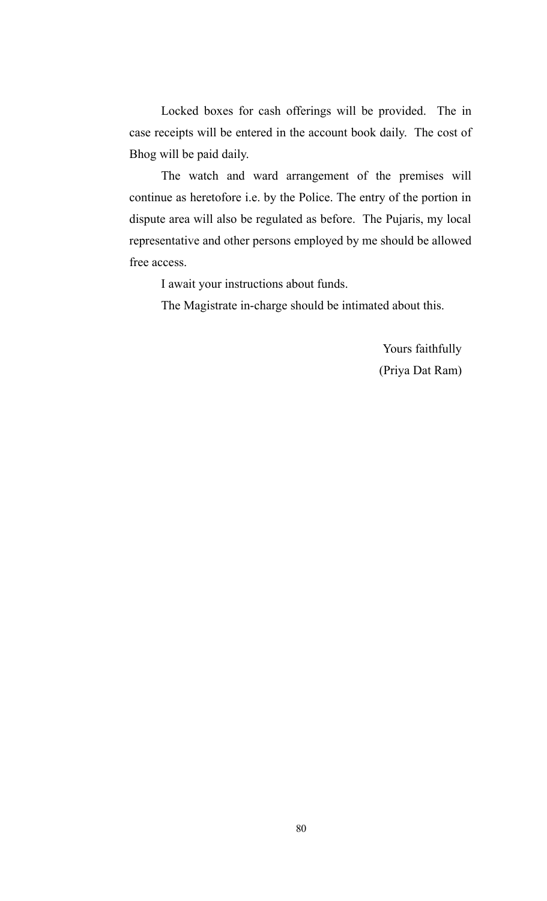Locked boxes for cash offerings will be provided. The in case receipts will be entered in the account book daily. The cost of Bhog will be paid daily.

The watch and ward arrangement of the premises will continue as heretofore i.e. by the Police. The entry of the portion in dispute area will also be regulated as before. The Pujaris, my local representative and other persons employed by me should be allowed free access.

I await your instructions about funds.

The Magistrate in-charge should be intimated about this.

Yours faithfully (Priya Dat Ram)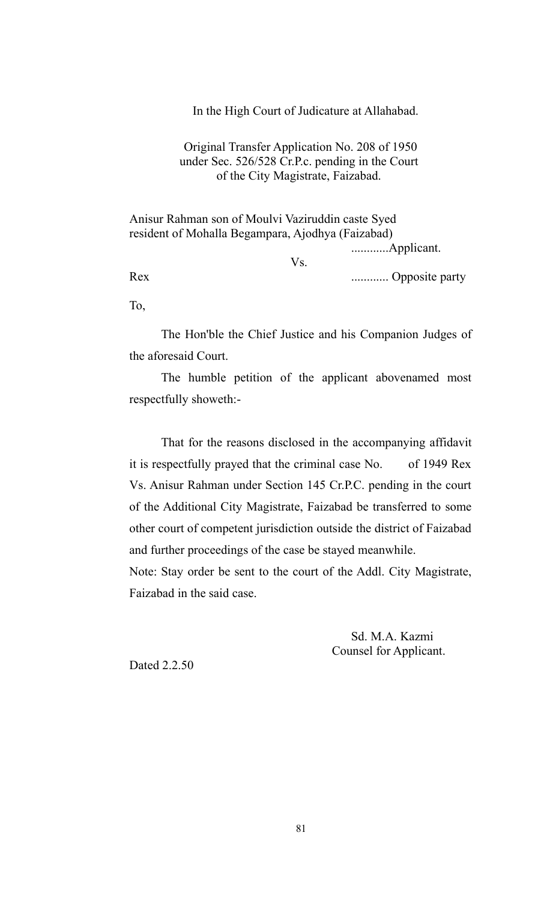In the High Court of Judicature at Allahabad.

## Original Transfer Application No. 208 of 1950 under Sec. 526/528 Cr.P.c. pending in the Court of the City Magistrate, Faizabad.

Anisur Rahman son of Moulvi Vaziruddin caste Syed resident of Mohalla Begampara, Ajodhya (Faizabad) ............Applicant.

Vs.

Rex ............ Opposite party

To,

The Hon'ble the Chief Justice and his Companion Judges of the aforesaid Court.

The humble petition of the applicant abovenamed most respectfully showeth:-

That for the reasons disclosed in the accompanying affidavit it is respectfully prayed that the criminal case No. of 1949 Rex Vs. Anisur Rahman under Section 145 Cr.P.C. pending in the court of the Additional City Magistrate, Faizabad be transferred to some other court of competent jurisdiction outside the district of Faizabad and further proceedings of the case be stayed meanwhile. Note: Stay order be sent to the court of the Addl. City Magistrate,

Faizabad in the said case.

Sd. M.A. Kazmi Counsel for Applicant.

Dated 2.2.50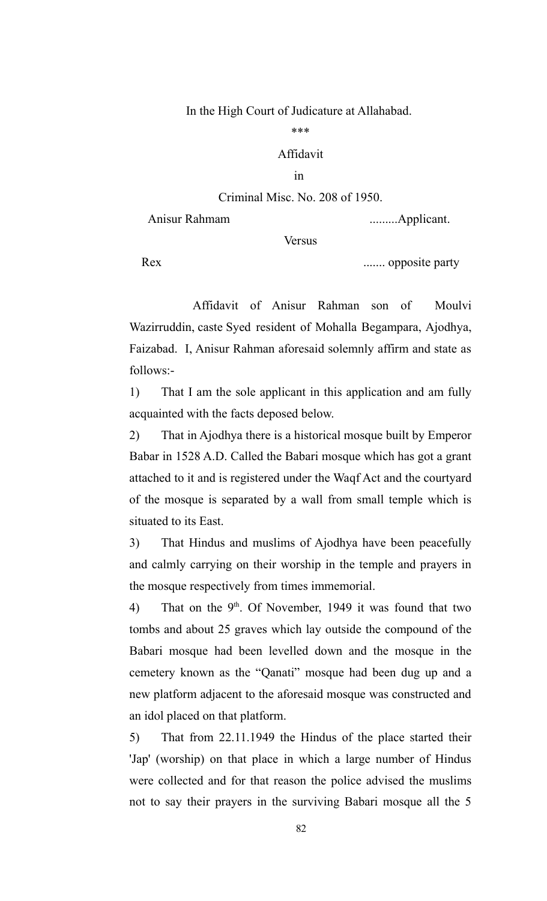#### In the High Court of Judicature at Allahabad.

\*\*\*

# Affidavit

#### in

# Criminal Misc. No. 208 of 1950.

Anisur Rahmam .........Applicant.

**Versus** 

Rex ....... opposite party

Affidavit of Anisur Rahman son of Moulvi Wazirruddin, caste Syed resident of Mohalla Begampara, Ajodhya, Faizabad. I, Anisur Rahman aforesaid solemnly affirm and state as follows:-

1) That I am the sole applicant in this application and am fully acquainted with the facts deposed below.

2) That in Ajodhya there is a historical mosque built by Emperor Babar in 1528 A.D. Called the Babari mosque which has got a grant attached to it and is registered under the Waqf Act and the courtyard of the mosque is separated by a wall from small temple which is situated to its East.

3) That Hindus and muslims of Ajodhya have been peacefully and calmly carrying on their worship in the temple and prayers in the mosque respectively from times immemorial.

4) That on the  $9<sup>th</sup>$ . Of November, 1949 it was found that two tombs and about 25 graves which lay outside the compound of the Babari mosque had been levelled down and the mosque in the cemetery known as the "Qanati" mosque had been dug up and a new platform adjacent to the aforesaid mosque was constructed and an idol placed on that platform.

5) That from 22.11.1949 the Hindus of the place started their 'Jap' (worship) on that place in which a large number of Hindus were collected and for that reason the police advised the muslims not to say their prayers in the surviving Babari mosque all the 5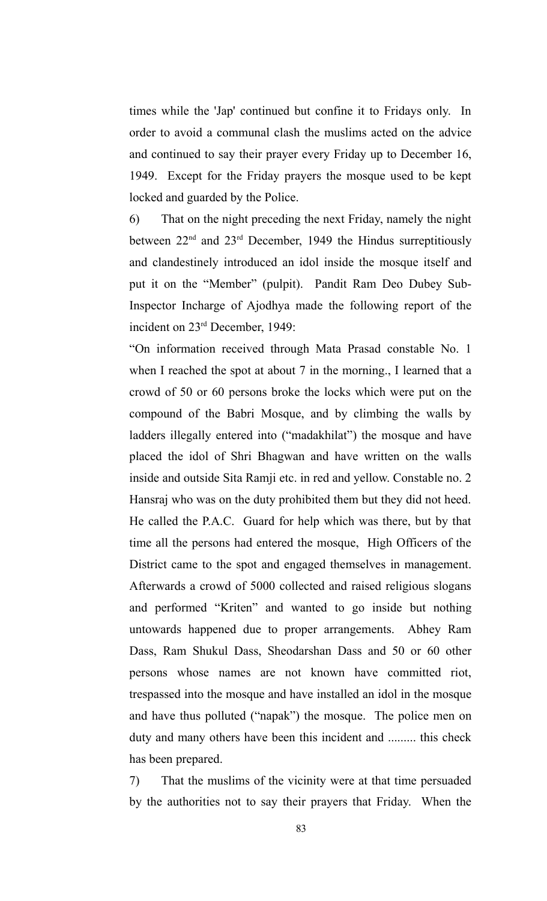times while the 'Jap' continued but confine it to Fridays only. In order to avoid a communal clash the muslims acted on the advice and continued to say their prayer every Friday up to December 16, 1949. Except for the Friday prayers the mosque used to be kept locked and guarded by the Police.

6) That on the night preceding the next Friday, namely the night between  $22<sup>nd</sup>$  and  $23<sup>rd</sup>$  December, 1949 the Hindus surreptitiously and clandestinely introduced an idol inside the mosque itself and put it on the "Member" (pulpit). Pandit Ram Deo Dubey Sub-Inspector Incharge of Ajodhya made the following report of the incident on 23rd December, 1949:

"On information received through Mata Prasad constable No. 1 when I reached the spot at about 7 in the morning., I learned that a crowd of 50 or 60 persons broke the locks which were put on the compound of the Babri Mosque, and by climbing the walls by ladders illegally entered into ("madakhilat") the mosque and have placed the idol of Shri Bhagwan and have written on the walls inside and outside Sita Ramji etc. in red and yellow. Constable no. 2 Hansraj who was on the duty prohibited them but they did not heed. He called the P.A.C. Guard for help which was there, but by that time all the persons had entered the mosque, High Officers of the District came to the spot and engaged themselves in management. Afterwards a crowd of 5000 collected and raised religious slogans and performed "Kriten" and wanted to go inside but nothing untowards happened due to proper arrangements. Abhey Ram Dass, Ram Shukul Dass, Sheodarshan Dass and 50 or 60 other persons whose names are not known have committed riot, trespassed into the mosque and have installed an idol in the mosque and have thus polluted ("napak") the mosque. The police men on duty and many others have been this incident and ......... this check has been prepared.

7) That the muslims of the vicinity were at that time persuaded by the authorities not to say their prayers that Friday. When the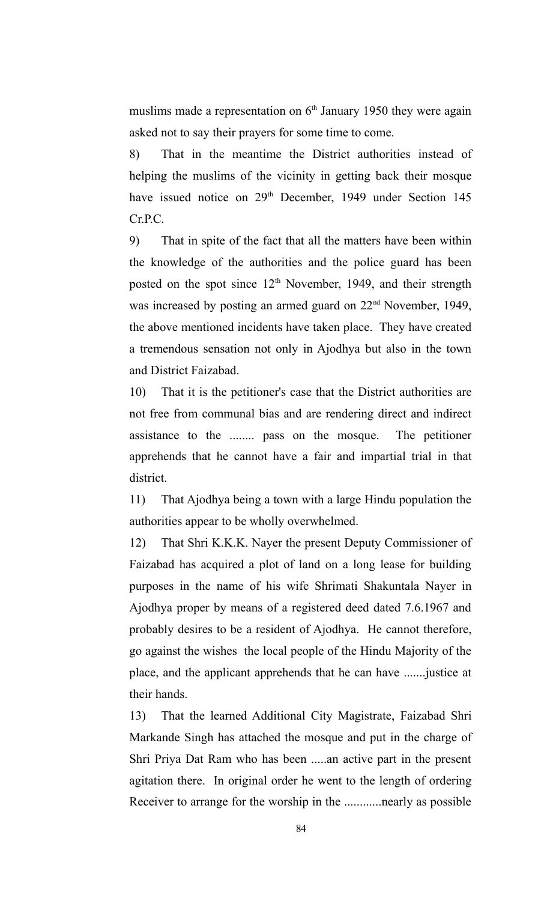muslims made a representation on  $6<sup>th</sup>$  January 1950 they were again asked not to say their prayers for some time to come.

8) That in the meantime the District authorities instead of helping the muslims of the vicinity in getting back their mosque have issued notice on 29<sup>th</sup> December, 1949 under Section 145 Cr.P.C.

9) That in spite of the fact that all the matters have been within the knowledge of the authorities and the police guard has been posted on the spot since  $12<sup>th</sup>$  November, 1949, and their strength was increased by posting an armed guard on 22<sup>nd</sup> November, 1949, the above mentioned incidents have taken place. They have created a tremendous sensation not only in Ajodhya but also in the town and District Faizabad.

10) That it is the petitioner's case that the District authorities are not free from communal bias and are rendering direct and indirect assistance to the ........ pass on the mosque. The petitioner apprehends that he cannot have a fair and impartial trial in that district.

11) That Ajodhya being a town with a large Hindu population the authorities appear to be wholly overwhelmed.

12) That Shri K.K.K. Nayer the present Deputy Commissioner of Faizabad has acquired a plot of land on a long lease for building purposes in the name of his wife Shrimati Shakuntala Nayer in Ajodhya proper by means of a registered deed dated 7.6.1967 and probably desires to be a resident of Ajodhya. He cannot therefore, go against the wishes the local people of the Hindu Majority of the place, and the applicant apprehends that he can have .......justice at their hands.

13) That the learned Additional City Magistrate, Faizabad Shri Markande Singh has attached the mosque and put in the charge of Shri Priya Dat Ram who has been .....an active part in the present agitation there. In original order he went to the length of ordering Receiver to arrange for the worship in the ............nearly as possible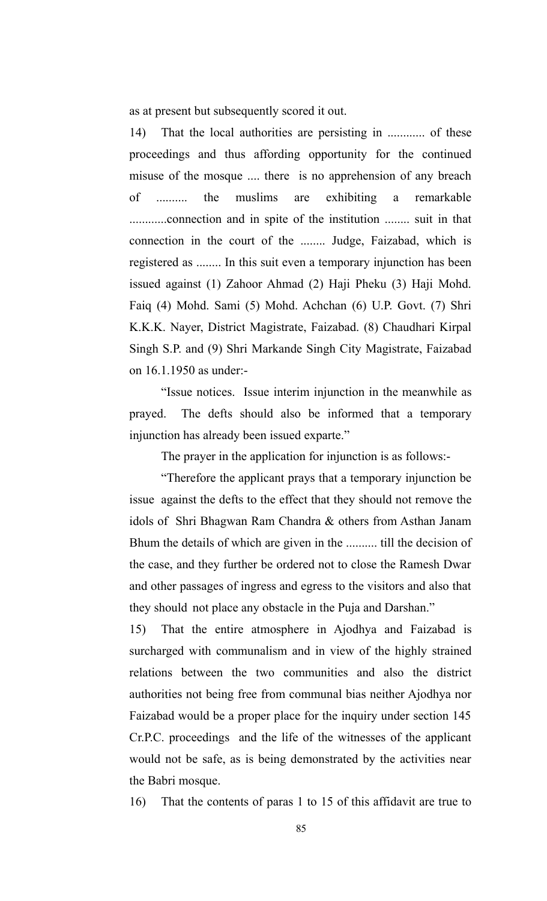as at present but subsequently scored it out.

14) That the local authorities are persisting in ............ of these proceedings and thus affording opportunity for the continued misuse of the mosque .... there is no apprehension of any breach of .......... the muslims are exhibiting a remarkable ............connection and in spite of the institution ........ suit in that connection in the court of the ........ Judge, Faizabad, which is registered as ........ In this suit even a temporary injunction has been issued against (1) Zahoor Ahmad (2) Haji Pheku (3) Haji Mohd. Faiq (4) Mohd. Sami (5) Mohd. Achchan (6) U.P. Govt. (7) Shri K.K.K. Nayer, District Magistrate, Faizabad. (8) Chaudhari Kirpal Singh S.P. and (9) Shri Markande Singh City Magistrate, Faizabad on 16.1.1950 as under:-

"Issue notices. Issue interim injunction in the meanwhile as prayed. The defts should also be informed that a temporary injunction has already been issued exparte."

The prayer in the application for injunction is as follows:-

"Therefore the applicant prays that a temporary injunction be issue against the defts to the effect that they should not remove the idols of Shri Bhagwan Ram Chandra & others from Asthan Janam Bhum the details of which are given in the .......... till the decision of the case, and they further be ordered not to close the Ramesh Dwar and other passages of ingress and egress to the visitors and also that they should not place any obstacle in the Puja and Darshan."

15) That the entire atmosphere in Ajodhya and Faizabad is surcharged with communalism and in view of the highly strained relations between the two communities and also the district authorities not being free from communal bias neither Ajodhya nor Faizabad would be a proper place for the inquiry under section 145 Cr.P.C. proceedings and the life of the witnesses of the applicant would not be safe, as is being demonstrated by the activities near the Babri mosque.

16) That the contents of paras 1 to 15 of this affidavit are true to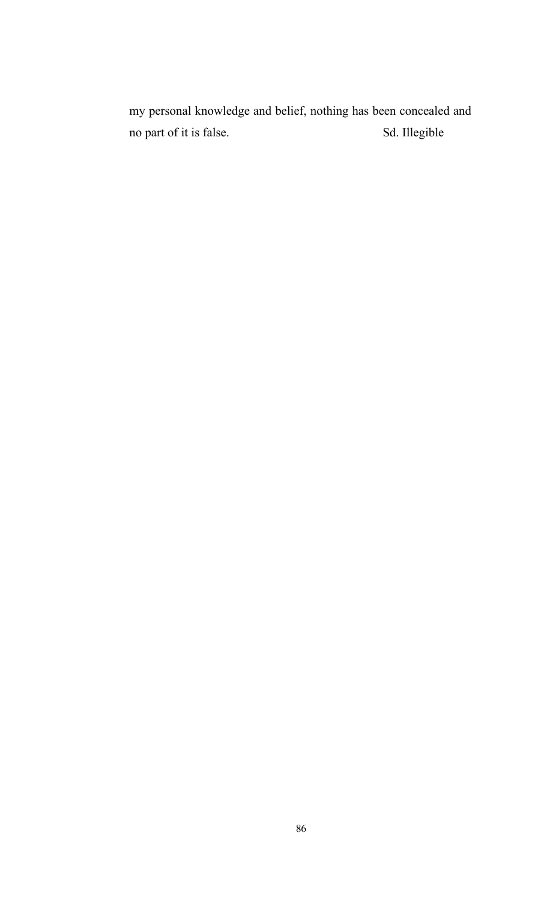my personal knowledge and belief, nothing has been concealed and no part of it is false. Sd. Illegible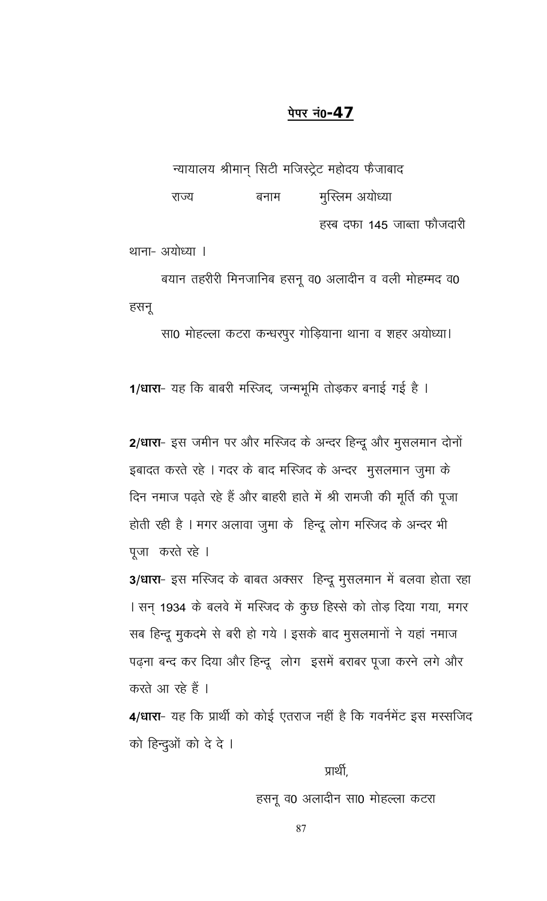# <u>पेपर नं0-47</u>

न्यायालय श्रीमान् सिटी मजिस्ट्रेट महोदय फैजाबाद मुस्लिम अयोध्या राज्य बनाम हस्ब दफा 145 जाब्ता फौजदारी

थाना- अयोध्या ।

बयान तहरीरी मिनजानिब हसनू व0 अलादीन व वली मोहम्मद व0 हसनू

सा0 मोहल्ला कटरा कन्धरपुर गोड़ियाना थाना व शहर अयोध्या।

1/धारा- यह कि बाबरी मस्जिद, जन्मभूमि तोड़कर बनाई गई है ।

2/धारा- इस जमीन पर और मस्जिद के अन्दर हिन्दू और मुसलमान दोनों इबादत करते रहे । गदर के बाद मस्जिद के अन्दर मुसलमान जुमा के दिन नमाज पढ़ते रहे हैं और बाहरी हाते में श्री रामजी की मूर्ति की पूजा होती रही है । मगर अलावा जुमा के हिन्दू लोग मस्जिद के अन्दर भी पूजा करते रहे ।

3/धारा- इस मस्जिद के बाबत अक्सर हिन्दू मुसलमान में बलवा होता रहा । सन् 1934 के बलवे में मस्जिद के कुछ हिस्से को तोड़ दिया गया, मगर सब हिन्दू मुकदमे से बरी हो गये । इसके बाद मुसलमानों ने यहां नमाज पढ़ना बन्द कर दिया और हिन्दू लोग इसमें बराबर पूजा करने लगे और करते आ रहे हैं ।

4/धारा- यह कि प्रार्थी को कोई एतराज नहीं है कि गवर्नमेंट इस मस्सजिद को हिन्दुओं को दे दे ।

प्रार्थी,

हसनू व0 अलादीन सा0 मोहल्ला कटरा

87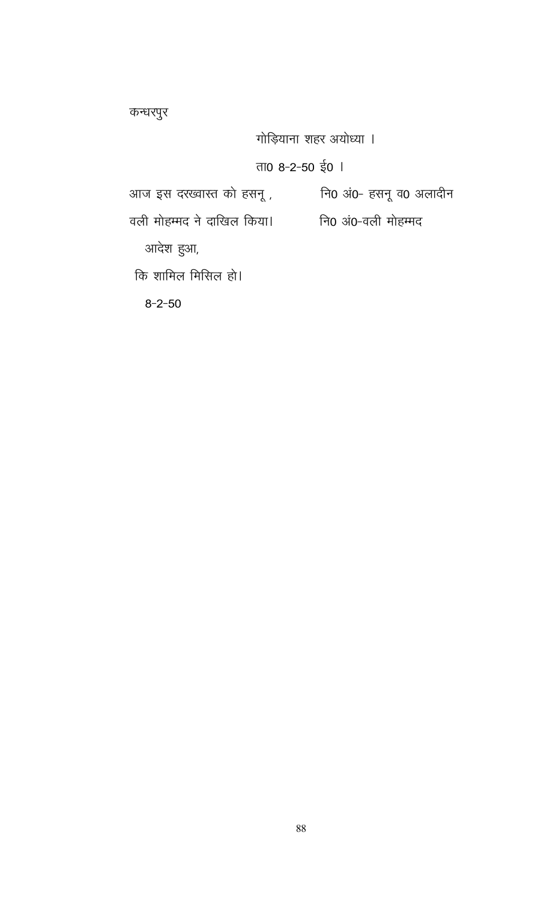कन्धरपुर

गोड़ियाना शहर अयोध्या ।

# ता0 8-2-50 ई0 |

वली मोहम्मद ने दाखिल किया। जि0 अं0-वली मोहम्मद

आदेश हुआ,

कि शामिल मिसिल हो।

 $8 - 2 - 50$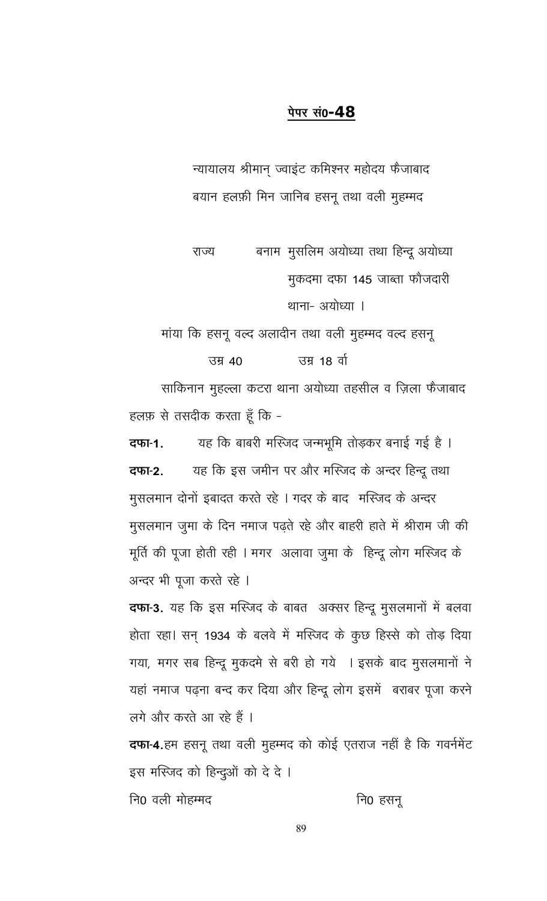# पेपर सं0-**48**

न्यायालय श्रीमान् ज्वाइंट कमिश्नर महोदय फैजाबाद बयान हलफ़ी मिन जानिब हसनू तथा वली मुहम्मद

बनाम मुसलिम अयोध्या तथा हिन्दू अयोध्या राज्य मुकदमा दफा 145 जाब्ता फौजदारी थाना- अयोध्या ।

मांया कि हसनू वल्द अलादीन तथा वली मुहम्मद वल्द हसनू

उम्र 40 उम्र 18 वो

साकिनान मुहल्ला कटरा थाना अयोध्या तहसील व ज़िला फैजाबाद हलफ़ से तसदीक करता हूँ कि -

यह कि बाबरी मस्जिद जन्मभूमि तोड़कर बनाई गई है । दफा-1. यह कि इस जमीन पर और मस्जिद के अन्दर हिन्दू तथा दफा-2. मुसलमान दोनों इबादत करते रहे । गदर के बाद मस्जिद के अन्दर मुसलमान जुमा के दिन नमाज पढ़ते रहे और बाहरी हाते में श्रीराम जी की मूर्ति की पूजा होती रही । मगर अलावा जुमा के हिन्दू लोग मस्जिद के अन्दर भी पूजा करते रहे ।

**दफा-3.** यह कि इस मस्जिद के बाबत अक्सर हिन्दू मुसलमानों में बलवा होता रहा। सन् 1934 के बलवे में मस्जिद के कुछ हिस्से को तोड़ दिया गया, मगर सब हिन्दू मुकदमे से बरी हो गये । इसके बाद मुसलमानों ने यहां नमाज पढ़ना बन्द कर दिया और हिन्दू लोग इसमें बराबर पूजा करने लगे और करते आ रहे हैं ।

दफा-4.हम हसनू तथा वली मुहम्मद को कोई एतराज नहीं है कि गवर्नमेंट इस मस्जिद को हिन्दुओं को दे दे।

नि0 हसनू नि0 वली मोहम्मद

89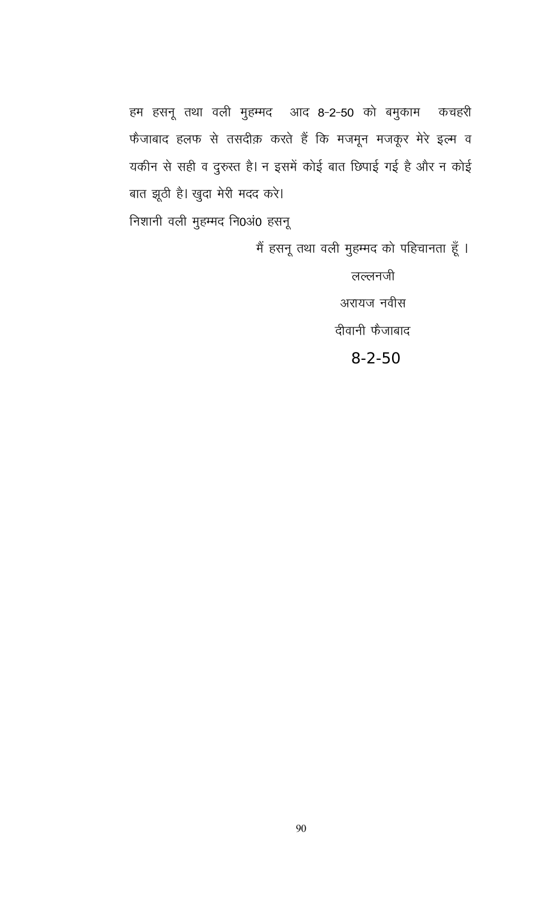हम हसनू तथा वली मुहम्मद आद 8-2-50 को बमुकाम कचहरी फैजाबाद हलफ से तसदीक़ करते हैं कि मजमून मजकूर मेरे इत्म व यकीन से सही व दुरुस्त है। न इसमें कोई बात छिपाई गई है और न कोई बात झूठी है। खुदा मेरी मदद करे। निशानी वली मुहम्मद नि0अं0 हसनू

मैं हसनू तथा वली मुहम्मद को पहिचानता हूँ ।

लल्लनजी अरायज नवीस दीवानी फैजाबाद

 $8 - 2 - 50$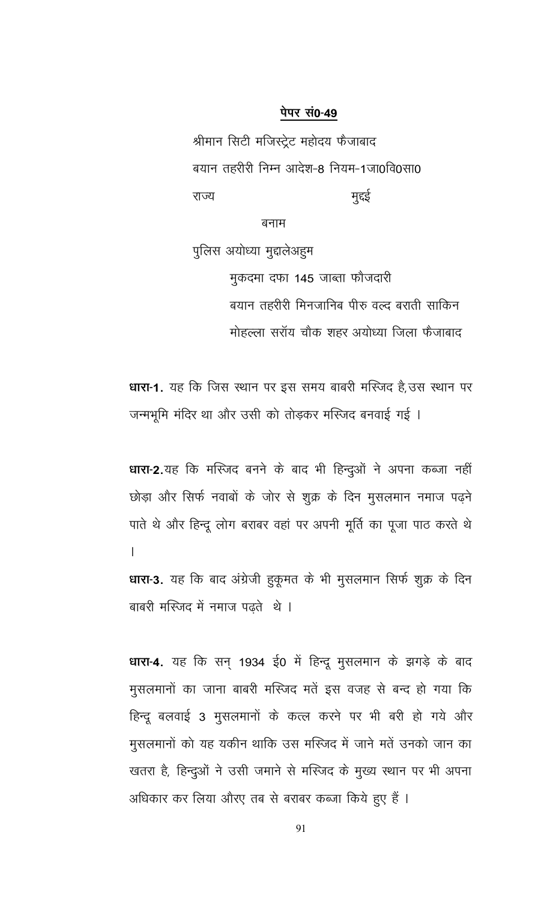#### पेपर सं0-49

श्रीमान सिटी मजिस्ट्रेट महोदय फैजाबाद बयान तहरीरी निम्न आदेश-8 नियम-1जा0वि0सा0 राज्य मुद्दई

बनाम

पुलिस अयोध्या मुद्दालेअहुम मुकदमा दफा 145 जाब्ता फौजदारी बयान तहरीरी मिनजानिब पीरु वल्द बराती साकिन मोहल्ला सरॉय चौक शहर अयोध्या जिला फैजाबाद

धारा-1. यह कि जिस स्थान पर इस समय बाबरी मस्जिद है,उस स्थान पर जन्मभूमि मंदिर था और उसी को तोड़कर मस्जिद बनवाई गई ।

धारा-2.यह कि मस्जिद बनने के बाद भी हिन्दुओं ने अपना कब्जा नहीं छोड़ा और सिर्फ नवाबों के जोर से शुक्र के दिन मुसलमान नमाज पढ़ने पाते थे और हिन्दू लोग बराबर वहां पर अपनी मूर्ति का पूजा पाठ करते थे  $\overline{1}$ धारा-3. यह कि बाद अंग्रेजी हुकूमत के भी मुसलमान सिर्फ शुक्र के दिन

बाबरी मस्जिद में नमाज पढते थे।

धारा-4. यह कि सन् 1934 ई0 में हिन्दू मुसलमान के झगड़े के बाद मुसलमानों का जाना बाबरी मस्जिद मतें इस वजह से बन्द हो गया कि हिन्दू बलवाई 3 मुसलमानों के कत्ल करने पर भी बरी हो गये और मुसलमानों को यह यकीन थाकि उस मस्जिद में जाने मतें उनको जान का खतरा है, हिन्दुओं ने उसी जमाने से मस्जिद के मुख्य स्थान पर भी अपना अधिकार कर लिया औरए तब से बराबर कब्जा किये हुए हैं ।

91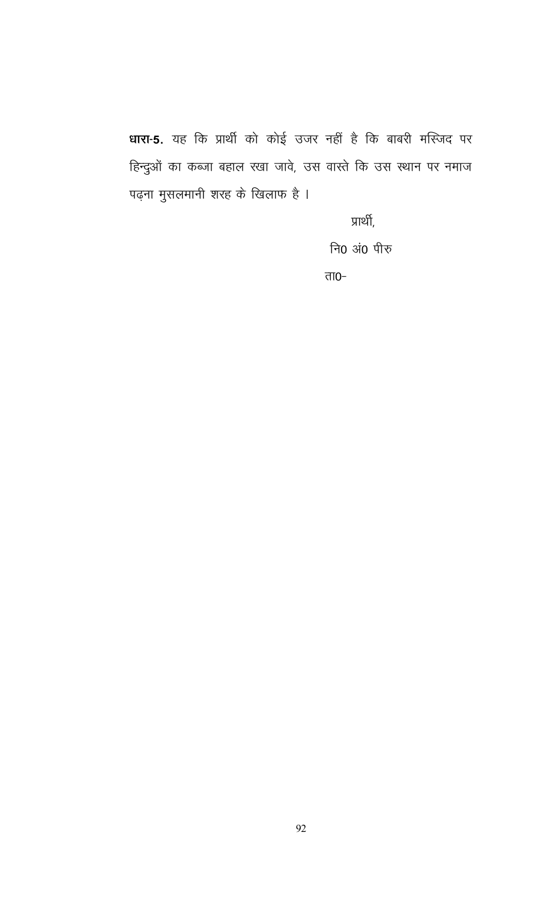धारा-5. यह कि प्रार्थी को कोई उजर नहीं है कि बाबरी मस्जिद पर हिन्दुओं का कब्जा बहाल रखा जावे, उस वास्ते कि उस स्थान पर नमाज पढ़ना मुसलमानी शरह के खिलाफ है ।

प्रार्थी,

नि0 अं0 पीरु

ता $0-$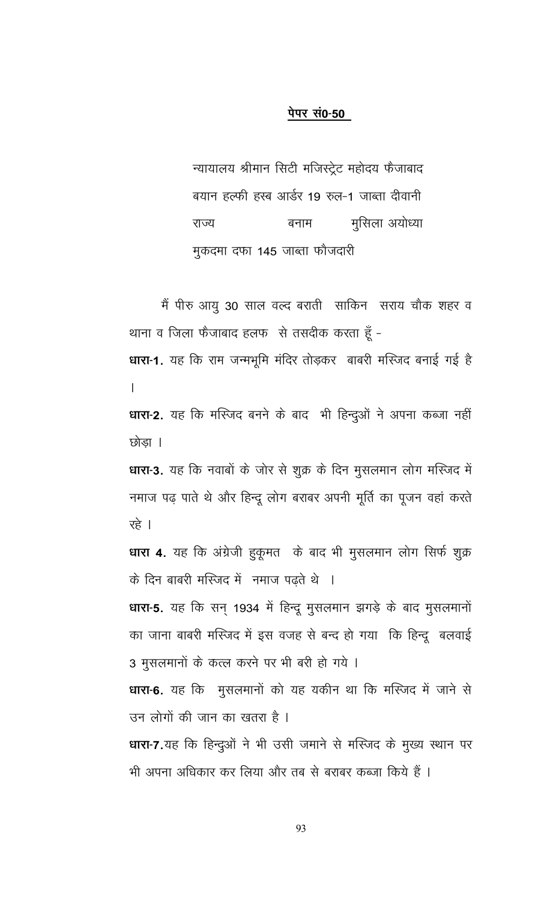#### पेपर सं0-50

न्यायालय श्रीमान सिटी मजिस्ट्रेट महोदय फैजाबाद बयान हल्फी हस्ब आर्डर 19 रुल-1 जाब्ता दीवानी मूसिला अयोध्या राज्य बनाम मुकदमा दफा 145 जाब्ता फौजदारी

मैं पीरु आयु 30 साल वल्द बराती साकिन सराय चौक शहर व थाना व जिला फैजाबाद हलफ से तसदीक करता हूँ -

धारा-1. यह कि राम जन्मभूमि मंदिर तोड़कर बाबरी मस्जिद बनाई गई है  $\mathbf{I}$ 

धारा-2. यह कि मस्जिद बनने के बाद भी हिन्दुओं ने अपना कब्जा नहीं छोडा ।

धारा-3. यह कि नवाबों के जोर से शुक्र के दिन मुसलमान लोग मस्जिद में नमाज पढ़ पाते थे और हिन्दू लोग बराबर अपनी मूर्ति का पूजन वहां करते रहे ।

धारा 4. यह कि अंग्रेजी हुकूमत के बाद भी मुसलमान लोग सिर्फ शुक्र के दिन बाबरी मस्जिद में नमाज पढते थे ।

धारा-5. यह कि सन् 1934 में हिन्दू मुसलमान झगड़े के बाद मुसलमानों का जाना बाबरी मस्जिद में इस वजह से बन्द हो गया कि हिन्दू बलवाई 3 मुसलमानों के कत्ल करने पर भी बरी हो गये ।

धारा-6. यह कि मुसलमानों को यह यकीन था कि मस्जिद में जाने से उन लोगों की जान का खतरा है ।

धारा-7.यह कि हिन्दुओं ने भी उसी जमाने से मस्जिद के मुख्य स्थान पर भी अपना अधिकार कर लिया और तब से बराबर कब्जा किये हैं ।

93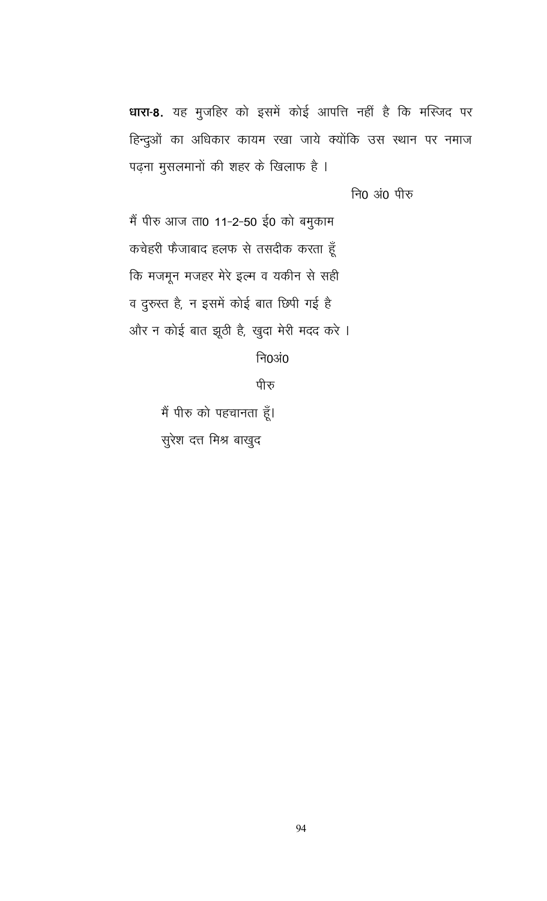धारा-8. यह मुजहिर को इसमें कोई आपत्ति नहीं है कि मस्जिद पर हिन्दुओं का अधिकार कायम रखा जाये क्योंकि उस स्थान पर नमाज पढ़ना मुसलमानों की शहर के खिलाफ है ।

नि0 अं0 पीरु

में पीरु आज ता0 11-2-50 ई0 को बमुकाम कचेहरी फैजाबाद हलफ से तसदीक करता हूँ कि मजमून मजहर मेरे इत्म व यकीन से सही व दुरुस्त है, न इसमें कोई बात छिपी गई है और न कोई बात झूठी है, खुदा मेरी मदद करे ।

निoअं0

पीरु

मैं पीरु को पहचानता हूँ। सुरेश दत्त मिश्र बाखुद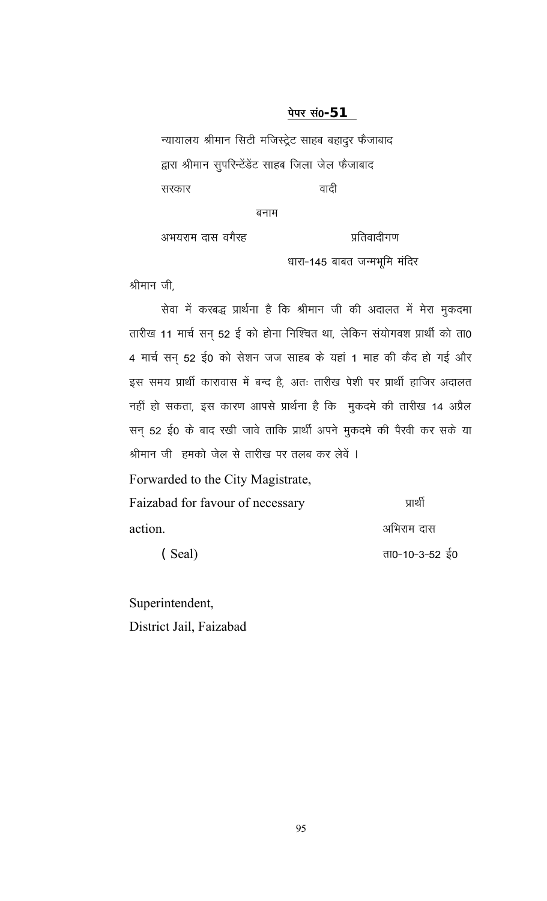#### पेपर सं0-**51**

न्यायालय श्रीमान सिटी मजिस्ट्रेट साहब बहादुर फैजाबाद द्वारा श्रीमान सुपरिन्टेंडेंट साहब जिला जेल फैजाबाद वादी सरकार

बनाम

अभयराम दास वगैरह प्रतिवादीगण

धारा-145 बाबत जन्मभूमि मंदिर

श्रीमान जी.

सेवा में करबद्ध प्रार्थना है कि श्रीमान जी की अदालत में मेरा मुकदमा तारीख 11 मार्च सन् 52 ई को होना निश्चित था, लेकिन संयोगवश प्रार्थी को ता0 4 मार्च सन् 52 ई0 को सेशन जज साहब के यहां 1 माह की कैद हो गई और इस समय प्रार्थी कारावास में बन्द है, अतः तारीख पेशी पर प्रार्थी हाजिर अदालत नहीं हो सकता, इस कारण आपसे प्रार्थना है कि मुकदमे की तारीख 14 अप्रैल सन् 52 ई0 के बाद रखी जावे ताकि प्रार्थी अपने मुकदमे की पैरवी कर सके या श्रीमान जी) हमको जेल से तारीख पर तलब कर लेवें ।

Forwarded to the City Magistrate,

| Faizabad for favour of necessary | प्राथी         |
|----------------------------------|----------------|
| action.                          | अभिराम दास     |
| (Seal)                           | ता0-10-3-52 ई0 |

Superintendent,

District Jail, Faizabad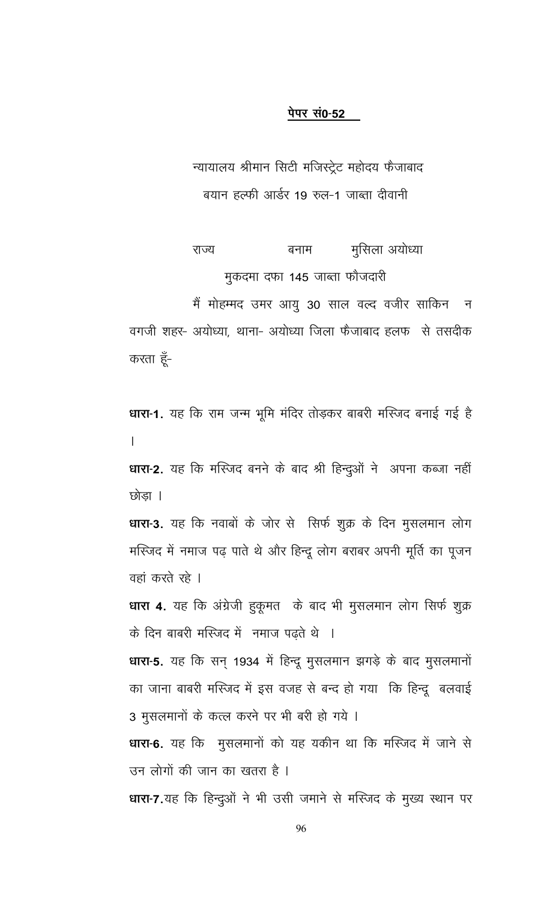#### पेपर सं0-52

न्यायालय श्रीमान सिटी मजिस्ट्रेट महोदय फैजाबाद बयान हल्फी आर्डर 19 रुल-1 जाब्ता दीवानी

मूसिला अयोध्या राज्य बनाम मुकदमा दफा 145 जाब्ता फौजदारी

मैं मोहम्मद उमर आयु 30 साल वल्द वजीर साकिन न वगजी शहर- अयोध्या, थाना- अयोध्या जिला फैजाबाद हलफ से तसदीक करता हूँ-

धारा-1. यह कि राम जन्म भूमि मंदिर तोड़कर बाबरी मस्जिद बनाई गई है  $\overline{1}$ 

धारा-2. यह कि मस्जिद बनने के बाद श्री हिन्दुओं ने अपना कब्जा नहीं छोडा ।

धारा-3. यह कि नवाबों के जोर से सिर्फ शुक्र के दिन मुसलमान लोग मस्जिद में नमाज पढ़ पाते थे और हिन्दू लोग बराबर अपनी मूर्ति का पूजन वहां करते रहे ।

धारा 4. यह कि अंग्रेजी हुकूमत के बाद भी मुसलमान लोग सिर्फ शुक्र के दिन बाबरी मस्जिद में नमाज पढ़ते थे ।

धारा-5. यह कि सन् 1934 में हिन्दू मुसलमान झगड़े के बाद मुसलमानों का जाना बाबरी मस्जिद में इस वजह से बन्द हो गया कि हिन्दू बलवाई 3 मुसलमानों के कत्ल करने पर भी बरी हो गये ।

धारा-6. यह कि मुसलमानों को यह यकीन था कि मस्जिद में जाने से उन लोगों की जान का खतरा है ।

धारा-7.यह कि हिन्दुओं ने भी उसी जमाने से मस्जिद के मुख्य स्थान पर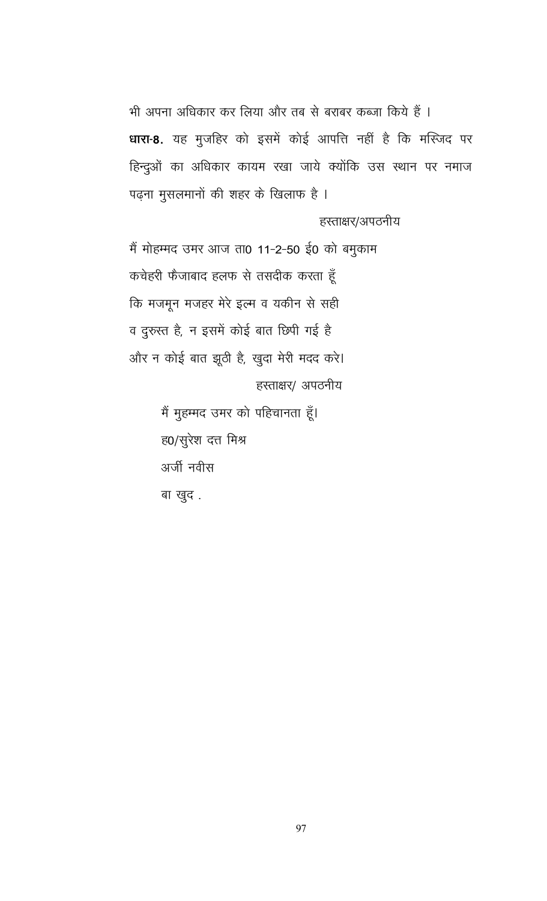भी अपना अधिकार कर लिया और तब से बराबर कब्जा किये हैं । धारा-8. यह मुजहिर को इसमें कोई आपत्ति नहीं है कि मस्जिद पर हिन्दुओं का अधिकार कायम रखा जाये क्योंकि उस स्थान पर नमाज पढ़ना मुसलमानों की शहर के खिलाफ है ।

हस्ताक्षर/अपठनीय

में मोहम्मद उमर आज ता0 11-2-50 ई0 को बमुकाम कचेहरी फेंजाबाद हलफ से तसदीक करता हूँ कि मजमून मजहर मेरे इल्म व यकीन से सही व दुरुस्त है, न इसमें कोई बात छिपी गई है और न कोई बात झूठी है, खुदा मेरी मदद करे। हस्ताक्षर/ अपठनीय

> मैं मुहम्मद उमर को पहिचानता हूँ। ह0/सुरेश दत्त मिश्र अर्जी नवीस बा खुद.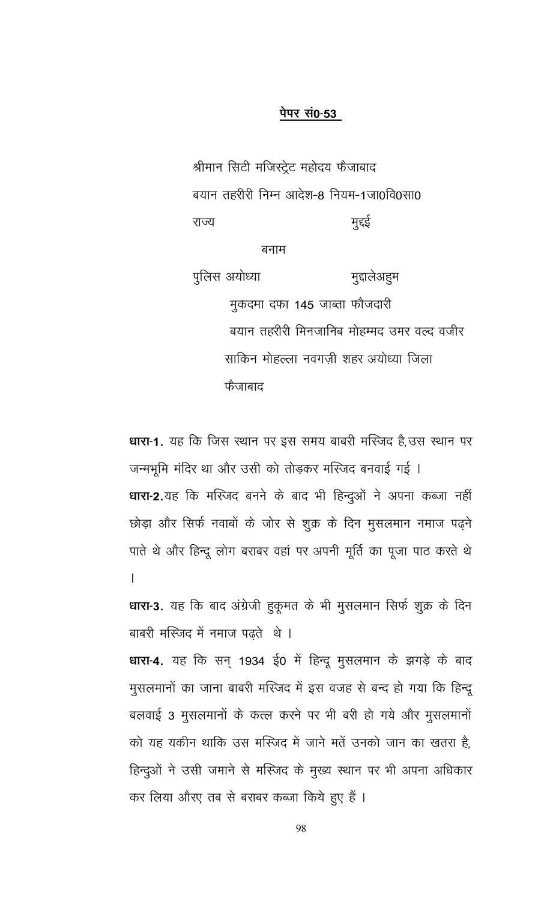#### पेपर सं0-53

श्रीमान सिटी मजिस्ट्रेट महोदय फैजाबाद बयान तहरीरी निम्न आदेश-8 नियम-1जा0वि0सा0 राज्य मुद्दई

बनाम

पुलिस अयोध्या मुद्दालेअहुम मुकदमा दफा 145 जाब्ता फौजदारी बयान तहरीरी मिनजानिब मोहम्मद उमर वल्द वजीर साकिन मोहल्ला नवगज़ी शहर अयोध्या जिला फैजाबाद

धारा-1. यह कि जिस स्थान पर इस समय बाबरी मस्जिद है, उस स्थान पर जन्मभूमि मंदिर था और उसी को तोड़कर मस्जिद बनवाई गई । धारा-2.यह कि मस्जिद बनने के बाद भी हिन्दुओं ने अपना कब्जा नहीं छोड़ा और सिर्फ नवाबों के जोर से शुक्र के दिन मुसलमान नमाज पढ़ने पाते थे और हिन्दू लोग बराबर वहां पर अपनी मूर्ति का पूजा पाठ करते थे  $\overline{a}$ 

धारा-3. यह कि बाद अंग्रेजी हुकूमत के भी मुसलमान सिर्फ शुक्र के दिन बाबरी मस्जिद में नमाज पढते थे।

धारा-4. यह कि सन् 1934 ई0 में हिन्दू मुसलमान के झगड़े के बाद मुसलमानों का जाना बाबरी मस्जिद में इस वजह से बन्द हो गया कि हिन्दू बलवाई 3 मुसलमानों के कत्ल करने पर भी बरी हो गये और मुसलमानों को यह यकीन थाकि उस मस्जिद में जाने मतें उनको जान का खतरा है, हिन्दुओं ने उसी जमाने से मस्जिद के मुख्य स्थान पर भी अपना अधिकार कर लिया औरए तब से बराबर कब्जा किये हुए हैं ।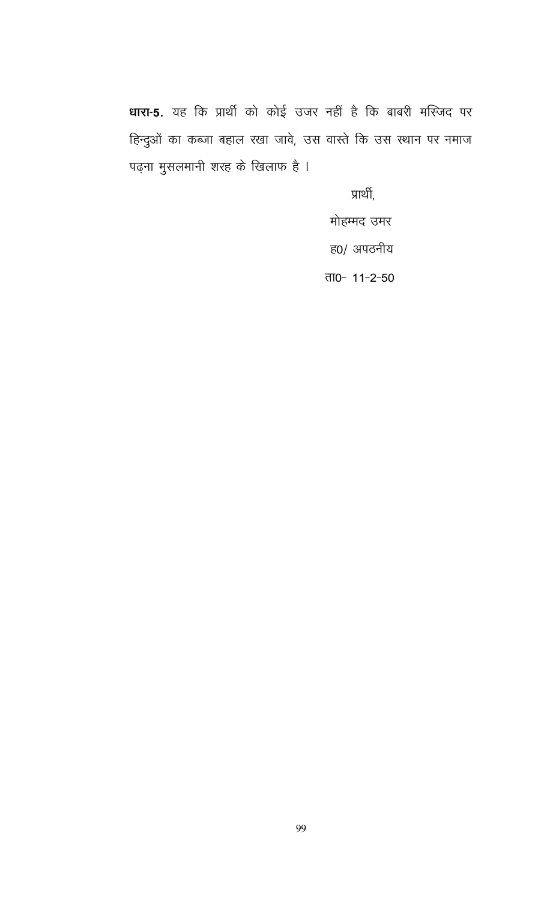धारा-5. यह कि प्रार्थी को कोई उजर नहीं है कि बाबरी मस्जिद पर हिन्दुओं का कब्जा बहाल रखा जावे, उस वास्ते कि उस स्थान पर नमाज पढ़ना मुसलमानी शरह के खिलाफ है ।

प्रार्थी,

मोहम्मद उमर ह0/ अपठनीय

ता0- 11-2-50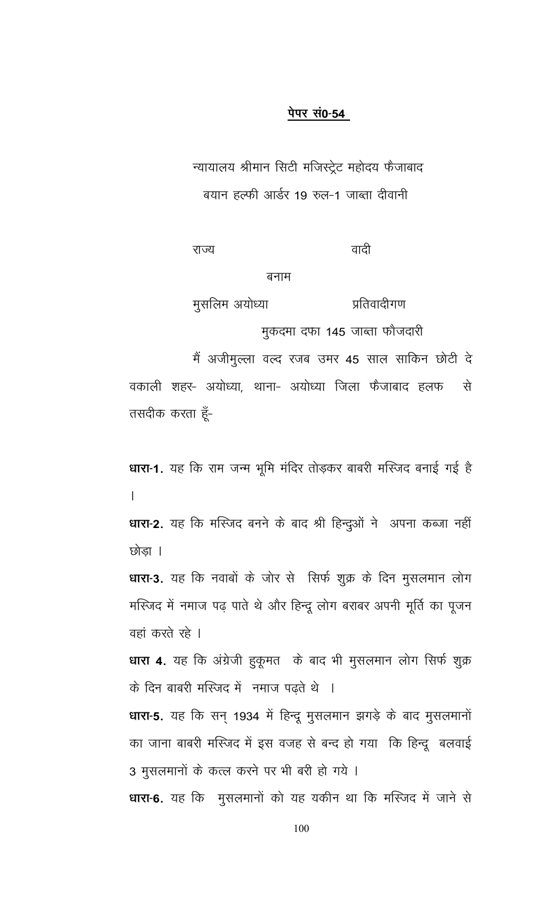#### पेपर सं0-54

न्यायालय श्रीमान सिटी मजिस्ट्रेट महोदय फैजाबाद बयान हल्फी आर्डर 19 रुल-1 जाब्ता दीवानी

राज्य

वादी

#### बनाम

मुसलिम अयोध्या प्रतिवादीगण

मुकदमा दफा 145 जाब्ता फौजदारी

मैं अजीमुल्ला वल्द रजब उमर 45 साल साकिन छोटी दे वकाली शहर- अयोध्या, थाना- अयोध्या जिला फैजाबाद हलफ से तसदीक करता हूँ-

धारा-1. यह कि राम जन्म भूमि मंदिर तोड़कर बाबरी मस्जिद बनाई गई है  $\mathsf{L}$ 

धारा-2. यह कि मस्जिद बनने के बाद श्री हिन्दुओं ने अपना कब्जा नहीं छोडा ।

धारा-3. यह कि नवाबों के जोर से सिर्फ शुक्र के दिन मुसलमान लोग मस्जिद में नमाज पढ़ पाते थे और हिन्दू लोग बराबर अपनी मूर्ति का पूजन वहां करते रहे ।

धारा 4. यह कि अंग्रेजी हुकूमत के बाद भी मुसलमान लोग सिर्फ शुक्र के दिन बाबरी मस्जिद में नमाज पढ़ते थे ।

धारा-5. यह कि सन् 1934 में हिन्दू मुसलमान झगड़े के बाद मुसलमानों का जाना बाबरी मस्जिद में इस वजह से बन्द हो गया कि हिन्दू बलवाई 3 मुसलमानों के कत्ल करने पर भी बरी हो गये ।

धारा-6. यह कि मुसलमानों को यह यकीन था कि मस्जिद में जाने से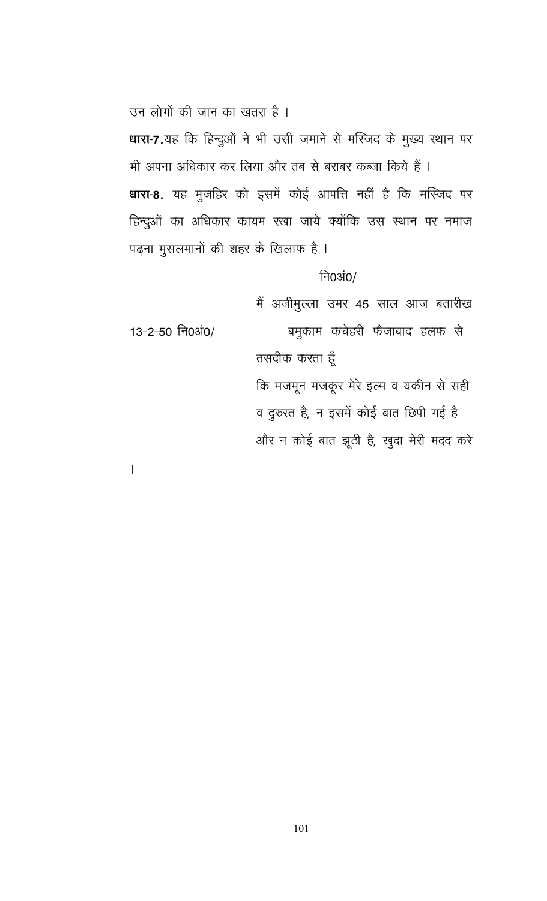उन लोगों की जान का खतरा है।

धारा-7.यह कि हिन्दुओं ने भी उसी जमाने से मस्जिद के मुख्य स्थान पर भी अपना अधिकार कर लिया और तब से बराबर कब्जा किये हैं । धारा-8. यह मुजहिर को इसमें कोई आपत्ति नहीं है कि मस्जिद पर हिन्दुओं का अधिकार कायम रखा जाये क्योंकि उस स्थान पर नमाज पढ़ना मुसलमानों की शहर के खिलाफ है ।

# नि0अं $0/$

मैं अजीमुल्ला उमर 45 साल आज बतारीख बमुकाम कचेहरी फैजाबाद हलफ से 13-2-50 नि0अं0/ तसदीक करता हूँ कि मजमून मजकूर मेरे इल्म व यकीन से सही व दुरुस्त है, न इसमें कोई बात छिपी गई है और न कोई बात झूठी है, खुदा मेरी मदद करे

 $\overline{\phantom{a}}$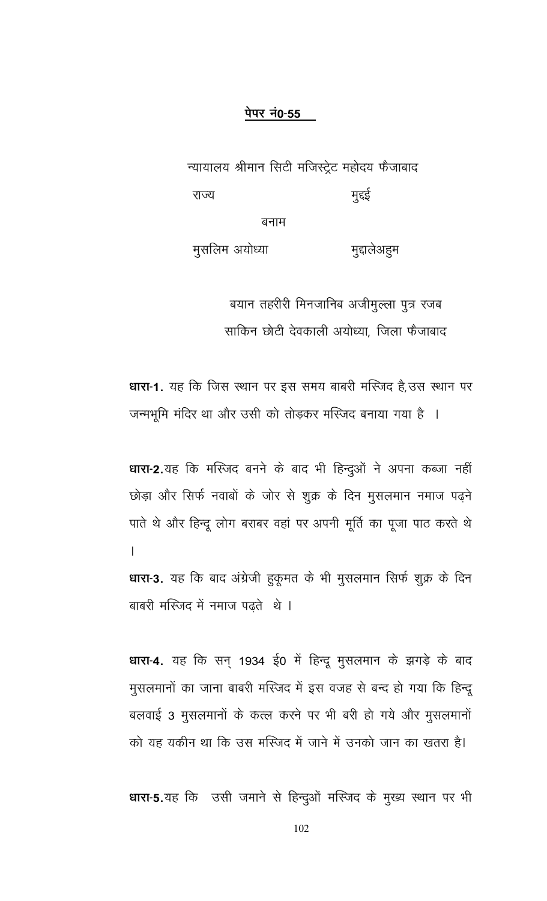### पेपर नं0-55

न्यायालय श्रीमान सिटी मजिस्ट्रेट महोदय फैजाबाद मुद्दई राज्य बनाम

मुसलिम अयोध्या मुद्दालेअहम

> बयान तहरीरी मिनजानिब अजीमुल्ला पुत्र रजब साकिन छोटी देवकाली अयोध्या, जिला फैजाबाद

धारा-1. यह कि जिस स्थान पर इस समय बाबरी मस्जिद है, उस स्थान पर जन्मभूमि मंदिर था और उसी को तोड़कर मस्जिद बनाया गया है ।

धारा-2.यह कि मस्जिद बनने के बाद भी हिन्दुओं ने अपना कब्जा नहीं छोड़ा और सिर्फ नवाबों के जोर से शुक्र के दिन मुसलमान नमाज पढ़ने पाते थे और हिन्दू लोग बराबर वहां पर अपनी मूर्ति का पूजा पाठ करते थे  $\overline{1}$ धारा-3. यह कि बाद अंग्रेजी हुकूमत के भी मुसलमान सिर्फ शुक्र के दिन

बाबरी मस्जिद में नमाज पढते थे।

धारा-4. यह कि सन् 1934 ई0 में हिन्दू मुसलमान के झगड़े के बाद मुसलमानों का जाना बाबरी मस्जिद में इस वजह से बन्द हो गया कि हिन्दू बलवाई 3 मुसलमानों के कत्ल करने पर भी बरी हो गये और मुसलमानों को यह यकीन था कि उस मस्जिद में जाने में उनको जान का खतरा है।

धारा-5.यह कि उसी जमाने से हिन्दुओं मस्जिद के मुख्य स्थान पर भी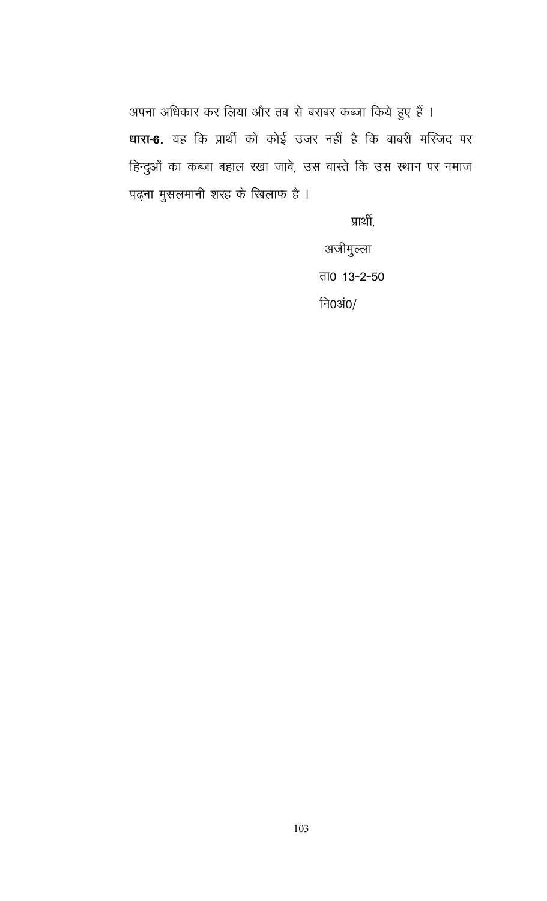अपना अधिकार कर लिया और तब से बराबर कब्जा किये हुए हैं । धारा-6. यह कि प्रार्थी को कोई उजर नहीं है कि बाबरी मस्जिद पर हिन्दुओं का कब्जा बहाल रखा जावे, उस वास्ते कि उस स्थान पर नमाज पढ़ना मुसलमानी शरह के खिलाफ है ।

प्रार्थी,

अजीमुल्ला <u>ता0 13-2-50</u> नि0अं0/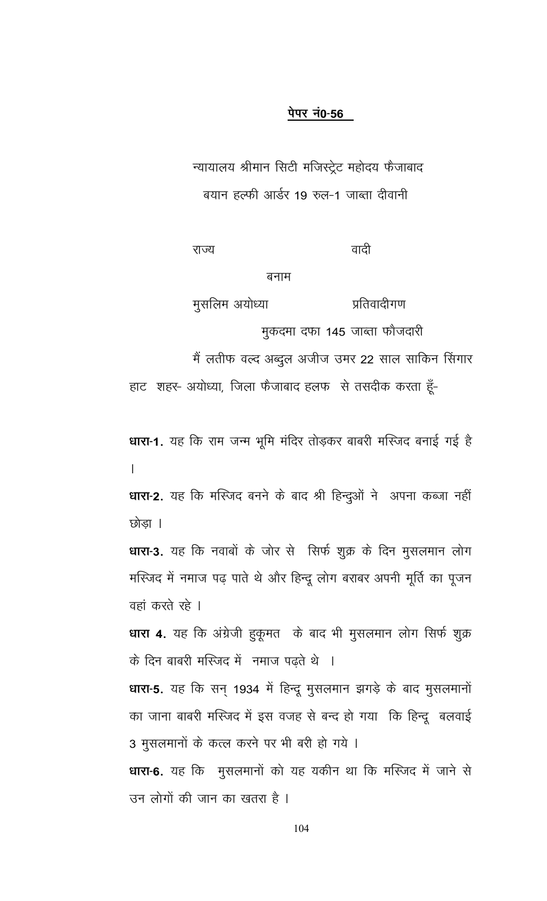#### पेपर नं0-56

न्यायालय श्रीमान सिटी मजिस्ट्रेट महोदय फैजाबाद बयान हल्फी आर्डर 19 रुल-1 जाब्ता दीवानी

राज्य

वादी

#### बनाम

मुसलिम अयोध्या प्रतिवादीगण

मुकदमा दफा 145 जाब्ता फौजदारी

मैं लतीफ वल्द अब्दुल अजीज उमर 22 साल साकिन सिंगार

हाट शहर- अयोध्या, जिला फैजाबाद हलफ से तसदीक करता हूँ-

धारा-1. यह कि राम जन्म भूमि मंदिर तोड़कर बाबरी मस्जिद बनाई गई है  $\mathsf{L}$ 

धारा-2. यह कि मस्जिद बनने के बाद श्री हिन्दुओं ने अपना कब्जा नहीं छोडा ।

धारा-3. यह कि नवाबों के जोर से सिर्फ शुक्र के दिन मुसलमान लोग मस्जिद में नमाज पढ़ पाते थे और हिन्दू लोग बराबर अपनी मूर्ति का पूजन वहां करते रहे ।

धारा 4. यह कि अंग्रेजी हुकूमत के बाद भी मुसलमान लोग सिर्फ शुक्र के दिन बाबरी मस्जिद में नमाज पढते थे ।

धारा-5. यह कि सन् 1934 में हिन्दू मुसलमान झगड़े के बाद मुसलमानों का जाना बाबरी मस्जिद में इस वजह से बन्द हो गया कि हिन्दू बलवाई 3 मुसलमानों के कत्ल करने पर भी बरी हो गये ।

धारा-6. यह कि मुसलमानों को यह यकीन था कि मस्जिद में जाने से उन लोगों की जान का खतरा है ।

104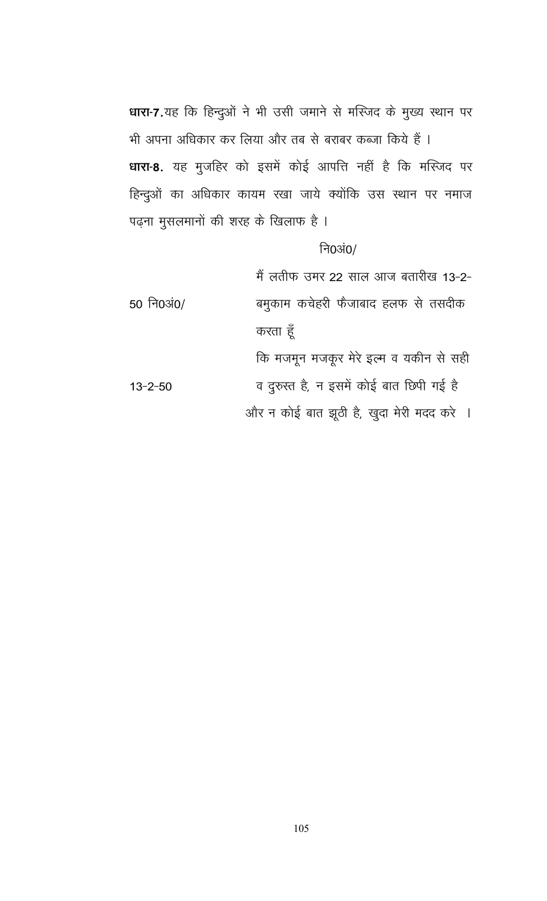धारा-7.यह कि हिन्दुओं ने भी उसी जमाने से मस्जिद के मुख्य स्थान पर भी अपना अधिकार कर लिया और तब से बराबर कब्जा किये हैं । धारा-8. यह मुजहिर को इसमें कोई आपत्ति नहीं है कि मस्जिद पर हिन्दुओं का अधिकार कायम रखा जाये क्योंकि उस स्थान पर नमाज पढ़ना मुसलमानों की शरह के खिलाफ है ।

# नि0अं $0/$

मैं लतीफ उमर 22 साल आज बतारीख 13-2-50 नि0अं0/ बमुकाम कचेहरी फैजाबाद हलफ से तसदीक करता हूँ कि मजमून मजकूर मेरे इल्म व यकीन से सही व दुरुस्त है, न इसमें कोई बात छिपी गई है  $13 - 2 - 50$ 

और न कोई बात झूठी है, खुदा मेरी मदद करे ।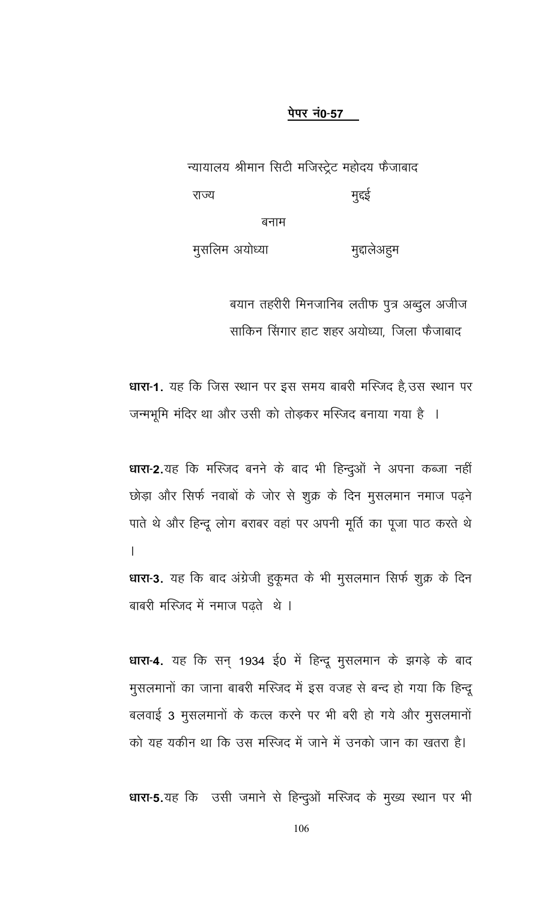#### पेपर नं0-57

न्यायालय श्रीमान सिटी मजिस्ट्रेट महोदय फैजाबाद मुद्दई राज्य बनाम

मुसलिम अयोध्या मुद्दालेअहम

> बयान तहरीरी मिनजानिब लतीफ पुत्र अब्दुल अजीज साकिन सिंगार हाट शहर अयोध्या, जिला फैजाबाद

धारा-1. यह कि जिस स्थान पर इस समय बाबरी मस्जिद है, उस स्थान पर जन्मभूमि मंदिर था और उसी को तोड़कर मस्जिद बनाया गया है ।

धारा-2.यह कि मस्जिद बनने के बाद भी हिन्दुओं ने अपना कब्जा नहीं छोड़ा और सिर्फ नवाबों के जोर से शुक्र के दिन मुसलमान नमाज पढ़ने पाते थे और हिन्दू लोग बराबर वहां पर अपनी मूर्ति का पूजा पाठ करते थे  $\overline{1}$ धारा-3. यह कि बाद अंग्रेजी हुकूमत के भी मुसलमान सिर्फ शुक्र के दिन

बाबरी मस्जिद में नमाज पढते थे।

धारा-4. यह कि सन् 1934 ई0 में हिन्दू मुसलमान के झगड़े के बाद मुसलमानों का जाना बाबरी मस्जिद में इस वजह से बन्द हो गया कि हिन्दू बलवाई 3 मुसलमानों के कत्ल करने पर भी बरी हो गये और मुसलमानों को यह यकीन था कि उस मस्जिद में जाने में उनको जान का खतरा है।

धारा-5.यह कि उसी जमाने से हिन्दुओं मस्जिद के मुख्य स्थान पर भी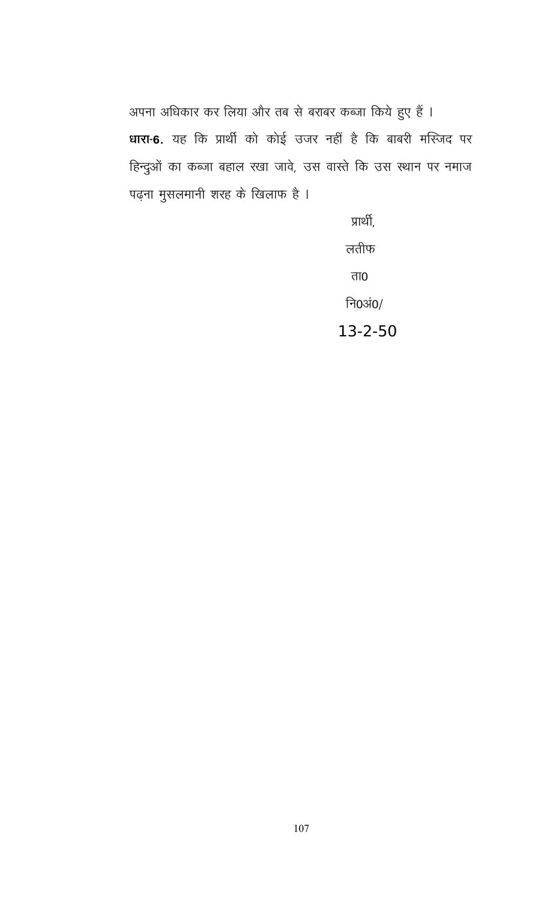अपना अधिकार कर लिया और तब से बराबर कब्जा किये हुए हैं । धारा-6. यह कि प्रार्थी को कोई उजर नहीं है कि बाबरी मस्जिद पर हिन्दुओं का कब्जा बहाल रखा जावे, उस वास्ते कि उस स्थान पर नमाज पढ़ना मुसलमानी शरह के खिलाफ है ।

> प्रार्थी, लतीफ ता $\overline{0}$ नि0अं0/ 13-2-50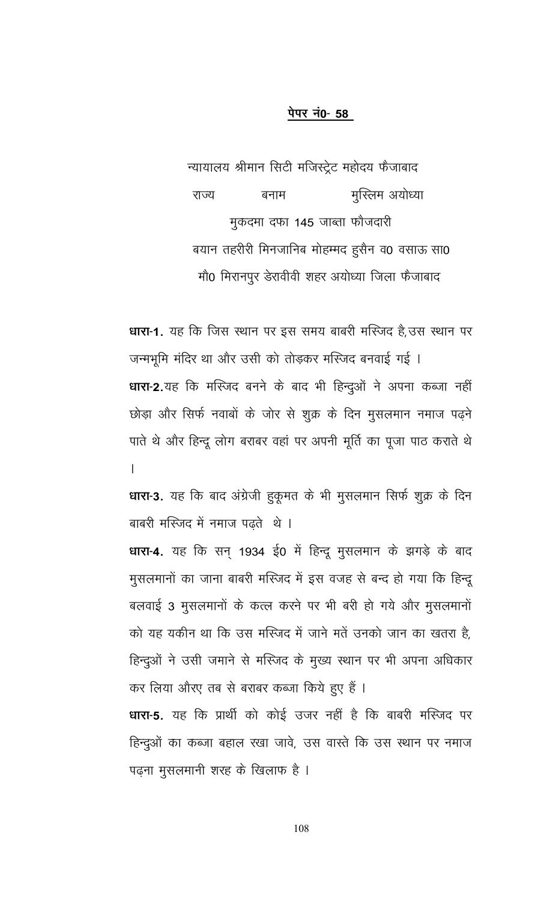#### पेपर नं0- 58

न्यायालय श्रीमान सिटी मजिस्ट्रेट महोदय फैजाबाद मुस्लिम अयोध्या राज्य बनाम मुकदमा दफा 145 जाब्ता फौजदारी बयान तहरीरी मिनजानिब मोहम्मद हुसैन व0 वसाऊ सा0 मौ0 मिरानपुर डेरावीवी शहर अयोध्या जिला फैजाबाद

**धारा-1.** यह कि जिस स्थान पर इस समय बाबरी मस्जिद है,उस स्थान पर जन्मभूमि मंदिर था और उसी को तोड़कर मस्जिद बनवाई गई । धारा-2.यह कि मस्जिद बनने के बाद भी हिन्दुओं ने अपना कब्जा नहीं छोड़ा और सिर्फ नवाबों के जोर से शुक्र के दिन मुसलमान नमाज पढ़ने पाते थे और हिन्दू लोग बराबर वहां पर अपनी मूर्ति का पूजा पाठ कराते थे  $\overline{1}$ 

धारा-3. यह कि बाद अंग्रेजी हुकूमत के भी मुसलमान सिर्फ शुक्र के दिन बाबरी मस्जिद में नमाज पढते थे।

धारा-4. यह कि सन् 1934 ई0 में हिन्दू मुसलमान के झगड़े के बाद मूसलमानों का जाना बाबरी मस्जिद में इस वजह से बन्द हो गया कि हिन्दू बलवाई 3 मुसलमानों के कत्ल करने पर भी बरी हो गये और मुसलमानों को यह यकीन था कि उस मस्जिद में जाने मतें उनको जान का खतरा है, हिन्दुओं ने उसी जमाने से मस्जिद के मुख्य स्थान पर भी अपना अधिकार कर लिया औरए तब से बराबर कब्जा किये हुए हैं ।

**धारा-5.** यह कि प्रार्थी को कोई उजर नहीं है कि बाबरी मस्जिद पर हिन्दुओं का कब्जा बहाल रखा जावे, उस वास्ते कि उस स्थान पर नमाज पढ़ना मुसलमानी शरह के खिलाफ है ।

108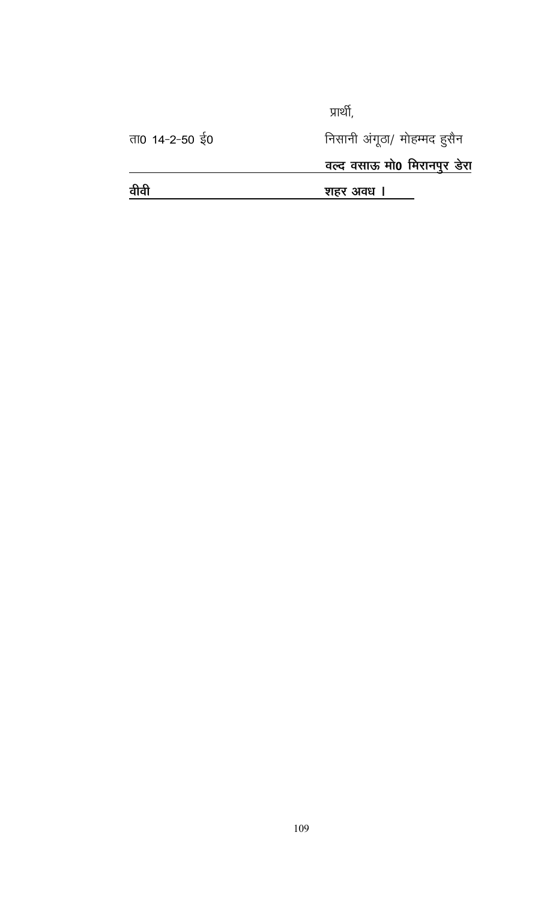प्रार्थी,

ता0 14-2-50 ई0

निसानी अंगूठा/ मोहम्मद हुसैन

<u>वल्द वसाऊ मो0 मिरानपुर डेरा</u>

<u>वीवी</u> <u>शहर अवध । </u>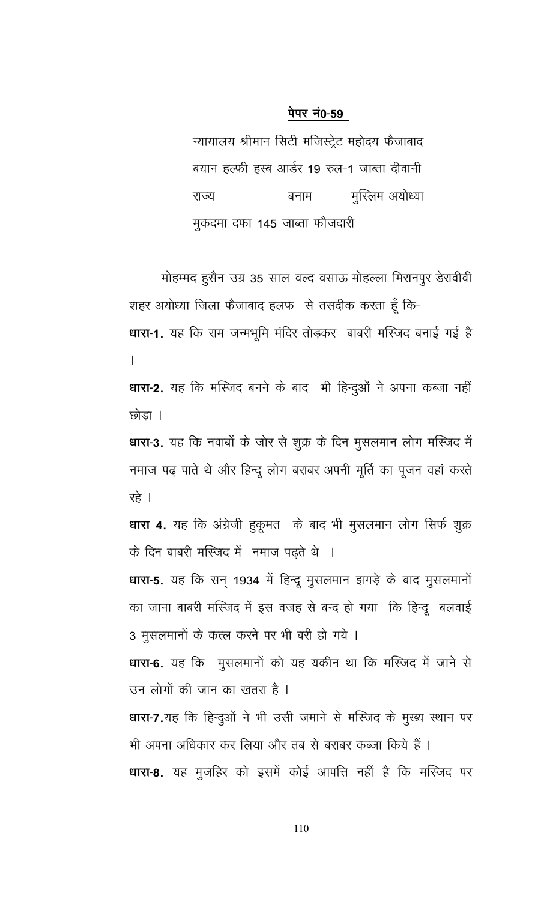न्यायालय श्रीमान सिटी मजिस्ट्रेट महोदय फैजाबाद बयान हल्फी हस्ब आर्डर 19 रुल-1 जाब्ता दीवानी मुस्लिम अयोध्या राज्य बनाम मुकदमा दफा 145 जाब्ता फौजदारी

मोहम्मद हुसैन उम्र 35 साल वल्द वसाऊ मोहल्ला मिरानपुर डेरावीवी शहर अयोध्या जिला फैजाबाद हलफ से तसदीक करता हूँ कि-

धारा-1. यह कि राम जन्मभूमि मंदिर तोड़कर बाबरी मस्जिद बनाई गई है  $\overline{1}$ 

धारा-2. यह कि मस्जिद बनने के बाद भी हिन्दुओं ने अपना कब्जा नहीं छोड़ा ।

धारा-3. यह कि नवाबों के जोर से शुक्र के दिन मुसलमान लोग मस्जिद में नमाज पढ़ पाते थे और हिन्दू लोग बराबर अपनी मूर्ति का पूजन वहां करते रहे ।

धारा 4. यह कि अंग्रेजी हुकूमत के बाद भी मुसलमान लोग सिर्फ शुक्र के दिन बाबरी मस्जिद में नमाज पढ़ते थे ।

धारा-5. यह कि सन् 1934 में हिन्दू मुसलमान झगड़े के बाद मुसलमानों का जाना बाबरी मस्जिद में इस वजह से बन्द हो गया कि हिन्दू बलवाई 3 मुसलमानों के कत्ल करने पर भी बरी हो गये ।

धारा-6. यह कि मुसलमानों को यह यकीन था कि मस्जिद में जाने से उन लोगों की जान का खतरा है ।

धारा-7.यह कि हिन्दुओं ने भी उसी जमाने से मस्जिद के मुख्य स्थान पर भी अपना अधिकार कर लिया और तब से बराबर कब्जा किये हैं । धारा-8. यह मुजहिर को इसमें कोई आपत्ति नहीं है कि मस्जिद पर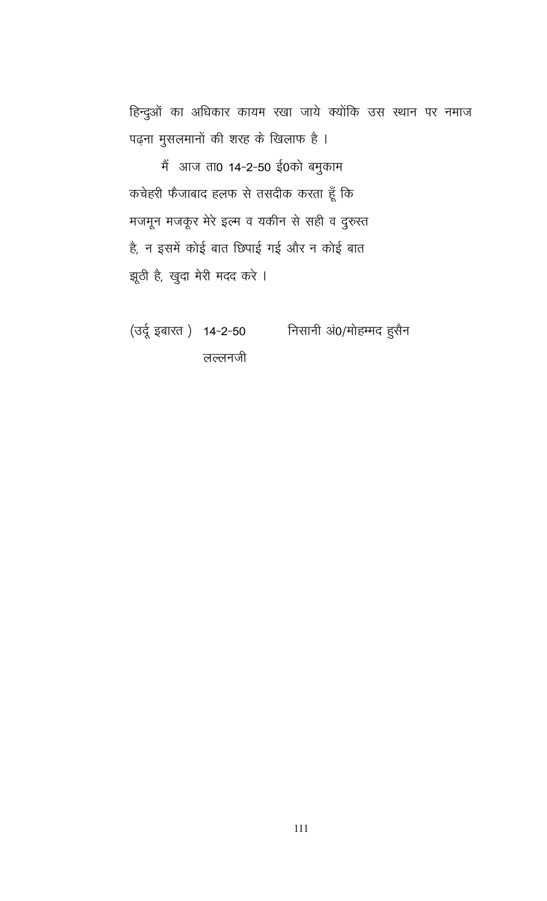हिन्दुओं का अधिकार कायम रखा जाये क्योंकि उस स्थान पर नमाज पढ़ना मुसलमानों की शरह के खिलाफ है ।

में आज ता0 14-2-50 ई0को बमुकाम कचेहरी फैजाबाद हलफ से तसदीक करता हूँ कि मजमून मजकूर मेरे इल्म व यकीन से सही व दुरुस्त है, न इसमें कोई बात छिपाई गई और न कोई बात झूठी है, खुदा मेरी मदद करे ।

(उर्दू इबारत) 14-2-50 निसानी अं0/मोहम्मद हुसैन लल्लनजी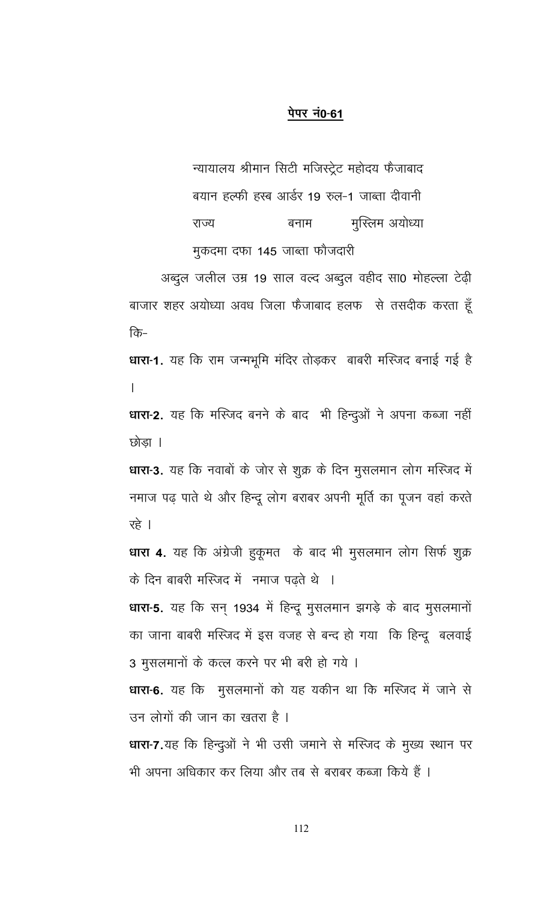न्यायालय श्रीमान सिटी मजिस्ट्रेट महोदय फैजाबाद बयान हल्फी हस्ब आर्डर 19 रुल-1 जाब्ता दीवानी राज्य मुस्लिम अयोध्या बनाम मुकदमा दफा 145 जाब्ता फौजदारी

अब्दुल जलील उम्र 19 साल वल्द अब्दुल वहीद सा0 मोहल्ला टेढ़ी बाजार शहर अयोध्या अवध जिला फैजाबाद हलफ से तसदीक करता हूँ कि-

धारा-1. यह कि राम जन्मभूमि मंदिर तोड़कर बाबरी मस्जिद बनाई गई है  $\mathbf{I}$ 

धारा-2. यह कि मस्जिद बनने के बाद भी हिन्दुओं ने अपना कब्जा नहीं छोडा ।

धारा-3. यह कि नवाबों के जोर से शुक्र के दिन मुसलमान लोग मस्जिद में नमाज पढ़ पाते थे और हिन्दू लोग बराबर अपनी मूर्ति का पूजन वहां करते रहे ।

धारा 4. यह कि अंग्रेजी हुकूमत के बाद भी मुसलमान लोग सिर्फ शुक्र के दिन बाबरी मस्जिद में नमाज पढते थे ।

धारा-5. यह कि सन् 1934 में हिन्दू मुसलमान झगड़े के बाद मुसलमानों का जाना बाबरी मस्जिद में इस वजह से बन्द हो गया कि हिन्दू बलवाई 3 मुसलमानों के कत्ल करने पर भी बरी हो गये ।

धारा-6. यह कि मुसलमानों को यह यकीन था कि मस्जिद में जाने से उन लोगों की जान का खतरा है ।

धारा-7.यह कि हिन्दुओं ने भी उसी जमाने से मस्जिद के मुख्य स्थान पर भी अपना अधिकार कर लिया और तब से बराबर कब्जा किये हैं ।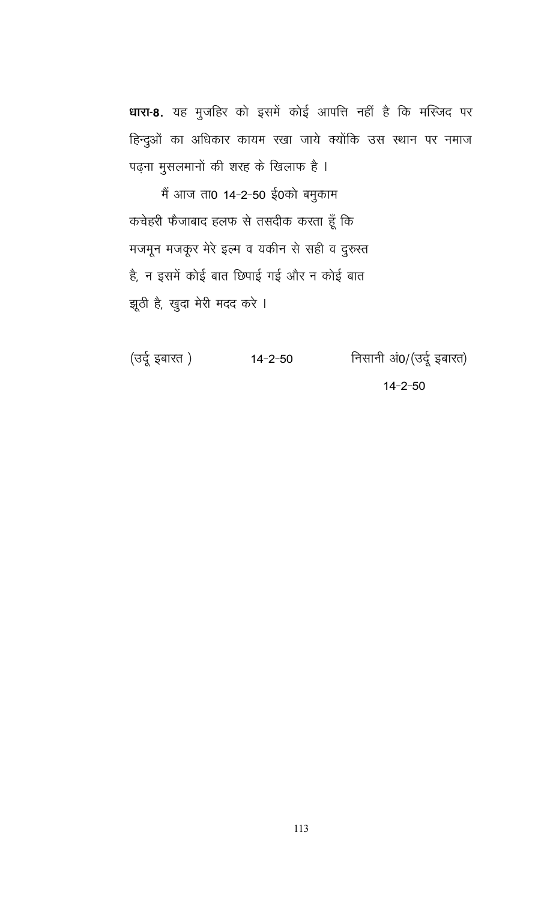धारा-8. यह मुजहिर को इसमें कोई आपत्ति नहीं है कि मस्जिद पर हिन्दुओं का अधिकार कायम रखा जाये क्योंकि उस स्थान पर नमाज पढ़ना मुसलमानों की शरह के खिलाफ है ।

मैं आज ता0 14-2-50 ई0को बमुकाम कचेहरी फैजाबाद हलफ से तसदीक करता हूँ कि मजमून मजकूर मेरे इल्म व यकीन से सही व दुरुस्त है, न इसमें कोई बात छिपाई गई और न कोई बात झूठी है, खुदा मेरी मदद करे ।

(उर्दू इबारत ) निसानी अं0/(उर्दू इबारत)  $14 - 2 - 50$  $14 - 2 - 50$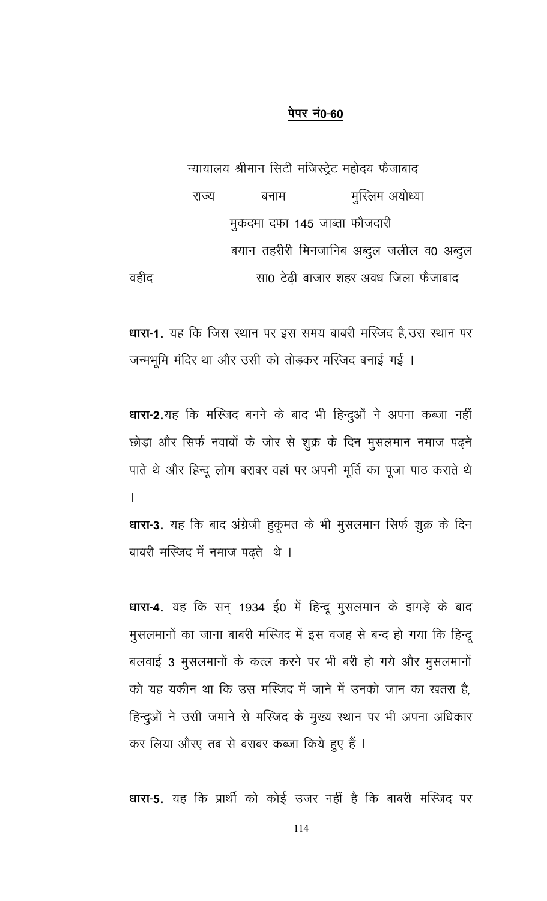न्यायालय श्रीमान सिटी मजिस्ट्रेट महोदय फैजाबाद मुस्लिम अयोध्या राज्य बनाम मुकदमा दफा 145 जाब्ता फौजदारी बयान तहरीरी मिनजानिब अब्दुल जलील व0 अब्दुल वहीद सा0 टेढी बाजार शहर अवध जिला फैजाबाद

**धारा-1.** यह कि जिस स्थान पर इस समय बाबरी मस्जिद है,उस स्थान पर जन्मभूमि मंदिर था और उसी को तोड़कर मस्जिद बनाई गई ।

धारा-2.यह कि मस्जिद बनने के बाद भी हिन्दुओं ने अपना कब्जा नहीं छोड़ा और सिर्फ नवाबों के जोर से शुक्र के दिन मुसलमान नमाज पढ़ने पाते थे और हिन्दू लोग बराबर वहां पर अपनी मूर्ति का पूजा पाठ कराते थे  $\mathsf{L}$ 

धारा-3. यह कि बाद अंग्रेजी हुकूमत के भी मुसलमान सिर्फ शुक्र के दिन बाबरी मस्जिद में नमाज पढ़ते थे ।

धारा-4. यह कि सन् 1934 ई0 में हिन्दू मुसलमान के झगड़े के बाद मुसलमानों का जाना बाबरी मस्जिद में इस वजह से बन्द हो गया कि हिन्दू बलवाई 3 मुसलमानों के कत्ल करने पर भी बरी हो गये और मुसलमानों को यह यकीन था कि उस मस्जिद में जाने में उनको जान का खतरा है, हिन्दुओं ने उसी जमाने से मस्जिद के मुख्य स्थान पर भी अपना अधिकार कर लिया औरए तब से बराबर कब्जा किये हुए हैं ।

धारा-5. यह कि प्रार्थी को कोई उजर नहीं है कि बाबरी मस्जिद पर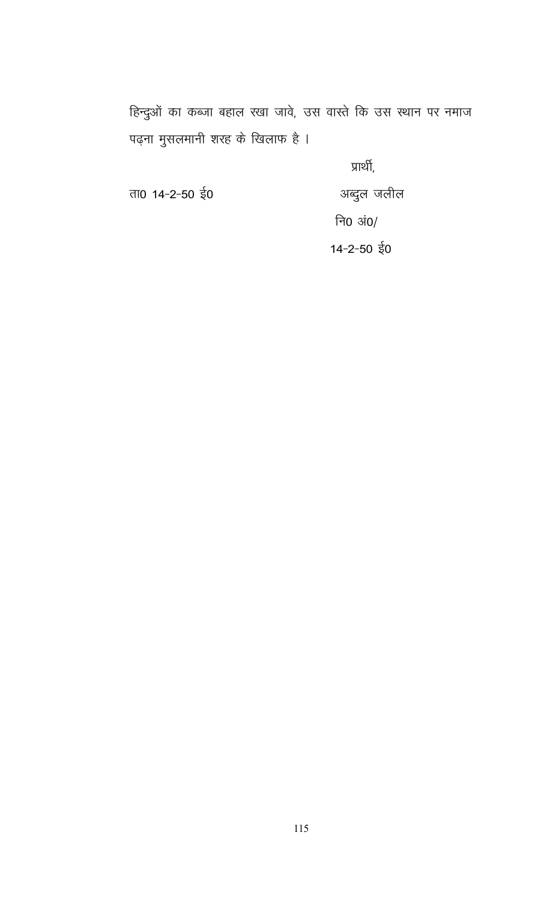हिन्दुओं का कब्जा बहाल रखा जावे, उस वास्ते कि उस स्थान पर नमाज पढ़ना मुसलमानी शरह के खिलाफ है ।

प्रार्थी,

अब्दुल जलील

ता0 14-2-50 ई0

नि $0 \sin \theta$ 

 $14 - 2 - 50$   $\frac{1}{3}0$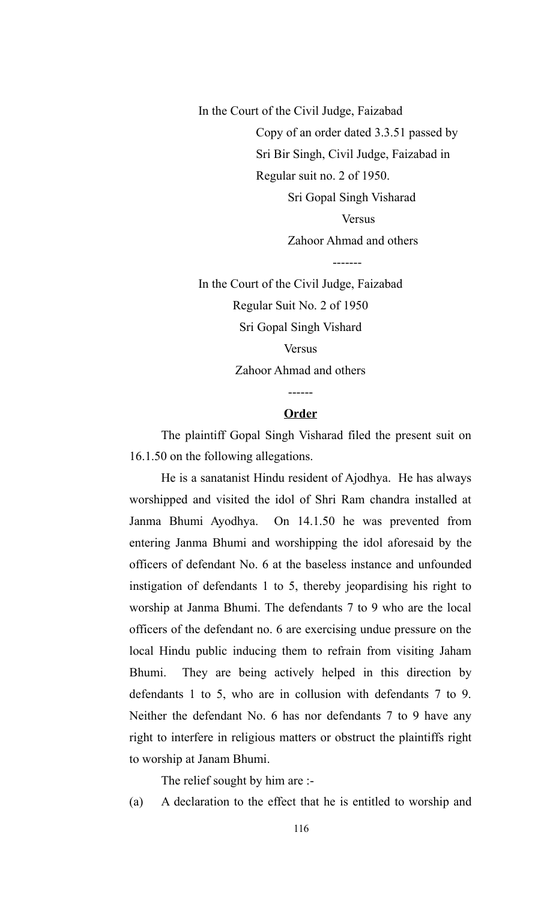In the Court of the Civil Judge, Faizabad Copy of an order dated 3.3.51 passed by Sri Bir Singh, Civil Judge, Faizabad in Regular suit no. 2 of 1950. Sri Gopal Singh Visharad Versus Zahoor Ahmad and others

In the Court of the Civil Judge, Faizabad Regular Suit No. 2 of 1950 Sri Gopal Singh Vishard Versus Zahoor Ahmad and others

-------

#### **Order**

------

The plaintiff Gopal Singh Visharad filed the present suit on 16.1.50 on the following allegations.

He is a sanatanist Hindu resident of Ajodhya. He has always worshipped and visited the idol of Shri Ram chandra installed at Janma Bhumi Ayodhya. On 14.1.50 he was prevented from entering Janma Bhumi and worshipping the idol aforesaid by the officers of defendant No. 6 at the baseless instance and unfounded instigation of defendants 1 to 5, thereby jeopardising his right to worship at Janma Bhumi. The defendants 7 to 9 who are the local officers of the defendant no. 6 are exercising undue pressure on the local Hindu public inducing them to refrain from visiting Jaham Bhumi. They are being actively helped in this direction by defendants 1 to 5, who are in collusion with defendants 7 to 9. Neither the defendant No. 6 has nor defendants 7 to 9 have any right to interfere in religious matters or obstruct the plaintiffs right to worship at Janam Bhumi.

The relief sought by him are :-

(a) A declaration to the effect that he is entitled to worship and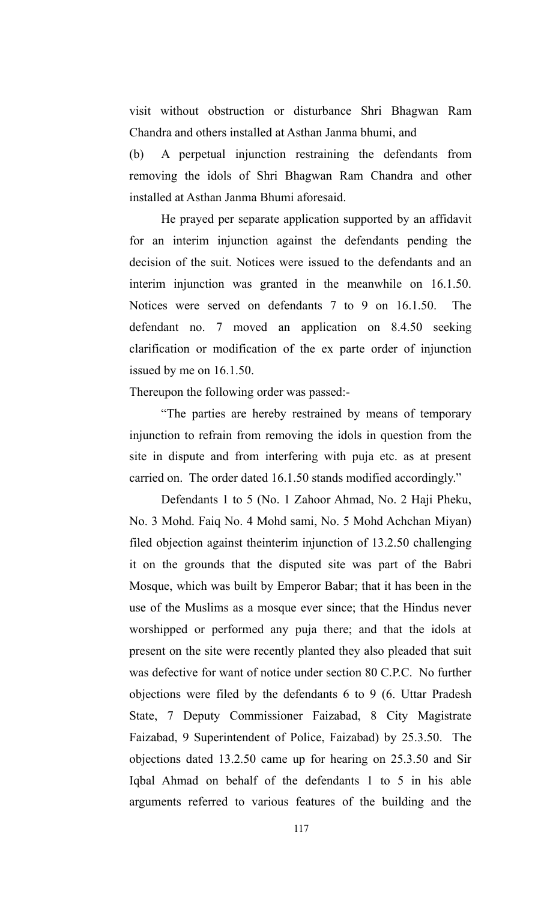visit without obstruction or disturbance Shri Bhagwan Ram Chandra and others installed at Asthan Janma bhumi, and

(b) A perpetual injunction restraining the defendants from removing the idols of Shri Bhagwan Ram Chandra and other installed at Asthan Janma Bhumi aforesaid.

He prayed per separate application supported by an affidavit for an interim injunction against the defendants pending the decision of the suit. Notices were issued to the defendants and an interim injunction was granted in the meanwhile on 16.1.50. Notices were served on defendants 7 to 9 on 16.1.50. The defendant no. 7 moved an application on 8.4.50 seeking clarification or modification of the ex parte order of injunction issued by me on 16.1.50.

Thereupon the following order was passed:-

"The parties are hereby restrained by means of temporary injunction to refrain from removing the idols in question from the site in dispute and from interfering with puja etc. as at present carried on. The order dated 16.1.50 stands modified accordingly."

Defendants 1 to 5 (No. 1 Zahoor Ahmad, No. 2 Haji Pheku, No. 3 Mohd. Faiq No. 4 Mohd sami, No. 5 Mohd Achchan Miyan) filed objection against theinterim injunction of 13.2.50 challenging it on the grounds that the disputed site was part of the Babri Mosque, which was built by Emperor Babar; that it has been in the use of the Muslims as a mosque ever since; that the Hindus never worshipped or performed any puja there; and that the idols at present on the site were recently planted they also pleaded that suit was defective for want of notice under section 80 C.P.C. No further objections were filed by the defendants 6 to 9 (6. Uttar Pradesh State, 7 Deputy Commissioner Faizabad, 8 City Magistrate Faizabad, 9 Superintendent of Police, Faizabad) by 25.3.50. The objections dated 13.2.50 came up for hearing on 25.3.50 and Sir Iqbal Ahmad on behalf of the defendants 1 to 5 in his able arguments referred to various features of the building and the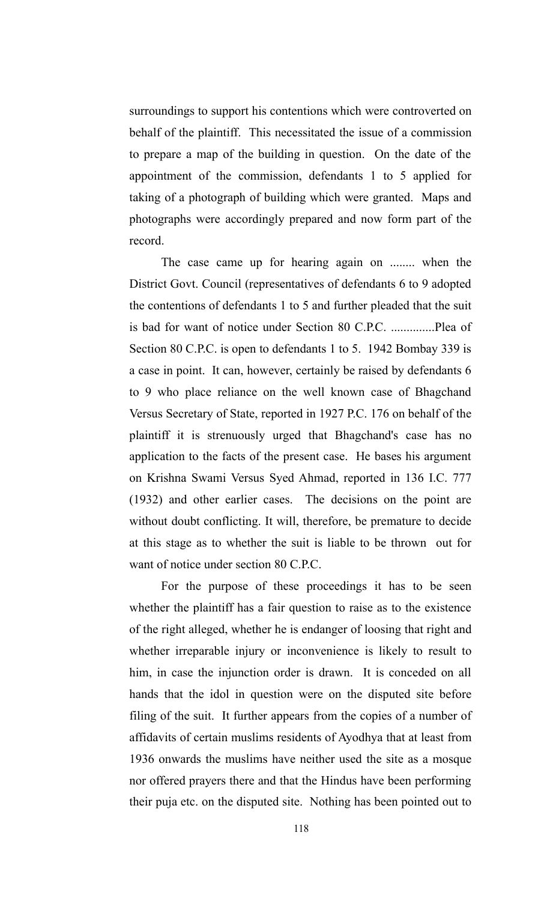surroundings to support his contentions which were controverted on behalf of the plaintiff. This necessitated the issue of a commission to prepare a map of the building in question. On the date of the appointment of the commission, defendants 1 to 5 applied for taking of a photograph of building which were granted. Maps and photographs were accordingly prepared and now form part of the record.

The case came up for hearing again on ........ when the District Govt. Council (representatives of defendants 6 to 9 adopted the contentions of defendants 1 to 5 and further pleaded that the suit is bad for want of notice under Section 80 C.P.C. ..............Plea of Section 80 C.P.C. is open to defendants 1 to 5. 1942 Bombay 339 is a case in point. It can, however, certainly be raised by defendants 6 to 9 who place reliance on the well known case of Bhagchand Versus Secretary of State, reported in 1927 P.C. 176 on behalf of the plaintiff it is strenuously urged that Bhagchand's case has no application to the facts of the present case. He bases his argument on Krishna Swami Versus Syed Ahmad, reported in 136 I.C. 777 (1932) and other earlier cases. The decisions on the point are without doubt conflicting. It will, therefore, be premature to decide at this stage as to whether the suit is liable to be thrown out for want of notice under section 80 C.P.C.

For the purpose of these proceedings it has to be seen whether the plaintiff has a fair question to raise as to the existence of the right alleged, whether he is endanger of loosing that right and whether irreparable injury or inconvenience is likely to result to him, in case the injunction order is drawn. It is conceded on all hands that the idol in question were on the disputed site before filing of the suit. It further appears from the copies of a number of affidavits of certain muslims residents of Ayodhya that at least from 1936 onwards the muslims have neither used the site as a mosque nor offered prayers there and that the Hindus have been performing their puja etc. on the disputed site. Nothing has been pointed out to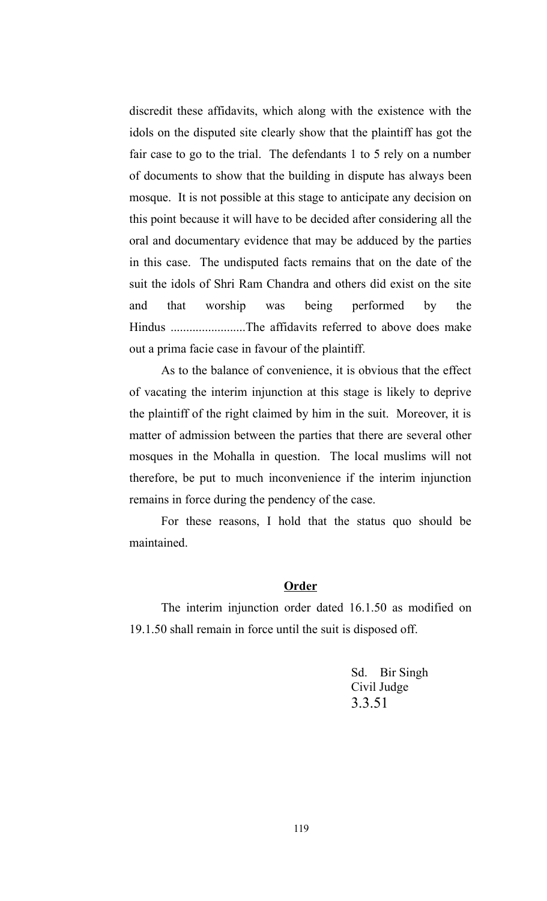discredit these affidavits, which along with the existence with the idols on the disputed site clearly show that the plaintiff has got the fair case to go to the trial. The defendants 1 to 5 rely on a number of documents to show that the building in dispute has always been mosque. It is not possible at this stage to anticipate any decision on this point because it will have to be decided after considering all the oral and documentary evidence that may be adduced by the parties in this case. The undisputed facts remains that on the date of the suit the idols of Shri Ram Chandra and others did exist on the site and that worship was being performed by the Hindus ........................The affidavits referred to above does make out a prima facie case in favour of the plaintiff.

As to the balance of convenience, it is obvious that the effect of vacating the interim injunction at this stage is likely to deprive the plaintiff of the right claimed by him in the suit. Moreover, it is matter of admission between the parties that there are several other mosques in the Mohalla in question. The local muslims will not therefore, be put to much inconvenience if the interim injunction remains in force during the pendency of the case.

For these reasons, I hold that the status quo should be maintained.

#### **Order**

The interim injunction order dated 16.1.50 as modified on 19.1.50 shall remain in force until the suit is disposed off.

> Sd. Bir Singh Civil Judge 3.3.51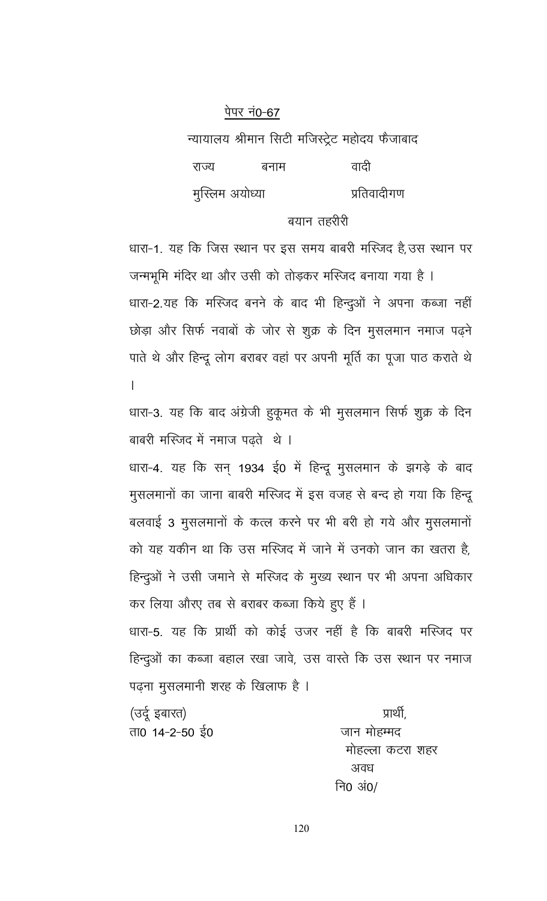न्यायालय श्रीमान सिटी मजिस्ट्रेट महोदय फैजाबाद

| राज्य           | बनाम | वादी        |
|-----------------|------|-------------|
| मुस्लिम अयोध्या |      | प्रतिवादीगण |

# बयान तहरीरी

धारा-1. यह कि जिस स्थान पर इस समय बाबरी मस्जिद है,उस स्थान पर जन्मभूमि मंदिर था और उसी को तोड़कर मस्जिद बनाया गया है । धारा-2.यह कि मस्जिद बनने के बाद भी हिन्दूओं ने अपना कब्जा नहीं छोड़ा और सिर्फ नवाबों के जोर से शुक्र के दिन मुसलमान नमाज पढ़ने पाते थे और हिन्दू लोग बराबर वहां पर अपनी मूर्ति का पूजा पाठ कराते थे  $\overline{a}$ 

धारा-3. यह कि बाद अंग्रेजी हुकूमत के भी मुसलमान सिर्फ शुक्र के दिन बाबरी मस्जिद में नमाज पढते थे ।

धारा-4. यह कि सन् 1934 ई0 में हिन्दू मुसलमान के झगड़े के बाद मुसलमानों का जाना बाबरी मस्जिद में इस वजह से बन्द हो गया कि हिन्दू बलवाई 3 मुसलमानों के कत्ल करने पर भी बरी हो गये और मुसलमानों को यह यकीन था कि उस मस्जिद में जाने में उनको जान का खतरा है, हिन्दुओं ने उसी जमाने से मस्जिद के मुख्य स्थान पर भी अपना अधिकार कर लिया औरए तब से बराबर कब्जा किये हुए हैं । धारा-5. यह कि प्रार्थी को कोई उजर नहीं है कि बाबरी मस्जिद पर हिन्दुओं का कब्जा बहाल रखा जावे, उस वास्ते कि उस स्थान पर नमाज

पढ़ना मुसलमानी शरह के खिलाफ है ।

(उर्दू इबारत) ता0 14-2-50 ई0

प्रार्थी जान मोहम्मद मोहल्ला कटरा शहर अवध नि0 अं0/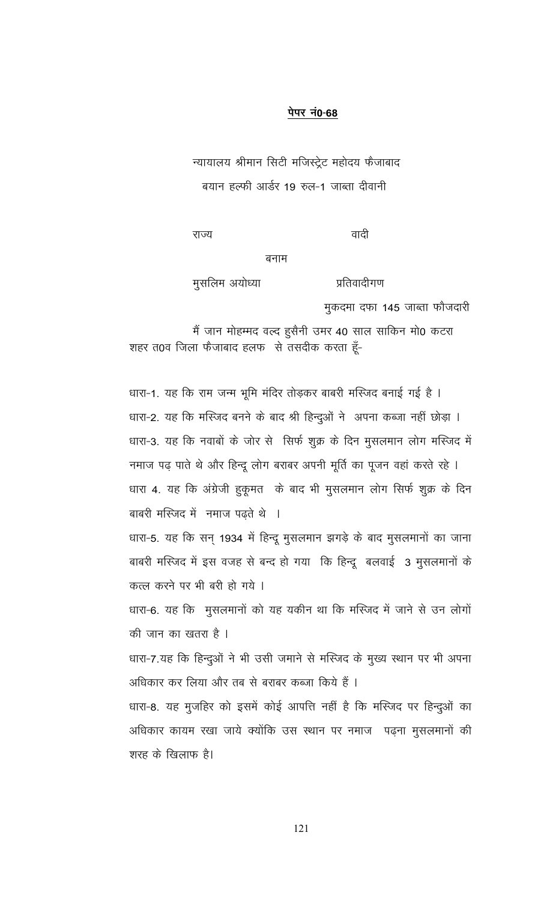न्यायालय श्रीमान सिटी मजिस्ट्रेट महोदय फैजाबाद बयान हल्फी आर्डर 19 रुल-1 जाब्ता दीवानी

राज्य

वादी

प्रतिवादीगण

बनाम

मुसलिम अयोध्या

मुकदमा दफा 145 जाब्ता फौजदारी

मैं जान मोहम्मद वल्द हुसैनी उमर 40 साल साकिन मो0 कटरा शहर त0व जिला फैजाबाद हलफ से तसदीक करता हूँ-

धारा-1. यह कि राम जन्म भूमि मंदिर तोड़कर बाबरी मस्जिद बनाई गई है । धारा-2. यह कि मस्जिद बनने के बाद श्री हिन्दुओं ने अपना कब्जा नहीं छोड़ा । धारा-3. यह कि नवाबों के जोर से सिर्फ शूक्र के दिन मूसलमान लोग मस्जिद में

नमाज पढ़ पाते थे और हिन्दू लोग बराबर अपनी मूर्ति का पूजन वहां करते रहे । धारा 4. यह कि अंग्रेजी हुकूमत के बाद भी मुसलमान लोग सिर्फ शुक्र के दिन बाबरी मस्जिद में नमाज पढते थे ।

धारा-5. यह कि सन् 1934 में हिन्दू मुसलमान झगड़े के बाद मुसलमानों का जाना बाबरी मस्जिद में इस वजह से बन्द हो गया कि हिन्दू बलवाई 3 मुसलमानों के कत्ल करने पर भी बरी हो गये ।

धारा-6. यह कि मुसलमानों को यह यकीन था कि मस्जिद में जाने से उन लोगों की जान का खतरा है ।

धारा-7.यह कि हिन्दुओं ने भी उसी जमाने से मस्जिद के मुख्य स्थान पर भी अपना अधिकार कर लिया और तब से बराबर कब्जा किये हैं ।

धारा-8. यह मुजहिर को इसमें कोई आपत्ति नहीं है कि मस्जिद पर हिन्दुओं का अधिकार कायम रखा जाये क्योंकि उस स्थान पर नमाज) पढ़ना मुसलमानों की शरह के खिलाफ है।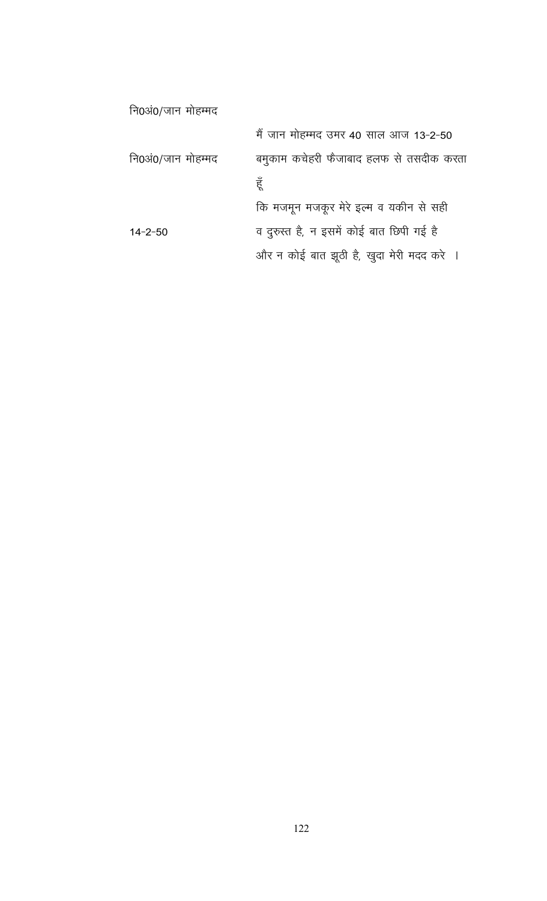| नि0अं0/जान मोहम्मद |                                           |
|--------------------|-------------------------------------------|
|                    | मैं जान मोहम्मद उमर 40 साल आज 13-2-50     |
| नि0अं0/जान मोहम्मद | बमुकाम कचेहरी फैजाबाद हलफ से तसदीक करता   |
|                    | हूँ                                       |
|                    | कि मजमून मजकूर मेरे इत्म व यकीन से सही    |
| $14 - 2 - 50$      | व दुरुस्त है, न इसमें कोई बात छिपी गई है  |
|                    | और न कोई बात झूठी है, खुदा मेरी मदद करे । |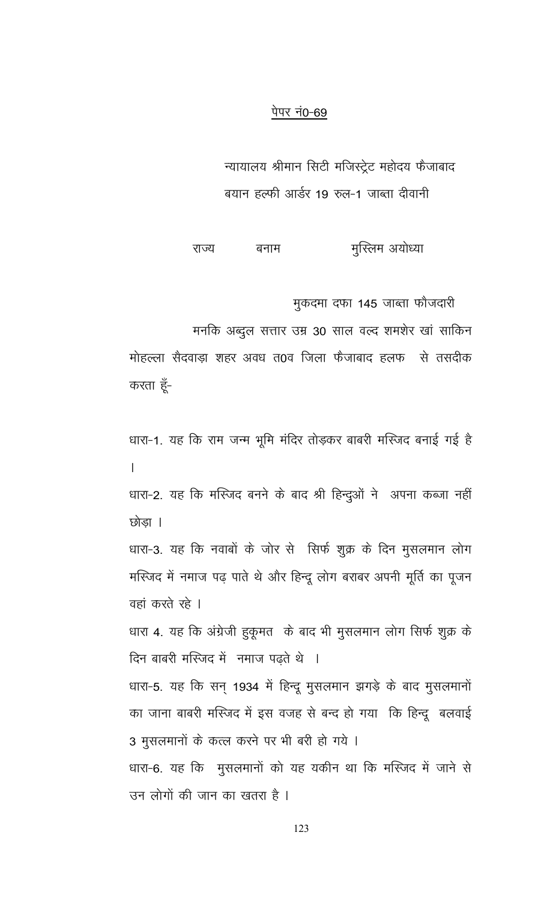न्यायालय श्रीमान सिटी मजिस्ट्रेट महोदय फैजाबाद बयान हल्फी आर्डर 19 रुल-1 जाब्ता दीवानी

मुस्लिम अयोध्या बनाम राज्य

मुकदमा दफा 145 जाब्ता फौजदारी

मनकि अब्दुल सत्तार उम्र 30 साल वल्द शमशेर खां साकिन

मोहल्ला सैदवाड़ा शहर अवध त0व जिला फैजाबाद हलफ से तसदीक करता हूँ-

धारा-1. यह कि राम जन्म भूमि मंदिर तोड़कर बाबरी मस्जिद बनाई गई है  $\mathbf{L}$ 

धारा-2. यह कि मस्जिद बनने के बाद श्री हिन्दुओं ने अपना कब्जा नहीं छोड़ा ।

धारा-3. यह कि नवाबों के जोर से सिर्फ शुक्र के दिन मुसलमान लोग मस्जिद में नमाज पढ़ पाते थे और हिन्दू लोग बराबर अपनी मूर्ति का पूजन वहां करते रहे ।

धारा 4. यह कि अंग्रेजी हुकूमत के बाद भी मुसलमान लोग सिर्फ शुक्र के दिन बाबरी मस्जिद में नमाज पढ़ते थे ।

धारा-5. यह कि सन् 1934 में हिन्दू मुसलमान झगड़े के बाद मुसलमानों का जाना बाबरी मस्जिद में इस वजह से बन्द हो गया कि हिन्दू बलवाई 3 मुसलमानों के कत्ल करने पर भी बरी हो गये ।

धारा-6. यह कि मुसलमानों को यह यकीन था कि मस्जिद में जाने से उन लोगों की जान का खतरा है ।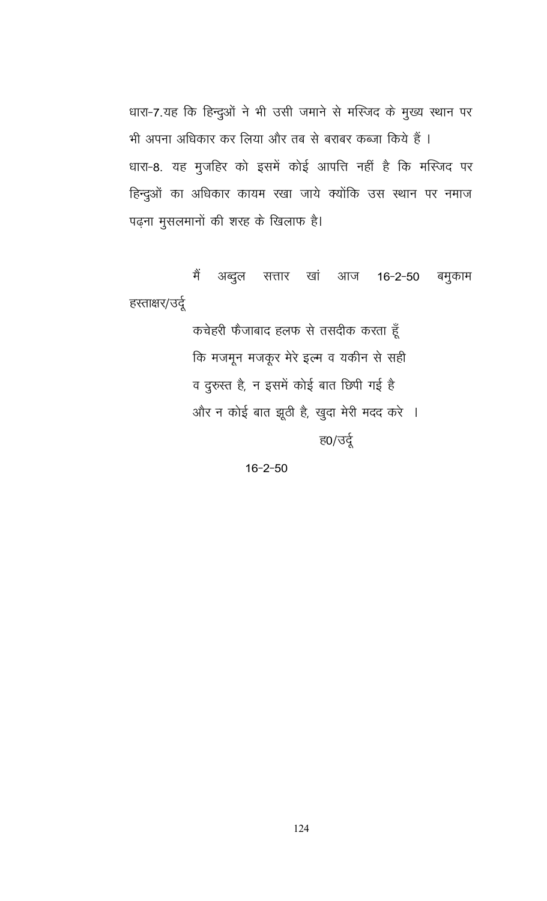धारा-7.यह कि हिन्दुओं ने भी उसी जमाने से मस्जिद के मुख्य स्थान पर भी अपना अधिकार कर लिया और तब से बराबर कब्जा किये हैं । धारा-8. यह मुजहिर को इसमें कोई आपत्ति नहीं है कि मस्जिद पर हिन्दुओं का अधिकार कायम रखा जाये क्योंकि उस स्थान पर नमाज पढ़ना मुसलमानों की शरह के खिलाफ है।

अब्दुल सत्तार खां आज मैं  $16 - 2 - 50$ बमुकाम हस्ताक्षर/उर्दू

> कचेहरी फैजाबाद हलफ से तसदीक करता हूँ कि मजमून मजकूर मेरे इल्म व यकीन से सही व दुरुस्त है, न इसमें कोई बात छिपी गई है और न कोई बात झूठी है, खुदा मेरी मदद करे । <u>ह0/उर्दू</u>

> > $16 - 2 - 50$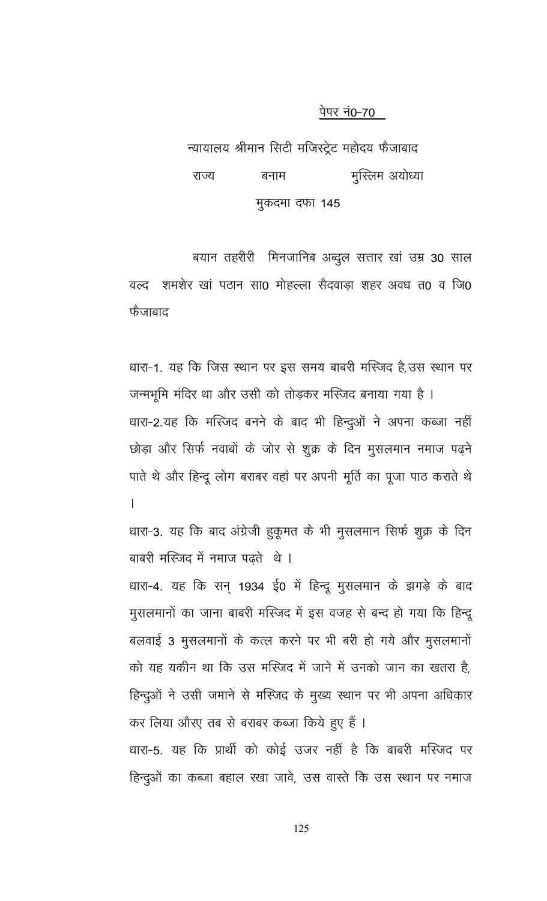न्यायालय श्रीमान सिटी मजिस्ट्रेट महोदय फैजाबाद राज्य बनाम मुस्लिम अयोध्या मुकदमा दफा 145

बयान तहरीरी मिनजानिब अब्दुल सत्तार खां उम्र 30 साल वल्द शमशेर खां पठान सा0 मोहल्ला सैदवाड़ा शहर अवध त0 व जि0 फैजाबाद

धारा-1. यह कि जिस स्थान पर इस समय बाबरी मस्जिद है,उस स्थान पर जन्मभूमि मंदिर था और उसी को तोड़कर मस्जिद बनाया गया है । धारा-2.यह कि मस्जिद बनने के बाद भी हिन्दुओं ने अपना कब्जा नहीं छोड़ा और सिर्फ नवाबों के जोर से शुक्र के दिन मुसलमान नमाज पढ़ने पाते थे और हिन्दू लोग बराबर वहां पर अपनी मूर्ति का पूजा पाठ कराते थे  $\overline{1}$ 

धारा-3. यह कि बाद अंग्रेजी हुकूमत के भी मुसलमान सिर्फ शुक्र के दिन बाबरी मस्जिद में नमाज पढते थे।

धारा-4. यह कि सन् 1934 ई0 में हिन्दू मुसलमान के झगड़े के बाद मुसलमानों का जाना बाबरी मस्जिद में इस वजह से बन्द हो गया कि हिन्दू बलवाई 3 मुसलमानों के कत्ल करने पर भी बरी हो गये और मुसलमानों को यह यकीन था कि उस मस्जिद में जाने में उनको जान का खतरा है, हिन्दुओं ने उसी जमाने से मस्जिद के मुख्य स्थान पर भी अपना अधिकार कर लिया औरए तब से बराबर कब्जा किये हुए हैं । धारा-5. यह कि प्रार्थी को कोई उजर नहीं है कि बाबरी मस्जिद पर

125

हिन्दुओं का कब्जा बहाल रखा जावे, उस वास्ते कि उस स्थान पर नमाज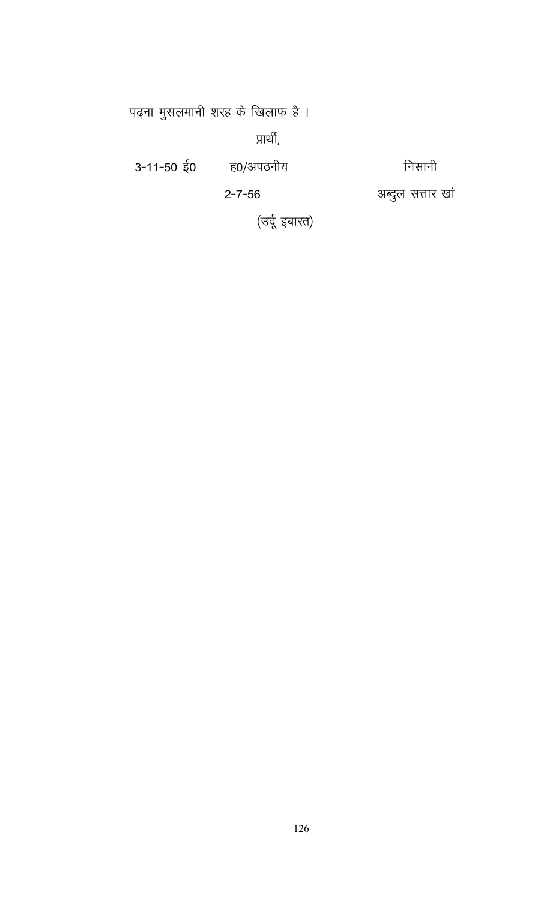पढ़ना मुसलमानी शरह के खिलाफ है ।

प्रार्थी,

निसानी

 $3 - 11 - 50$  ई0 ह0/अपठनीय

 $2 - 7 - 56$ 

अब्दुल सत्तार खां

(उर्दू इबारत)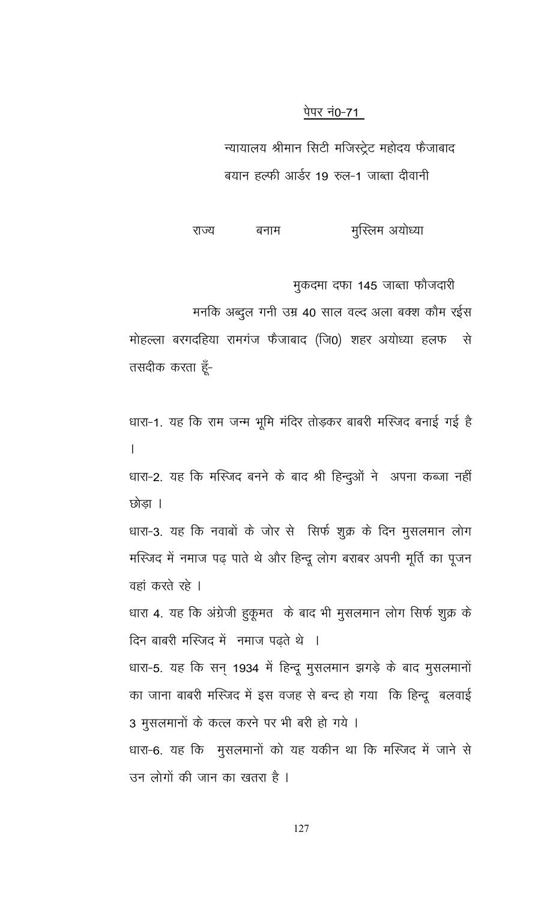न्यायालय श्रीमान सिटी मजिस्ट्रेट महोदय फैजाबाद बयान हल्फी आर्डर 19 रुल-1 जाब्ता दीवानी

मुस्लिम अयोध्या राज्य बनाम

मुकदमा दफा 145 जाब्ता फौजदारी

मनकि अब्दुल गनी उम्र 40 साल वल्द अला बक्श कौम रईस

मोहल्ला बरगदहिया रामगंज फैजाबाद (जि0) शहर अयोध्या हलफ - से तसदीक करता हूँ-

धारा-1. यह कि राम जन्म भूमि मंदिर तोड़कर बाबरी मस्जिद बनाई गई है  $\mathsf{L}$ 

धारा-2. यह कि मस्जिद बनने के बाद श्री हिन्दुओं ने अपना कब्जा नहीं छोडा ।

धारा-3. यह कि नवाबों के जोर से सिर्फ शुक्र के दिन मुसलमान लोग मस्जिद में नमाज पढ़ पाते थे और हिन्दू लोग बराबर अपनी मूर्ति का पूजन वहां करते रहे ।

धारा 4. यह कि अंग्रेजी हुकूमत के बाद भी मुसलमान लोग सिर्फ शुक्र के दिन बाबरी मस्जिद में नमाज पढ़ते थे ।

धारा-5. यह कि सन् 1934 में हिन्दू मुसलमान झगड़े के बाद मुसलमानों का जाना बाबरी मस्जिद में इस वजह से बन्द हो गया कि हिन्दू बलवाई 3 मुसलमानों के कत्ल करने पर भी बरी हो गये ।

धारा-6. यह कि मुसलमानों को यह यकीन था कि मस्जिद में जाने से उन लोगों की जान का खतरा है ।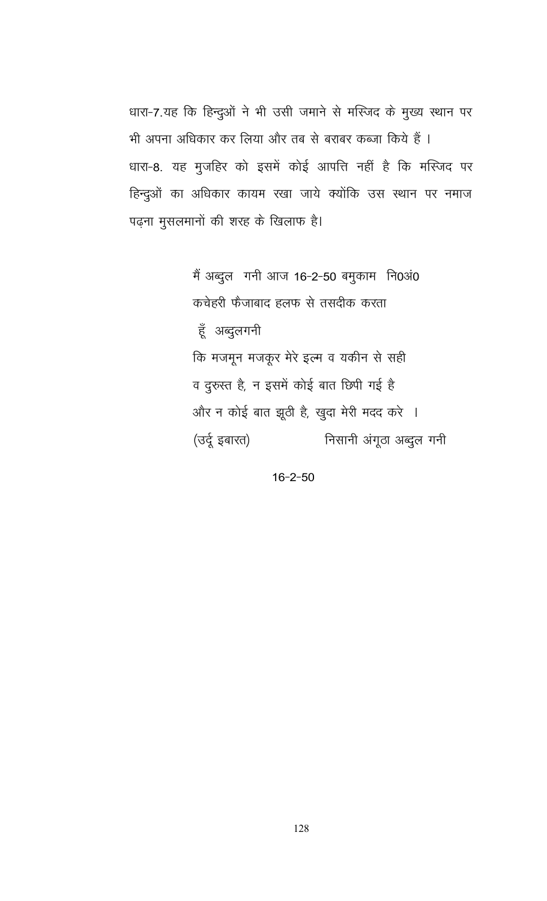धारा-7.यह कि हिन्दुओं ने भी उसी जमाने से मस्जिद के मुख्य स्थान पर भी अपना अधिकार कर लिया और तब से बराबर कब्जा किये हैं । धारा-8. यह मुजहिर को इसमें कोई आपत्ति नहीं है कि मस्जिद पर हिन्दुओं का अधिकार कायम रखा जाये क्योंकि उस स्थान पर नमाज पढ़ना मुसलमानों की शरह के खिलाफ है।

> मैं अब्दुल गनी आज 16-2-50 बमुकाम नि0अं0 कचेहरी फैजाबाद हलफ से तसदीक करता हूँ अब्दुलगनी कि मजमून मजकूर मेरे इल्म व यकीन से सही व दुरुस्त है, न इसमें कोई बात छिपी गई है और न कोई बात झूठी है, खुदा मेरी मदद करे । (उर्दू इबारत) निसानी अंगूठा अब्दुल गनी

> > $16 - 2 - 50$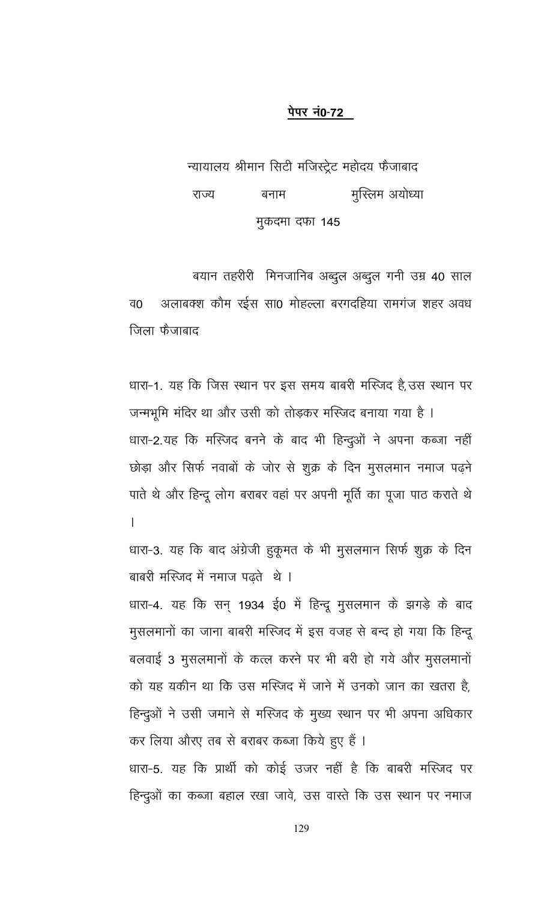न्यायालय श्रीमान सिटी मजिस्ट्रेट महोदय फैजाबाद मुस्लिम अयोध्या राज्य बनाम मुकदमा दफा 145

बयान तहरीरी मिनजानिब अब्दुल अब्दुल गनी उम्र 40 साल अलाबक्श कौम रईस सा0 मोहल्ला बरगदहिया रामगंज शहर अवध व0 जिला फैजाबाद

धारा-1. यह कि जिस स्थान पर इस समय बाबरी मस्जिद है,उस स्थान पर जन्मभूमि मंदिर था और उसी को तोड़कर मस्जिद बनाया गया है । धारा-2.यह कि मस्जिद बनने के बाद भी हिन्दुओं ने अपना कब्जा नहीं छोड़ा और सिर्फ नवाबों के जोर से शुक्र के दिन मुसलमान नमाज पढ़ने पाते थे और हिन्दू लोग बराबर वहां पर अपनी मूर्ति का पूजा पाठ कराते थे  $\overline{1}$ 

धारा-3. यह कि बाद अंग्रेजी हुकूमत के भी मुसलमान सिर्फ शुक्र के दिन बाबरी मस्जिद में नमाज पढ़ते थे ।

धारा-4. यह कि सन् 1934 ई0 में हिन्दू मुसलमान के झगड़े के बाद मुसलमानों का जाना बाबरी मस्जिद में इस वजह से बन्द हो गया कि हिन्दू बलवाई 3 मुसलमानों के कत्ल करने पर भी बरी हो गये और मुसलमानों को यह यकीन था कि उस मस्जिद में जाने में उनको जान का खतरा है, हिन्दुओं ने उसी जमाने से मस्जिद के मुख्य स्थान पर भी अपना अधिकार कर लिया औरए तब से बराबर कब्जा किये हुए हैं । धारा-5. यह कि प्रार्थी को कोई उजर नहीं है कि बाबरी मस्जिद पर हिन्दुओं का कब्जा बहाल रखा जावे, उस वास्ते कि उस स्थान पर नमाज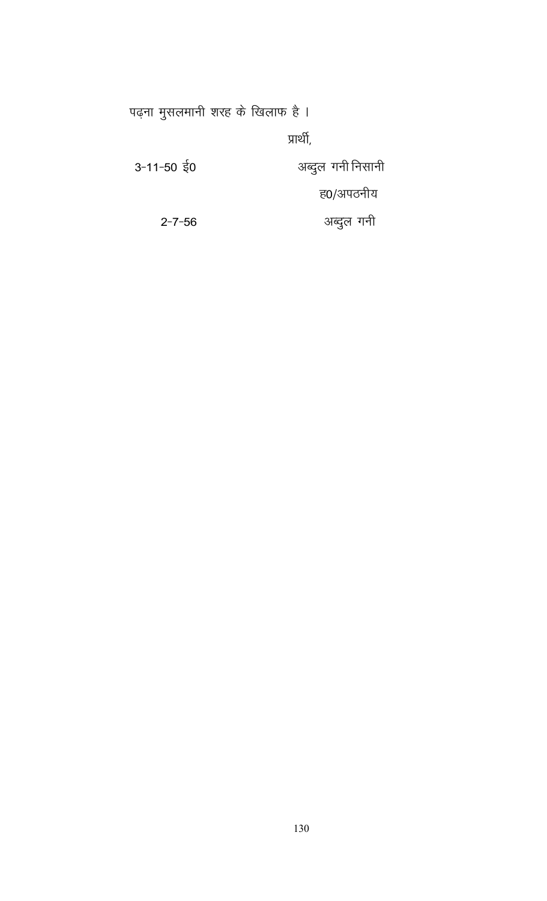पढ़ना मुसलमानी शरह के खिलाफ है ।

प्रार्थी,

| 3-11-50 $\frac{1}{5}$ 0 | अब्दुल गनी निसानी |
|-------------------------|-------------------|
|                         | ह0/अपठनीय         |
| $2 - 7 - 56$            | अब्दुल गनी        |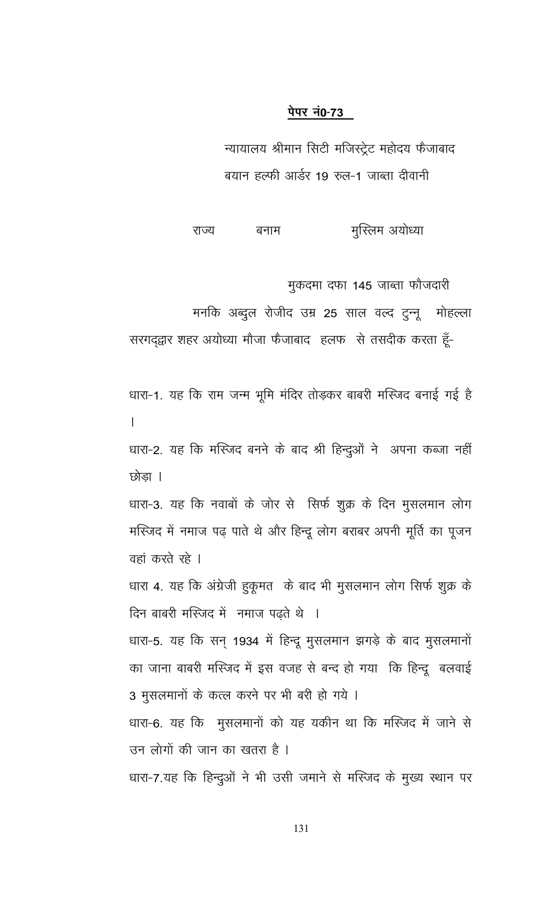न्यायालय श्रीमान सिटी मजिस्ट्रेट महोदय फैजाबाद बयान हल्फी आर्डर 19 रुल-1 जाब्ता दीवानी

मुस्लिम अयोध्या राज्य बनाम

मुकदमा दफा 145 जाब्ता फौजदारी

मनकि अब्दुल रोजीद उम्र 25 साल वल्द टुन्नू मोहल्ला

सरगद्द्वार शहर अयोध्या मौजा फैजाबाद हलफ से तसदीक करता हूँ-

धारा-1. यह कि राम जन्म भूमि मंदिर तोड़कर बाबरी मस्जिद बनाई गई है  $\mathsf{L}$ धारा-2. यह कि मस्जिद बनने के बाद श्री हिन्दुओं ने अपना कब्जा नहीं छोडा । धारा-3. यह कि नवाबों के जोर से सिर्फ शुक्र के दिन मुसलमान लोग मस्जिद में नमाज पढ़ पाते थे और हिन्दू लोग बराबर अपनी मूर्ति का पूजन वहां करते रहे । धारा 4. यह कि अंग्रेजी हुकूमत के बाद भी मुसलमान लोग सिर्फ शुक्र के दिन बाबरी मस्जिद में नमाज पढ़ते थे । धारा-5. यह कि सन् 1934 में हिन्दू मुसलमान झगड़े के बाद मुसलमानों का जाना बाबरी मस्जिद में इस वजह से बन्द हो गया कि हिन्दू बलवाई 3 मुसलमानों के कत्ल करने पर भी बरी हो गये । धारा-6. यह कि मुसलमानों को यह यकीन था कि मस्जिद में जाने से उन लोगों की जान का खतरा है ।

धारा-7.यह कि हिन्दुओं ने भी उसी जमाने से मस्जिद के मुख्य स्थान पर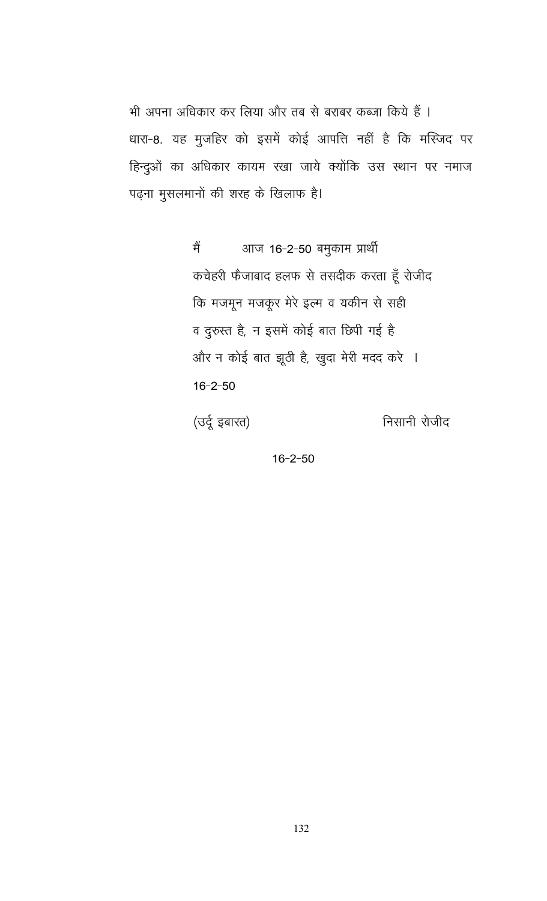भी अपना अधिकार कर लिया और तब से बराबर कब्जा किये हैं । धारा-8. यह मुजहिर को इसमें कोई आपत्ति नहीं है कि मस्जिद पर हिन्दुओं का अधिकार कायम रखा जाये क्योंकि उस स्थान पर नमाज पढ़ना मुसलमानों की शरह के खिलाफ है।

> आज 16-2-50 बमुकाम प्रार्थी मैं कचेहरी फेजाबाद हलफ से तसदीक करता हूँ रोजीद कि मजमून मजकूर मेरे इल्म व यकीन से सही व दुरुस्त है, न इसमें कोई बात छिपी गई है और न कोई बात झूठी है, खुदा मेरी मदद करे ।  $16 - 2 - 50$

(उर्दू इबारत)

निसानी रोजीद

 $16 - 2 - 50$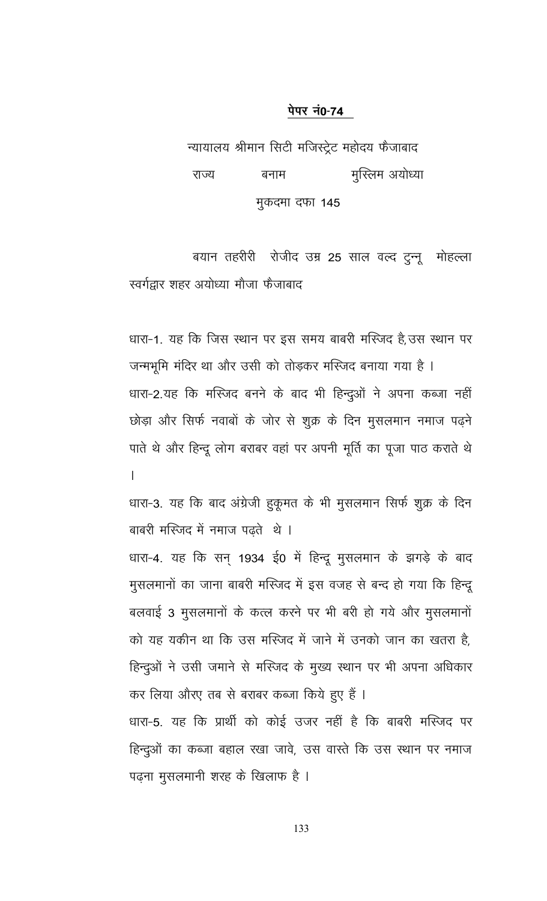न्यायालय श्रीमान सिटी मजिस्ट्रेट महोदय फैजाबाद मुस्लिम अयोध्या राज्य बनाम मुकदमा दफा 145

बयान तहरीरी रोजीद उम्र 25 साल वल्द टुन्नू मोहल्ला स्वर्गद्वार शहर अयोध्या मौजा फैजाबाद

धारा-1. यह कि जिस स्थान पर इस समय बाबरी मस्जिद है,उस स्थान पर जन्मभूमि मंदिर था और उसी को तोड़कर मस्जिद बनाया गया है । धारा-2.यह कि मस्जिद बनने के बाद भी हिन्दूओं ने अपना कब्जा नहीं छोड़ा और सिर्फ नवाबों के जोर से शुक्र के दिन मुसलमान नमाज पढ़ने पाते थे और हिन्दू लोग बराबर वहां पर अपनी मूर्ति का पूजा पाठ कराते थे  $\mathsf{L}$ 

धारा-3. यह कि बाद अंग्रेजी हुकूमत के भी मुसलमान सिर्फ शुक्र के दिन बाबरी मस्जिद में नमाज पढते थे।

धारा-4. यह कि सन् 1934 ई0 में हिन्दू मुसलमान के झगड़े के बाद मुसलमानों का जाना बाबरी मस्जिद में इस वजह से बन्द हो गया कि हिन्दू बलवाई 3 मुसलमानों के कत्ल करने पर भी बरी हो गये और मुसलमानों को यह यकीन था कि उस मस्जिद में जाने में उनको जान का खतरा है, हिन्दुओं ने उसी जमाने से मस्जिद के मुख्य स्थान पर भी अपना अधिकार कर लिया औरए तब से बराबर कब्जा किये हुए हैं । धारा-5. यह कि प्रार्थी को कोई उजर नहीं है कि बाबरी मस्जिद पर

हिन्दुओं का कब्जा बहाल रखा जावे, उस वास्ते कि उस स्थान पर नमाज पढ़ना मुसलमानी शरह के खिलाफ है ।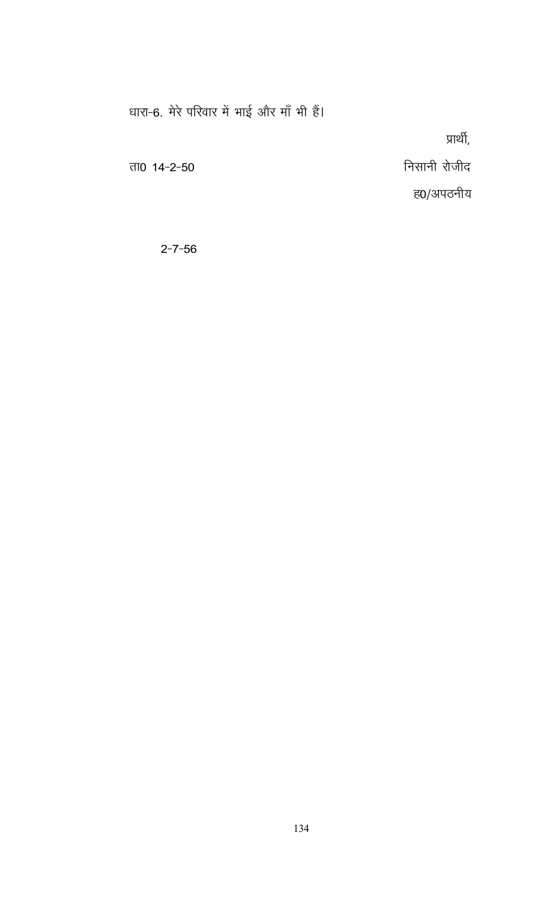धारा-6. मेरे परिवार में भाई और माँ भी हैं।

प्रार्थी,

ता0  $14 - 2 - 50$ 

ह0/अपठनीय

निसानी रोजीद

 $2 - 7 - 56$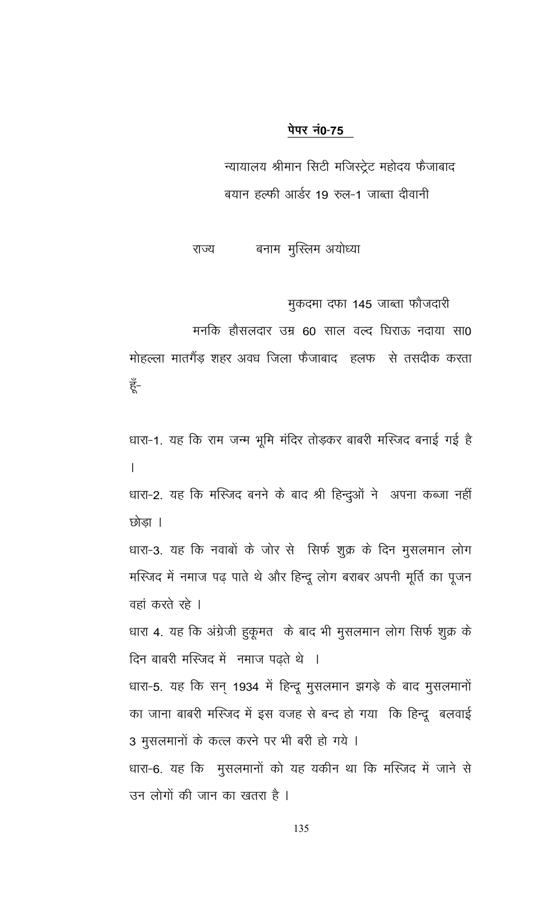न्यायालय श्रीमान सिटी मजिस्ट्रेट महोदय फैजाबाद बयान हल्फी आर्डर 19 रुल-1 जाब्ता दीवानी

बनाम मुस्लिम अयोध्या राज्य

मुकदमा दफा 145 जाब्ता फौजदारी

मनकि हौसलदार उम्र 60 साल वल्द घिराऊ नदाया सा0

मोहल्ला मातगैंड़ शहर अवध जिला फैजाबाद हलफ से तसदीक करता हूँ-

धारा-1. यह कि राम जन्म भूमि मंदिर तोड़कर बाबरी मस्जिद बनाई गई है  $\overline{1}$ 

धारा-2. यह कि मस्जिद बनने के बाद श्री हिन्दुओं ने अपना कब्जा नहीं छोडा ।

धारा-3. यह कि नवाबों के जोर से सिर्फ शुक्र के दिन मुसलमान लोग मस्जिद में नमाज पढ़ पाते थे और हिन्दू लोग बराबर अपनी मूर्ति का पूजन वहां करते रहे ।

धारा 4. यह कि अंग्रेजी हुकूमत के बाद भी मुसलमान लोग सिर्फ शुक्र के दिन बाबरी मस्जिद में नमाज पढ़ते थे ।

धारा-5. यह कि सन् 1934 में हिन्दू मुसलमान झगड़े के बाद मुसलमानों का जाना बाबरी मस्जिद में इस वजह से बन्द हो गया कि हिन्दू बलवाई 3 मुसलमानों के कत्ल करने पर भी बरी हो गये ।

धारा-6. यह कि मुसलमानों को यह यकीन था कि मस्जिद में जाने से उन लोगों की जान का खतरा है ।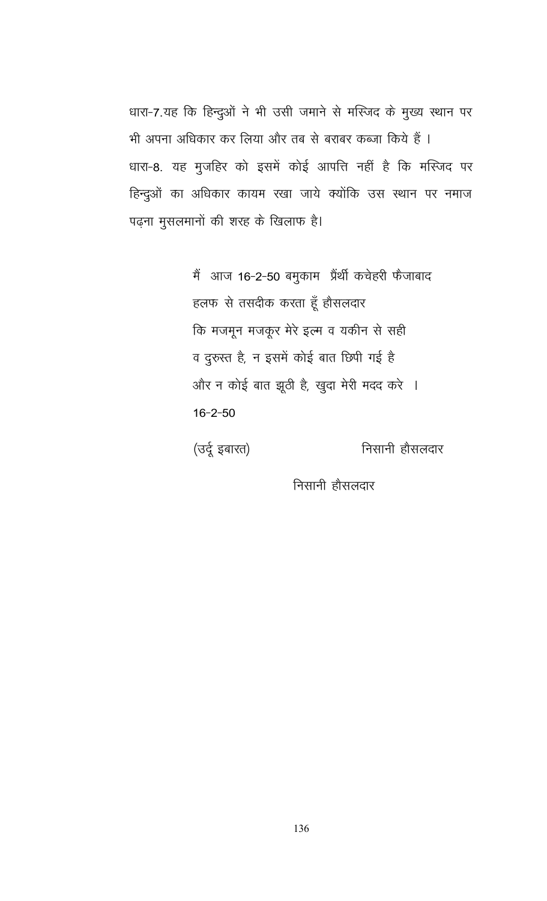धारा-7.यह कि हिन्दुओं ने भी उसी जमाने से मस्जिद के मुख्य स्थान पर भी अपना अधिकार कर लिया और तब से बराबर कब्जा किये हैं । धारा-8. यह मुजहिर को इसमें कोई आपत्ति नहीं है कि मस्जिद पर हिन्दुओं का अधिकार कायम रखा जाये क्योंकि उस स्थान पर नमाज पढ़ना मुसलमानों की शरह के खिलाफ है।

> मैं आज 16-2-50 बमुकाम प्रैंथी कचेहरी फैजाबाद हलफ से तसदीक करता हूँ होसलदार कि मजमून मजकूर मेरे इल्म व यकीन से सही व दुरुस्त है, न इसमें कोई बात छिपी गई है और न कोई बात झूठी है, खुदा मेरी मदद करे ।  $16 - 2 - 50$

(उर्दू इबारत)

निसानी हौसलदार

निसानी हौसलदार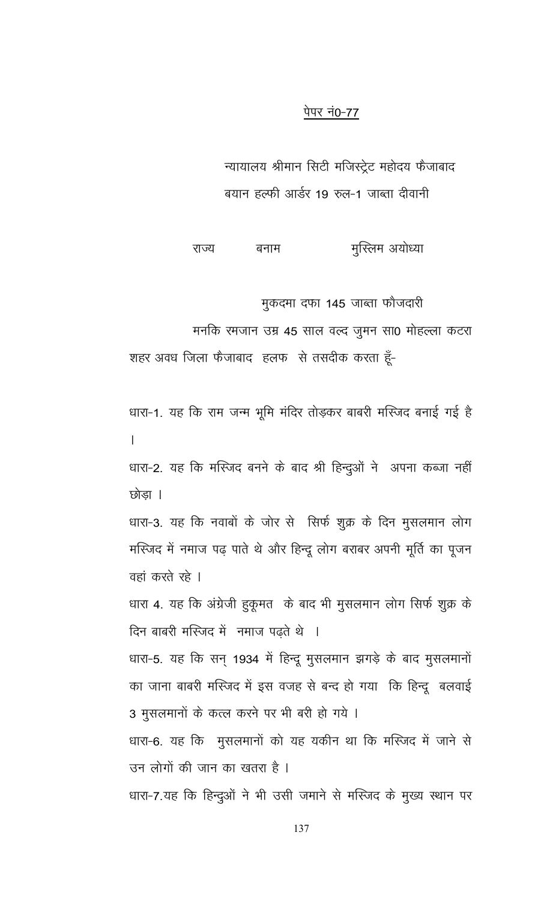न्यायालय श्रीमान सिटी मजिस्ट्रेट महोदय फैजाबाद बयान हल्फी आर्डर 19 रुल-1 जाब्ता दीवानी

मुस्लिम अयोध्या राज्य बनाम

मुकदमा दफा 145 जाब्ता फौजदारी

मनकि रमजान उम्र 45 साल वल्द जूमन सा0 मोहल्ला कटरा

शहर अवध जिला फैजाबाद हलफ से तसदीक करता हूँ-

धारा-1. यह कि राम जन्म भूमि मंदिर तोड़कर बाबरी मस्जिद बनाई गई है  $\overline{1}$ 

धारा-2. यह कि मस्जिद बनने के बाद श्री हिन्दुओं ने अपना कब्जा नहीं छोडा ।

धारा-3. यह कि नवाबों के जोर से सिर्फ शुक्र के दिन मुसलमान लोग मस्जिद में नमाज पढ़ पाते थे और हिन्दू लोग बराबर अपनी मूर्ति का पूजन वहां करते रहे ।

धारा 4. यह कि अंग्रेजी हुकूमत के बाद भी मुसलमान लोग सिर्फ शुक्र के दिन बाबरी मस्जिद में नमाज पढते थे ।

धारा-5. यह कि सन् 1934 में हिन्दू मुसलमान झगड़े के बाद मुसलमानों का जाना बाबरी मस्जिद में इस वजह से बन्द हो गया कि हिन्दू बलवाई 3 मुसलमानों के कत्ल करने पर भी बरी हो गये ।

धारा-6. यह कि मुसलमानों को यह यकीन था कि मस्जिद में जाने से उन लोगों की जान का खतरा है ।

धारा-7.यह कि हिन्दुओं ने भी उसी जमाने से मस्जिद के मुख्य स्थान पर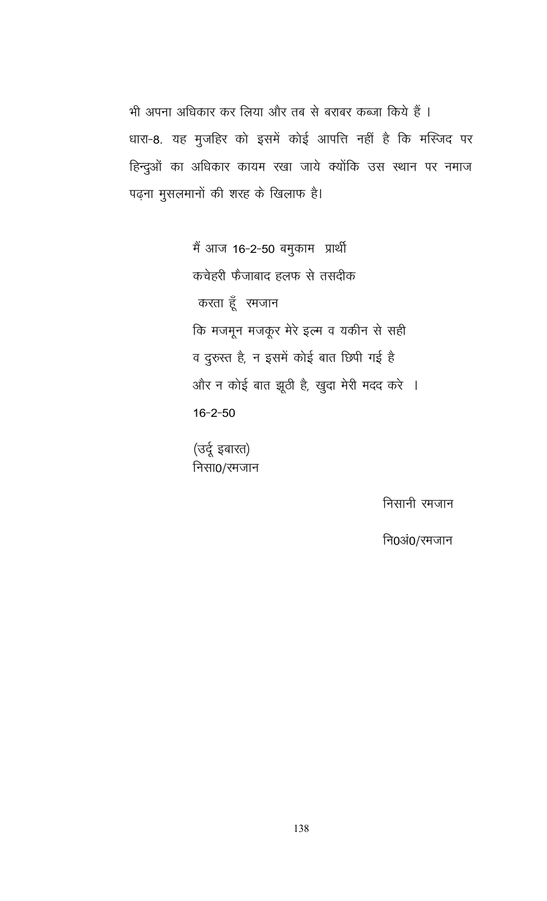भी अपना अधिकार कर लिया और तब से बराबर कब्जा किये हैं । धारा-8. यह मुजहिर को इसमें कोई आपत्ति नहीं है कि मस्जिद पर हिन्दुओं का अधिकार कायम रखा जाये क्योंकि उस स्थान पर नमाज पढ़ना मुसलमानों की शरह के खिलाफ है।

> मैं आज 16-2-50 बमुकाम प्रार्थी कचेहरी फैजाबाद हलफ से तसदीक करता हूँ रमजान कि मजमून मजकूर मेरे इल्म व यकीन से सही व दुरुस्त है, न इसमें कोई बात छिपी गई है और न कोई बात झूठी है, खुदा मेरी मदद करे ।  $16 - 2 - 50$

(उर्दू इबारत) निसा0/रमजान

निसानी रमजान

नि0अं0/रमजान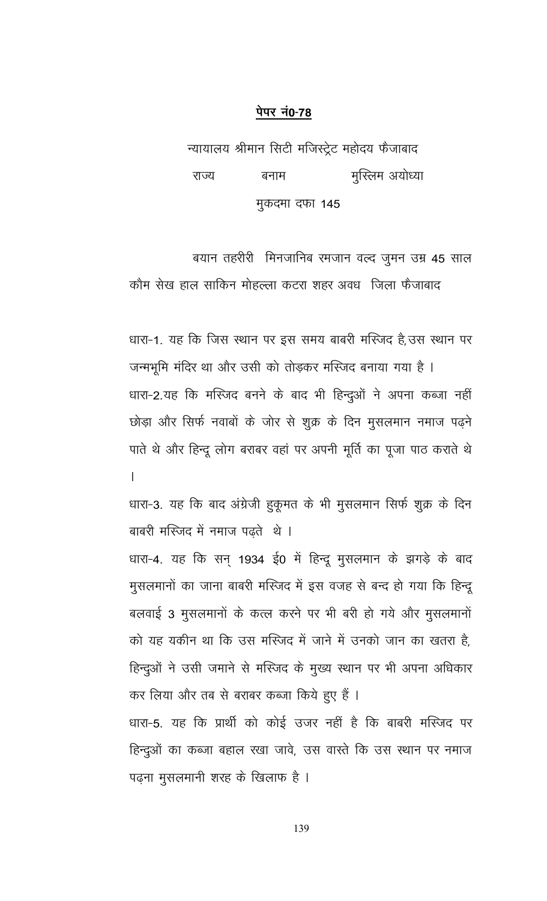न्यायालय श्रीमान सिटी मजिस्ट्रेट महोदय फैजाबाद राज्य बनाम मुस्लिम अयोध्या मुकदमा दफा 145

बयान तहरीरी मिनजानिब रमजान वल्द जुमन उम्र 45 साल कौम सेख हाल साकिन मोहल्ला कटरा शहर अवध) जिला फैजाबाद

धारा-1. यह कि जिस स्थान पर इस समय बाबरी मस्जिद है,उस स्थान पर जन्मभूमि मंदिर था और उसी को तोड़कर मस्जिद बनाया गया है । धारा-2.यह कि मस्जिद बनने के बाद भी हिन्दुओं ने अपना कब्जा नहीं छोड़ा और सिर्फ नवाबों के जोर से शुक्र के दिन मुसलमान नमाज पढ़ने पाते थे और हिन्दू लोग बराबर वहां पर अपनी मूर्ति का पूजा पाठ कराते थे  $\mathsf{L}$ 

धारा-3. यह कि बाद अंग्रेजी हुकूमत के भी मुसलमान सिर्फ शुक्र के दिन बाबरी मस्जिद में नमाज पढते थे।

धारा-4. यह कि सन् 1934 ई0 में हिन्दू मुसलमान के झगड़े के बाद मुसलमानों का जाना बाबरी मस्जिद में इस वजह से बन्द हो गया कि हिन्दू बलवाई 3 मुसलमानों के कत्ल करने पर भी बरी हो गये और मुसलमानों को यह यकीन था कि उस मस्जिद में जाने में उनको जान का खतरा है, हिन्दुओं ने उसी जमाने से मस्जिद के मुख्य स्थान पर भी अपना अधिकार कर लिया और तब से बराबर कब्जा किये हुए हैं । धारा-5. यह कि प्रार्थी को कोई उजर नहीं है कि बाबरी मस्जिद पर

हिन्दुओं का कब्जा बहाल रखा जावे, उस वास्ते कि उस स्थान पर नमाज पढ़ना मुसलमानी शरह के खिलाफ है ।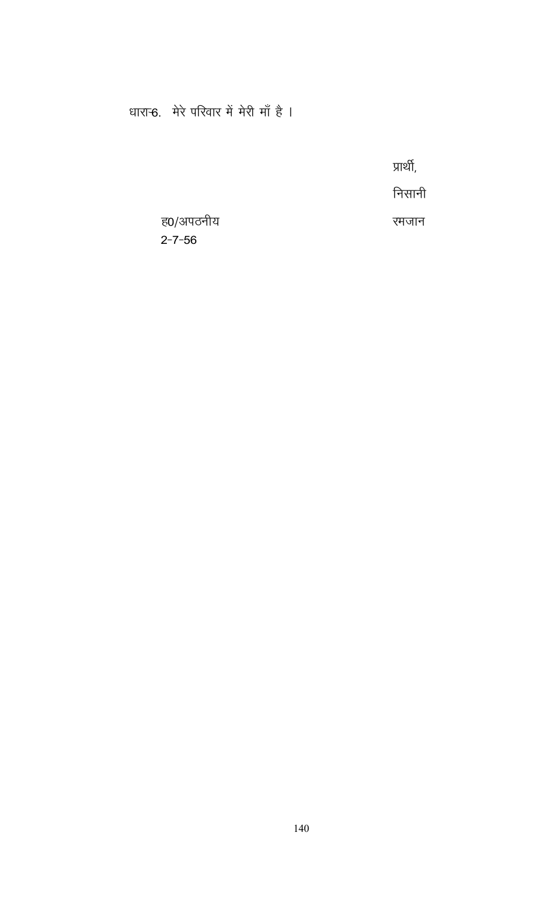# धारान्6. मेरे परिवार में मेरी माँ है ।

प्रार्थी,

निसानी

रमजान

ह0/अपठनीय  $2 - 7 - 56$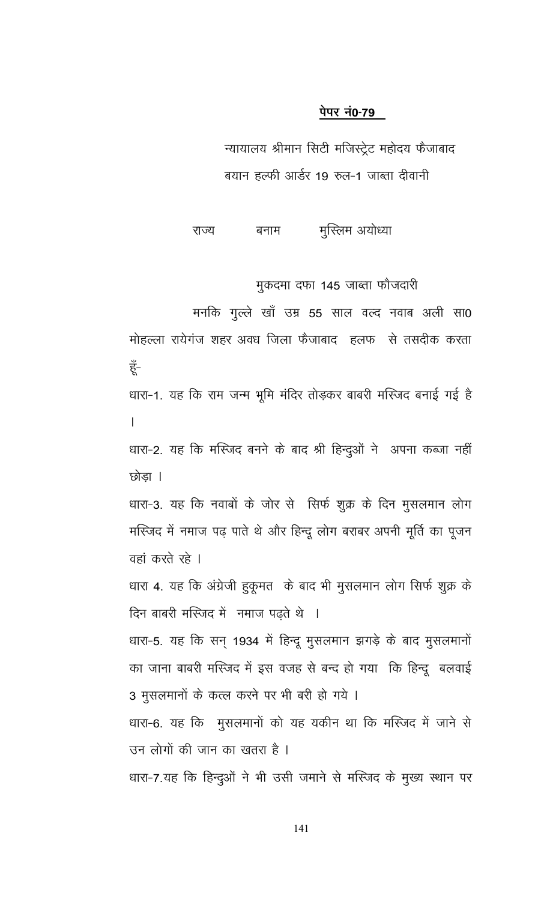न्यायालय श्रीमान सिटी मजिस्ट्रेट महोदय फैजाबाद बयान हल्फी आर्डर 19 रुल-1 जाब्ता दीवानी

मुस्लिम अयोध्या राज्य बनाम

मुकदमा दफा 145 जाब्ता फौजदारी

मनकि गुल्ले खाँ उम्र 55 साल वल्द नवाब अली सा0 मोहल्ला रायेगंज शहर अवध जिला फैजाबाद हलफ से तसदीक करता हूँ-धारा-1. यह कि राम जन्म भूमि मंदिर तोड़कर बाबरी मस्जिद बनाई गई है  $\mathsf{L}$ धारा-2. यह कि मस्जिद बनने के बाद श्री हिन्दुओं ने अपना कब्जा नहीं छोडा ।

धारा-3. यह कि नवाबों के जोर से सिर्फ शुक्र के दिन मुसलमान लोग मस्जिद में नमाज पढ़ पाते थे और हिन्दू लोग बराबर अपनी मूर्ति का पूजन वहां करते रहे ।

धारा 4. यह कि अंग्रेजी हुकूमत के बाद भी मुसलमान लोग सिर्फ शुक्र के दिन बाबरी मस्जिद में नमाज पढ़ते थे ।

धारा-5. यह कि सन् 1934 में हिन्दू मुसलमान झगड़े के बाद मुसलमानों का जाना बाबरी मस्जिद में इस वजह से बन्द हो गया कि हिन्दू बलवाई 3 मुसलमानों के कत्ल करने पर भी बरी हो गये ।

धारा-6. यह कि मुसलमानों को यह यकीन था कि मस्जिद में जाने से उन लोगों की जान का खतरा है ।

धारा-7.यह कि हिन्दुओं ने भी उसी जमाने से मस्जिद के मुख्य स्थान पर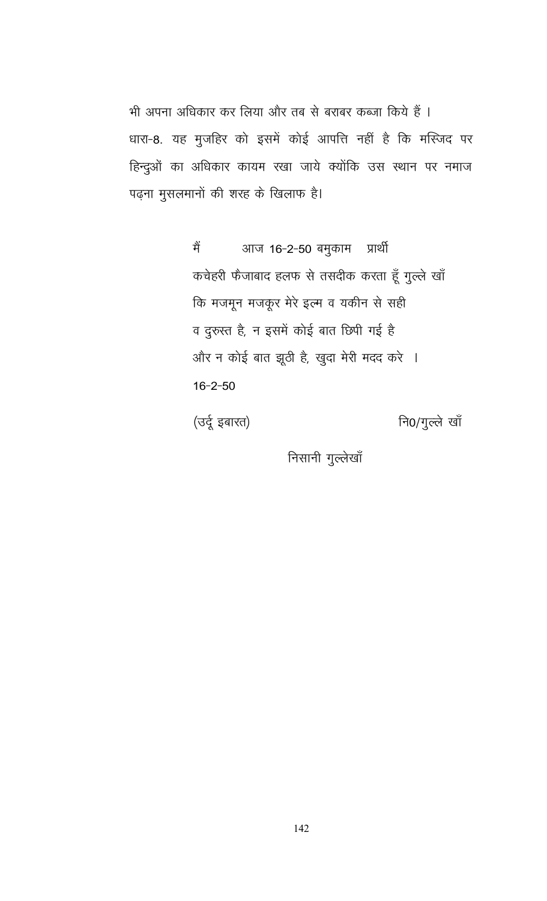भी अपना अधिकार कर लिया और तब से बराबर कब्जा किये हैं । धारा-8. यह मुजहिर को इसमें कोई आपत्ति नहीं है कि मस्जिद पर हिन्दुओं का अधिकार कायम रखा जाये क्योंकि उस स्थान पर नमाज पढ़ना मुसलमानों की शरह के खिलाफ है।

> आज 16-2-50 बमुकाम मैं प्रार्थी कचेहरी फैजाबाद हलफ से तसदीक करता हूँ गुल्ले खाँ कि मजमून मजकूर मेरे इल्म व यकीन से सही व दुरुस्त है, न इसमें कोई बात छिपी गई है और न कोई बात झूठी है, खुदा मेरी मदद करे ।  $16 - 2 - 50$

(उर्दू इबारत) नि0/गुल्ले खाँ

निसानी गुल्लेखाँ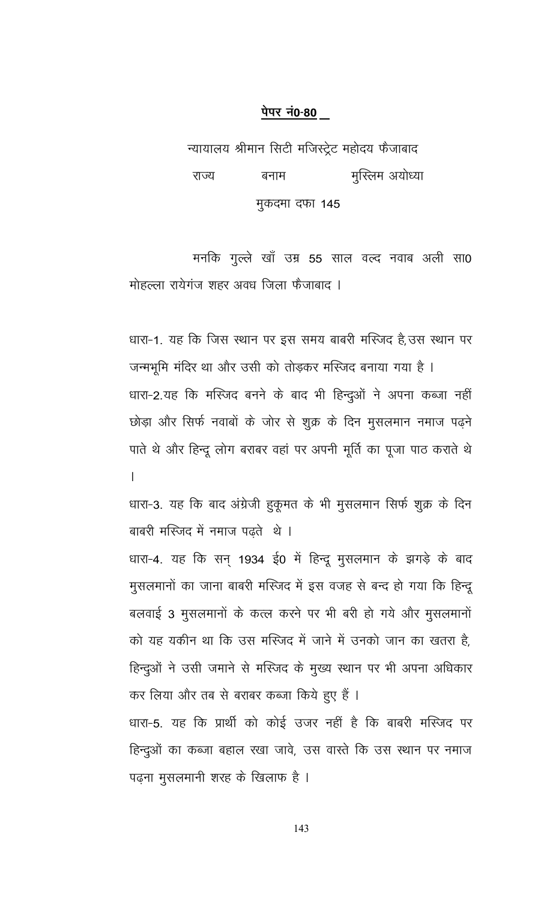न्यायालय श्रीमान सिटी मजिस्ट्रेट महोदय फैजाबाद राज्य बनाम मुस्लिम अयोध्या मुकदमा दफा 145

मनकि गुल्ले खाँ उम्र 55 साल वल्द नवाब अली सा0 मोहल्ला रायेगंज शहर अवध जिला फैजाबाद ।

धारा-1. यह कि जिस स्थान पर इस समय बाबरी मस्जिद है, उस स्थान पर जन्मभूमि मंदिर था और उसी को तोड़कर मस्जिद बनाया गया है । धारा-2.यह कि मस्जिद बनने के बाद भी हिन्दुओं ने अपना कब्जा नहीं छोड़ा और सिर्फ नवाबों के जोर से शुक्र के दिन मुसलमान नमाज पढ़ने पाते थे और हिन्दू लोग बराबर वहां पर अपनी मूर्ति का पूजा पाठ कराते थे  $\mathsf{L}$ 

धारा-3. यह कि बाद अंग्रेजी हुकूमत के भी मुसलमान सिर्फ शुक्र के दिन बाबरी मस्जिद में नमाज पढते थे।

धारा-4. यह कि सन् 1934 ई0 में हिन्दू मुसलमान के झगड़े के बाद मुसलमानों का जाना बाबरी मस्जिद में इस वजह से बन्द हो गया कि हिन्दू बलवाई 3 मुसलमानों के कत्ल करने पर भी बरी हो गये और मुसलमानों को यह यकीन था कि उस मस्जिद में जाने में उनको जान का खतरा है, हिन्दुओं ने उसी जमाने से मस्जिद के मुख्य स्थान पर भी अपना अधिकार कर लिया और तब से बराबर कब्जा किये हुए हैं । धारा-5. यह कि प्रार्थी को कोई उजर नहीं है कि बाबरी मस्जिद पर

हिन्दुओं का कब्जा बहाल रखा जावे, उस वास्ते कि उस स्थान पर नमाज पढ़ना मुसलमानी शरह के खिलाफ है ।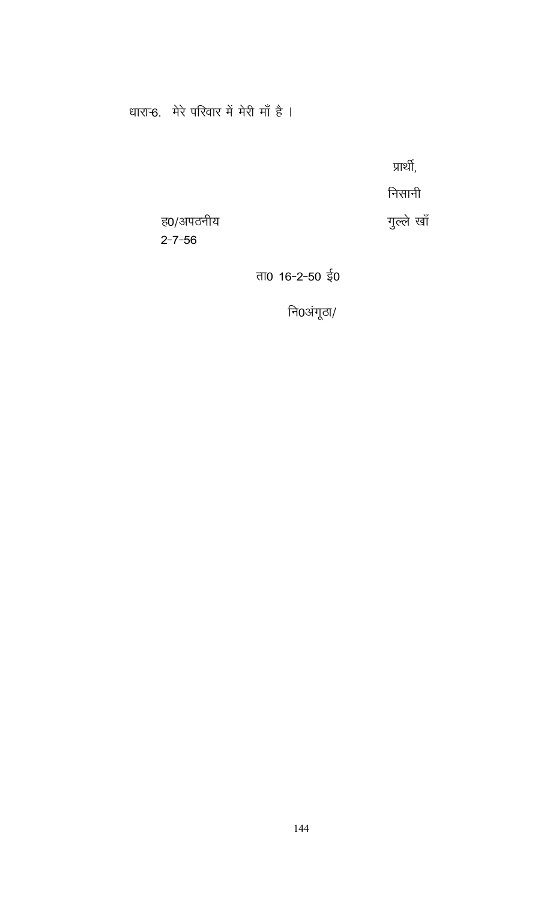# धारान्6. मेरे परिवार में मेरी माँ है ।

प्रार्थी,

निसानी

गुल्ले खाँ

ह0/अपठनीय  $2 - 7 - 56$ 

ता0 16-2-50 ई0

नि0अंगूठा/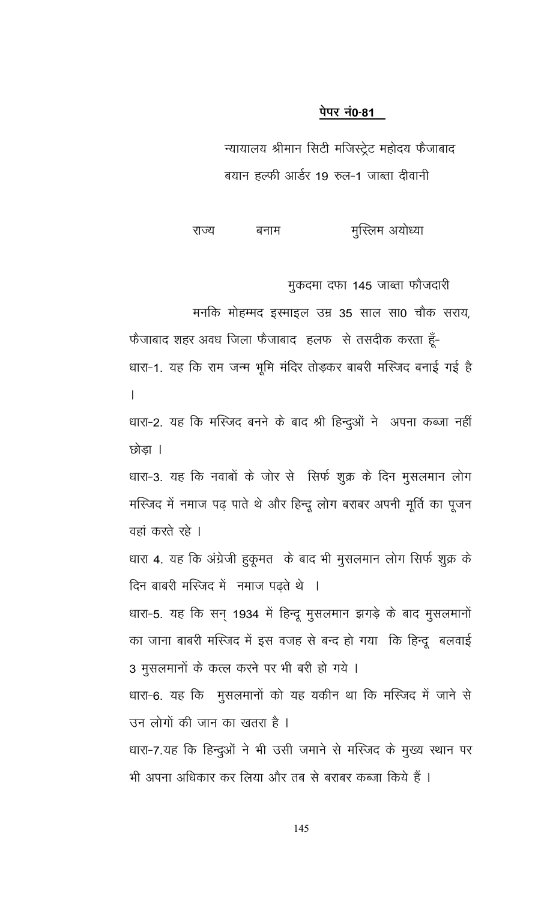न्यायालय श्रीमान सिटी मजिस्ट्रेट महोदय फैजाबाद बयान हल्फी आर्डर 19 रुल-1 जाब्ता दीवानी

मुस्लिम अयोध्या राज्य बनाम

मुकदमा दफा 145 जाब्ता फौजदारी

मनकि मोहम्मद इस्माइल उम्र 35 साल सा0 चौक सराय,

फैजाबाद शहर अवध जिला फैजाबाद हलफ से तसदीक करता हूँ-धारा-1. यह कि राम जन्म भूमि मंदिर तोड़कर बाबरी मस्जिद बनाई गई है  $\overline{a}$ 

धारा-2. यह कि मस्जिद बनने के बाद श्री हिन्दुओं ने अपना कब्जा नहीं छोडा ।

धारा-3. यह कि नवाबों के जोर से सिर्फ शुक्र के दिन मुसलमान लोग मस्जिद में नमाज पढ़ पाते थे और हिन्दू लोग बराबर अपनी मूर्ति का पूजन वहां करते रहे ।

धारा 4. यह कि अंग्रेजी हुकूमत के बाद भी मुसलमान लोग सिर्फ शुक्र के दिन बाबरी मस्जिद में नमाज पढ़ते थे ।

धारा-5. यह कि सन् 1934 में हिन्दू मुसलमान झगड़े के बाद मुसलमानों का जाना बाबरी मस्जिद में इस वजह से बन्द हो गया कि हिन्दू बलवाई 3 मुसलमानों के कत्ल करने पर भी बरी हो गये ।

धारा-6. यह कि मुसलमानों को यह यकीन था कि मस्जिद में जाने से उन लोगों की जान का खतरा है ।

धारा-7.यह कि हिन्दुओं ने भी उसी जमाने से मस्जिद के मुख्य स्थान पर भी अपना अधिकार कर लिया और तब से बराबर कब्जा किये हैं ।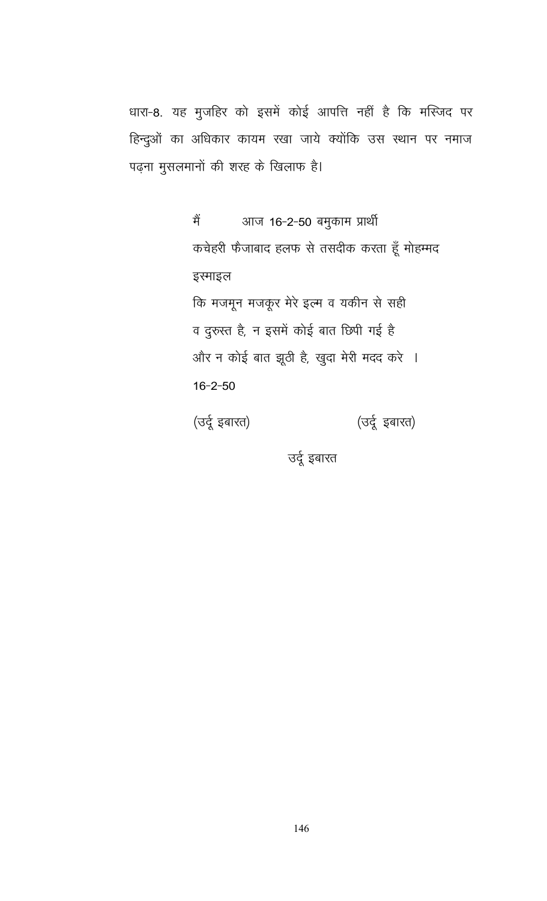धारा-8. यह मुजहिर को इसमें कोई आपत्ति नहीं है कि मस्जिद पर हिन्दुओं का अधिकार कायम रखा जाये क्योंकि उस स्थान पर नमाज पढ़ना मुसलमानों की शरह के खिलाफ है।

> आज 16-2-50 बमुकाम प्रार्थी मैं कचेहरी फैजाबाद हलफ से तसदीक करता हूँ मोहम्मद इस्माइल कि मजमून मजकूर मेरे इल्म व यकीन से सही व दुरुस्त है, न इसमें कोई बात छिपी गई है और न कोई बात झूठी है, खुदा मेरी मदद करे ।  $16 - 2 - 50$ (उर्दू इबारत) (उर्दू इबारत)

> > उर्दू इबारत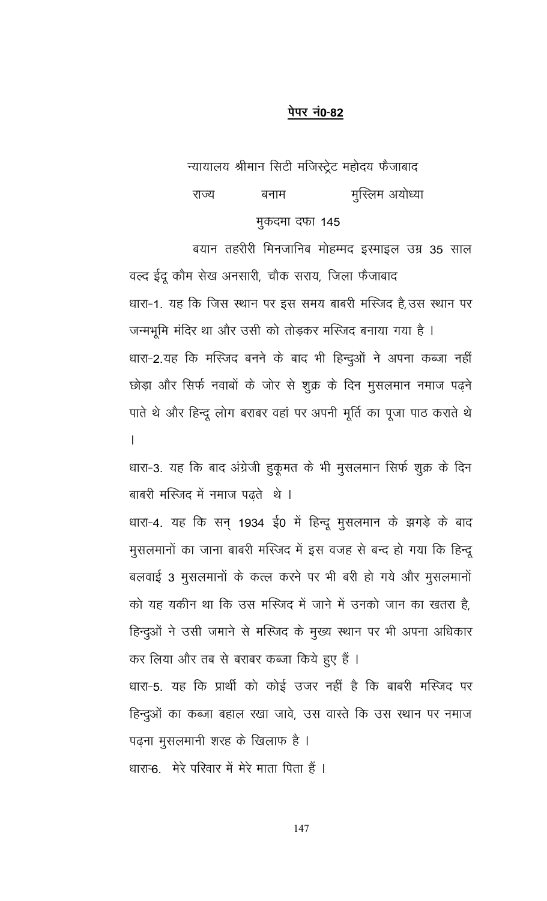न्यायालय श्रीमान सिटी मजिस्ट्रेट महोदय फैजाबाद मुस्लिम अयोध्या बनाम राज्य मुकदमा दफा 145

बयान तहरीरी मिनजानिब मोहम्मद इस्माइल उम्र 35 साल वल्द ईदू कौम सेख अनसारी, चौक सराय, जिला फैजाबाद धारा-1. यह कि जिस स्थान पर इस समय बाबरी मस्जिद है,उस स्थान पर जन्मभूमि मंदिर था और उसी को तोड़कर मस्जिद बनाया गया है । धारा-2.यह कि मस्जिद बनने के बाद भी हिन्दुओं ने अपना कब्जा नहीं छोड़ा और सिर्फ नवाबों के जोर से शुक्र के दिन मुसलमान नमाज पढने पाते थे और हिन्दू लोग बराबर वहां पर अपनी मूर्ति का पूजा पाठ कराते थे  $\overline{1}$ 

धारा-3. यह कि बाद अंग्रेजी हुकूमत के भी मुसलमान सिर्फ शुक्र के दिन बाबरी मस्जिद में नमाज पढते थे ।

धारा-4. यह कि सन् 1934 ई0 में हिन्दू मुसलमान के झगड़े के बाद मुसलमानों का जाना बाबरी मस्जिद में इस वजह से बन्द हो गया कि हिन्दू बलवाई 3 मुसलमानों के कत्ल करने पर भी बरी हो गये और मुसलमानों को यह यकीन था कि उस मस्जिद में जाने में उनको जान का खतरा है, हिन्दुओं ने उसी जमाने से मस्जिद के मुख्य स्थान पर भी अपना अधिकार कर लिया और तब से बराबर कब्जा किये हुए हैं । धारा-5. यह कि प्रार्थी को कोई उजर नहीं है कि बाबरी मस्जिद पर हिन्दुओं का कब्जा बहाल रखा जावे, उस वास्ते कि उस स्थान पर नमाज

पढ़ना मुसलमानी शरह के खिलाफ है ।

धारान्6. मेरे परिवार में मेरे माता पिता हैं ।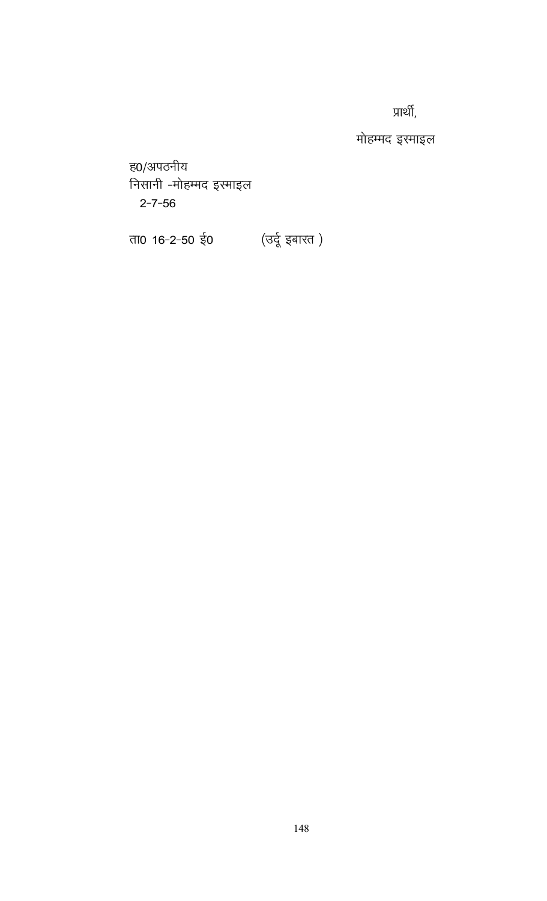प्रार्थी,

मोहम्मद इस्माइल

ह0/अपठनीय निसानी -मोहम्मद इरमाइल  $2 - 7 - 56$ 

ता0 16-2-50 ई0 (उर्दू इबारत)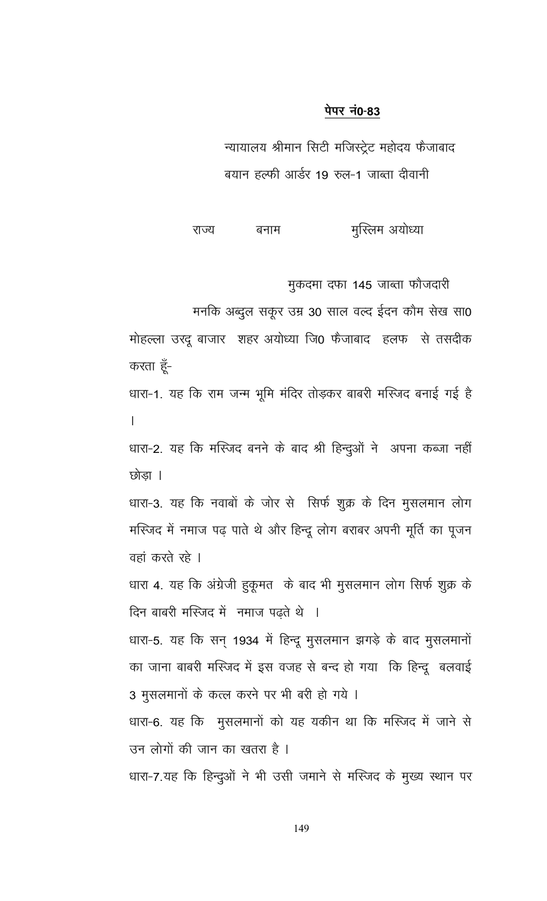न्यायालय श्रीमान सिटी मजिस्ट्रेट महोदय फैजाबाद बयान हल्फी आर्डर 19 रुल-1 जाब्ता दीवानी

मुस्लिम अयोध्या राज्य बनाम

मुकदमा दफा 145 जाब्ता फौजदारी

मनकि अब्दुल सकूर उम्र 30 साल वल्द ईदन कौम सेख सा0

मोहल्ला उरदू बाजार शहर अयोध्या जि0 फेजाबाद हलफ से तसदीक करता हूँ-

धारा-1. यह कि राम जन्म भूमि मंदिर तोड़कर बाबरी मस्जिद बनाई गई है  $\mathbf{L}$ 

धारा-2. यह कि मस्जिद बनने के बाद श्री हिन्दुओं ने अपना कब्जा नहीं छोडा ।

धारा-3. यह कि नवाबों के जोर से सिर्फ शुक्र के दिन मुसलमान लोग मस्जिद में नमाज पढ़ पाते थे और हिन्दू लोग बराबर अपनी मूर्ति का पूजन वहां करते रहे ।

धारा 4. यह कि अंग्रेजी हुकूमत के बाद भी मुसलमान लोग सिर्फ शुक्र के दिन बाबरी मस्जिद में नमाज पढते थे ।

धारा-5. यह कि सन् 1934 में हिन्दू मुसलमान झगड़े के बाद मुसलमानों का जाना बाबरी मस्जिद में इस वजह से बन्द हो गया कि हिन्दू बलवाई 3 मुसलमानों के कत्ल करने पर भी बरी हो गये ।

धारा-6. यह कि मुसलमानों को यह यकीन था कि मस्जिद में जाने से उन लोगों की जान का खतरा है ।

धारा-7.यह कि हिन्दुओं ने भी उसी जमाने से मस्जिद के मुख्य स्थान पर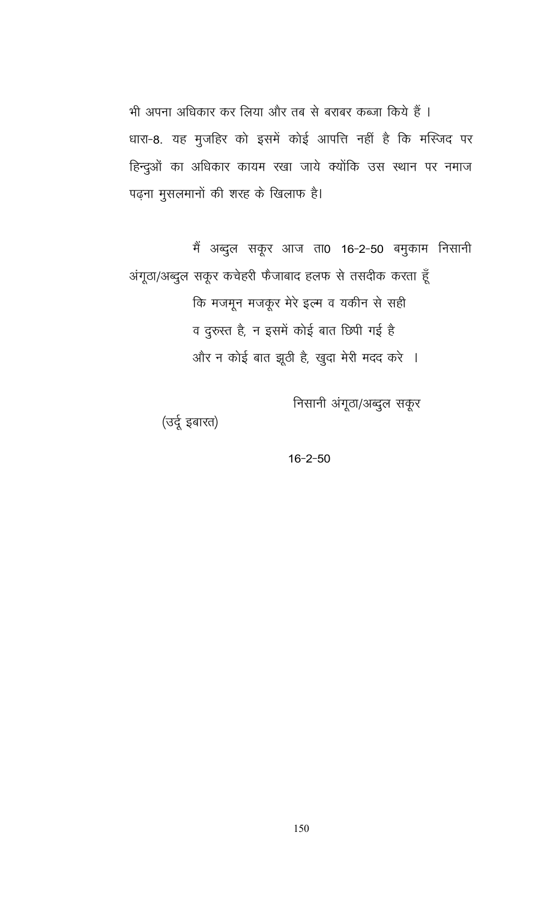भी अपना अधिकार कर लिया और तब से बराबर कब्जा किये हैं । धारा-8. यह मुजहिर को इसमें कोई आपत्ति नहीं है कि मस्जिद पर हिन्दुओं का अधिकार कायम रखा जाये क्योंकि उस स्थान पर नमाज पढ़ना मुसलमानों की शरह के खिलाफ है।

मैं अब्दुल सकूर आज ता0 16-2-50 बमुकाम निसानी अंगूठा/अब्दुल सकूर कचेहरी फैजाबाद हलफ से तसदीक करता हूँ कि मजमून मजकूर मेरे इल्म व यकीन से सही व दुरुस्त है, न इसमें कोई बात छिपी गई है और न कोई बात झूठी है, खुदा मेरी मदद करे ।

निसानी अंगूठा/अब्दुल सकूर

(उर्दू इबारत)

 $16 - 2 - 50$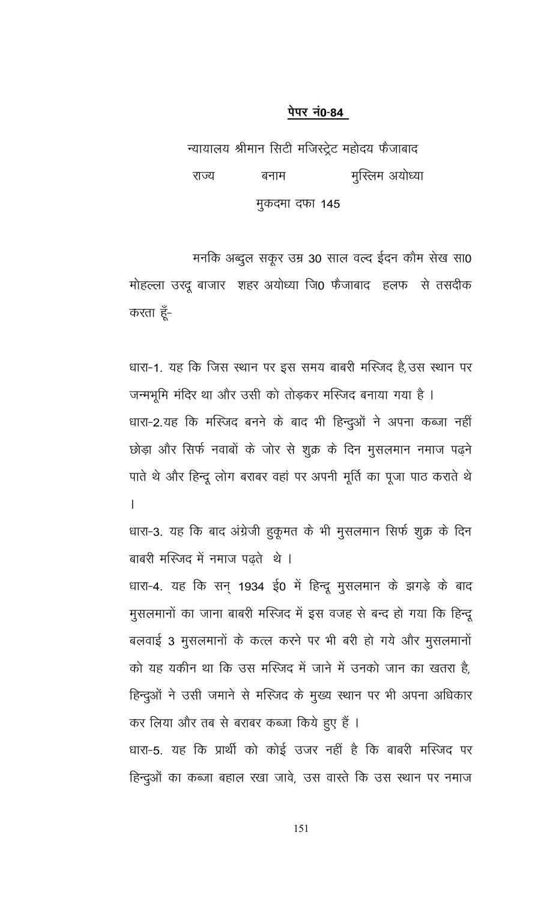न्यायालय श्रीमान सिटी मजिस्ट्रेट महोदय फैजाबाद राज्य बनाम मुस्लिम अयोध्या मुकदमा दफा 145

मनकि अब्दुल सकूर उम्र 30 साल वल्द ईदन कौम सेख सा0 मोहल्ला उरदू बाजार शहर अयोध्या जि0 फैजाबाद हलफ से तसदीक करता हूँ-

धारा-1. यह कि जिस स्थान पर इस समय बाबरी मस्जिद है,उस स्थान पर जन्मभूमि मंदिर था और उसी को तोड़कर मस्जिद बनाया गया है । धारा-2.यह कि मस्जिद बनने के बाद भी हिन्दुओं ने अपना कब्जा नहीं छोड़ा और सिर्फ नवाबों के जोर से शुक्र के दिन मुसलमान नमाज पढ़ने पाते थे और हिन्दू लोग बराबर वहां पर अपनी मूर्ति का पूजा पाठ कराते थे  $\overline{1}$ 

धारा-3. यह कि बाद अंग्रेजी हुकूमत के भी मुसलमान सिर्फ शुक्र के दिन बाबरी मस्जिद में नमाज पढ़ते थे । धारा-4. यह कि सन् 1934 ई0 में हिन्दू मुसलमान के झगड़े के बाद मुसलमानों का जाना बाबरी मस्जिद में इस वजह से बन्द हो गया कि हिन्दू बलवाई 3 मुसलमानों के कत्ल करने पर भी बरी हो गये और मुसलमानों को यह यकीन था कि उस मस्जिद में जाने में उनको जान का खतरा है. हिन्दूओं ने उसी जमाने से मस्जिद के मुख्य स्थान पर भी अपना अधिकार कर लिया और तब से बराबर कब्जा किये हुए हैं । धारा-5. यह कि प्रार्थी को कोई उजर नहीं है कि बाबरी मस्जिद पर हिन्दुओं का कब्जा बहाल रखा जावे, उस वास्ते कि उस स्थान पर नमाज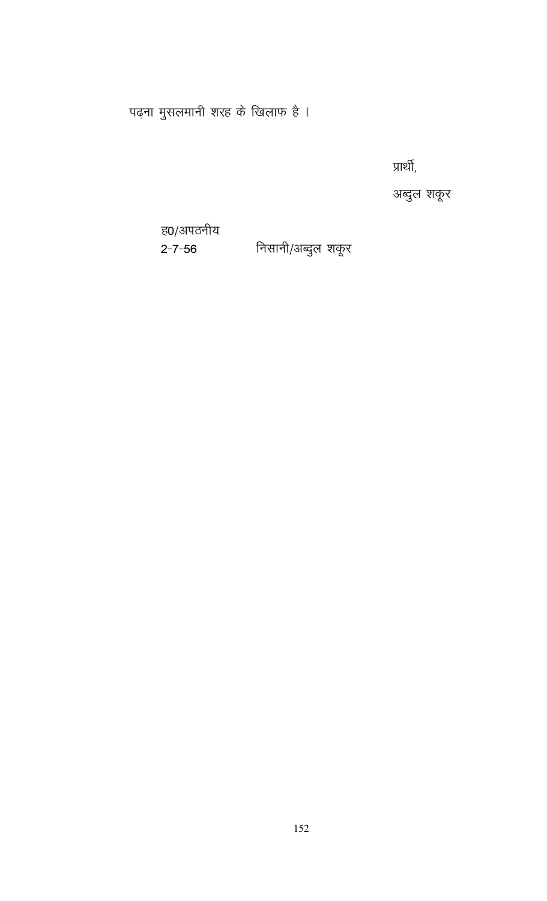पढ़ना मुसलमानी शरह के खिलाफ है ।

प्रार्थी,

अब्दुल शकूर

ह0/अपठनीय  $2 - 7 - 56$ 

निसानी/अब्दुल शकूर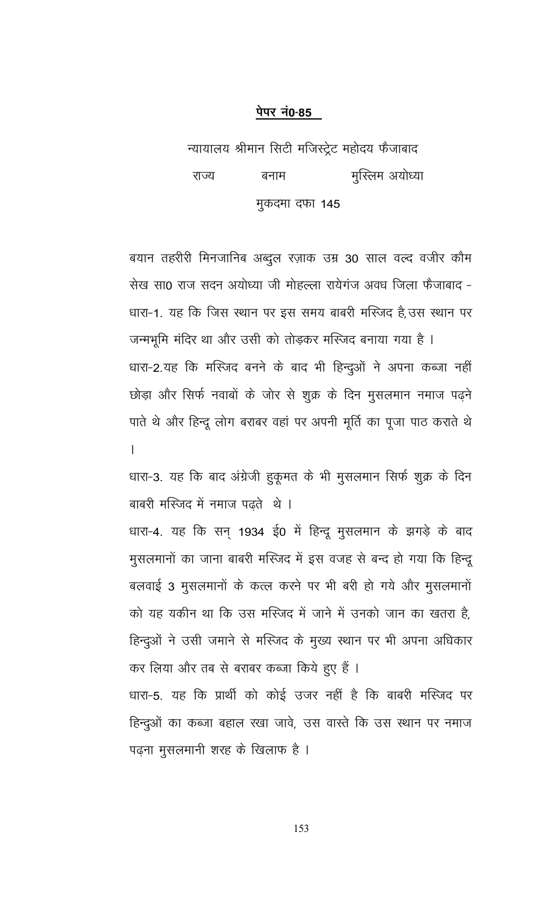न्यायालय श्रीमान सिटी मजिस्ट्रेट महोदय फैजाबाद राज्य बनाम मुस्लिम अयोध्या मुकदमा दफा 145

बयान तहरीरी मिनजानिब अब्दुल रज़ाक उम्र 30 साल वल्द वजीर कौम सेख सा0 राज सदन अयोध्या जी मोहल्ला रायेगंज अवध जिला फैजाबाद -धारा-1. यह कि जिस स्थान पर इस समय बाबरी मस्जिद है,उस स्थान पर

जन्मभूमि मंदिर था और उसी को तोड़कर मस्जिद बनाया गया है । धारा-2.यह कि मस्जिद बनने के बाद भी हिन्दूओं ने अपना कब्जा नहीं छोड़ा और सिर्फ नवाबों के जोर से शुक्र के दिन मुसलमान नमाज पढ़ने पाते थे और हिन्दू लोग बराबर वहां पर अपनी मूर्ति का पूजा पाठ कराते थे L

धारा-3. यह कि बाद अंग्रेजी हुकूमत के भी मुसलमान सिर्फ शुक्र के दिन बाबरी मस्जिद में नमाज पढ़ते थे ।

धारा-4. यह कि सन् 1934 ई0 में हिन्दू मुसलमान के झगड़े के बाद मुसलमानों का जाना बाबरी मस्जिद में इस वजह से बन्द हो गया कि हिन्दू बलवाई 3 मुसलमानों के कत्ल करने पर भी बरी हो गये और मुसलमानों को यह यकीन था कि उस मस्जिद में जाने में उनको जान का खतरा है, हिन्दुओं ने उसी जमाने से मस्जिद के मुख्य स्थान पर भी अपना अधिकार कर लिया और तब से बराबर कब्जा किये हुए हैं ।

धारा-5. यह कि प्रार्थी को कोई उजर नहीं है कि बाबरी मस्जिद पर हिन्दुओं का कब्जा बहाल रखा जावे, उस वास्ते कि उस स्थान पर नमाज पढना मूसलमानी शरह के खिलाफ है ।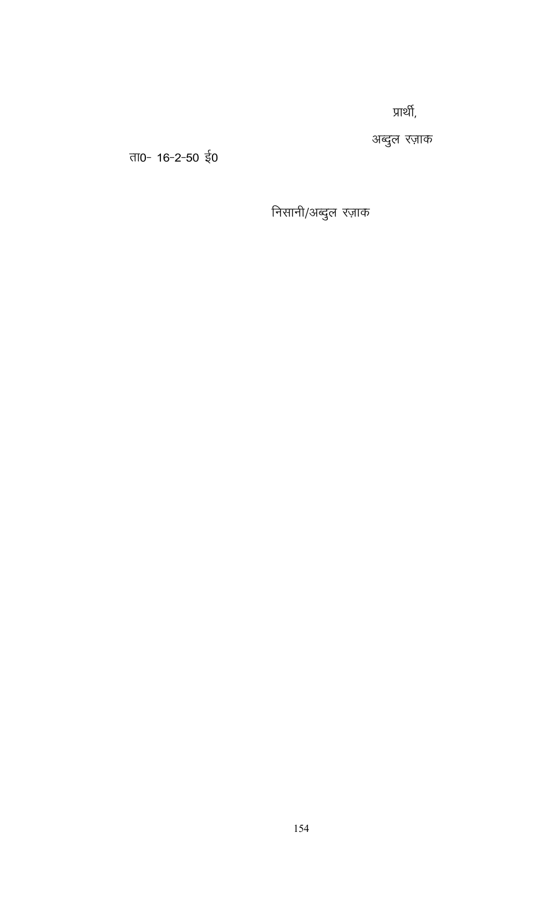प्रार्थी,

अब्दुल रज़ाक

ता0- 16-2-50 ई0

निसानी/अब्दुल रज़ाक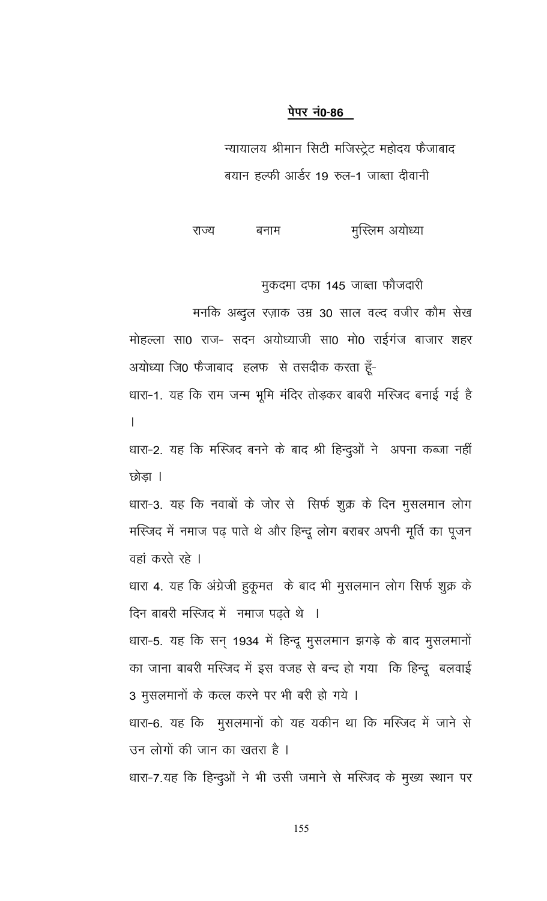न्यायालय श्रीमान सिटी मजिस्ट्रेट महोदय फैजाबाद बयान हल्फी आर्डर 19 रुल-1 जाब्ता दीवानी

मुस्लिम अयोध्या राज्य बनाम

मुकदमा दफा 145 जाब्ता फौजदारी

मनकि अब्दुल रज़ाक उम्र 30 साल वल्द वजीर कौम सेख मोहल्ला सा0 राज- सदन अयोध्याजी सा0 मो0 राईगंज बाजार शहर अयोध्या जि0 फैजाबाद हलफ से तसदीक करता हूँ-धारा-1. यह कि राम जन्म भूमि मंदिर तोड़कर बाबरी मस्जिद बनाई गई है  $\mathsf{L}$ 

धारा-2. यह कि मस्जिद बनने के बाद श्री हिन्दुओं ने अपना कब्जा नहीं छोडा ।

धारा-3. यह कि नवाबों के जोर से सिर्फ शुक्र के दिन मुसलमान लोग मस्जिद में नमाज पढ़ पाते थे और हिन्दू लोग बराबर अपनी मूर्ति का पूजन वहां करते रहे ।

धारा 4. यह कि अंग्रेजी हुकूमत के बाद भी मुसलमान लोग सिर्फ शुक्र के दिन बाबरी मस्जिद में नमाज पढ़ते थे ।

धारा-5. यह कि सन् 1934 में हिन्दू मुसलमान झगड़े के बाद मुसलमानों का जाना बाबरी मस्जिद में इस वजह से बन्द हो गया कि हिन्दू बलवाई 3 मुसलमानों के कत्ल करने पर भी बरी हो गये ।

धारा-6. यह कि मुसलमानों को यह यकीन था कि मस्जिद में जाने से उन लोगों की जान का खतरा है ।

धारा-7.यह कि हिन्दुओं ने भी उसी जमाने से मस्जिद के मुख्य स्थान पर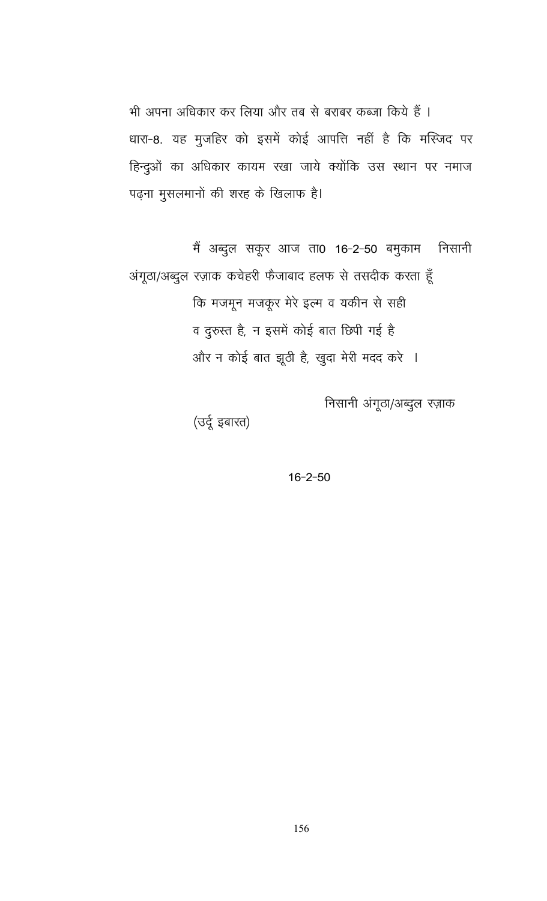भी अपना अधिकार कर लिया और तब से बराबर कब्जा किये हैं । धारा-8. यह मुजहिर को इसमें कोई आपत्ति नहीं है कि मस्जिद पर हिन्दुओं का अधिकार कायम रखा जाये क्योंकि उस स्थान पर नमाज पढ़ना मुसलमानों की शरह के खिलाफ है।

मैं अब्दुल सकूर आज ता0 16-2-50 बमुकाम निसानी अंगूठा/अब्दुल रज़ाक कचेहरी फैजाबाद हलफ से तसदीक करता हूँ कि मजमून मजकूर मेरे इल्म व यकीन से सही व दुरुस्त है, न इसमें कोई बात छिपी गई है और न कोई बात झूठी है, खुदा मेरी मदद करे ।

निसानी अंगूठा/अब्दुल रज़ाक

(उर्दू इबारत)

 $16 - 2 - 50$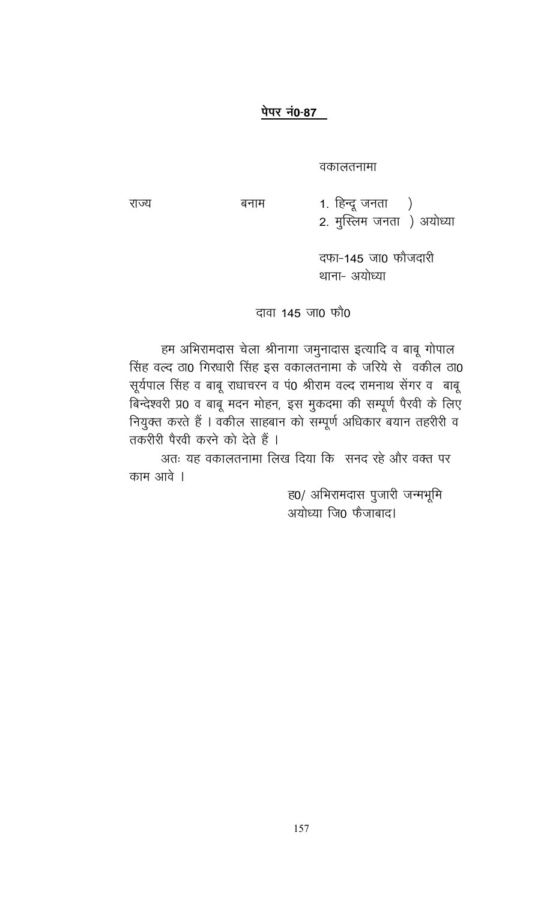बनाम

वकालतनामा

राज्य

1. हिन्दू जनता $)$ 2. मुस्लिम जनता ) अयोध्या

> दफा-145 जा0 फौजदारी थाना- अयोध्या

## दावा 145 जा0 फौ0

हम अभिरामदास चेला श्रीनागा जमुनादास इत्यादि व बाबू गोपाल सिंह वल्द ठा0 गिरधारी सिंह इस वकालतनामा के जरिये से वकील ठा0 सूर्यपाल सिंह व बाबू राधाचरन व पं0 श्रीराम वल्द रामनाथ सेंगर व बाबू बिन्देश्वरी प्र0 व बाबू मदन मोहन, इस मुकदमा की सम्पूर्ण पैरवी के लिए नियुक्त करते हैं । वकील साहबान को सम्पूर्ण अधिकार बयान तहरीरी व तकरीरी पैरवी करने को देते हैं ।

अतः यह वकालतनामा लिख दिया कि सनद रहे और वक्त पर काम आवे ।

> ह0/ अभिरामदास पुजारी जन्मभूमि अयोध्या जि0 फैजाबाद।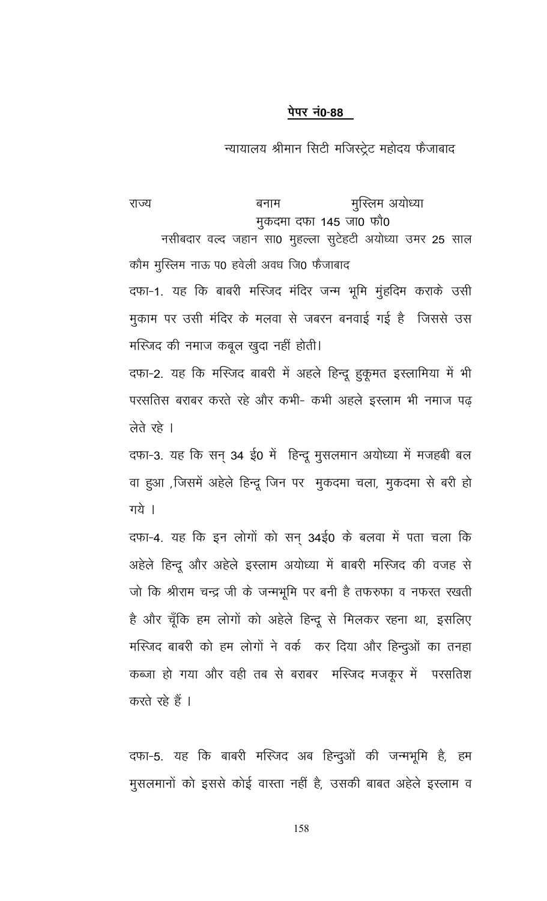न्यायालय श्रीमान सिटी मजिस्ट्रेट महोदय फैजाबाद

मुस्लिम अयोध्या राज्य बनाम मुकदमा दफा 145 जा0 फौ0 नसीबदार वल्द जहान सा0 मुहल्ला सुटेहटी अयोध्या उमर 25 साल कौम मुस्लिम नाऊ प0 हवेली अवध जि0 फैजाबाद दफा-1. यह कि बाबरी मस्जिद मंदिर जन्म भूमि मुंहदिम कराके उसी मुकाम पर उसी मंदिर के मलवा से जबरन बनवाई गई है जिससे उस मस्जिद की नमाज कबूल खुदा नहीं होती। दफा-2. यह कि मस्जिद बाबरी में अहले हिन्दू हुकूमत इस्लामिया में भी

परसतिस बराबर करते रहे और कभी- कभी अहले इस्लाम भी नमाज पढ़ लेते रहे ।

दफा-3. यह कि सन् 34 ई0 में हिन्दू मुसलमान अयोध्या में मजहबी बल वा हुआ ,जिसमें अहेले हिन्दू जिन पर मुकदमा चला, मुकदमा से बरी हो गये ।

दफा-4. यह कि इन लोगों को सन् 34ई0 के बलवा में पता चला कि अहेले हिन्दू और अहेले इस्लाम अयोध्या में बाबरी मस्जिद की वजह से जो कि श्रीराम चन्द्र जी के जन्मभूमि पर बनी है तफरुफा व नफरत रखती है और चूँकि हम लोगों को अहेले हिन्दू से मिलकर रहना था, इसलिए मस्जिद बाबरी को हम लोगों ने वर्क कर दिया और हिन्दुओं का तनहा कब्जा हो गया और वही तब से बराबर मस्जिद मजकूर में परसतिश करते रहे हैं ।

दफा-5. यह कि बाबरी मस्जिद अब हिन्दुओं की जन्मभूमि है, हम मुसलमानों को इससे कोई वास्ता नहीं है, उसकी बाबत अहेले इस्लाम व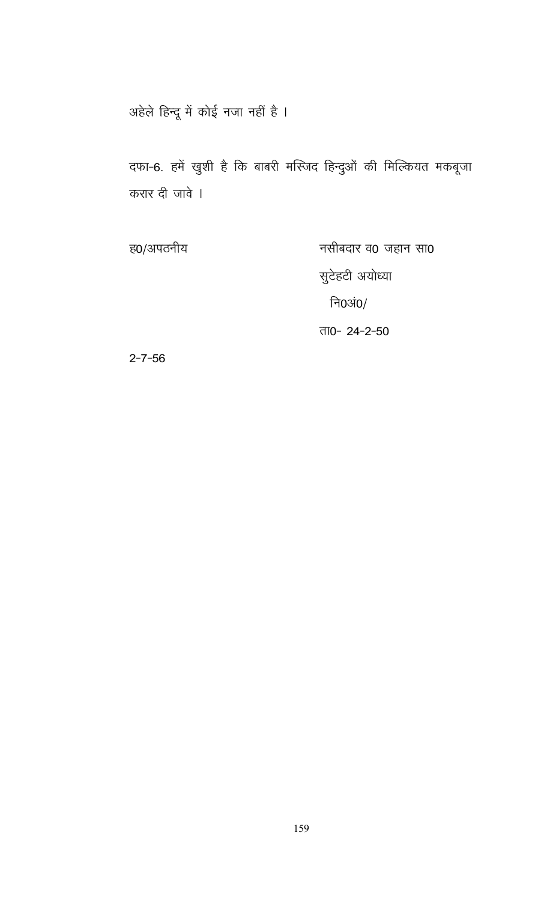अहेले हिन्दू में कोई नजा नहीं है ।

दफा-6. हमें खुशी है कि बाबरी मस्जिद हिन्दुओं की मिल्कियत मकबूजा करार दी जावे ।

ह0/अपठनीय नसीबदार व0 जहान सा0 सुटेहटी अयोध्या नि0अं $0/$ ता0- 24-2-50

 $2 - 7 - 56$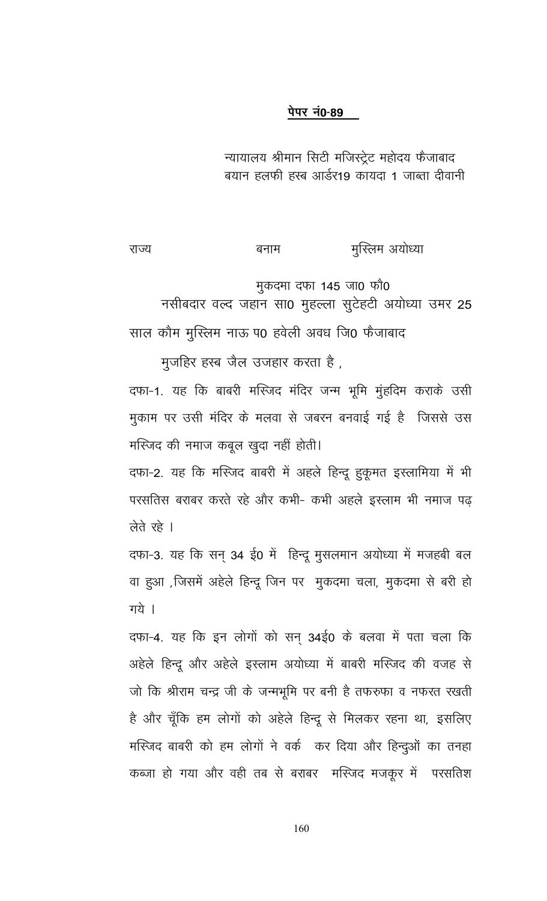न्यायालय श्रीमान सिटी मजिस्ट्रेट महोदय फैजाबाद बयान हलफी हस्ब आर्डर19 कायदा 1 जाब्ता दीवानी

#### मुस्लिम अयोध्या राज्य बनाम

मुकदमा दफा 145 जा0 फौ0

नसीबदार वल्द जहान सा0 मुहल्ला सुटेहटी अयोध्या उमर 25 साल कौम मुस्लिम नाऊ प0 हवेली अवध जि0 फैजाबाद

मुर्जाहेर हस्ब जैल उजहार करता है ,

दफा-1. यह कि बाबरी मस्जिद मंदिर जन्म भूमि मुंहदिम कराके उसी मुकाम पर उसी मंदिर के मलवा से जबरन बनवाई गई है जिससे उस मस्जिद की नमाज कबूल खुदा नहीं होती।

दफा-2. यह कि मस्जिद बाबरी में अहले हिन्दू हुकूमत इस्लामिया में भी परसतिस बराबर करते रहे और कभी- कभी अहले इस्लाम भी नमाज पढ लेते रहे ।

दफा-3. यह कि सन् 34 ई0 में हिन्दू मुसलमान अयोध्या में मजहबी बल वा हुआ ,जिसमें अहेले हिन्दू जिन पर मुकदमा चला, मुकदमा से बरी हो गये ।

दफा-4. यह कि इन लोगों को सन् 34ई0 के बलवा में पता चला कि अहेले हिन्दू और अहेले इस्लाम अयोध्या में बाबरी मस्जिद की वजह से जो कि श्रीराम चन्द्र जी के जन्मभूमि पर बनी है तफरुफा व नफरत रखती है और चूँकि हम लोगों को अहेले हिन्दू से मिलकर रहना था, इसलिए मस्जिद बाबरी को हम लोगों ने वर्क कर दिया और हिन्दुओं का तनहा कब्जा हो गया और वही तब से बराबर मस्जिद मजकूर में परसतिश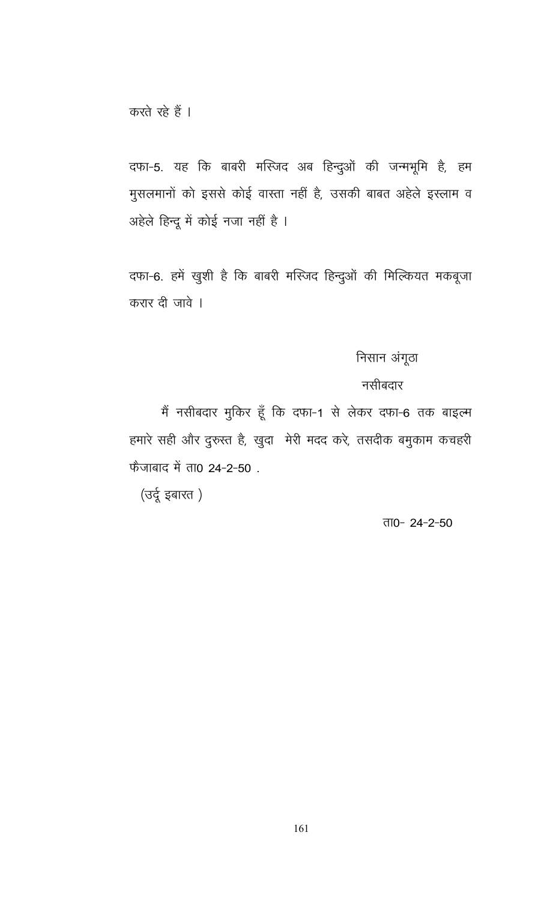दफा-5. यह कि बाबरी मस्जिद अब हिन्दुओं की जन्मभूमि है, हम मुसलमानों को इससे कोई वास्ता नहीं है, उसकी बाबत अहेले इस्लाम व अहेले हिन्दू में कोई नजा नहीं है ।

दफा-6. हमें खुशी है कि बाबरी मस्जिद हिन्दुओं की मिल्कियत मकबूजा करार दी जावे ।

# निसान अंगूठा

## नसीबदार

मैं नसीबदार मुकिर हूँ कि दफा-1 से लेकर दफा-6 तक बाइल्म हमारे सही और दुरुस्त है, खुदा मेरी मदद करे, तसदीक बमुकाम कचहरी फैजाबाद में ता0 24-2-50.

(उर्दू इबारत)

#### ता0-24-2-50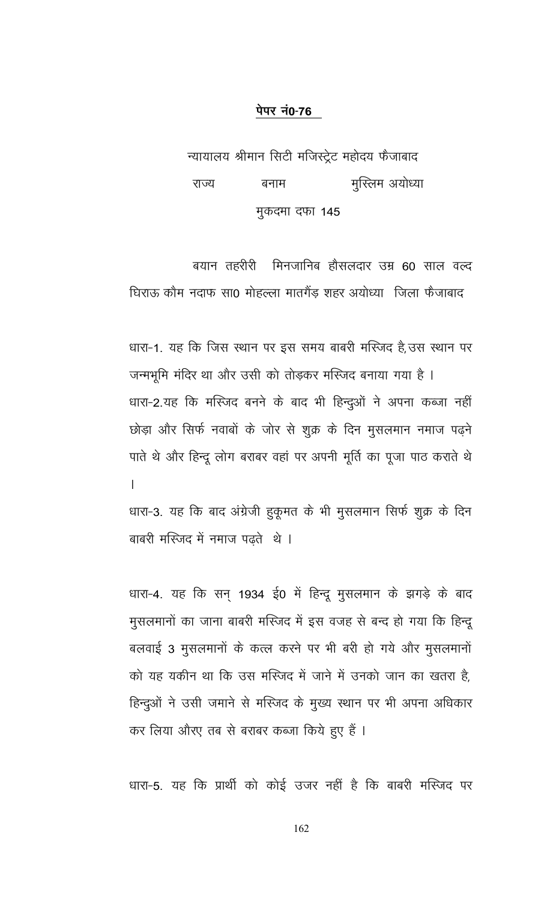न्यायालय श्रीमान सिटी मजिस्ट्रेट महोदय फैजाबाद मुस्लिम अयोध्या राज्य बनाम मुकदमा दफा 145

बयान तहरीरी मिनजानिब हौसलदार उम्र 60 साल वल्द घिराऊ कौम नदाफ सा0 मोहल्ला मातगैंड़ शहर अयोध्या) जिला फैजाबाद

धारा-1. यह कि जिस स्थान पर इस समय बाबरी मस्जिद है,उस स्थान पर जन्मभूमि मंदिर था और उसी को तोड़कर मस्जिद बनाया गया है । धारा-2.यह कि मस्जिद बनने के बाद भी हिन्दुओं ने अपना कब्जा नहीं छोड़ा और सिर्फ नवाबों के जोर से शुक्र के दिन मुसलमान नमाज पढ़ने पाते थे और हिन्दू लोग बराबर वहां पर अपनी मूर्ति का पूजा पाठ कराते थे  $\overline{1}$ 

धारा-3. यह कि बाद अंग्रेजी हुकूमत के भी मुसलमान सिर्फ शुक्र के दिन बाबरी मस्जिद में नमाज पढते थे ।

धारा-4. यह कि सन् 1934 ई0 में हिन्दू मुसलमान के झगड़े के बाद मुसलमानों का जाना बाबरी मस्जिद में इस वजह से बन्द हो गया कि हिन्दू बलवाई 3 मुसलमानों के कत्ल करने पर भी बरी हो गये और मुसलमानों को यह यकीन था कि उस मस्जिद में जाने में उनको जान का खतरा है. हिन्दुओं ने उसी जमाने से मस्जिद के मुख्य स्थान पर भी अपना अधिकार कर लिया औरए तब से बराबर कब्जा किये हुए हैं ।

धारा-5. यह कि प्रार्थी को कोई उजर नहीं है कि बाबरी मस्जिद पर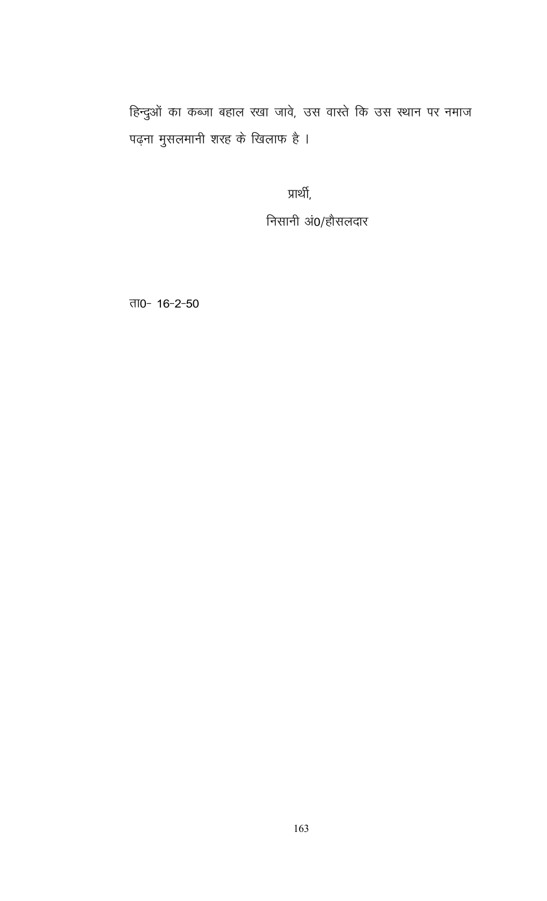हिन्दुओं का कब्जा बहाल रखा जावे, उस वास्ते कि उस स्थान पर नमाज पढ़ना मुसलमानी शरह के खिलाफ है ।

प्रार्थी,

निसानी अं0/हौसलदार

ता0- 16-2-50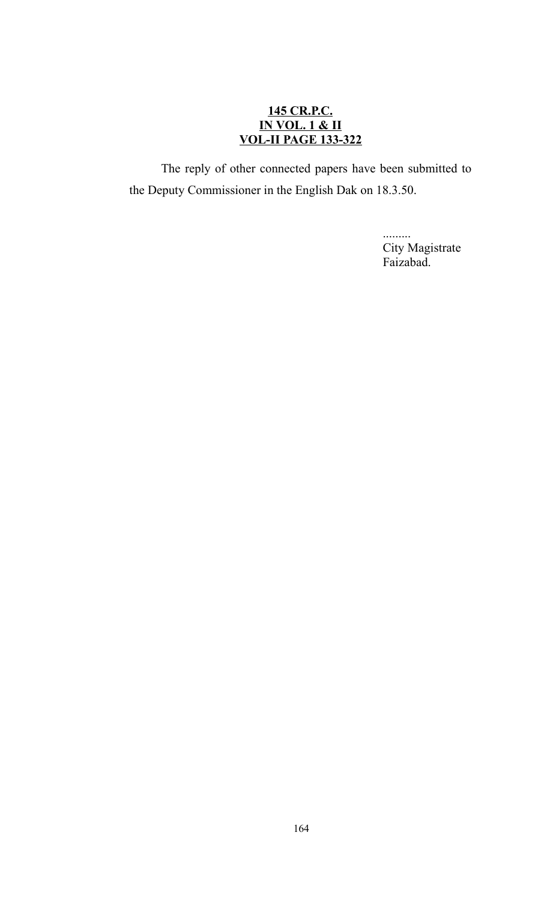## **145 CR.P.C. IN VOL. 1 & II VOL-II PAGE 133-322**

The reply of other connected papers have been submitted to the Deputy Commissioner in the English Dak on 18.3.50.

> ......... City Magistrate Faizabad.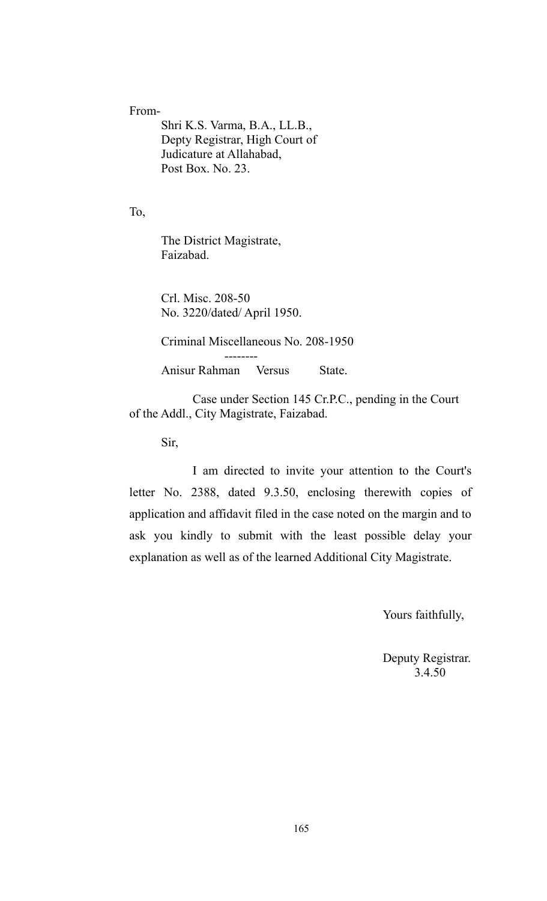#### From-

Shri K.S. Varma, B.A., LL.B., Depty Registrar, High Court of Judicature at Allahabad, Post Box. No. 23.

To,

The District Magistrate, Faizabad.

Crl. Misc. 208-50 No. 3220/dated/ April 1950.

Criminal Miscellaneous No. 208-1950

Anisur Rahman Versus State.

--------

Case under Section 145 Cr.P.C., pending in the Court of the Addl., City Magistrate, Faizabad.

Sir,

I am directed to invite your attention to the Court's letter No. 2388, dated 9.3.50, enclosing therewith copies of application and affidavit filed in the case noted on the margin and to ask you kindly to submit with the least possible delay your explanation as well as of the learned Additional City Magistrate.

Yours faithfully,

Deputy Registrar. 3.4.50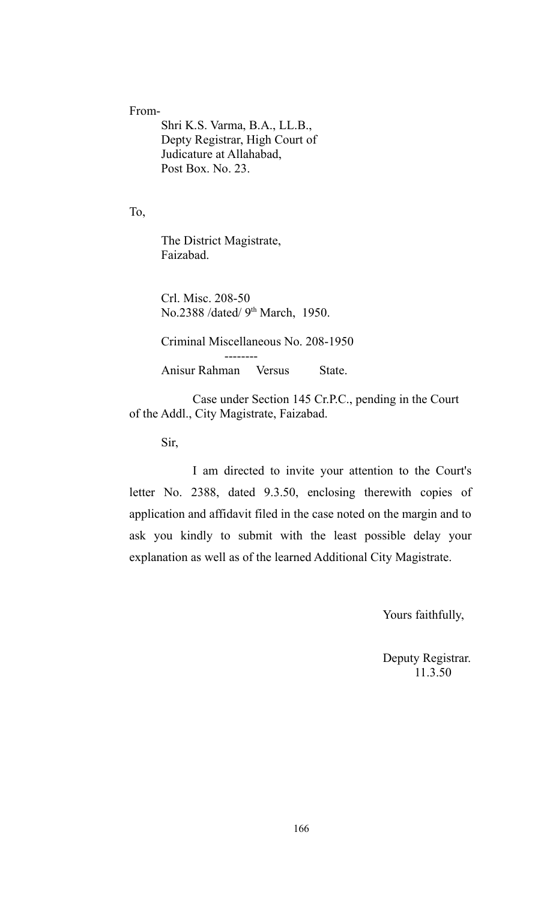#### From-

Shri K.S. Varma, B.A., LL.B., Depty Registrar, High Court of Judicature at Allahabad, Post Box. No. 23.

To,

The District Magistrate, Faizabad.

Crl. Misc. 208-50 No.2388 /dated/ 9<sup>th</sup> March, 1950.

--------

Criminal Miscellaneous No. 208-1950

Anisur Rahman Versus State.

Case under Section 145 Cr.P.C., pending in the Court of the Addl., City Magistrate, Faizabad.

Sir,

I am directed to invite your attention to the Court's letter No. 2388, dated 9.3.50, enclosing therewith copies of application and affidavit filed in the case noted on the margin and to ask you kindly to submit with the least possible delay your explanation as well as of the learned Additional City Magistrate.

Yours faithfully,

Deputy Registrar. 11.3.50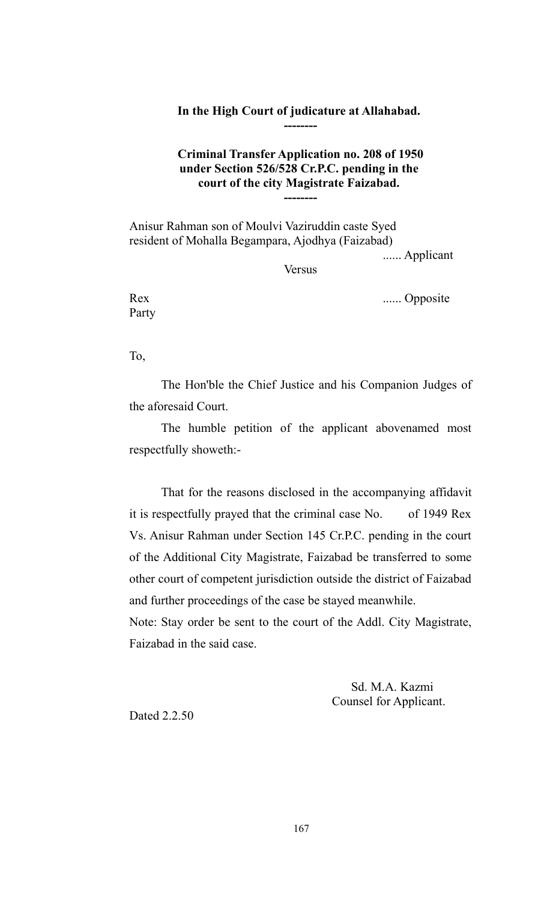#### **In the High Court of judicature at Allahabad. --------**

## **Criminal Transfer Application no. 208 of 1950 under Section 526/528 Cr.P.C. pending in the court of the city Magistrate Faizabad. --------**

Anisur Rahman son of Moulvi Vaziruddin caste Syed resident of Mohalla Begampara, Ajodhya (Faizabad)

...... Applicant

Versus

Party

Rex ...... Opposite

To,

The Hon'ble the Chief Justice and his Companion Judges of the aforesaid Court.

The humble petition of the applicant abovenamed most respectfully showeth:-

That for the reasons disclosed in the accompanying affidavit it is respectfully prayed that the criminal case No. of 1949 Rex Vs. Anisur Rahman under Section 145 Cr.P.C. pending in the court of the Additional City Magistrate, Faizabad be transferred to some other court of competent jurisdiction outside the district of Faizabad and further proceedings of the case be stayed meanwhile. Note: Stay order be sent to the court of the Addl. City Magistrate, Faizabad in the said case.

> Sd. M.A. Kazmi Counsel for Applicant.

Dated 2.2.50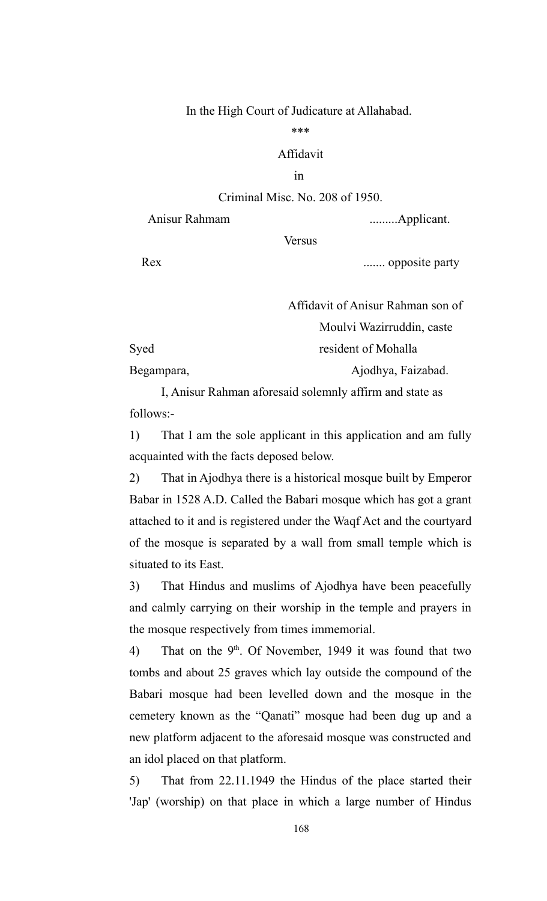#### In the High Court of Judicature at Allahabad.

#### \*\*\*

## Affidavit

#### in

## Criminal Misc. No. 208 of 1950.

Anisur Rahmam .........Applicant.

**Versus** 

Rex ....... opposite party

|            | Affidavit of Anisur Rahman son of |  |
|------------|-----------------------------------|--|
|            | Moulvi Wazirruddin, caste         |  |
| Syed       | resident of Mohalla               |  |
| Begampara, | Ajodhya, Faizabad.                |  |

I, Anisur Rahman aforesaid solemnly affirm and state as follows:-

1) That I am the sole applicant in this application and am fully acquainted with the facts deposed below.

2) That in Ajodhya there is a historical mosque built by Emperor Babar in 1528 A.D. Called the Babari mosque which has got a grant attached to it and is registered under the Waqf Act and the courtyard of the mosque is separated by a wall from small temple which is situated to its East.

3) That Hindus and muslims of Ajodhya have been peacefully and calmly carrying on their worship in the temple and prayers in the mosque respectively from times immemorial.

4) That on the  $9<sup>th</sup>$ . Of November, 1949 it was found that two tombs and about 25 graves which lay outside the compound of the Babari mosque had been levelled down and the mosque in the cemetery known as the "Qanati" mosque had been dug up and a new platform adjacent to the aforesaid mosque was constructed and an idol placed on that platform.

5) That from 22.11.1949 the Hindus of the place started their 'Jap' (worship) on that place in which a large number of Hindus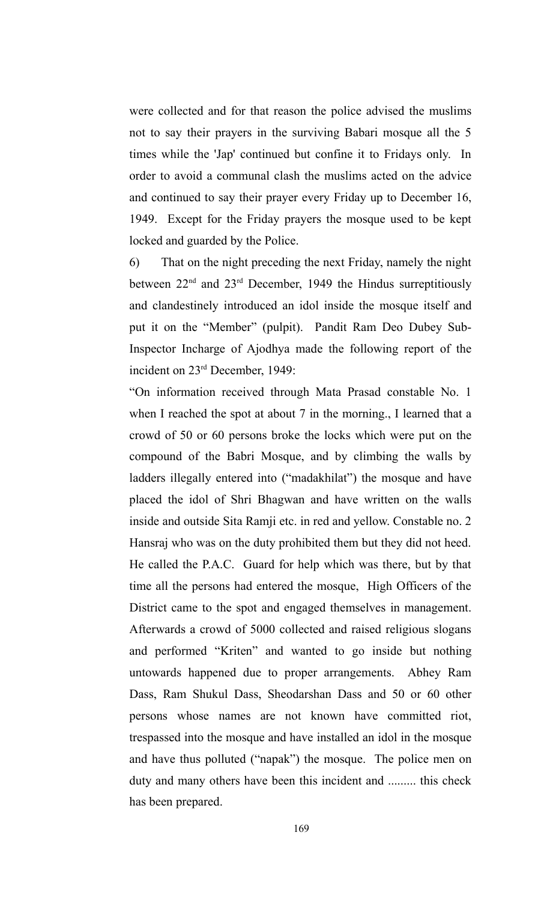were collected and for that reason the police advised the muslims not to say their prayers in the surviving Babari mosque all the 5 times while the 'Jap' continued but confine it to Fridays only. In order to avoid a communal clash the muslims acted on the advice and continued to say their prayer every Friday up to December 16, 1949. Except for the Friday prayers the mosque used to be kept locked and guarded by the Police.

6) That on the night preceding the next Friday, namely the night between  $22<sup>nd</sup>$  and  $23<sup>rd</sup>$  December, 1949 the Hindus surreptitiously and clandestinely introduced an idol inside the mosque itself and put it on the "Member" (pulpit). Pandit Ram Deo Dubey Sub-Inspector Incharge of Ajodhya made the following report of the incident on 23rd December, 1949:

"On information received through Mata Prasad constable No. 1 when I reached the spot at about 7 in the morning., I learned that a crowd of 50 or 60 persons broke the locks which were put on the compound of the Babri Mosque, and by climbing the walls by ladders illegally entered into ("madakhilat") the mosque and have placed the idol of Shri Bhagwan and have written on the walls inside and outside Sita Ramji etc. in red and yellow. Constable no. 2 Hansraj who was on the duty prohibited them but they did not heed. He called the P.A.C. Guard for help which was there, but by that time all the persons had entered the mosque, High Officers of the District came to the spot and engaged themselves in management. Afterwards a crowd of 5000 collected and raised religious slogans and performed "Kriten" and wanted to go inside but nothing untowards happened due to proper arrangements. Abhey Ram Dass, Ram Shukul Dass, Sheodarshan Dass and 50 or 60 other persons whose names are not known have committed riot, trespassed into the mosque and have installed an idol in the mosque and have thus polluted ("napak") the mosque. The police men on duty and many others have been this incident and ......... this check has been prepared.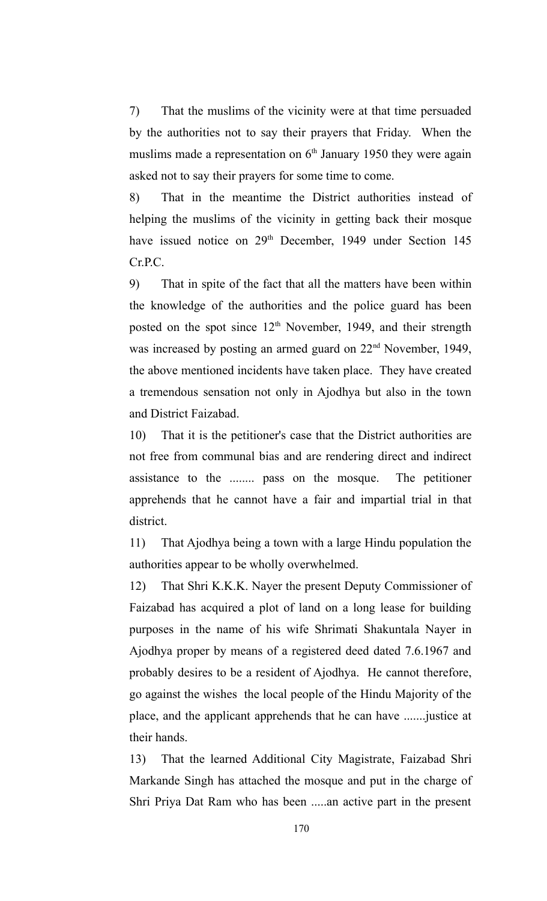7) That the muslims of the vicinity were at that time persuaded by the authorities not to say their prayers that Friday. When the muslims made a representation on  $6<sup>th</sup>$  January 1950 they were again asked not to say their prayers for some time to come.

8) That in the meantime the District authorities instead of helping the muslims of the vicinity in getting back their mosque have issued notice on 29<sup>th</sup> December, 1949 under Section 145 Cr.P.C.

9) That in spite of the fact that all the matters have been within the knowledge of the authorities and the police guard has been posted on the spot since  $12<sup>th</sup>$  November, 1949, and their strength was increased by posting an armed guard on 22<sup>nd</sup> November, 1949, the above mentioned incidents have taken place. They have created a tremendous sensation not only in Ajodhya but also in the town and District Faizabad.

10) That it is the petitioner's case that the District authorities are not free from communal bias and are rendering direct and indirect assistance to the ........ pass on the mosque. The petitioner apprehends that he cannot have a fair and impartial trial in that district.

11) That Ajodhya being a town with a large Hindu population the authorities appear to be wholly overwhelmed.

12) That Shri K.K.K. Nayer the present Deputy Commissioner of Faizabad has acquired a plot of land on a long lease for building purposes in the name of his wife Shrimati Shakuntala Nayer in Ajodhya proper by means of a registered deed dated 7.6.1967 and probably desires to be a resident of Ajodhya. He cannot therefore, go against the wishes the local people of the Hindu Majority of the place, and the applicant apprehends that he can have .......justice at their hands.

13) That the learned Additional City Magistrate, Faizabad Shri Markande Singh has attached the mosque and put in the charge of Shri Priya Dat Ram who has been .....an active part in the present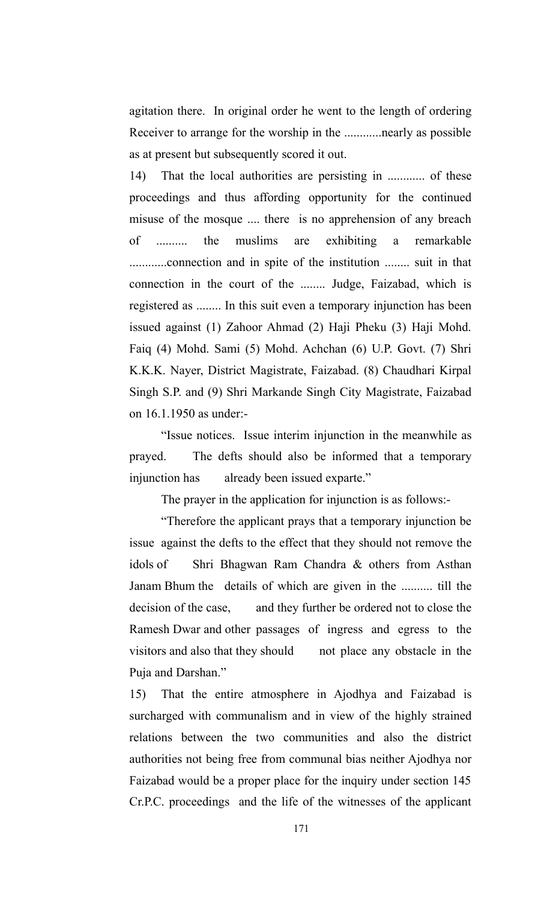agitation there. In original order he went to the length of ordering Receiver to arrange for the worship in the ............nearly as possible as at present but subsequently scored it out.

14) That the local authorities are persisting in ............ of these proceedings and thus affording opportunity for the continued misuse of the mosque .... there is no apprehension of any breach of .......... the muslims are exhibiting a remarkable ............connection and in spite of the institution ........ suit in that connection in the court of the ........ Judge, Faizabad, which is registered as ........ In this suit even a temporary injunction has been issued against (1) Zahoor Ahmad (2) Haji Pheku (3) Haji Mohd. Faiq (4) Mohd. Sami (5) Mohd. Achchan (6) U.P. Govt. (7) Shri K.K.K. Nayer, District Magistrate, Faizabad. (8) Chaudhari Kirpal Singh S.P. and (9) Shri Markande Singh City Magistrate, Faizabad on 16.1.1950 as under:-

"Issue notices. Issue interim injunction in the meanwhile as prayed. The defts should also be informed that a temporary injunction has already been issued exparte."

The prayer in the application for injunction is as follows:-

"Therefore the applicant prays that a temporary injunction be issue against the defts to the effect that they should not remove the idols of Shri Bhagwan Ram Chandra & others from Asthan Janam Bhum the details of which are given in the .......... till the decision of the case, and they further be ordered not to close the Ramesh Dwar and other passages of ingress and egress to the visitors and also that they should not place any obstacle in the Puja and Darshan."

15) That the entire atmosphere in Ajodhya and Faizabad is surcharged with communalism and in view of the highly strained relations between the two communities and also the district authorities not being free from communal bias neither Ajodhya nor Faizabad would be a proper place for the inquiry under section 145 Cr.P.C. proceedings and the life of the witnesses of the applicant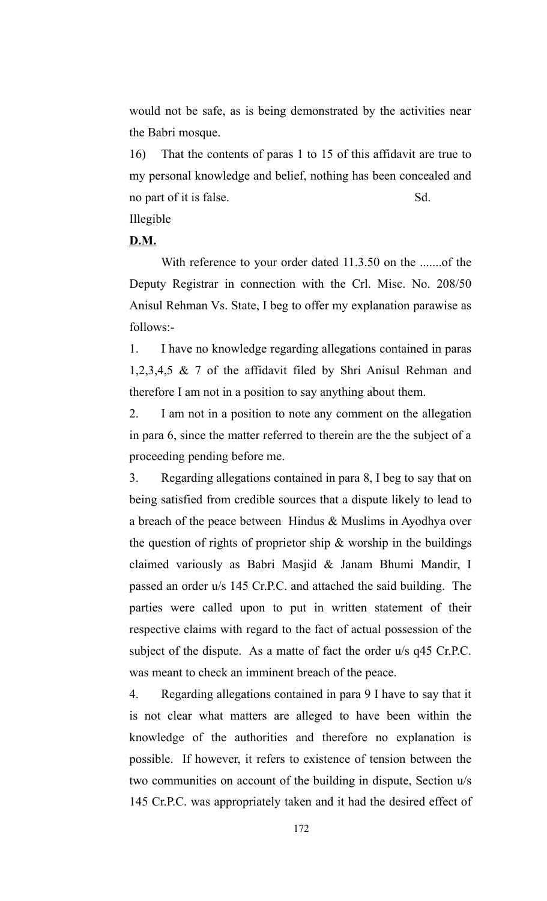would not be safe, as is being demonstrated by the activities near the Babri mosque.

16) That the contents of paras 1 to 15 of this affidavit are true to my personal knowledge and belief, nothing has been concealed and no part of it is false. Sd.

Illegible

## **D.M.**

With reference to your order dated 11.3.50 on the .......of the Deputy Registrar in connection with the Crl. Misc. No. 208/50 Anisul Rehman Vs. State, I beg to offer my explanation parawise as follows:-

1. I have no knowledge regarding allegations contained in paras 1,2,3,4,5 & 7 of the affidavit filed by Shri Anisul Rehman and therefore I am not in a position to say anything about them.

2. I am not in a position to note any comment on the allegation in para 6, since the matter referred to therein are the the subject of a proceeding pending before me.

3. Regarding allegations contained in para 8, I beg to say that on being satisfied from credible sources that a dispute likely to lead to a breach of the peace between Hindus & Muslims in Ayodhya over the question of rights of proprietor ship  $\&$  worship in the buildings claimed variously as Babri Masjid & Janam Bhumi Mandir, I passed an order u/s 145 Cr.P.C. and attached the said building. The parties were called upon to put in written statement of their respective claims with regard to the fact of actual possession of the subject of the dispute. As a matte of fact the order u/s q45 Cr.P.C. was meant to check an imminent breach of the peace.

4. Regarding allegations contained in para 9 I have to say that it is not clear what matters are alleged to have been within the knowledge of the authorities and therefore no explanation is possible. If however, it refers to existence of tension between the two communities on account of the building in dispute, Section u/s 145 Cr.P.C. was appropriately taken and it had the desired effect of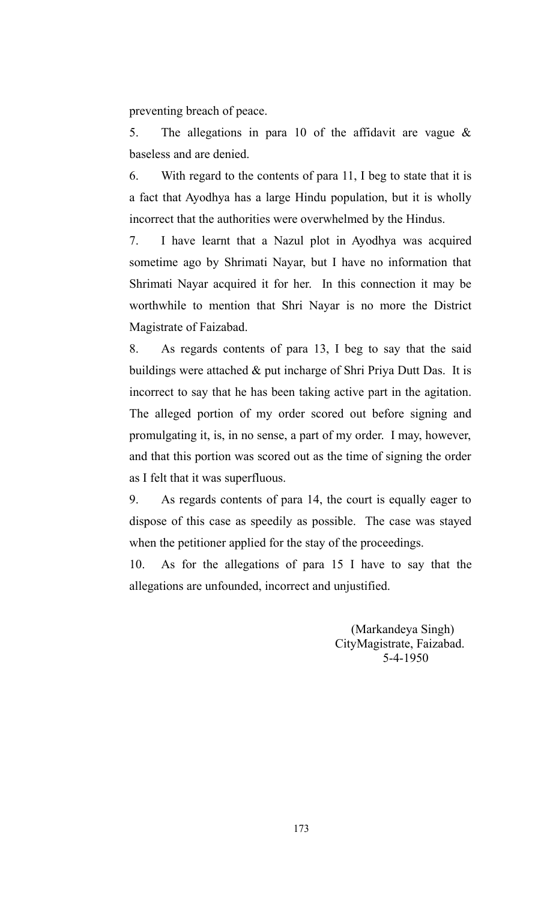preventing breach of peace.

5. The allegations in para 10 of the affidavit are vague  $\&$ baseless and are denied.

6. With regard to the contents of para 11, I beg to state that it is a fact that Ayodhya has a large Hindu population, but it is wholly incorrect that the authorities were overwhelmed by the Hindus.

7. I have learnt that a Nazul plot in Ayodhya was acquired sometime ago by Shrimati Nayar, but I have no information that Shrimati Nayar acquired it for her. In this connection it may be worthwhile to mention that Shri Nayar is no more the District Magistrate of Faizabad.

8. As regards contents of para 13, I beg to say that the said buildings were attached  $\&$  put incharge of Shri Priya Dutt Das. It is incorrect to say that he has been taking active part in the agitation. The alleged portion of my order scored out before signing and promulgating it, is, in no sense, a part of my order. I may, however, and that this portion was scored out as the time of signing the order as I felt that it was superfluous.

9. As regards contents of para 14, the court is equally eager to dispose of this case as speedily as possible. The case was stayed when the petitioner applied for the stay of the proceedings.

10. As for the allegations of para 15 I have to say that the allegations are unfounded, incorrect and unjustified.

> (Markandeya Singh) CityMagistrate, Faizabad. 5-4-1950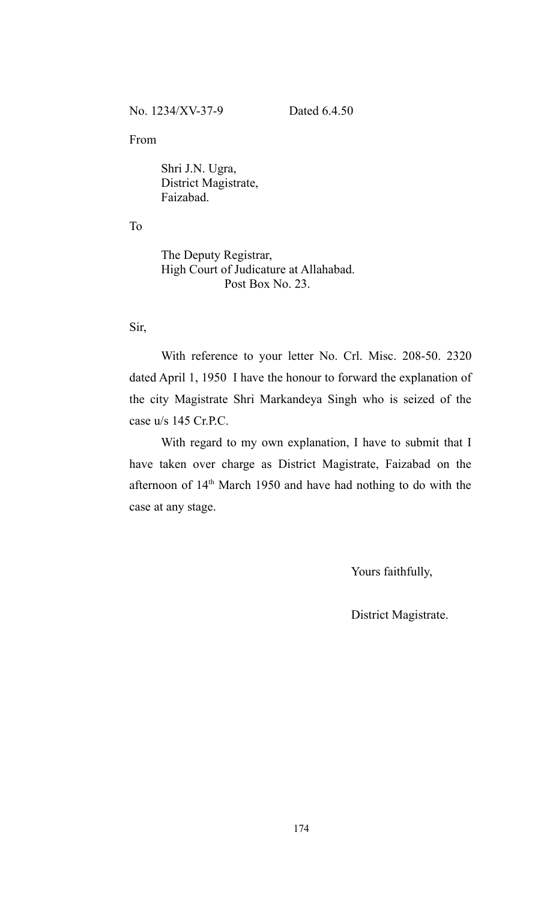#### From

Shri J.N. Ugra, District Magistrate, Faizabad.

To

The Deputy Registrar, High Court of Judicature at Allahabad. Post Box No. 23.

Sir,

With reference to your letter No. Crl. Misc. 208-50. 2320 dated April 1, 1950 I have the honour to forward the explanation of the city Magistrate Shri Markandeya Singh who is seized of the case u/s 145 Cr.P.C.

With regard to my own explanation, I have to submit that I have taken over charge as District Magistrate, Faizabad on the afternoon of 14<sup>th</sup> March 1950 and have had nothing to do with the case at any stage.

Yours faithfully,

District Magistrate.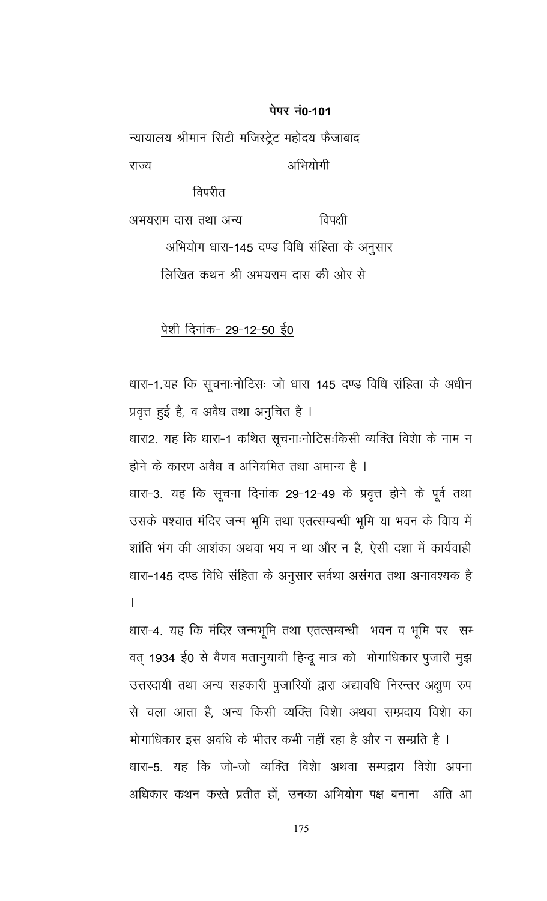न्यायालय श्रीमान सिटी मजिस्ट्रेट महोदय फैजाबाद अभियोगी राज्य

विपरीत

विपक्षी अभयराम दास तथा अन्य अभियोग धारा-145 दण्ड विधि संहिता के अनुसार लिखित कथन श्री अभयराम दास की ओर से

## <u>पेशी दिनांक- 29-12-50 ई0</u>

धारा-1.यह कि सूचनाःनोटिसः जो धारा 145 दण्ड विधि संहिता के अधीन प्रवृत्त हुई है, व अवैध तथा अनुचित है । धारा2. यह कि धारा-1 कथित सूचनाःनोटिसःकिसी व्यक्ति विशेा के नाम न होने के कारण अवैध व अनियमित तथा अमान्य है । धारा-3. यह कि सूचना दिनांक 29-12-49 के प्रवृत्त होने के पूर्व तथा उसके पश्चात मंदिर जन्म भूमि तथा एतत्सम्बन्धी भूमि या भवन के विाय में शांति भंग की आशंका अथवा भय न था और न है, ऐसी दशा में कार्यवाही धारा-145 दण्ड विधि संहिता के अनुसार सर्वथा असंगत तथा अनावश्यक है  $\mathbf{I}$ 

धारा-4. यह कि मंदिर जन्मभूमि तथा एतत्सम्बन्धी भवन व भूमि पर सम् वत् 1934 ई0 से वैणव मतानुयायी हिन्दू मात्र को भोगाधिकार पुजारी मुझ उत्तरदायी तथा अन्य सहकारी पुजारियों द्वारा अद्यावधि निरन्तर अक्षुण रुप से चला आता है, अन्य किसी व्यक्ति विशेा अथवा सम्प्रदाय विशेा का

भोगाधिकार इस अवधि के भीतर कभी नहीं रहा है और न सम्प्रति है । धारा-5. यह कि जो-जो व्यक्ति विशेा अथवा सम्पद्राय विशेा अपना अधिकार कथन करते प्रतीत हों, उनका अभियोग पक्ष बनाना अति आ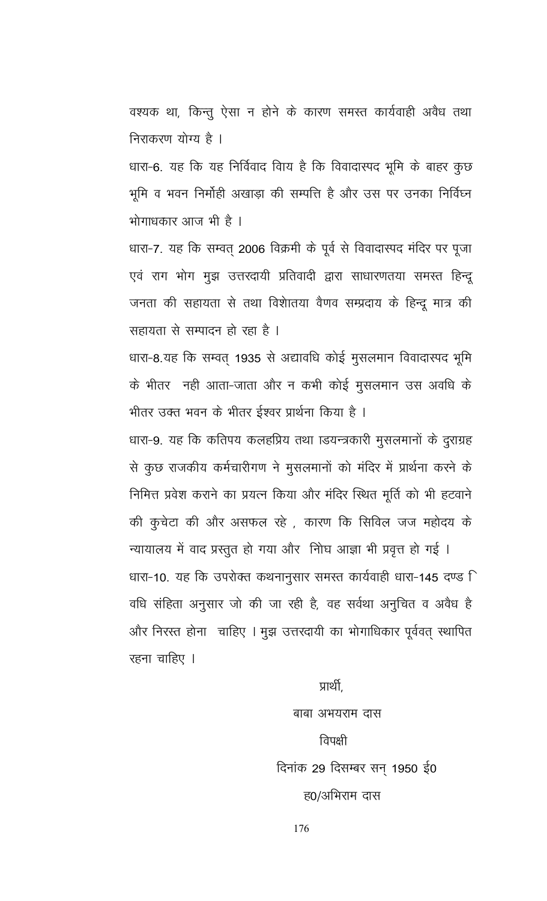वश्यक था, किन्तु ऐसा न होने के कारण समस्त कार्यवाही अवैध तथा निराकरण योग्य है ।

धारा-6. यह कि यह निर्विवाद विाय है कि विवादास्पद भूमि के बाहर कुछ भूमि व भवन निर्मोही अखाड़ा की सम्पत्ति है और उस पर उनका निर्विघ्न भोगाधकार आज भी है ।

धारा-7. यह कि सम्वत् 2006 विक्रमी के पूर्व से विवादास्पद मंदिर पर पूजा एवं राग भोग मुझ उत्तरदायी प्रतिवादी द्वारा साधारणतया समस्त हिन्दू जनता की सहायता से तथा विशेातया वैणव सम्प्रदाय के हिन्दू मात्र की सहायता से सम्पादन हो रहा है।

धारा-8.यह कि सम्वत् 1935 से अद्यावधि कोई मुसलमान विवादास्पद भूमि के भीतर नही आता-जाता और न कभी कोई मुसलमान उस अवधि के भीतर उक्त भवन के भीतर ईश्वर प्रार्थना किया है ।

धारा-9. यह कि कतिपय कलहप्रिय तथा ाडयन्त्रकारी मुसलमानों के दुराग्रह से कुछ राजकीय कर्मचारीगण ने मुसलमानों को मंदिर में प्रार्थना करने के निमित्त प्रवेश कराने का प्रयत्न किया और मंदिर स्थित मूर्ति को भी हटवाने की कुचेटा की और असफल रहे), कारण कि सिविल जज महोदय के

न्यायालय में वाद प्रस्तुत हो गया और नोिघ आज्ञा भी प्रवृत्त हो गई । धारा-10. यह कि उपरोक्त कथनानुसार समस्त कार्यवाही धारा-145 दण्ड ि वधि संहिता अनुसार जो की जा रही है, वह सर्वथा अनुचित व अवैध है और निरस्त होना चाहिए । मुझ उत्तरदायी का भोगाधिकार पूर्ववत् स्थापित रहना चाहिए ।

> प्राथी, बाबा अभयराम दास विपक्षी दिनांक 29 दिसम्बर सन् 1950 ई0 ह0/अभिराम दास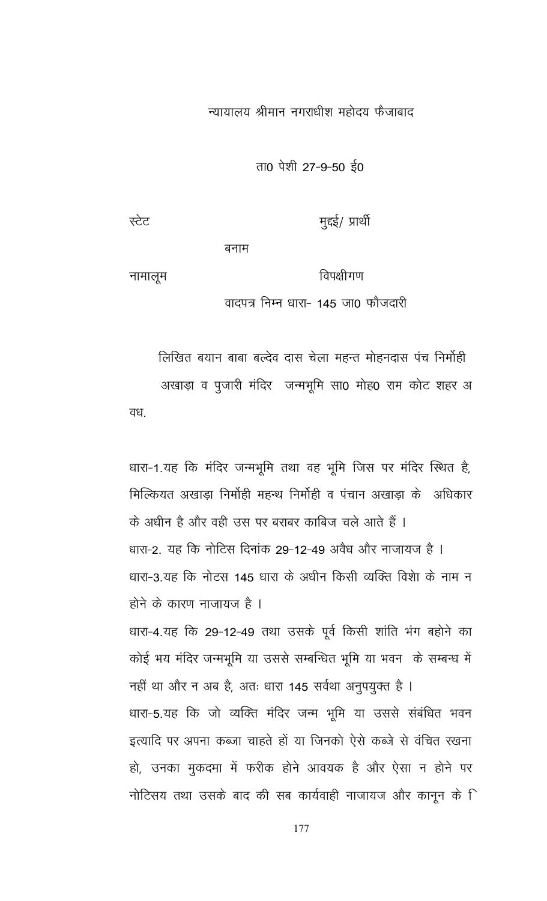न्यायालय श्रीमान नगराधीश महोदय फैजाबाद

ता0 पेशी 27-9-50 ई0

बनाम

नामालूम

विपक्षीगण वादपत्र निम्न धारा- 145 जा0 फौजदारी

लिखित बयान बाबा बल्देव दास चेला महन्त मोहनदास पंच निर्मोही अखाड़ा व पुजारी मंदिर जन्मभूमि सा0 मोह0 राम कोट शहर अ वध.

धारा-1.यह कि मंदिर जन्मभूमि तथा वह भूमि जिस पर मंदिर स्थित है, मिल्कियत अखाड़ा निर्मोही महन्थ निर्मोही व पंचान अखाड़ा के अधिकार के अधीन है और वही उस पर बराबर काबिज चले आते हैं । धारा-2. यह कि नोटिस दिनांक 29-12-49 अवैध और नाजायज है । धारा-3 यह कि नोटस 145 धारा के अधीन किसी व्यक्ति विशेा के नाम न होने के कारण नाजायज है । धारा-4.यह कि 29-12-49 तथा उसके पूर्व किसी शांति भंग बहोने का

कोई भय मंदिर जन्मभूमि या उससे सम्बन्धित भूमि या भवन के सम्बन्ध में नहीं था और न अब है, अतः धारा 145 सर्वथा अनुपयुक्त है । धारा-5.यह कि जो व्यक्ति मंदिर जन्म भूमि या उससे संबंधित भवन इत्यादि पर अपना कब्जा चाहते हों या जिनको ऐसे कब्जे से वंचित रखना हो, उनका मुकदमा में फरीक होने आवयक है और ऐसा न होने पर नोटिसय तथा उसके बाद की सब कार्यवाही नाजायज और कानून के ि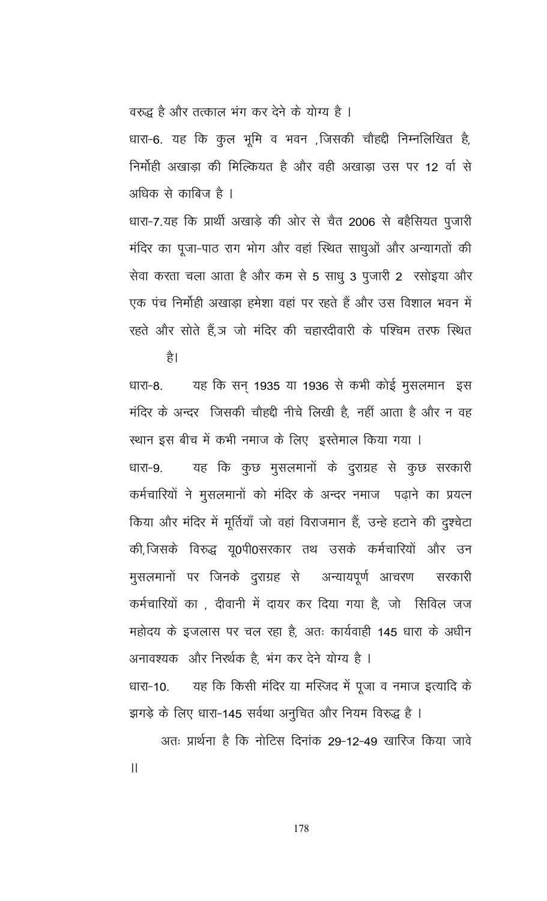वरुद्ध है और तत्काल भंग कर देने के योग्य है ।

धारा-6. यह कि कुल भूमि व भवन ,जिसकी चौहद्दी निम्नलिखित है, निर्मोही अखाड़ा की मिल्कियत है और वही अखाड़ा उस पर 12 वीं से अधिक से काबिज है ।

धारा-7.यह कि प्रार्थी अखाड़े की ओर से चैत 2006 से बहैसियत पुजारी मंदिर का पूजा-पाठ राग भोग और वहां स्थित साधुओं और अन्यागतों की सेवा करता चला आता है और कम से 5 साधु 3 पुजारी 2 रसोइया और एक पंच निर्मोही अखाड़ा हमेशा वहां पर रहते हैं और उस विशाल भवन में रहते और सोते हैं.ञ जो मंदिर की चहारदीवारी के पश्चिम तरफ स्थित

है।

यह कि सन् 1935 या 1936 से कभी कोई मुसलमान इस धारा-8. मंदिर के अन्दर जिसकी चौहद्दी नीचे लिखी है, नहीं आता है और न वह स्थान इस बीच में कभी नमाज के लिए इस्तेमाल किया गया । यह कि कुछ मुसलमानों के दुराग्रह से कुछ सरकारी धारा-9. कर्मचारियों ने मुसलमानों को मंदिर के अन्दर नमाज पढ़ाने का प्रयत्न किया और मंदिर में मूर्तियाँ जो वहां विराजमान हैं, उन्हे हटाने की दुश्चेटा की,जिसके विरुद्ध यू0पी0सरकार तथ उसके कर्मचारियों और उन मुसलमानों पर जिनके दुराग्रह से अन्यायपूर्ण आचरण सरकारी कर्मचारियों का , दीवानी में दायर कर दिया गया है, जो सिविल जज महोदय के इजलास पर चल रहा है, अतः कार्यवाही 145 धारा के अधीन अनावश्यक और निर्ख़क है, भंग कर देने योग्य है । यह कि किसी मंदिर या मस्जिद में पूजा व नमाज इत्यादि के धारा-10. झगड़े के लिए धारा-145 सर्वथा अनुचित और नियम विरुद्ध है ।

अतः प्रार्थना है कि नोटिस दिनांक 29-12-49 खारिज किया जावे  $\mathbf{II}$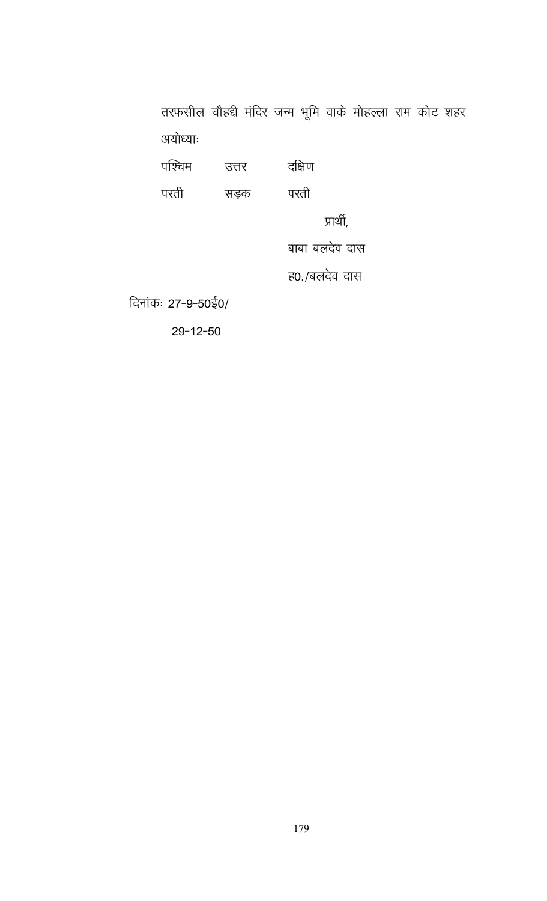तरफसील चौहद्दी मंदिर जन्म भूमि वाके मोहल्ला राम कोट शहर अयोध्याः

| पाश्चम             | उत्तर | दक्षिण         |
|--------------------|-------|----------------|
| परती               | सड़क  | परती           |
|                    |       | प्राथी,        |
|                    |       | बाबा बलदेव दास |
|                    |       | ह0./बलदेव दास  |
| दिनांकः 27-9-50ई0/ |       |                |

 $29 - 12 - 50$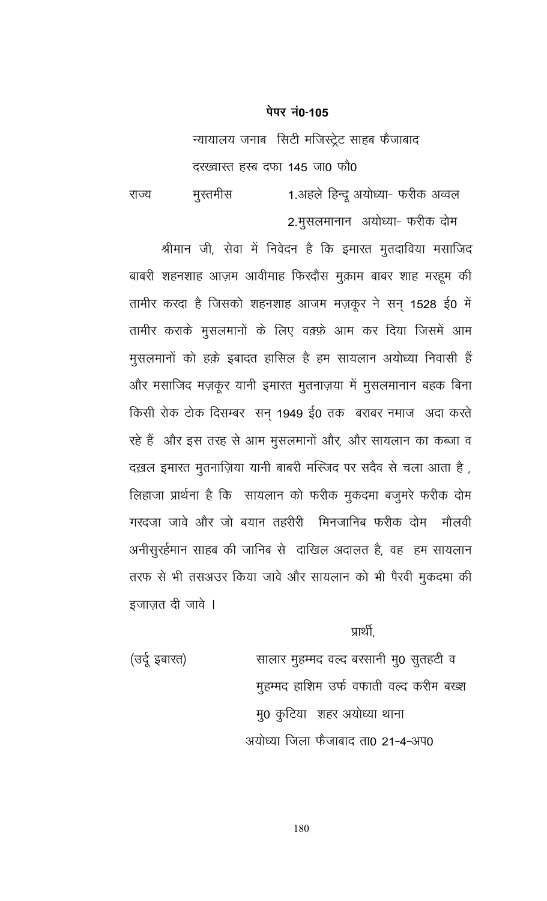न्यायालय जनाब सिटी मजिस्ट्रेट साहब फैजाबाद दरख्वास्त हस्ब दफा 145 जा0 फौ0

1.अहले हिन्दू अयोध्या- फरीक अव्वल मुस्तमीस राज्य 2.मुसलमानान अयोध्या- फरीक दोम

श्रीमान जी, सेवा में निवेदन है कि इमारत मुतदाविया मसाजिद बाबरी शहनशाह आज़म आवीमाह फिरदौस मुक़ाम बाबर शाह मरहूम की तामीर करदा है जिसको शहनशाह आजम मज़कूर ने सन् 1528 ई0 में तामीर कराके मुसलमानों के लिए वक़्फ़े आम कर दिया जिसमें आम मुसलमानों को हक़े इबादत हासिल है हम सायलान अयोध्या निवासी हैं और मसाजिद मज़कूर यानी इमारत मुतनाज़या में मुसलमानान बहक बिना किसी रोक टोक दिसम्बर) सन् 1949 ई0 तक) बराबर नमाज अदा करते रहे हैं और इस तरह से आम मुसलमानों और, और सायलान का कब्जा व दख़ल इमारत मुतनाज़िया यानी बाबरी मस्जिद पर सदैव से चला आता है, लिहाजा प्रार्थना है कि सायलान को फरीक मुकदमा बजुमरे फरीक दोम गरदजा जावे और जो बयान तहरीरी मिनजानिब फरीक दोम मौलवी अनीसुरर्हमान साहब की जानिब से दाखिल अदालत है, वह हम सायलान तरफ से भी तसअउर किया जावे और सायलान को भी पैरवी मुकदमा की इजाज़त दी जावे ।

प्राथी,

(उर्दू इबारत) सालार मुहम्मद वल्द बरसानी मु0 सुतहटी व मुहम्मद हाशिम उर्फ वफाती वल्द करीम बख्श मु0 कुटिया शहर अयोध्या थाना अयोध्या जिला फैजाबाद ता0 21-4-अप0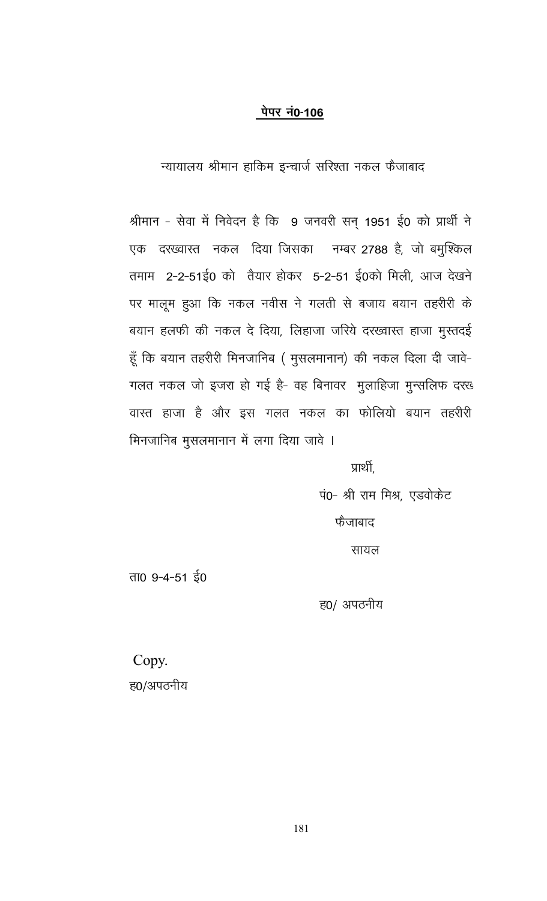#### पेपर नं0-106

न्यायालय श्रीमान हाकिम इन्चार्ज सरिश्ता नकल फैजाबाद

श्रीमान - सेवा में निवेदन है कि 9 जनवरी सन् 1951 ई0 को प्रार्थी ने एक दरख्वास्त नकल दिया जिसका नम्बर 2788 है, जो बमुश्किल तमाम 2-2-51ई0 को तैयार होकर 5-2-51 ई0को मिली, आज देखने पर मालूम हुआ कि नकल नवीस ने गलती से बजाय बयान तहरीरी के बयान हलफी की नकल दे दिया, लिहाजा जरिये दरख्वास्त हाजा मुस्तदई हूँ कि बयान तहरीरी मिनजानिब ( मुसलमानान) की नकल दिला दी जावे-गलत नकल जो इजरा हो गई है- वह बिनावर मुलाहिजा मुन्सलिफ दरख वास्त हाजा है और इस गलत नकल का फोलियो बयान तहरीरी मिनजानिब मुसलमानान में लगा दिया जावे ।

प्रार्थी.

पं0- श्री राम मिश्र, एडवोकेट फैजाबाद सायल

ता0 9-4-51 ई0

ह0/ अपठनीय

Copy. ह0/अपठनीय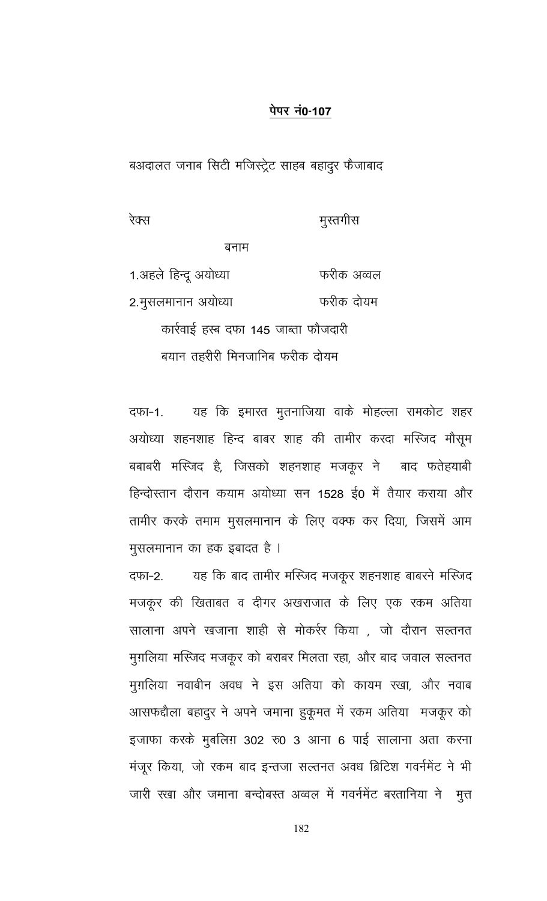# <u>पेपर नं0-107</u>

बअदालत जनाब सिटी मजिस्ट्रेट साहब बहादुर फैजाबाद

रेक्स

मुस्तगीस

बनाम

1.अहले हिन्दू अयोध्या फरीक अव्वल 2.मुसलमानान अयोध्या फरीक दोयम कार्रवाई हस्ब दफा 145 जाब्ता फौजदारी बयान तहरीरी मिनजानिब फरीक दोयम

यह कि इमारत मुतनाजिया वाके मोहल्ला रामकोट शहर दफा-1. अयोध्या शहनशाह हिन्द बाबर शाह की तामीर करदा मस्जिद मौसूम बबाबरी मस्जिद है, जिसको शहनशाह मजकूर ने बाद फतेहयाबी हिन्दोस्तान दौरान कयाम अयोध्या सन 1528 ई0 में तैयार कराया और तामीर करके तमाम मुसलमानान के लिए वक्फ कर दिया, जिसमें आम मुसलमानान का हक इबादत है ।

यह कि बाद तामीर मस्जिद मजकूर शहनशाह बाबरने मस्जिद दफा-2. मजकूर की खिताबत व दीगर अखराजात के लिए एक रकम अतिया सालाना अपने खजाना शाही से मोकर्रर किया , जो दौरान सल्तनत मुग़लिया मस्जिद मजकूर को बराबर मिलता रहा, और बाद जवाल सल्तनत मुग़लिया नवाबीन अवध ने इस अतिया को कायम रखा, और नवाब आसफद्दौला बहादुर ने अपने जमाना हुकूमत में रकम अतिया मजकूर को इजाफा करके मुबलिग़ 302 रु0 3 आना 6 पाई सालाना अता करना मंजूर किया, जो रकम बाद इन्तजा सल्तनत अवध ब्रिटिश गवर्नमेंट ने भी जारी रखा और जमाना बन्दोबस्त अव्वल में गवर्नमेंट बरतानिया ने मुत्त

182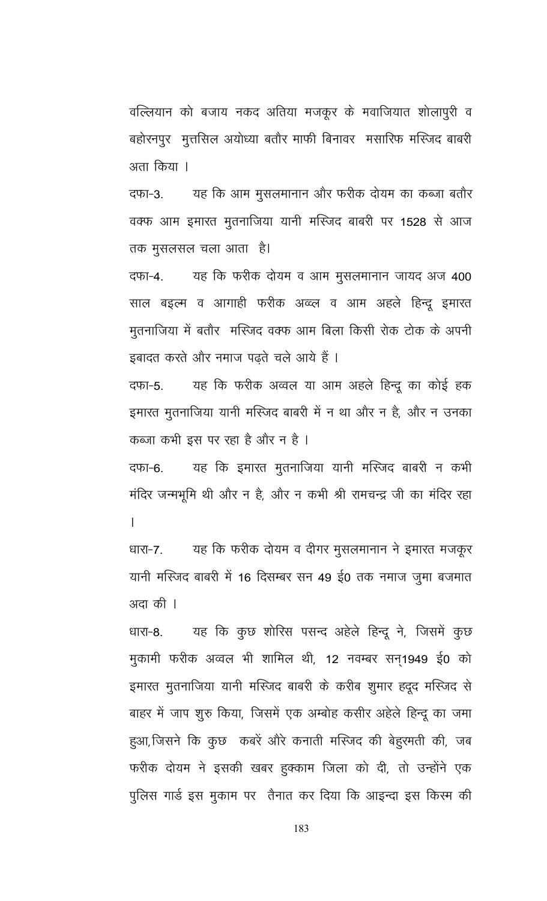वल्लियान को बजाय नकद अतिया मजकूर के मवाजियात शोलापुरी व बहोरनपुर मुत्तसिल अयोध्या बतौर माफी बिनावर मसारिफ मस्जिद बाबरी अता किया ।

यह कि आम मुसलमानान और फरीक दोयम का कब्जा बतौर दफा-3. वक्फ आम इमारत मुतनाजिया यानी मस्जिद बाबरी पर 1528 से आज तक मुसलसल चला आता) है।

यह कि फरीक दोयम व आम मुसलमानान जायद अज 400 दफा-4. साल बइल्म व आगाही फरीक अव्व्ल व आम अहले हिन्दू इमारत मूतनाजिया में बतौर मस्जिद वक्फ आम बिला किसी रोक टोक के अपनी इबादत करते और नमाज पढ़ते चले आये हैं ।

यह कि फरीक अव्वल या आम अहले हिन्दू का कोई हक दफा-5. इमारत मुतनाजिया यानी मस्जिद बाबरी में न था और न है, और न उनका कब्जा कभी इस पर रहा है और न है ।

यह कि इमारत मुतनाजिया यानी मस्जिद बाबरी न कभी दफा-6. मंदिर जन्मभूमि थी और न है, और न कभी श्री रामचन्द्र जी का मंदिर रहा  $\mathsf{L}$ 

यह कि फरीक दोयम व दीगर मुसलमानान ने इमारत मजकूर धारा-7. यानी मस्जिद बाबरी में 16 दिसम्बर सन 49 ई0 तक नमाज जुमा बजमात अदा की ।

यह कि कुछ शोरिस पसन्द अहेले हिन्दू ने, जिसमें कुछ धारा-8. मुकामी फरीक अव्वल भी शामिल थी, 12 नवम्बर सन्1949 ई0 को इमारत मुतनाजिया यानी मस्जिद बाबरी के करीब शुमार हदूद मस्जिद से बाहर में जाप शुरु किया, जिसमें एक अम्बोह कसीर अहेले हिन्दू का जमा हुआ, जिसने कि कुछ कबरें औरे कनाती मस्जिद की बेहुरमती की, जब फरीक दोयम ने इसकी खबर हक्काम जिला को दी, तो उन्होंने एक पुलिस गार्ड इस मुकाम पर तैनात कर दिया कि आइन्दा इस किस्म की

183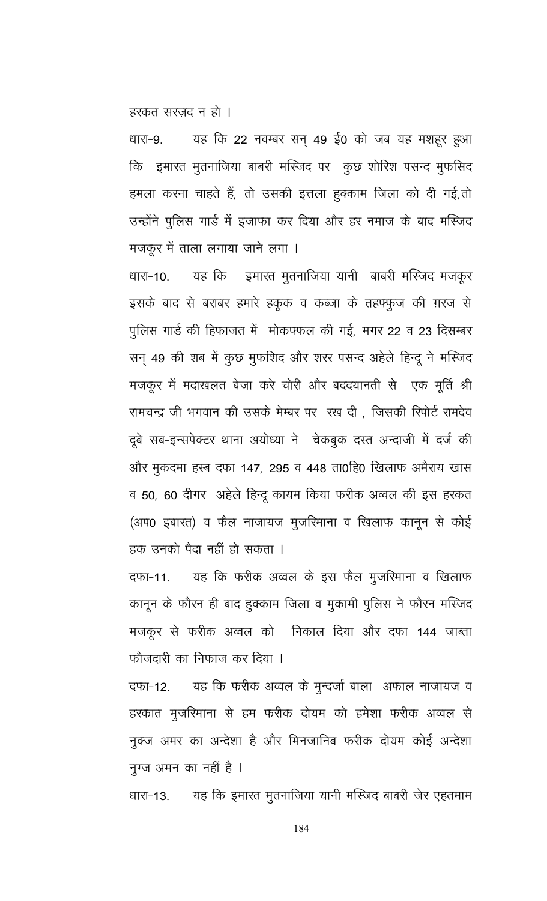हरकत सरज़द न हो ।

यह कि 22 नवम्बर सन् 49 ई0 को जब यह मशहूर हुआ धारा-9. कि इमारत मुतनाजिया बाबरी मस्जिद पर कुछ शोरिश पसन्द मुफसिद हमला करना चाहते हैं, तो उसकी इत्तला हुक्काम जिला को दी गई,तो उन्होंने पुलिस गार्ड में इजाफा कर दिया और हर नमाज के बाद मस्जिद मजकूर में ताला लगाया जाने लगा ।

धारा-10. यह कि इमारत मुतनाजिया यानी बाबरी मस्जिद मजकूर इसके बाद से बराबर हमारे हकूक व कब्जा के तहफ्फुज की ग़रज से पुलिस गार्ड की हिफाजत में मोकफ्फल की गई, मगर 22 व 23 दिसम्बर सन् 49 की शब में कुछ मुफशिद और शरर पसन्द अहेले हिन्दू ने मस्जिद मजकूर में मदाखलत बेजा करे चोरी और बददयानती से एक मूर्ति श्री रामचन्द्र जी भगवान की उसके मेम्बर पर रख दी, जिसकी रिपोर्ट रामदेव दूबे सब-इन्सपेक्टर थाना अयोध्या ने वेकबुक दस्त अन्दाजी में दर्ज की ओर मुकदमा हस्ब दफा 147, 295 व 448 ता0हि0 खिलाफ अमैराय खास व 50, 60 दीगर) अहेले हिन्दू कायम किया फरीक अव्वल की इस हरकत (अप0 इबारत) व फैल नाजायज मुजरिमाना व खिलाफ कानून से कोई हक उनको पैदा नहीं हो सकता ।

यह कि फरीक अव्वल के इस फैल मुजरिमाना व खिलाफ दफा-11. कानून के फौरन ही बाद हुक्काम जिला व मुकामी पुलिस ने फौरन मस्जिद मजकूर से फरीक अव्वल को निकाल दिया और दफा 144 जाब्ता फौजदारी का निफाज कर दिया ।

यह कि फरीक अव्वल के मुन्दर्जा बाला अफाल नाजायज व दफा-12. हरकात मुजरिमाना से हम फरीक दोयम को हमेशा फरीक अव्वल से नुक्ज अमर का अन्देशा है और मिनजानिब फरीक दोयम कोई अन्देशा नुग्ज अमन का नहीं है ।

यह कि इमारत मुतनाजिया यानी मस्जिद बाबरी जेर एहतमाम धारा-13.

184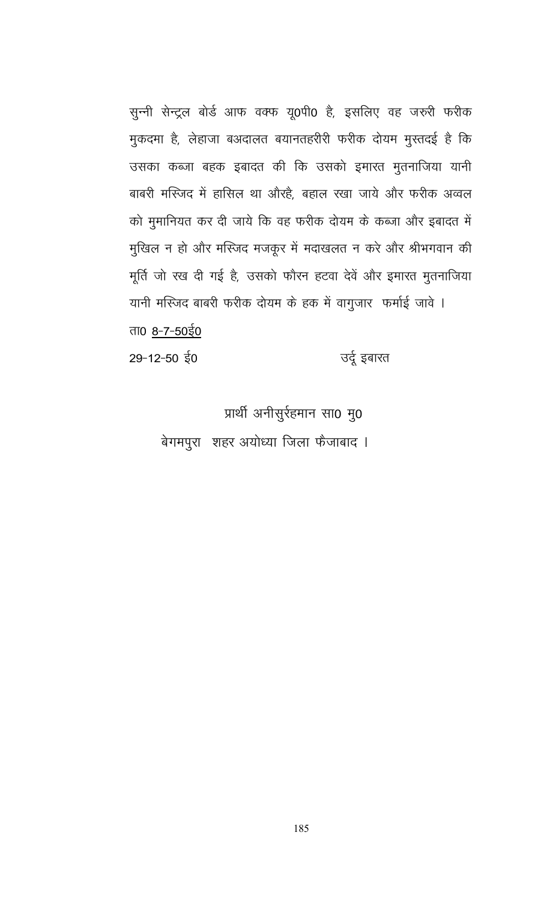सुन्नी सेन्ट्रल बोर्ड आफ वक्फ यू0पी0 है, इसलिए वह जरुरी फरीक मुकदमा है, लेहाजा बअदालत बयानतहरीरी फरीक दोयम मुस्तदई है कि उसका कब्जा बहक इबादत की कि उसको इमारत मुतनाजिया यानी बाबरी मस्जिद में हासिल था औरहै, बहाल रखा जाये और फरीक अव्वल को मुमानियत कर दी जाये कि वह फरीक दोयम के कब्जा और इबादत में मुखिल न हो और मस्जिद मजकूर में मदाखलत न करे और श्रीभगवान की मूर्ति जो रख दी गई है, उसको फौरन हटवा देवें और इमारत मुतनाजिया यानी मस्जिद बाबरी फरीक दोयम के हक में वागुजार फर्माई जावे । ता0 8-7-50ई0

उर्दू इबारत  $29 - 12 - 50$  ई0

प्रार्थी अनीसुर्रहमान सा0 मु0

बेगमपुरा शहर अयोध्या जिला फैजाबाद ।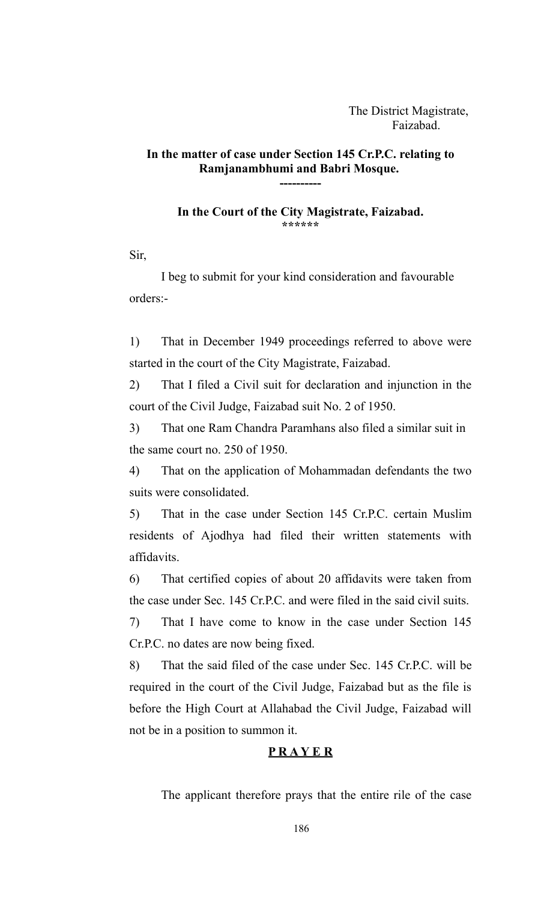The District Magistrate, Faizabad.

## **In the matter of case under Section 145 Cr.P.C. relating to Ramjanambhumi and Babri Mosque.**

**----------**

**In the Court of the City Magistrate, Faizabad. \*\*\*\*\*\***

Sir,

I beg to submit for your kind consideration and favourable orders:-

1) That in December 1949 proceedings referred to above were started in the court of the City Magistrate, Faizabad.

2) That I filed a Civil suit for declaration and injunction in the court of the Civil Judge, Faizabad suit No. 2 of 1950.

3) That one Ram Chandra Paramhans also filed a similar suit in the same court no. 250 of 1950.

4) That on the application of Mohammadan defendants the two suits were consolidated.

5) That in the case under Section 145 Cr.P.C. certain Muslim residents of Ajodhya had filed their written statements with affidavits.

6) That certified copies of about 20 affidavits were taken from the case under Sec. 145 Cr.P.C. and were filed in the said civil suits.

7) That I have come to know in the case under Section 145 Cr.P.C. no dates are now being fixed.

8) That the said filed of the case under Sec. 145 Cr.P.C. will be required in the court of the Civil Judge, Faizabad but as the file is before the High Court at Allahabad the Civil Judge, Faizabad will not be in a position to summon it.

### **P R A Y E R**

The applicant therefore prays that the entire rile of the case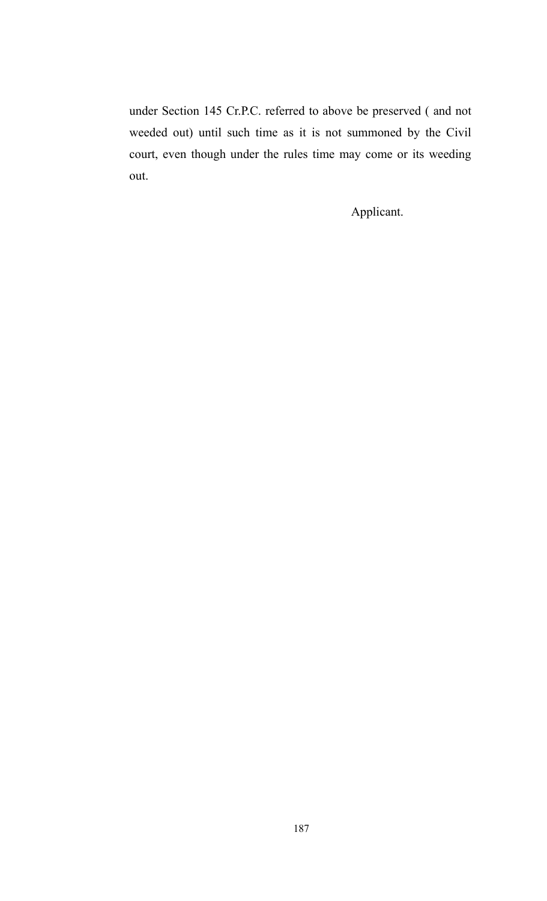under Section 145 Cr.P.C. referred to above be preserved ( and not weeded out) until such time as it is not summoned by the Civil court, even though under the rules time may come or its weeding out.

Applicant.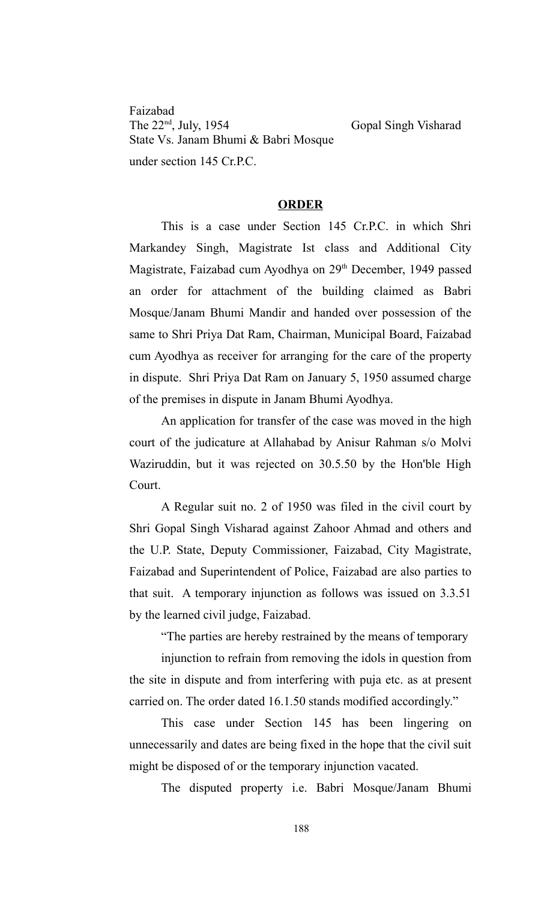Faizabad<br>The 22<sup>nd</sup>, July, 1954 State Vs. Janam Bhumi & Babri Mosque under section 145 Cr.P.C.

Gopal Singh Visharad

#### **ORDER**

This is a case under Section 145 Cr.P.C. in which Shri Markandey Singh, Magistrate Ist class and Additional City Magistrate, Faizabad cum Ayodhya on 29<sup>th</sup> December, 1949 passed an order for attachment of the building claimed as Babri Mosque/Janam Bhumi Mandir and handed over possession of the same to Shri Priya Dat Ram, Chairman, Municipal Board, Faizabad cum Ayodhya as receiver for arranging for the care of the property in dispute. Shri Priya Dat Ram on January 5, 1950 assumed charge of the premises in dispute in Janam Bhumi Ayodhya.

An application for transfer of the case was moved in the high court of the judicature at Allahabad by Anisur Rahman s/o Molvi Waziruddin, but it was rejected on 30.5.50 by the Hon'ble High Court.

A Regular suit no. 2 of 1950 was filed in the civil court by Shri Gopal Singh Visharad against Zahoor Ahmad and others and the U.P. State, Deputy Commissioner, Faizabad, City Magistrate, Faizabad and Superintendent of Police, Faizabad are also parties to that suit. A temporary injunction as follows was issued on 3.3.51 by the learned civil judge, Faizabad.

"The parties are hereby restrained by the means of temporary

injunction to refrain from removing the idols in question from the site in dispute and from interfering with puja etc. as at present carried on. The order dated 16.1.50 stands modified accordingly."

This case under Section 145 has been lingering on unnecessarily and dates are being fixed in the hope that the civil suit might be disposed of or the temporary injunction vacated.

The disputed property i.e. Babri Mosque/Janam Bhumi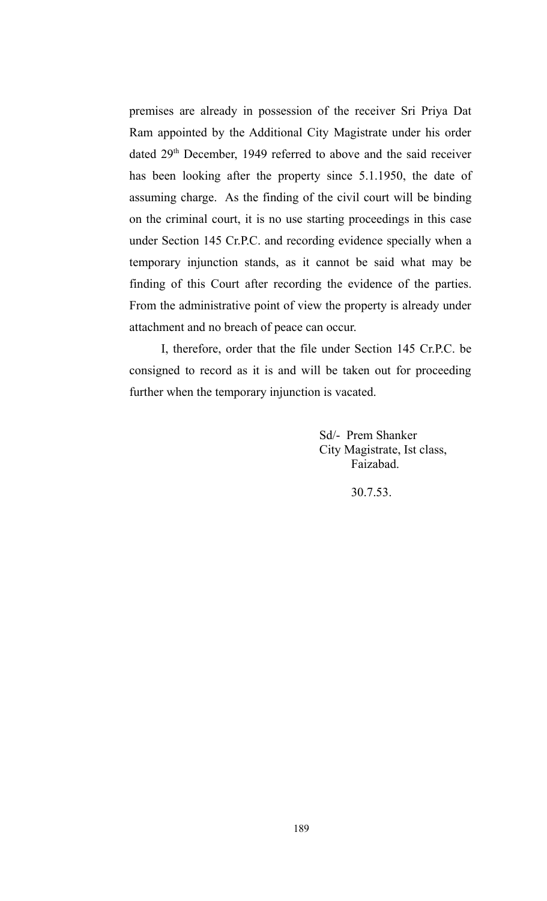premises are already in possession of the receiver Sri Priya Dat Ram appointed by the Additional City Magistrate under his order dated 29<sup>th</sup> December, 1949 referred to above and the said receiver has been looking after the property since 5.1.1950, the date of assuming charge. As the finding of the civil court will be binding on the criminal court, it is no use starting proceedings in this case under Section 145 Cr.P.C. and recording evidence specially when a temporary injunction stands, as it cannot be said what may be finding of this Court after recording the evidence of the parties. From the administrative point of view the property is already under attachment and no breach of peace can occur.

I, therefore, order that the file under Section 145 Cr.P.C. be consigned to record as it is and will be taken out for proceeding further when the temporary injunction is vacated.

> Sd/- Prem Shanker City Magistrate, Ist class, Faizabad.

> > 30.7.53.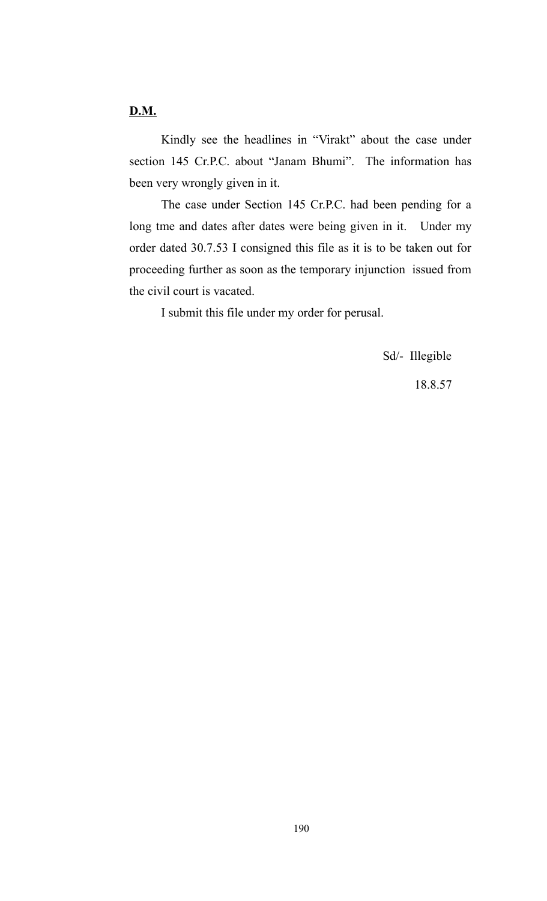**D.M.**

Kindly see the headlines in "Virakt" about the case under section 145 Cr.P.C. about "Janam Bhumi". The information has been very wrongly given in it.

The case under Section 145 Cr.P.C. had been pending for a long tme and dates after dates were being given in it. Under my order dated 30.7.53 I consigned this file as it is to be taken out for proceeding further as soon as the temporary injunction issued from the civil court is vacated.

I submit this file under my order for perusal.

Sd/- Illegible

18.8.57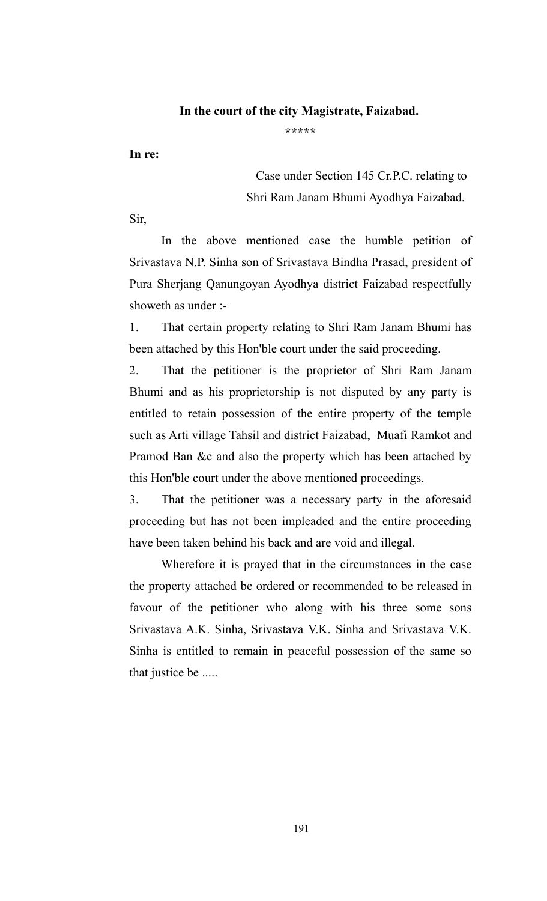#### **In the court of the city Magistrate, Faizabad.**

**\*\*\*\*\***

**In re:**

Case under Section 145 Cr.P.C. relating to Shri Ram Janam Bhumi Ayodhya Faizabad.

Sir,

In the above mentioned case the humble petition of Srivastava N.P. Sinha son of Srivastava Bindha Prasad, president of Pura Sherjang Qanungoyan Ayodhya district Faizabad respectfully showeth as under :-

1. That certain property relating to Shri Ram Janam Bhumi has been attached by this Hon'ble court under the said proceeding.

2. That the petitioner is the proprietor of Shri Ram Janam Bhumi and as his proprietorship is not disputed by any party is entitled to retain possession of the entire property of the temple such as Arti village Tahsil and district Faizabad, Muafi Ramkot and Pramod Ban &c and also the property which has been attached by this Hon'ble court under the above mentioned proceedings.

3. That the petitioner was a necessary party in the aforesaid proceeding but has not been impleaded and the entire proceeding have been taken behind his back and are void and illegal.

Wherefore it is prayed that in the circumstances in the case the property attached be ordered or recommended to be released in favour of the petitioner who along with his three some sons Srivastava A.K. Sinha, Srivastava V.K. Sinha and Srivastava V.K. Sinha is entitled to remain in peaceful possession of the same so that justice be .....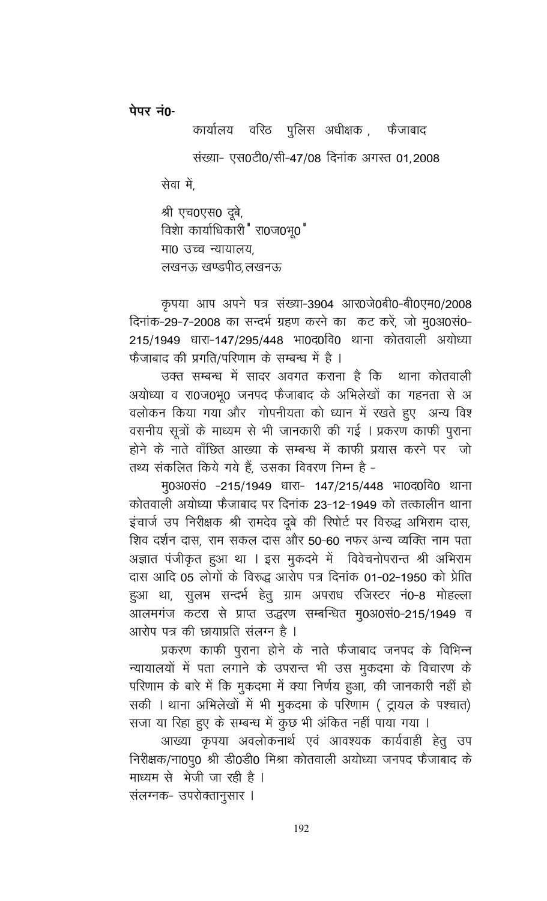पेपर नं0-

कार्यालय वरिठ पुलिस अधीक्षक , फेजाबाद संख्या- एस0टी0/सी-47/08 दिनांक अगस्त 01,2008 सेवा में, श्री एच0एस0 दूबे, विशा कार्याधिकारी " रा0ज0भृ0"

मा0 उच्च न्यायालय.

लखनऊ खण्डपीठ लखनऊ

कृपया आप अपने पत्र संख्या-3904 आर0जे0बी0-बी0एम0/2008 दिनांक-29-7-2008 का सन्दर्भ ग्रहण करने का कट करें, जो मु0अ0सं0-215/1949 धारा-147/295/448 भा0द0वि0 थाना कोतवाली अयोध्या फैजाबाद की प्रगति/परिणाम के सम्बन्ध में है ।

उक्त सम्बन्ध में सादर अवगत कराना है कि थाना कोतवाली अयोध्या व रा0ज0भू0 जनपद फैजाबाद के अभिलेखों का गहनता से अ वलोकन किया गया और गोपनीयता को ध्यान में रखते हुए अन्य विश वसनीय सूत्रों के माध्यम से भी जानकारी की गई । प्रकरण काफी पूराना होने के नाते वॉछित आख्या के सम्बन्ध में काफी प्रयास करने पर जो तथ्य संकलित किये गये हैं, उसका विवरण निम्न है -

मू0अ0सं0 -215/1949 धारा- 147/215/448 भा0द0वि0 थाना कोतवाली अयोध्या फैजाबाद पर दिनांक 23-12-1949 को तत्कालीन थाना इंचार्ज उप निरीक्षक श्री रामदेव दूबे की रिपोर्ट पर विरुद्ध अभिराम दास, शिव दर्शन दास, राम सकल दास और 50-60 नफर अन्य व्यक्ति नाम पता अज्ञात पंजीकृत हुआ था । इस मुकदमे में विवेचनोपरान्त श्री अभिराम दास आदि 05 लोगों के विरुद्ध आरोप पत्र दिनांक 01-02-1950 को प्रेाित हुआ था, सुलभ सन्दर्भ हेतु ग्राम अपराध रजिस्टर नं0-8 मोहल्ला आलमगंज कटरा से प्राप्त उद्धरण सम्बन्धित मु0अ0सं0-215/1949 व आरोप पत्र की छायाप्रति संलग्न है ।

प्रकरण काफी पुराना होने के नाते फैजाबाद जनपद के विभिन्न न्यायालयों में पता लगाने के उपरान्त भी उस मुकदमा के विचारण के परिणाम के बारे में कि मुकदमा में क्या निर्णय हुआ, की जानकारी नहीं हो सकी । थाना अभिलेखों में भी मुकदमा के परिणाम ( ट्रायल के पश्चात) सजा या रिहा हुए के सम्बन्ध में कुछ भी अंकित नहीं पाया गया ।

आख्या कृपया अवलोकनार्थ एवं आवश्यक कार्यवाही हेतु उप निरीक्षक/ना0पु0 श्री डी0डी0 मिश्रा कोतवाली अयोध्या जनपद फैजाबाद के माध्यम से भेजी जा रही है ।

संलग्नक- उपरोक्तानुसार ।